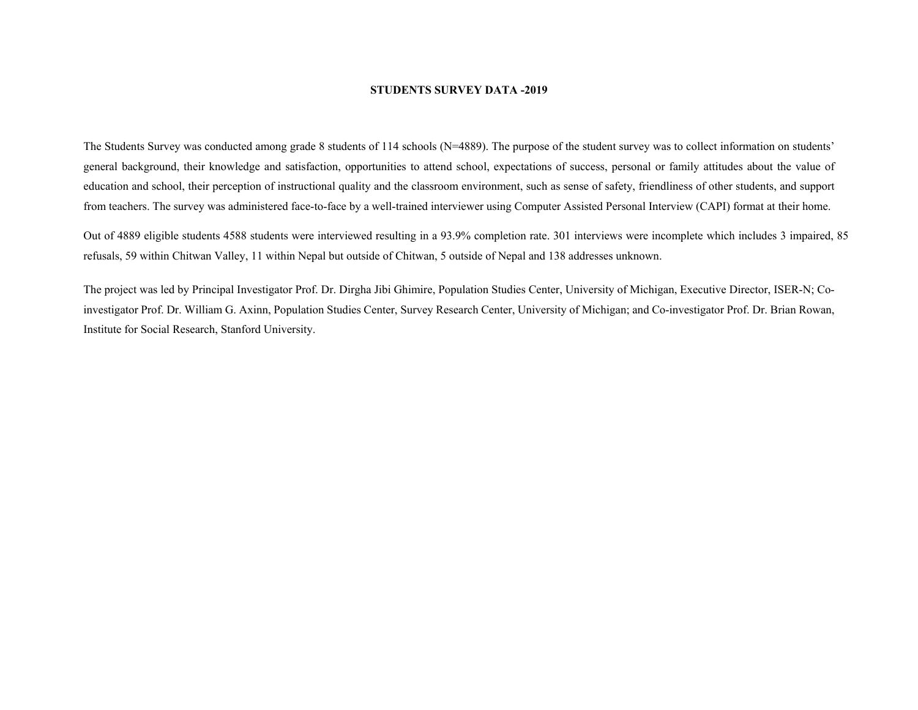## **STUDENTS SURVEY DATA -2019**

The Students Survey was conducted among grade 8 students of 114 schools (N=4889). The purpose of the student survey was to collect information on students' general background, their knowledge and satisfaction, opportunities to attend school, expectations of success, personal or family attitudes about the value of education and school, their perception of instructional quality and the classroom environment, such as sense of safety, friendliness of other students, and support from teachers. The survey was administered face-to-face by a well-trained interviewer using Computer Assisted Personal Interview (CAPI) format at their home.

Out of 4889 eligible students 4588 students were interviewed resulting in a 93.9% completion rate. 301 interviews were incomplete which includes 3 impaired, 85 refusals, 59 within Chitwan Valley, 11 within Nepal but outside of Chitwan, 5 outside of Nepal and 138 addresses unknown.

The project was led by Principal Investigator Prof. Dr. Dirgha Jibi Ghimire, Population Studies Center, University of Michigan, Executive Director, ISER-N; Coinvestigator Prof. Dr. William G. Axinn, Population Studies Center, Survey Research Center, University of Michigan; and Co-investigator Prof. Dr. Brian Rowan, Institute for Social Research, Stanford University.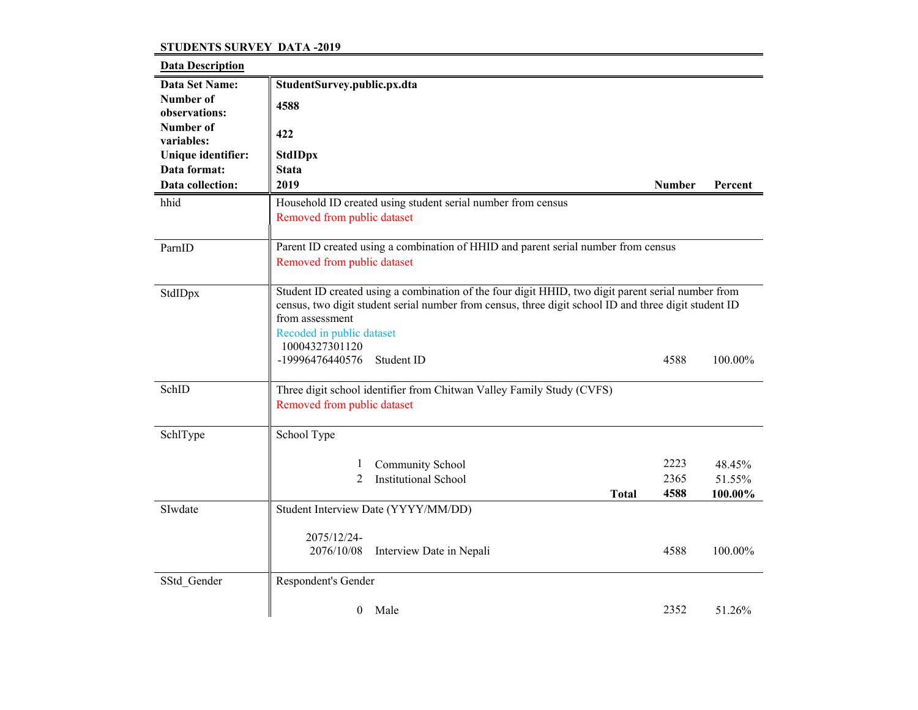## **STUDENTS SURVEY DATA -2019**

| <b>Data Description</b>    |                                                                                                                                                                                                                                                                               |               |         |
|----------------------------|-------------------------------------------------------------------------------------------------------------------------------------------------------------------------------------------------------------------------------------------------------------------------------|---------------|---------|
| Data Set Name:             | StudentSurvey.public.px.dta                                                                                                                                                                                                                                                   |               |         |
| Number of<br>observations: | 4588                                                                                                                                                                                                                                                                          |               |         |
| Number of<br>variables:    | 422                                                                                                                                                                                                                                                                           |               |         |
| Unique identifier:         | <b>StdIDpx</b>                                                                                                                                                                                                                                                                |               |         |
| Data format:               | <b>Stata</b>                                                                                                                                                                                                                                                                  |               |         |
| Data collection:           | 2019                                                                                                                                                                                                                                                                          | <b>Number</b> | Percent |
| hhid                       | Household ID created using student serial number from census<br>Removed from public dataset                                                                                                                                                                                   |               |         |
|                            |                                                                                                                                                                                                                                                                               |               |         |
| ParnID                     | Parent ID created using a combination of HHID and parent serial number from census<br>Removed from public dataset                                                                                                                                                             |               |         |
| StdIDpx                    | Student ID created using a combination of the four digit HHID, two digit parent serial number from<br>census, two digit student serial number from census, three digit school ID and three digit student ID<br>from assessment<br>Recoded in public dataset<br>10004327301120 |               |         |
|                            | -19996476440576<br>Student ID                                                                                                                                                                                                                                                 | 4588          | 100.00% |
| SchID                      | Three digit school identifier from Chitwan Valley Family Study (CVFS)<br>Removed from public dataset                                                                                                                                                                          |               |         |
| SchlType                   | School Type                                                                                                                                                                                                                                                                   |               |         |
|                            | Community School<br>1                                                                                                                                                                                                                                                         | 2223          | 48.45%  |
|                            | 2<br><b>Institutional School</b>                                                                                                                                                                                                                                              | 2365          | 51.55%  |
|                            | <b>Total</b>                                                                                                                                                                                                                                                                  | 4588          | 100.00% |
| SIwdate                    | Student Interview Date (YYYY/MM/DD)                                                                                                                                                                                                                                           |               |         |
|                            | 2075/12/24-                                                                                                                                                                                                                                                                   |               |         |
|                            | 2076/10/08<br>Interview Date in Nepali                                                                                                                                                                                                                                        | 4588          | 100.00% |
| SStd_Gender                | Respondent's Gender                                                                                                                                                                                                                                                           |               |         |
|                            | Male<br>$\theta$                                                                                                                                                                                                                                                              | 2352          | 51.26%  |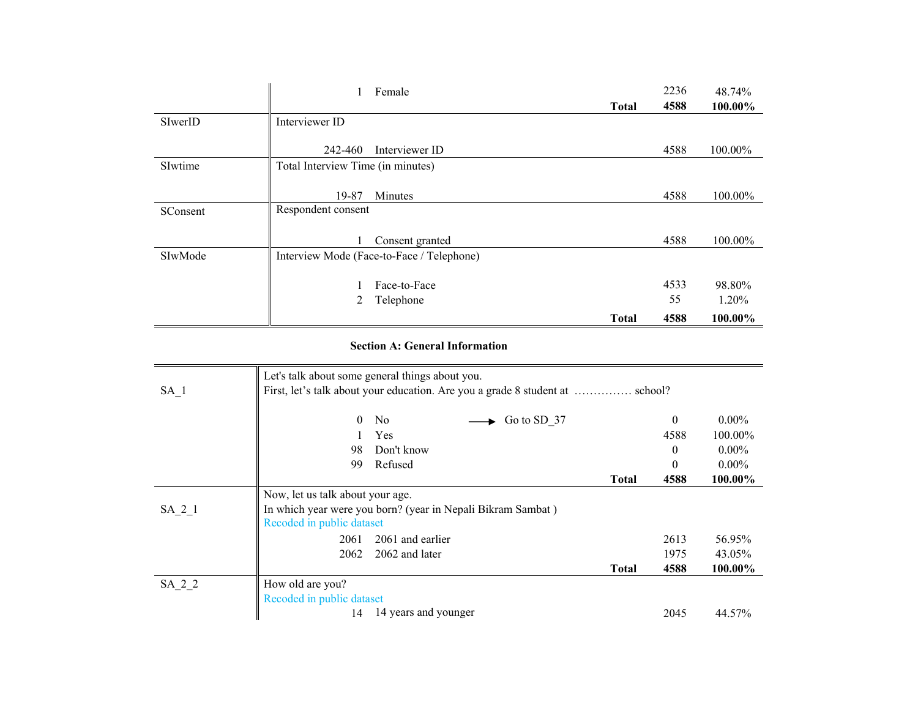|          |                                   | Female                                    |              | 2236 | 48.74%  |
|----------|-----------------------------------|-------------------------------------------|--------------|------|---------|
|          |                                   |                                           | <b>Total</b> | 4588 | 100.00% |
| SIwerID  | Interviewer ID                    |                                           |              |      |         |
|          | 242-460                           | Interviewer ID                            |              | 4588 | 100.00% |
| SIwtime  | Total Interview Time (in minutes) |                                           |              |      |         |
|          |                                   |                                           |              |      |         |
|          | 19-87                             | Minutes                                   |              | 4588 | 100.00% |
| SConsent | Respondent consent                |                                           |              |      |         |
|          |                                   |                                           |              |      |         |
|          |                                   | Consent granted                           |              | 4588 | 100.00% |
| SIwMode  |                                   | Interview Mode (Face-to-Face / Telephone) |              |      |         |
|          |                                   |                                           |              |      |         |
|          |                                   | Face-to-Face                              |              | 4533 | 98.80%  |
|          | 2                                 | Telephone                                 |              | 55   | 1.20%   |
|          |                                   |                                           | <b>Total</b> | 4588 | 100.00% |

## **Section A: General Information**

|        | Let's talk about some general things about you.                               |              |          |          |
|--------|-------------------------------------------------------------------------------|--------------|----------|----------|
| $SA_1$ | First, let's talk about your education. Are you a grade 8 student at  school? |              |          |          |
|        | $\mathbf{0}$<br>Go to SD 37<br>N <sub>o</sub>                                 |              | $\theta$ | $0.00\%$ |
|        | Yes                                                                           |              | 4588     | 100.00%  |
|        | 98<br>Don't know                                                              |              | $\theta$ | $0.00\%$ |
|        | Refused<br>99                                                                 |              | $\theta$ | $0.00\%$ |
|        |                                                                               | <b>Total</b> | 4588     | 100.00%  |
|        | Now, let us talk about your age.                                              |              |          |          |
| SA 2 1 | In which year were you born? (year in Nepali Bikram Sambat)                   |              |          |          |
|        | Recoded in public dataset                                                     |              |          |          |
|        | 2061 and earlier<br>2061                                                      |              | 2613     | 56.95%   |
|        | 2062<br>2062 and later                                                        |              | 1975     | 43.05%   |
|        |                                                                               | <b>Total</b> | 4588     | 100.00%  |
| SA_2_2 | How old are you?                                                              |              |          |          |
|        | Recoded in public dataset                                                     |              |          |          |
|        | 14 years and younger<br>14                                                    |              | 2045     | 44.57%   |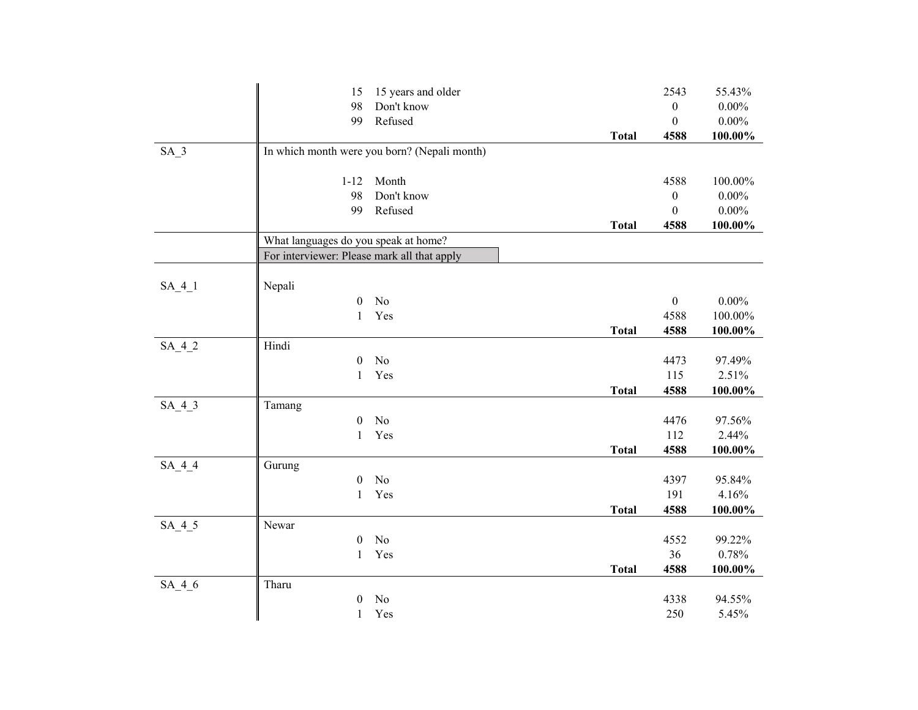|          | 15 years and older<br>15                     |              | 2543             | 55.43%          |
|----------|----------------------------------------------|--------------|------------------|-----------------|
|          | 98<br>Don't know                             |              | $\boldsymbol{0}$ | $0.00\%$        |
|          | 99<br>Refused                                |              | $\mathbf{0}$     | $0.00\%$        |
|          |                                              | <b>Total</b> | 4588             | 100.00%         |
| $SA_3$   | In which month were you born? (Nepali month) |              |                  |                 |
|          |                                              |              |                  |                 |
|          | $1 - 12$<br>Month                            |              | 4588             | 100.00%         |
|          | Don't know<br>98                             |              | $\boldsymbol{0}$ | $0.00\%$        |
|          | 99<br>Refused                                |              | $\theta$         | $0.00\%$        |
|          |                                              | <b>Total</b> | 4588             | $100.00\%$      |
|          | What languages do you speak at home?         |              |                  |                 |
|          | For interviewer: Please mark all that apply  |              |                  |                 |
|          |                                              |              |                  |                 |
| $SA_4_1$ | Nepali                                       |              |                  |                 |
|          | $\boldsymbol{0}$<br>No                       |              | $\boldsymbol{0}$ | $0.00\%$        |
|          | Yes<br>$\mathbf{1}$                          |              | 4588             | 100.00%         |
|          |                                              | <b>Total</b> | 4588             | 100.00%         |
| $SA_4_2$ | Hindi<br>No                                  |              | 4473             |                 |
|          | $\boldsymbol{0}$<br>Yes                      |              | 115              | 97.49%<br>2.51% |
|          | $\mathbf{1}$                                 | <b>Total</b> | 4588             | 100.00%         |
| $SA_4_3$ | Tamang                                       |              |                  |                 |
|          | $\boldsymbol{0}$<br>No                       |              | 4476             | 97.56%          |
|          | $\mathbf{1}$<br>Yes                          |              | 112              | 2.44%           |
|          |                                              | <b>Total</b> | 4588             | $100.00\%$      |
| $SA_4_4$ | Gurung                                       |              |                  |                 |
|          | No<br>$\boldsymbol{0}$                       |              | 4397             | 95.84%          |
|          | Yes<br>$\mathbf{1}$                          |              | 191              | 4.16%           |
|          |                                              | <b>Total</b> | 4588             | 100.00%         |
| $SA_4_5$ | Newar                                        |              |                  |                 |
|          | No<br>$\boldsymbol{0}$                       |              | 4552             | 99.22%          |
|          | Yes<br>$\mathbf{1}$                          |              | 36               | 0.78%           |
|          |                                              | <b>Total</b> | 4588             | 100.00%         |
| $SA_4_6$ | Tharu                                        |              |                  |                 |
|          | No<br>$\mathbf{0}$                           |              | 4338             | 94.55%          |
|          | Yes<br>$\mathbf{1}$                          |              | 250              | 5.45%           |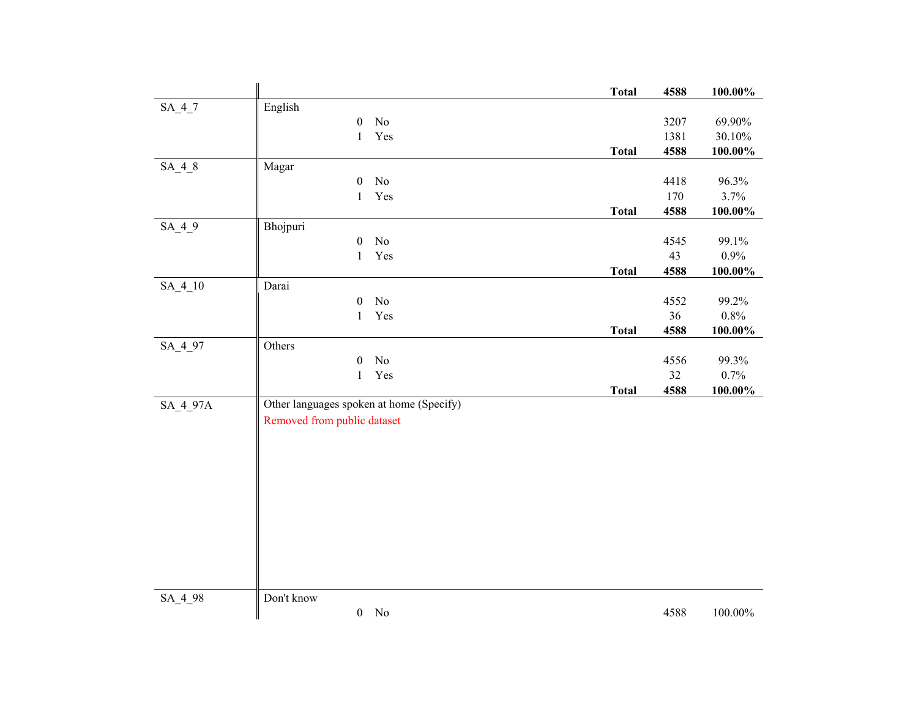|           |                                          |                | <b>Total</b> | 4588       | $100.00\%$ |
|-----------|------------------------------------------|----------------|--------------|------------|------------|
| $SA_4_7$  | English                                  |                |              |            |            |
|           | $\boldsymbol{0}$                         | No             |              | 3207       | 69.90%     |
|           | $\mathbf{1}$                             | Yes            |              | 1381       | 30.10%     |
|           |                                          |                | <b>Total</b> | 4588       | $100.00\%$ |
| $SA_4_8$  | Magar                                    |                |              |            |            |
|           | $\boldsymbol{0}$                         | No             |              | 4418       | 96.3%      |
|           | $\mathbf{1}$                             | Yes            |              | 170        | 3.7%       |
|           |                                          |                | <b>Total</b> | 4588       | 100.00%    |
| $SA_4_9$  | Bhojpuri                                 |                |              |            |            |
|           | $\boldsymbol{0}$                         | $\rm No$       |              | 4545       | 99.1%      |
|           | $\mathbf{1}$                             | Yes            |              | 43<br>4588 | 0.9%       |
| $SA_4_10$ | Darai                                    |                | <b>Total</b> |            | $100.00\%$ |
|           | $\boldsymbol{0}$                         | $\rm No$       |              | 4552       | 99.2%      |
|           | $\mathbf{1}$                             | Yes            |              | 36         | $0.8\%$    |
|           |                                          |                | <b>Total</b> | 4588       | $100.00\%$ |
| SA_4_97   | Others                                   |                |              |            |            |
|           | $\boldsymbol{0}$                         | $\rm No$       |              | 4556       | 99.3%      |
|           | $\mathbf{1}$                             | Yes            |              | 32         | 0.7%       |
|           |                                          |                | <b>Total</b> | 4588       | 100.00%    |
| SA_4_97A  | Other languages spoken at home (Specify) |                |              |            |            |
|           | Removed from public dataset              |                |              |            |            |
|           |                                          |                |              |            |            |
|           |                                          |                |              |            |            |
|           |                                          |                |              |            |            |
|           |                                          |                |              |            |            |
|           |                                          |                |              |            |            |
|           |                                          |                |              |            |            |
|           |                                          |                |              |            |            |
|           |                                          |                |              |            |            |
|           |                                          |                |              |            |            |
|           |                                          |                |              |            |            |
| SA_4_98   | Don't know                               |                |              |            |            |
|           | $\overline{0}$                           | N <sub>o</sub> |              | 4588       | $100.00\%$ |
|           |                                          |                |              |            |            |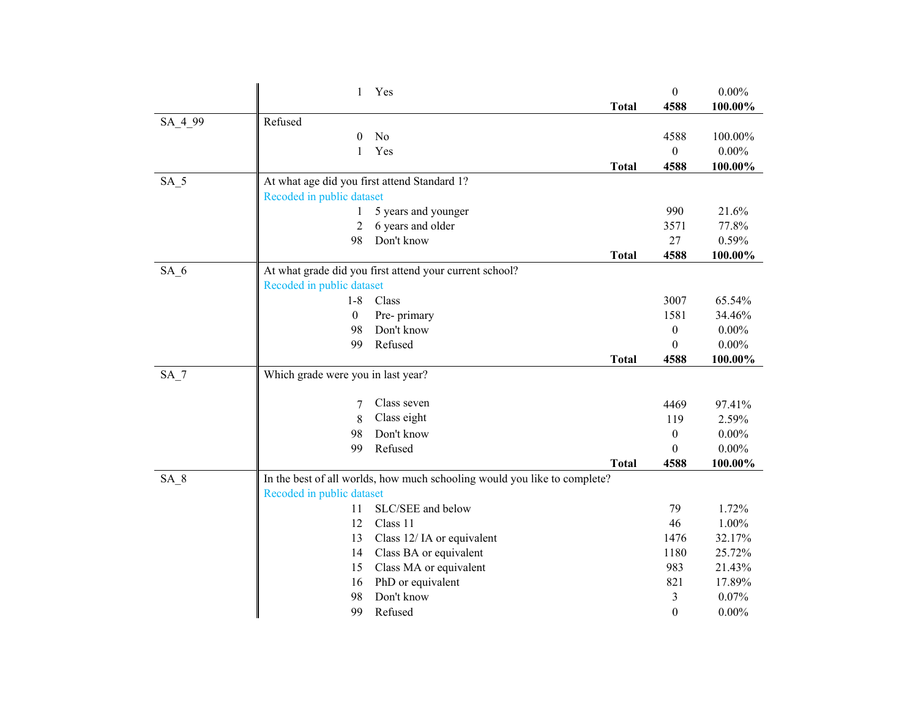|                 | 1<br>Yes                                                                  |              | $\boldsymbol{0}$ | $0.00\%$          |
|-----------------|---------------------------------------------------------------------------|--------------|------------------|-------------------|
|                 |                                                                           | <b>Total</b> | 4588             | 100.00%           |
| SA_4_99         | Refused                                                                   |              |                  |                   |
|                 | No<br>0                                                                   |              | 4588             | 100.00%           |
|                 | Yes<br>1                                                                  |              | $\mathbf{0}$     | $0.00\%$          |
|                 |                                                                           | <b>Total</b> | 4588             | 100.00%           |
| $SA_5$          | At what age did you first attend Standard 1?                              |              |                  |                   |
|                 | Recoded in public dataset                                                 |              |                  |                   |
|                 | 5 years and younger                                                       |              | 990              | 21.6%             |
|                 | 6 years and older<br>2                                                    |              | 3571             | 77.8%             |
|                 | Don't know<br>98                                                          |              | 27               | 0.59%             |
|                 |                                                                           | <b>Total</b> | 4588             | 100.00%           |
| $SA_6$          | At what grade did you first attend your current school?                   |              |                  |                   |
|                 | Recoded in public dataset                                                 |              |                  |                   |
|                 | $1-8$<br>Class                                                            |              | 3007             | 65.54%            |
|                 | 0<br>Pre- primary                                                         |              | 1581             | 34.46%            |
|                 | Don't know<br>98                                                          |              | $\boldsymbol{0}$ | $0.00\%$          |
|                 | Refused<br>99                                                             |              | $\theta$         | $0.00\%$          |
|                 |                                                                           | <b>Total</b> | 4588             | 100.00%           |
| SA <sub>7</sub> | Which grade were you in last year?                                        |              |                  |                   |
|                 | Class seven<br>7                                                          |              | 4469             | 97.41%            |
|                 | Class eight<br>8                                                          |              | 119              | 2.59%             |
|                 | Don't know<br>98                                                          |              | $\boldsymbol{0}$ | $0.00\%$          |
|                 |                                                                           |              |                  |                   |
|                 | Refused<br>99                                                             |              | $\theta$         | $0.00\%$          |
|                 |                                                                           | <b>Total</b> | 4588             | 100.00%           |
| SA <sub>8</sub> | In the best of all worlds, how much schooling would you like to complete? |              |                  |                   |
|                 | Recoded in public dataset                                                 |              |                  |                   |
|                 | SLC/SEE and below<br>11                                                   |              | 79               | 1.72%             |
|                 | Class 11<br>12                                                            |              | 46               | 1.00%             |
|                 | Class 12/IA or equivalent<br>13                                           |              | 1476             | 32.17%            |
|                 | Class BA or equivalent<br>14                                              |              | 1180             | 25.72%            |
|                 | 15<br>Class MA or equivalent                                              |              | 983              | 21.43%            |
|                 | PhD or equivalent<br>16                                                   |              | 821              | 17.89%            |
|                 | Don't know<br>98<br>99<br>Refused                                         |              | 3                | 0.07%<br>$0.00\%$ |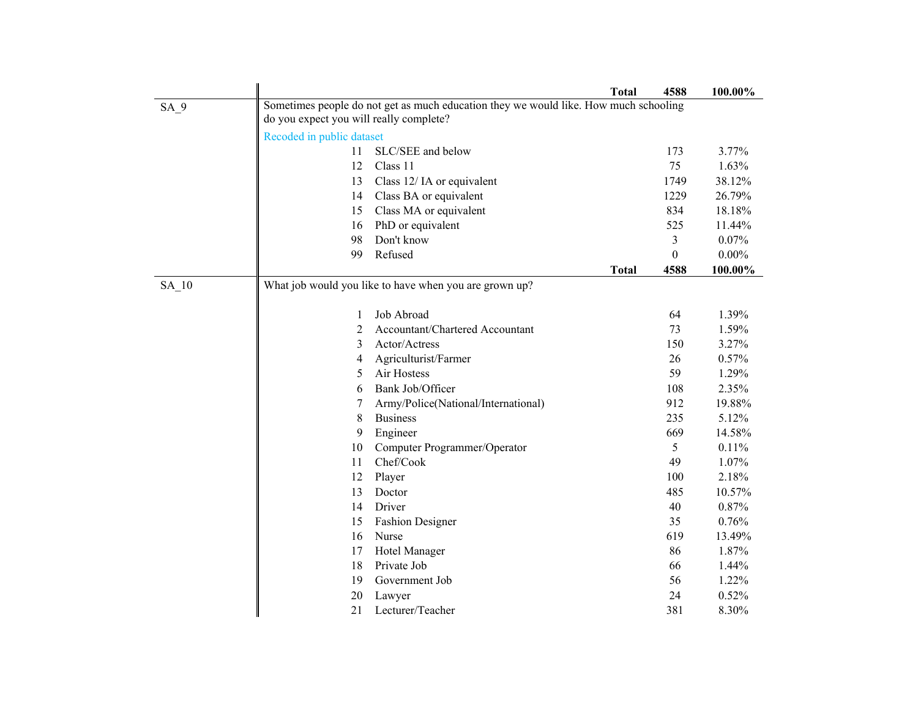|                 |                                         |                                                                                      | <b>Total</b> | 4588     | 100.00%  |
|-----------------|-----------------------------------------|--------------------------------------------------------------------------------------|--------------|----------|----------|
| SA <sub>9</sub> |                                         | Sometimes people do not get as much education they we would like. How much schooling |              |          |          |
|                 | do you expect you will really complete? |                                                                                      |              |          |          |
|                 | Recoded in public dataset               |                                                                                      |              |          |          |
|                 | 11                                      | SLC/SEE and below                                                                    |              | 173      | 3.77%    |
|                 | 12                                      | Class 11                                                                             |              | 75       | 1.63%    |
|                 | 13                                      | Class 12/IA or equivalent                                                            |              | 1749     | 38.12%   |
|                 | 14                                      | Class BA or equivalent                                                               |              | 1229     | 26.79%   |
|                 | 15                                      | Class MA or equivalent                                                               |              | 834      | 18.18%   |
|                 | 16                                      | PhD or equivalent                                                                    |              | 525      | 11.44%   |
|                 | 98                                      | Don't know                                                                           |              | 3        | 0.07%    |
|                 | 99                                      | Refused                                                                              |              | $\theta$ | $0.00\%$ |
|                 |                                         |                                                                                      | <b>Total</b> | 4588     | 100.00%  |
| $SA_10$         |                                         | What job would you like to have when you are grown up?                               |              |          |          |
|                 |                                         |                                                                                      |              |          |          |
|                 | 1                                       | Job Abroad                                                                           |              | 64       | 1.39%    |
|                 | 2                                       | Accountant/Chartered Accountant                                                      |              | 73       | 1.59%    |
|                 | 3                                       | Actor/Actress                                                                        |              | 150      | 3.27%    |
|                 | 4                                       | Agriculturist/Farmer                                                                 |              | 26       | 0.57%    |
|                 | 5                                       | Air Hostess                                                                          |              | 59       | 1.29%    |
|                 | 6                                       | Bank Job/Officer                                                                     |              | 108      | 2.35%    |
|                 | 7                                       | Army/Police(National/International)                                                  |              | 912      | 19.88%   |
|                 | $\,$ 8 $\,$                             | <b>Business</b>                                                                      |              | 235      | 5.12%    |
|                 | 9                                       | Engineer                                                                             |              | 669      | 14.58%   |
|                 | 10                                      | Computer Programmer/Operator                                                         |              | 5        | 0.11%    |
|                 | 11                                      | Chef/Cook                                                                            |              | 49       | 1.07%    |
|                 | 12                                      | Player                                                                               |              | 100      | 2.18%    |
|                 | 13                                      | Doctor                                                                               |              | 485      | 10.57%   |
|                 | 14                                      | Driver                                                                               |              | 40       | 0.87%    |
|                 | 15                                      | <b>Fashion Designer</b>                                                              |              | 35       | 0.76%    |
|                 | 16                                      | Nurse                                                                                |              | 619      | 13.49%   |
|                 | 17                                      | Hotel Manager                                                                        |              | 86       | 1.87%    |
|                 | 18                                      | Private Job                                                                          |              | 66       | 1.44%    |
|                 | 19                                      | Government Job                                                                       |              | 56       | 1.22%    |
|                 | 20                                      | Lawyer                                                                               |              | 24       | 0.52%    |
|                 | 21                                      | Lecturer/Teacher                                                                     |              | 381      | 8.30%    |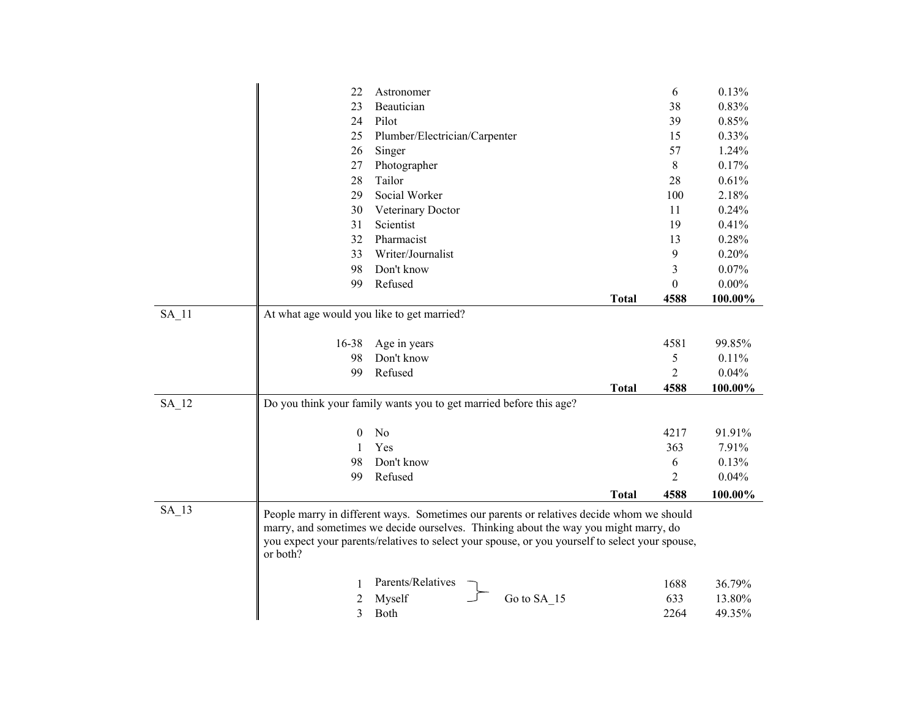|         | 22                                         | Astronomer                                                                                      |              | 6            | 0.13%    |
|---------|--------------------------------------------|-------------------------------------------------------------------------------------------------|--------------|--------------|----------|
|         | 23                                         | Beautician                                                                                      |              | 38           | 0.83%    |
|         | 24                                         | Pilot                                                                                           |              | 39           | 0.85%    |
|         | 25                                         | Plumber/Electrician/Carpenter                                                                   |              | 15           | 0.33%    |
|         | 26                                         | Singer                                                                                          |              | 57           | 1.24%    |
|         | 27                                         | Photographer                                                                                    |              | 8            | 0.17%    |
|         | 28                                         | Tailor                                                                                          |              | 28           | 0.61%    |
|         | 29                                         | Social Worker                                                                                   |              | 100          | 2.18%    |
|         | 30                                         | Veterinary Doctor                                                                               |              | 11           | 0.24%    |
|         | 31                                         | Scientist                                                                                       |              | 19           | 0.41%    |
|         | 32                                         | Pharmacist                                                                                      |              | 13           | 0.28%    |
|         | 33                                         | Writer/Journalist                                                                               |              | 9            | 0.20%    |
|         | 98                                         | Don't know                                                                                      |              | 3            | 0.07%    |
|         | 99                                         | Refused                                                                                         |              | $\mathbf{0}$ | $0.00\%$ |
|         |                                            |                                                                                                 | <b>Total</b> | 4588         | 100.00%  |
| $SA_11$ | At what age would you like to get married? |                                                                                                 |              |              |          |
|         |                                            |                                                                                                 |              |              |          |
|         | 16-38                                      | Age in years                                                                                    |              | 4581         | 99.85%   |
|         | 98                                         | Don't know                                                                                      |              | 5            | 0.11%    |
|         | 99                                         | Refused                                                                                         |              | 2            | 0.04%    |
|         |                                            |                                                                                                 | <b>Total</b> | 4588         | 100.00%  |
| $SA_12$ |                                            | Do you think your family wants you to get married before this age?                              |              |              |          |
|         |                                            |                                                                                                 |              |              |          |
|         | $\bf{0}$                                   | No                                                                                              |              | 4217         | 91.91%   |
|         | 1                                          | Yes                                                                                             |              | 363          | 7.91%    |
|         | 98                                         | Don't know                                                                                      |              | 6            | 0.13%    |
|         | 99                                         | Refused                                                                                         |              | 2            | 0.04%    |
|         |                                            |                                                                                                 | <b>Total</b> | 4588         | 100.00%  |
|         |                                            |                                                                                                 |              |              |          |
| $SA$ 13 |                                            | People marry in different ways. Sometimes our parents or relatives decide whom we should        |              |              |          |
|         |                                            | marry, and sometimes we decide ourselves. Thinking about the way you might marry, do            |              |              |          |
|         |                                            | you expect your parents/relatives to select your spouse, or you yourself to select your spouse, |              |              |          |
|         | or both?                                   |                                                                                                 |              |              |          |
|         |                                            |                                                                                                 |              |              |          |
|         | 1                                          | Parents/Relatives                                                                               |              | 1688         | 36.79%   |
|         | 2                                          | Myself<br>Go to SA 15                                                                           |              | 633          | 13.80%   |
|         | 3                                          | Both                                                                                            |              | 2264         | 49.35%   |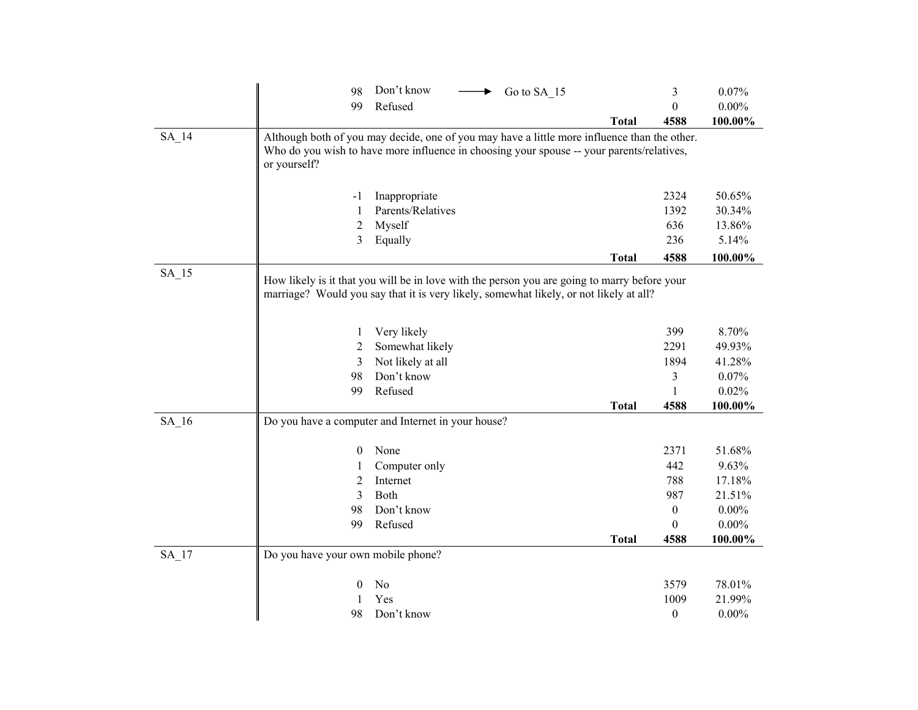|                    | 98                                 | Don't know<br>Go to SA 15<br>$\blacktriangleright$                                                                                                                                     |              | 3                | 0.07%           |  |  |
|--------------------|------------------------------------|----------------------------------------------------------------------------------------------------------------------------------------------------------------------------------------|--------------|------------------|-----------------|--|--|
|                    | 99                                 | Refused                                                                                                                                                                                |              | $\boldsymbol{0}$ | $0.00\%$        |  |  |
|                    |                                    |                                                                                                                                                                                        | <b>Total</b> | 4588             | 100.00%         |  |  |
| SA 14              |                                    | Although both of you may decide, one of you may have a little more influence than the other.                                                                                           |              |                  |                 |  |  |
|                    |                                    | Who do you wish to have more influence in choosing your spouse -- your parents/relatives,                                                                                              |              |                  |                 |  |  |
|                    | or yourself?                       |                                                                                                                                                                                        |              |                  |                 |  |  |
|                    | $-1$                               | Inappropriate                                                                                                                                                                          |              | 2324             | 50.65%          |  |  |
|                    | 1                                  | Parents/Relatives                                                                                                                                                                      |              | 1392             | 30.34%          |  |  |
|                    | 2                                  | Myself                                                                                                                                                                                 |              | 636              | 13.86%          |  |  |
|                    | 3                                  | Equally                                                                                                                                                                                |              | 236              | 5.14%           |  |  |
|                    |                                    |                                                                                                                                                                                        | <b>Total</b> | 4588             | 100.00%         |  |  |
| $SA$ <sub>15</sub> |                                    |                                                                                                                                                                                        |              |                  |                 |  |  |
|                    |                                    | How likely is it that you will be in love with the person you are going to marry before your<br>marriage? Would you say that it is very likely, somewhat likely, or not likely at all? |              |                  |                 |  |  |
|                    |                                    |                                                                                                                                                                                        |              |                  |                 |  |  |
|                    | 1                                  | Very likely                                                                                                                                                                            |              | 399              | 8.70%           |  |  |
|                    | 2                                  | Somewhat likely                                                                                                                                                                        |              | 2291             | 49.93%          |  |  |
|                    | 3                                  | Not likely at all                                                                                                                                                                      |              | 1894             | 41.28%          |  |  |
|                    | 98                                 | Don't know                                                                                                                                                                             |              | 3                | 0.07%           |  |  |
|                    | 99                                 | Refused                                                                                                                                                                                |              | 1                | 0.02%           |  |  |
|                    |                                    |                                                                                                                                                                                        | <b>Total</b> | 4588             | 100.00%         |  |  |
| $SA_16$            |                                    | Do you have a computer and Internet in your house?                                                                                                                                     |              |                  |                 |  |  |
|                    |                                    |                                                                                                                                                                                        |              |                  |                 |  |  |
|                    | $\mathbf{0}$                       | None                                                                                                                                                                                   |              | 2371<br>442      | 51.68%<br>9.63% |  |  |
|                    | 1<br>2                             | Computer only<br>Internet                                                                                                                                                              |              | 788              | 17.18%          |  |  |
|                    | 3                                  | Both                                                                                                                                                                                   |              | 987              | 21.51%          |  |  |
|                    | 98                                 | Don't know                                                                                                                                                                             |              | $\boldsymbol{0}$ | $0.00\%$        |  |  |
|                    | 99                                 | Refused                                                                                                                                                                                |              | $\boldsymbol{0}$ | $0.00\%$        |  |  |
|                    |                                    |                                                                                                                                                                                        | <b>Total</b> | 4588             | 100.00%         |  |  |
| $SA$ <sub>17</sub> | Do you have your own mobile phone? |                                                                                                                                                                                        |              |                  |                 |  |  |
|                    |                                    |                                                                                                                                                                                        |              |                  |                 |  |  |
|                    | $\mathbf{0}$                       | No                                                                                                                                                                                     |              | 3579             | 78.01%          |  |  |
|                    |                                    | Yes                                                                                                                                                                                    |              | 1009             | 21.99%          |  |  |
|                    | 98                                 | Don't know                                                                                                                                                                             |              | $\boldsymbol{0}$ | $0.00\%$        |  |  |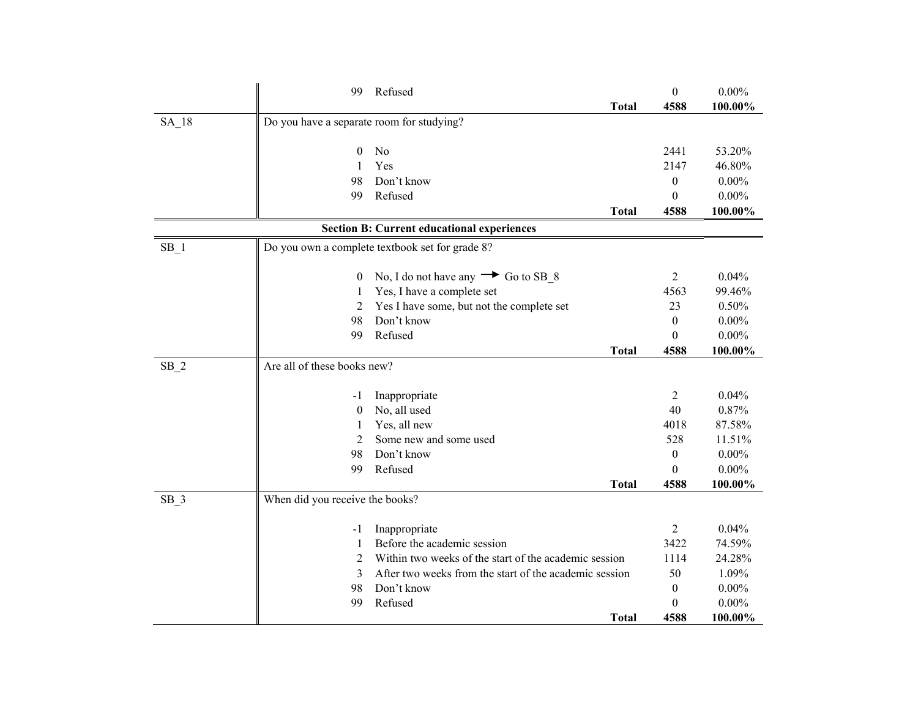|                    | 99                                        | Refused                                                | $\boldsymbol{0}$ | $0.00\%$ |
|--------------------|-------------------------------------------|--------------------------------------------------------|------------------|----------|
|                    |                                           | <b>Total</b>                                           | 4588             | 100.00%  |
| $SA$ <sub>18</sub> | Do you have a separate room for studying? |                                                        |                  |          |
|                    |                                           |                                                        |                  |          |
|                    | $\mathbf{0}$                              | No                                                     | 2441             | 53.20%   |
|                    | 1                                         | Yes                                                    | 2147             | 46.80%   |
|                    | 98                                        | Don't know                                             | $\boldsymbol{0}$ | $0.00\%$ |
|                    | 99                                        | Refused                                                | $\theta$         | $0.00\%$ |
|                    |                                           | <b>Total</b>                                           | 4588             | 100.00%  |
|                    |                                           | <b>Section B: Current educational experiences</b>      |                  |          |
| $SB_1$             |                                           | Do you own a complete textbook set for grade 8?        |                  |          |
|                    |                                           |                                                        |                  |          |
|                    | $\bf{0}$                                  | No, I do not have any $\rightarrow$ Go to SB_8         | $\overline{2}$   | 0.04%    |
|                    | 1                                         | Yes, I have a complete set                             | 4563             | 99.46%   |
|                    | 2                                         | Yes I have some, but not the complete set              | 23               | 0.50%    |
|                    | 98                                        | Don't know                                             | $\mathbf{0}$     | $0.00\%$ |
|                    | 99                                        | Refused                                                | $\Omega$         | $0.00\%$ |
|                    |                                           | <b>Total</b>                                           | 4588             | 100.00%  |
| $SB_2$             | Are all of these books new?               |                                                        |                  |          |
|                    |                                           |                                                        |                  |          |
|                    | $-1$                                      | Inappropriate                                          | $\overline{2}$   | 0.04%    |
|                    | $\theta$                                  | No, all used                                           | 40               | 0.87%    |
|                    | 1                                         | Yes, all new                                           | 4018             | 87.58%   |
|                    | $\overline{2}$                            | Some new and some used                                 | 528              | 11.51%   |
|                    | 98                                        | Don't know                                             | $\boldsymbol{0}$ | $0.00\%$ |
|                    | 99                                        | Refused                                                | $\theta$         | $0.00\%$ |
|                    |                                           | <b>Total</b>                                           | 4588             | 100.00%  |
| $SB_3$             | When did you receive the books?           |                                                        |                  |          |
|                    | $-1$                                      | Inappropriate                                          | 2                | 0.04%    |
|                    | 1                                         | Before the academic session                            | 3422             | 74.59%   |
|                    | $\overline{2}$                            | Within two weeks of the start of the academic session  | 1114             | 24.28%   |
|                    | 3                                         | After two weeks from the start of the academic session | 50               | 1.09%    |
|                    | 98                                        | Don't know                                             | $\boldsymbol{0}$ | $0.00\%$ |
|                    | 99                                        | Refused                                                | $\theta$         | $0.00\%$ |
|                    |                                           | <b>Total</b>                                           | 4588             | 100.00%  |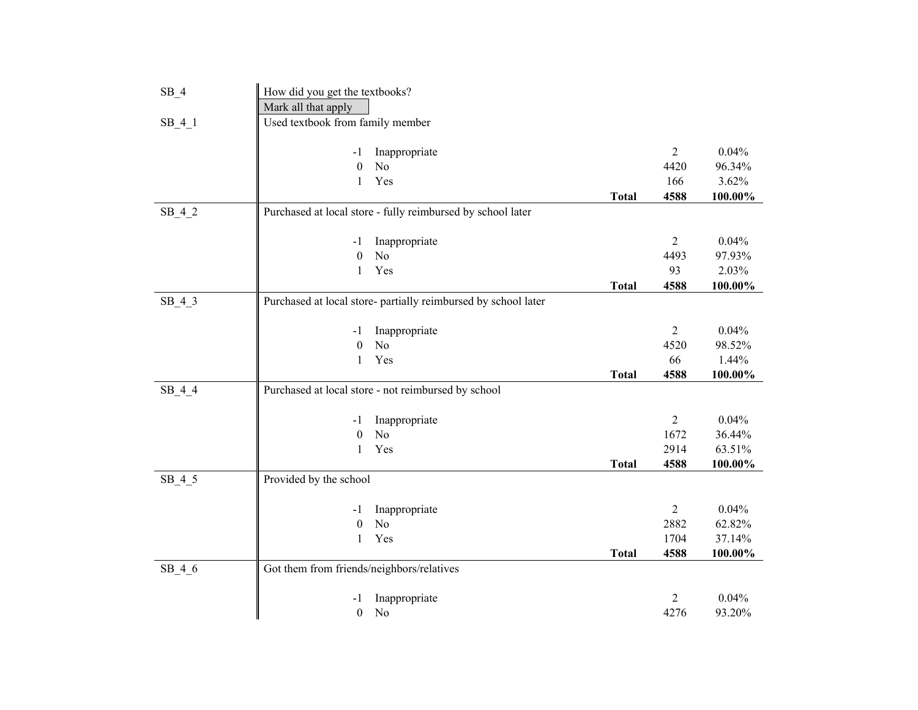| $SB_4$   | How did you get the textbooks?            |                                                                |              |                |            |
|----------|-------------------------------------------|----------------------------------------------------------------|--------------|----------------|------------|
|          | Mark all that apply                       |                                                                |              |                |            |
| $SB_4_1$ | Used textbook from family member          |                                                                |              |                |            |
|          |                                           |                                                                |              |                |            |
|          | -1                                        | Inappropriate                                                  |              | $\overline{2}$ | 0.04%      |
|          | $\boldsymbol{0}$                          | No                                                             |              | 4420           | 96.34%     |
|          | $\mathbf{1}$                              | Yes                                                            |              | 166            | 3.62%      |
|          |                                           |                                                                | <b>Total</b> | 4588           | $100.00\%$ |
| $SB_4_2$ |                                           | Purchased at local store - fully reimbursed by school later    |              |                |            |
|          |                                           |                                                                |              |                |            |
|          | -1                                        | Inappropriate                                                  |              | $\overline{2}$ | 0.04%      |
|          | $\boldsymbol{0}$                          | N <sub>o</sub>                                                 |              | 4493           | 97.93%     |
|          | $\mathbf{1}$                              | Yes                                                            |              | 93             | 2.03%      |
|          |                                           |                                                                | <b>Total</b> | 4588           | 100.00%    |
| $SB_4_3$ |                                           | Purchased at local store- partially reimbursed by school later |              |                |            |
|          |                                           |                                                                |              |                |            |
|          | -1                                        | Inappropriate                                                  |              | $\overline{2}$ | 0.04%      |
|          | $\boldsymbol{0}$                          | N <sub>o</sub>                                                 |              | 4520           | 98.52%     |
|          | $\mathbf{1}$                              | Yes                                                            |              | 66             | 1.44%      |
|          |                                           |                                                                | <b>Total</b> | 4588           | 100.00%    |
| $SB_4_4$ |                                           | Purchased at local store - not reimbursed by school            |              |                |            |
|          |                                           |                                                                |              |                |            |
|          | -1                                        | Inappropriate                                                  |              | $\overline{2}$ | 0.04%      |
|          | $\theta$                                  | No                                                             |              | 1672           | 36.44%     |
|          | $\mathbf{1}$                              | Yes                                                            |              | 2914           | 63.51%     |
|          |                                           |                                                                | <b>Total</b> | 4588           | 100.00%    |
| $SB_4_5$ | Provided by the school                    |                                                                |              |                |            |
|          |                                           |                                                                |              |                |            |
|          | -1                                        | Inappropriate                                                  |              | $\overline{2}$ | 0.04%      |
|          | $\boldsymbol{0}$                          | N <sub>o</sub>                                                 |              | 2882           | 62.82%     |
|          | $\mathbf{1}$                              | Yes                                                            |              | 1704           | 37.14%     |
|          |                                           |                                                                | <b>Total</b> | 4588           | 100.00%    |
| $SB_4_6$ | Got them from friends/neighbors/relatives |                                                                |              |                |            |
|          | -1                                        | Inappropriate                                                  |              | 2              | 0.04%      |
|          | $\boldsymbol{0}$                          | N <sub>o</sub>                                                 |              | 4276           | 93.20%     |
|          |                                           |                                                                |              |                |            |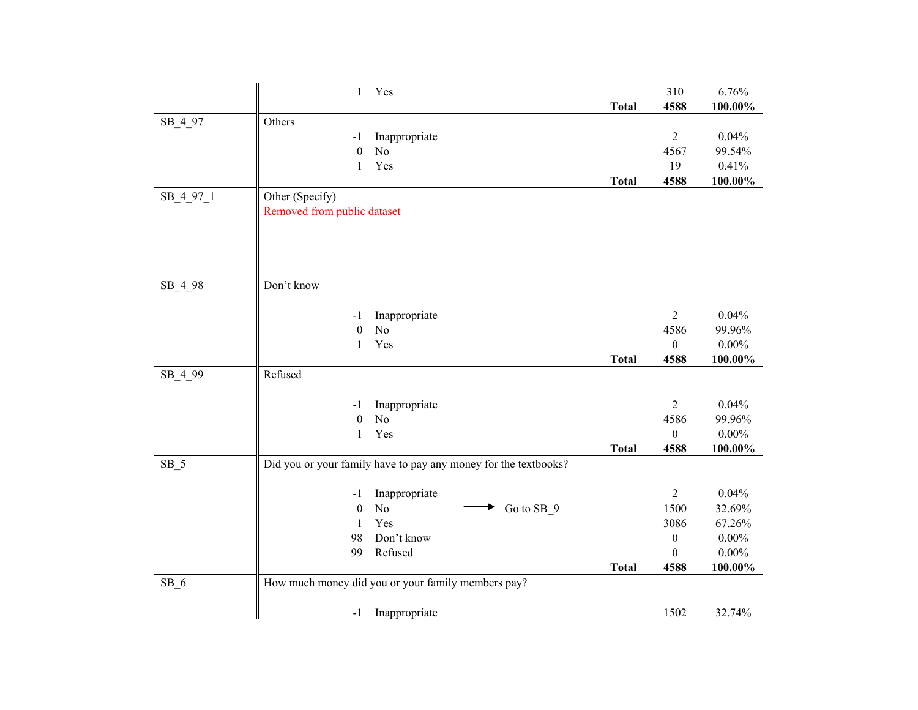|           | Yes<br>$\mathbf{1}$                                             |              | 310                      | 6.76%              |
|-----------|-----------------------------------------------------------------|--------------|--------------------------|--------------------|
|           |                                                                 | <b>Total</b> | 4588                     | 100.00%            |
| SB_4_97   | Others                                                          |              |                          |                    |
|           | Inappropriate<br>$-1$                                           |              | $\overline{2}$           | 0.04%              |
|           | N <sub>o</sub><br>$\mathbf{0}$                                  |              | 4567                     | 99.54%             |
|           | Yes<br>$\mathbf{1}$                                             |              | 19                       | 0.41%              |
|           |                                                                 | <b>Total</b> | 4588                     | 100.00%            |
| SB 4 97 1 | Other (Specify)                                                 |              |                          |                    |
|           | Removed from public dataset                                     |              |                          |                    |
|           |                                                                 |              |                          |                    |
|           |                                                                 |              |                          |                    |
|           |                                                                 |              |                          |                    |
| SB_4_98   | Don't know                                                      |              |                          |                    |
|           |                                                                 |              |                          |                    |
|           | Inappropriate<br>$-1$                                           |              | $\overline{2}$           | 0.04%              |
|           | N <sub>o</sub><br>$\boldsymbol{0}$                              |              | 4586                     | 99.96%             |
|           | Yes<br>1                                                        |              | $\boldsymbol{0}$         | $0.00\%$           |
|           |                                                                 | <b>Total</b> | 4588                     | 100.00%            |
| SB_4_99   | Refused                                                         |              |                          |                    |
|           |                                                                 |              |                          |                    |
|           | Inappropriate<br>$-1$                                           |              | $\overline{2}$           | 0.04%              |
|           | $\mathbf{0}$<br>N <sub>o</sub><br>Yes<br>1                      |              | 4586<br>$\boldsymbol{0}$ | 99.96%<br>$0.00\%$ |
|           |                                                                 | <b>Total</b> | 4588                     | 100.00%            |
| $SB_5$    | Did you or your family have to pay any money for the textbooks? |              |                          |                    |
|           |                                                                 |              |                          |                    |
|           | Inappropriate<br>$-1$                                           |              | $\overline{2}$           | 0.04%              |
|           | $\rm No$<br>Go to SB_9<br>$\boldsymbol{0}$                      |              | 1500                     | 32.69%             |
|           | Yes<br>1                                                        |              | 3086                     | 67.26%             |
|           | Don't know<br>98                                                |              | $\boldsymbol{0}$         | $0.00\%$           |
|           | 99<br>Refused                                                   |              | $\boldsymbol{0}$         | $0.00\%$           |
|           |                                                                 | <b>Total</b> | 4588                     | 100.00%            |
| $SB_6$    | How much money did you or your family members pay?              |              |                          |                    |
|           |                                                                 |              |                          |                    |
|           | Inappropriate<br>$-1$                                           |              | 1502                     | 32.74%             |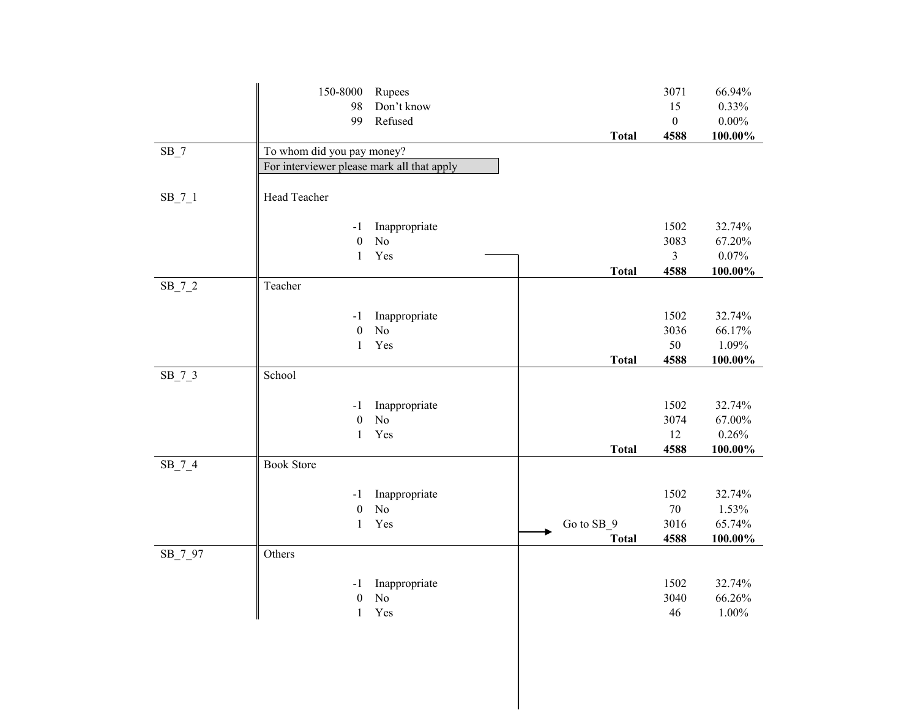|          | 150-8000                                   | Rupees         |              | 3071             | 66.94%          |
|----------|--------------------------------------------|----------------|--------------|------------------|-----------------|
|          | 98                                         | Don't know     |              | 15               | 0.33%           |
|          | 99                                         | Refused        |              | $\boldsymbol{0}$ | $0.00\%$        |
|          |                                            |                | <b>Total</b> | 4588             | 100.00%         |
| $SB_7$   | To whom did you pay money?                 |                |              |                  |                 |
|          | For interviewer please mark all that apply |                |              |                  |                 |
|          |                                            |                |              |                  |                 |
| $SB_7_1$ | Head Teacher                               |                |              |                  |                 |
|          |                                            |                |              |                  |                 |
|          | -1                                         | Inappropriate  |              | 1502             | 32.74%          |
|          | $\boldsymbol{0}$                           | No             |              | 3083             | 67.20%          |
|          | $\mathbf{1}$                               | Yes            |              | $\overline{3}$   | 0.07%           |
|          |                                            |                | <b>Total</b> | 4588             | $100.00\%$      |
| $SB_7_2$ | Teacher                                    |                |              |                  |                 |
|          |                                            |                |              |                  |                 |
|          | $-1$                                       | Inappropriate  |              | 1502             | 32.74%          |
|          | $\boldsymbol{0}$                           | No             |              | 3036             | 66.17%          |
|          | $\mathbf{1}$                               | Yes            |              | 50               | 1.09%           |
|          |                                            |                | <b>Total</b> | 4588             | 100.00%         |
| $SB_7_3$ | School                                     |                |              |                  |                 |
|          |                                            |                |              |                  |                 |
|          | -1                                         | Inappropriate  |              | 1502             | 32.74%          |
|          | $\boldsymbol{0}$                           | N <sub>o</sub> |              | 3074             | 67.00%          |
|          | $\mathbf{1}$                               | Yes            |              | 12               | 0.26%           |
|          |                                            |                | <b>Total</b> | 4588             | 100.00%         |
| $SB_7_4$ | <b>Book Store</b>                          |                |              |                  |                 |
|          |                                            |                |              |                  |                 |
|          | -1                                         | Inappropriate  |              | 1502<br>$70\,$   | 32.74%          |
|          | $\boldsymbol{0}$                           | No             |              | 3016             | 1.53%<br>65.74% |
|          | $\mathbf{1}$                               | Yes            | Go to SB_9   | 4588             |                 |
|          | Others                                     |                | <b>Total</b> |                  | 100.00%         |
| SB_7_97  |                                            |                |              |                  |                 |
|          | -1                                         | Inappropriate  |              | 1502             | 32.74%          |
|          | $\boldsymbol{0}$                           | No             |              | 3040             | 66.26%          |
|          | $\mathbf{1}$                               | Yes            |              | 46               | 1.00%           |
|          |                                            |                |              |                  |                 |
|          |                                            |                |              |                  |                 |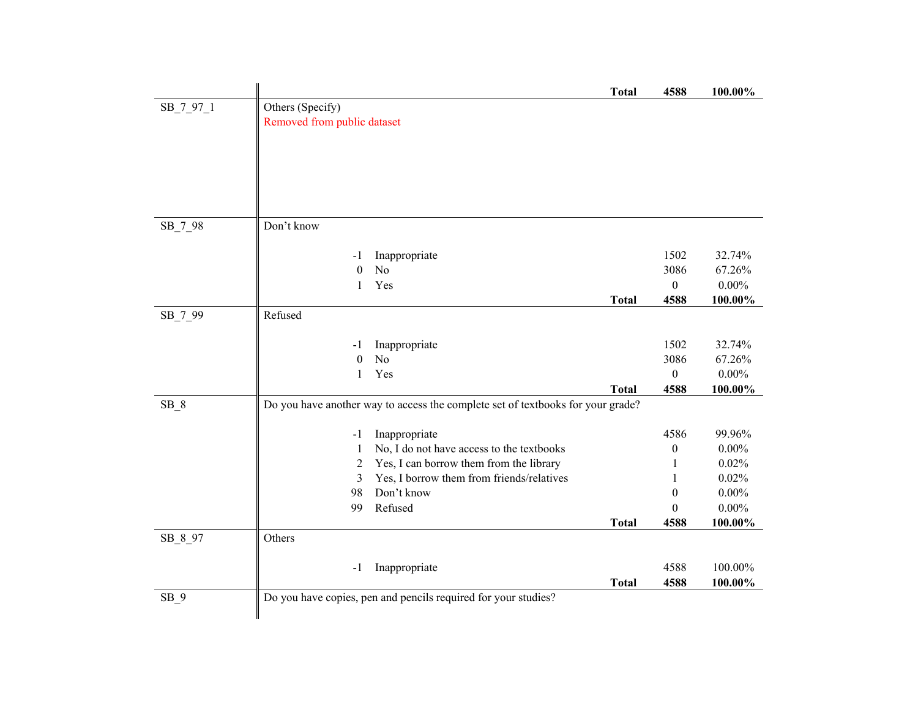|           |                             |                                                                                 | <b>Total</b> | 4588             | 100.00%  |
|-----------|-----------------------------|---------------------------------------------------------------------------------|--------------|------------------|----------|
| SB_7_97_1 | Others (Specify)            |                                                                                 |              |                  |          |
|           | Removed from public dataset |                                                                                 |              |                  |          |
|           |                             |                                                                                 |              |                  |          |
|           |                             |                                                                                 |              |                  |          |
|           |                             |                                                                                 |              |                  |          |
|           |                             |                                                                                 |              |                  |          |
|           |                             |                                                                                 |              |                  |          |
|           |                             |                                                                                 |              |                  |          |
| SB_7_98   | Don't know                  |                                                                                 |              |                  |          |
|           |                             |                                                                                 |              | 1502             | 32.74%   |
|           | $-1$<br>$\theta$            | Inappropriate<br>No                                                             |              | 3086             | 67.26%   |
|           | 1                           | Yes                                                                             |              | $\boldsymbol{0}$ | $0.00\%$ |
|           |                             |                                                                                 | <b>Total</b> | 4588             | 100.00%  |
| SB_7_99   | Refused                     |                                                                                 |              |                  |          |
|           |                             |                                                                                 |              |                  |          |
|           | $-1$                        | Inappropriate                                                                   |              | 1502             | 32.74%   |
|           | $\theta$                    | No                                                                              |              | 3086             | 67.26%   |
|           | 1                           | Yes                                                                             |              | $\boldsymbol{0}$ | $0.00\%$ |
|           |                             |                                                                                 | <b>Total</b> | 4588             | 100.00%  |
| $SB_8$    |                             | Do you have another way to access the complete set of textbooks for your grade? |              |                  |          |
|           |                             |                                                                                 |              |                  |          |
|           | $-1$                        | Inappropriate                                                                   |              | 4586             | 99.96%   |
|           | 1                           | No, I do not have access to the textbooks                                       |              | 0                | $0.00\%$ |
|           | 2                           | Yes, I can borrow them from the library                                         |              | 1                | 0.02%    |
|           | 3                           | Yes, I borrow them from friends/relatives                                       |              | 1                | 0.02%    |
|           | 98                          | Don't know                                                                      |              | $\boldsymbol{0}$ | $0.00\%$ |
|           | 99                          | Refused                                                                         |              | $\theta$         | $0.00\%$ |
|           |                             |                                                                                 | <b>Total</b> | 4588             | 100.00%  |
| SB_8_97   | Others                      |                                                                                 |              |                  |          |
|           |                             |                                                                                 |              |                  |          |
|           | -1                          | Inappropriate                                                                   |              | 4588             | 100.00%  |
|           |                             |                                                                                 | <b>Total</b> | 4588             | 100.00%  |
| $SB_9$    |                             | Do you have copies, pen and pencils required for your studies?                  |              |                  |          |
|           |                             |                                                                                 |              |                  |          |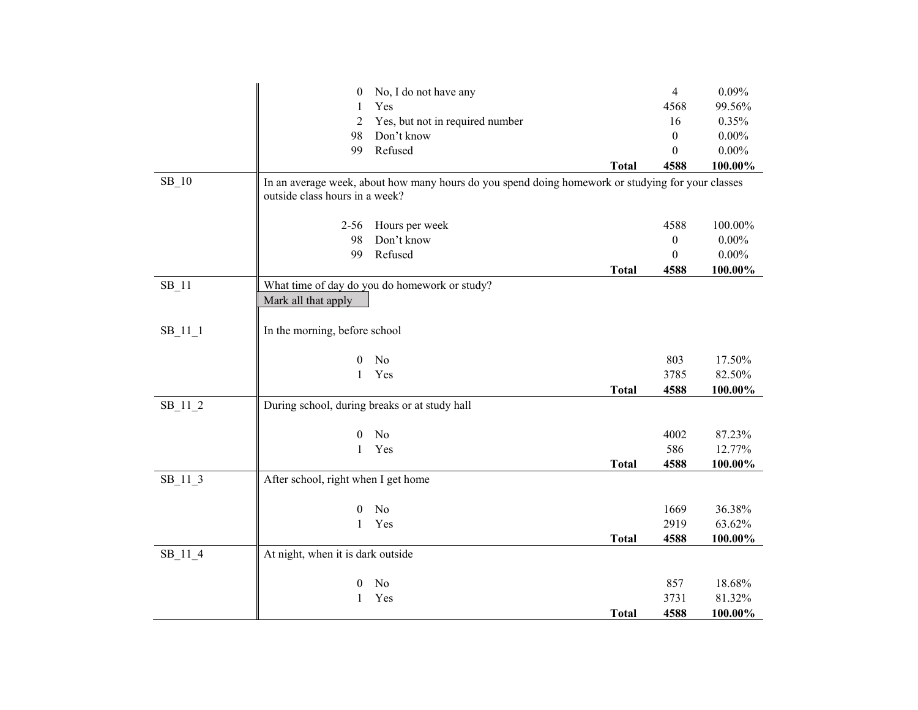|           | $\boldsymbol{0}$                              | No, I do not have any                                                                             |              | $\overline{4}$   | 0.09%    |
|-----------|-----------------------------------------------|---------------------------------------------------------------------------------------------------|--------------|------------------|----------|
|           | 1                                             | Yes                                                                                               |              | 4568             | 99.56%   |
|           | 2                                             | Yes, but not in required number                                                                   |              | 16               | 0.35%    |
|           | 98                                            | Don't know                                                                                        |              | $\mathbf{0}$     | $0.00\%$ |
|           | 99                                            | Refused                                                                                           |              | $\theta$         | $0.00\%$ |
|           |                                               |                                                                                                   | <b>Total</b> | 4588             | 100.00%  |
| SB 10     | outside class hours in a week?                | In an average week, about how many hours do you spend doing homework or studying for your classes |              |                  |          |
|           | $2 - 56$                                      | Hours per week                                                                                    |              | 4588             | 100.00%  |
|           | 98                                            | Don't know                                                                                        |              | $\boldsymbol{0}$ | $0.00\%$ |
|           | 99                                            | Refused                                                                                           |              | $\boldsymbol{0}$ | $0.00\%$ |
|           |                                               |                                                                                                   | <b>Total</b> | 4588             | 100.00%  |
| $SB_11$   |                                               | What time of day do you do homework or study?                                                     |              |                  |          |
|           | Mark all that apply                           |                                                                                                   |              |                  |          |
| $SB_11_1$ | In the morning, before school                 |                                                                                                   |              |                  |          |
|           | $\theta$                                      | No                                                                                                |              | 803              | 17.50%   |
|           | 1                                             | Yes                                                                                               |              | 3785             | 82.50%   |
|           |                                               |                                                                                                   | <b>Total</b> | 4588             | 100.00%  |
| $SB_11_2$ | During school, during breaks or at study hall |                                                                                                   |              |                  |          |
|           | 0                                             | N <sub>o</sub>                                                                                    |              | 4002             | 87.23%   |
|           | 1                                             | Yes                                                                                               |              | 586              | 12.77%   |
|           |                                               |                                                                                                   | <b>Total</b> | 4588             | 100.00%  |
| SB_11_3   | After school, right when I get home           |                                                                                                   |              |                  |          |
|           | $\theta$                                      | No                                                                                                |              | 1669             | 36.38%   |
|           | $\mathbf{1}$                                  | Yes                                                                                               |              | 2919             | 63.62%   |
|           |                                               |                                                                                                   | <b>Total</b> | 4588             | 100.00%  |
| SB_11_4   | At night, when it is dark outside             |                                                                                                   |              |                  |          |
|           | $\mathbf{0}$                                  | No                                                                                                |              | 857              | 18.68%   |
|           | 1                                             | Yes                                                                                               |              | 3731             | 81.32%   |
|           |                                               |                                                                                                   | <b>Total</b> | 4588             | 100.00%  |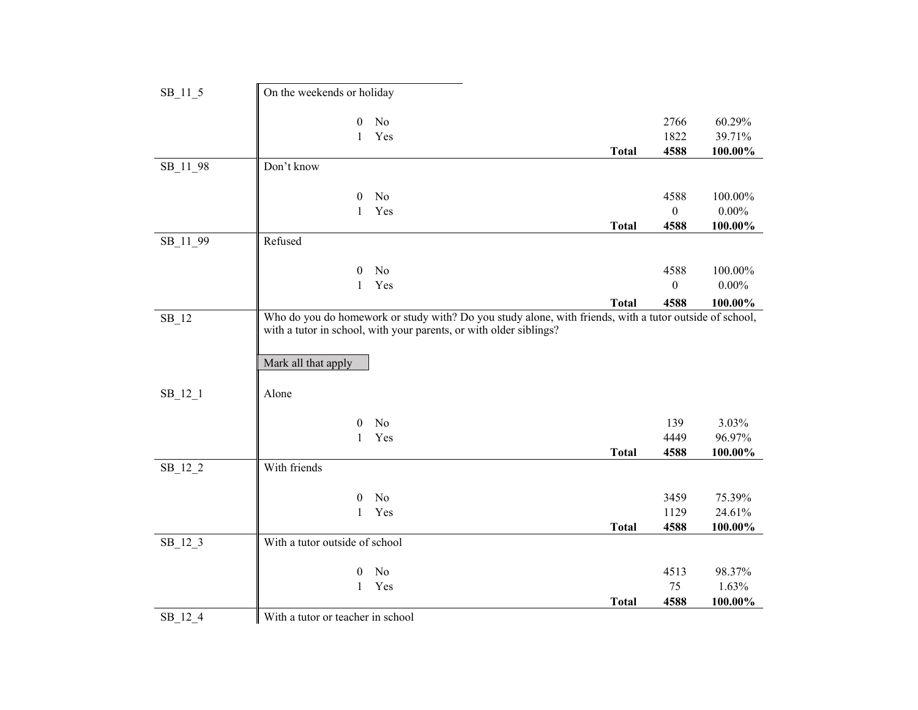| SB_11_5   | On the weekends or holiday        |                                                                                                         |              |                |          |
|-----------|-----------------------------------|---------------------------------------------------------------------------------------------------------|--------------|----------------|----------|
|           |                                   |                                                                                                         |              |                |          |
|           | 0                                 | No                                                                                                      |              | 2766           | 60.29%   |
|           | $\mathbf{1}$                      | Yes                                                                                                     |              | 1822           | 39.71%   |
|           |                                   |                                                                                                         | <b>Total</b> | 4588           | 100.00%  |
| SB_11_98  | Don't know                        |                                                                                                         |              |                |          |
|           |                                   |                                                                                                         |              |                |          |
|           | 0                                 | No                                                                                                      |              | 4588           | 100.00%  |
|           | $\mathbf{1}$                      | Yes                                                                                                     |              | $\overline{0}$ | $0.00\%$ |
|           |                                   |                                                                                                         | <b>Total</b> | 4588           | 100.00%  |
| SB_11_99  | Refused                           |                                                                                                         |              |                |          |
|           |                                   |                                                                                                         |              |                |          |
|           | $\boldsymbol{0}$                  | No                                                                                                      |              | 4588           | 100.00%  |
|           | $\mathbf{1}$                      | Yes                                                                                                     |              | $\theta$       | $0.00\%$ |
|           |                                   |                                                                                                         | <b>Total</b> | 4588           | 100.00%  |
| $SB_12$   |                                   | Who do you do homework or study with? Do you study alone, with friends, with a tutor outside of school, |              |                |          |
|           |                                   | with a tutor in school, with your parents, or with older siblings?                                      |              |                |          |
|           |                                   |                                                                                                         |              |                |          |
|           | Mark all that apply               |                                                                                                         |              |                |          |
|           |                                   |                                                                                                         |              |                |          |
| $SB_12_1$ | Alone                             |                                                                                                         |              |                |          |
|           |                                   |                                                                                                         |              |                |          |
|           | $\theta$                          | No                                                                                                      |              | 139            | 3.03%    |
|           | $\mathbf{1}$                      | Yes                                                                                                     |              | 4449           | 96.97%   |
|           |                                   |                                                                                                         | <b>Total</b> | 4588           | 100.00%  |
| $SB_12_2$ | With friends                      |                                                                                                         |              |                |          |
|           |                                   |                                                                                                         |              |                |          |
|           | $\boldsymbol{0}$                  | No                                                                                                      |              | 3459           | 75.39%   |
|           | $\mathbf{1}$                      | Yes                                                                                                     |              | 1129           | 24.61%   |
|           |                                   |                                                                                                         | <b>Total</b> | 4588           | 100.00%  |
| $SB_12_3$ | With a tutor outside of school    |                                                                                                         |              |                |          |
|           |                                   |                                                                                                         |              |                |          |
|           | $\boldsymbol{0}$                  | No                                                                                                      |              | 4513           | 98.37%   |
|           | $\mathbf{1}$                      | Yes                                                                                                     |              | 75             | 1.63%    |
|           |                                   |                                                                                                         | <b>Total</b> | 4588           | 100.00%  |
| $SB_12_4$ | With a tutor or teacher in school |                                                                                                         |              |                |          |
|           |                                   |                                                                                                         |              |                |          |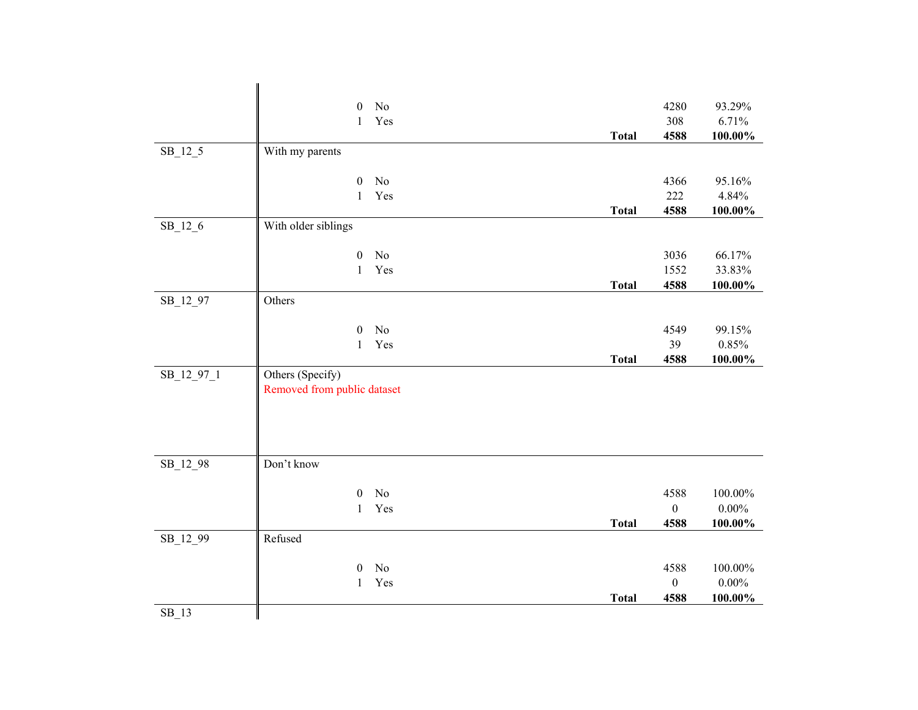| No<br>4280<br>93.29%<br>$\boldsymbol{0}$<br>308<br>6.71%<br>Yes<br>$\mathbf{1}$<br>4588<br>$100.00\%$<br><b>Total</b><br>$SB_12_5$<br>With my parents<br>4366<br>95.16%<br>$\boldsymbol{0}$<br>No<br>222<br>Yes<br>4.84%<br>$\mathbf{1}$<br>4588<br>$100.00\%$<br><b>Total</b><br>With older siblings<br>$SB_12_6$<br>3036<br>$\boldsymbol{0}$<br>No<br>66.17%<br>1552<br>33.83%<br>$\mathbf{1}$<br>Yes<br><b>Total</b><br>4588<br>$100.00\%$<br>SB_12_97<br>Others<br>No<br>4549<br>99.15%<br>$\boldsymbol{0}$<br>39<br>Yes<br>0.85%<br>$\mathbf{1}$<br><b>Total</b><br>4588<br>100.00%<br>Others (Specify)<br>SB_12_97_1<br>Removed from public dataset<br>Don't know<br>SB_12_98<br>No<br>4588<br>100.00%<br>$\boldsymbol{0}$<br>Yes<br>$\boldsymbol{0}$<br>$0.00\%$<br>$\mathbf{1}$<br><b>Total</b><br>4588<br>100.00%<br>Refused<br>SB_12_99<br>No<br>4588<br>100.00%<br>$\theta$<br>$0.00\%$<br>Yes<br>$\boldsymbol{0}$<br>$\mathbf{1}$<br>4588<br>100.00%<br><b>Total</b> |         |  |  |
|----------------------------------------------------------------------------------------------------------------------------------------------------------------------------------------------------------------------------------------------------------------------------------------------------------------------------------------------------------------------------------------------------------------------------------------------------------------------------------------------------------------------------------------------------------------------------------------------------------------------------------------------------------------------------------------------------------------------------------------------------------------------------------------------------------------------------------------------------------------------------------------------------------------------------------------------------------------------------------|---------|--|--|
|                                                                                                                                                                                                                                                                                                                                                                                                                                                                                                                                                                                                                                                                                                                                                                                                                                                                                                                                                                                  |         |  |  |
|                                                                                                                                                                                                                                                                                                                                                                                                                                                                                                                                                                                                                                                                                                                                                                                                                                                                                                                                                                                  |         |  |  |
|                                                                                                                                                                                                                                                                                                                                                                                                                                                                                                                                                                                                                                                                                                                                                                                                                                                                                                                                                                                  |         |  |  |
|                                                                                                                                                                                                                                                                                                                                                                                                                                                                                                                                                                                                                                                                                                                                                                                                                                                                                                                                                                                  |         |  |  |
|                                                                                                                                                                                                                                                                                                                                                                                                                                                                                                                                                                                                                                                                                                                                                                                                                                                                                                                                                                                  |         |  |  |
|                                                                                                                                                                                                                                                                                                                                                                                                                                                                                                                                                                                                                                                                                                                                                                                                                                                                                                                                                                                  |         |  |  |
|                                                                                                                                                                                                                                                                                                                                                                                                                                                                                                                                                                                                                                                                                                                                                                                                                                                                                                                                                                                  |         |  |  |
|                                                                                                                                                                                                                                                                                                                                                                                                                                                                                                                                                                                                                                                                                                                                                                                                                                                                                                                                                                                  |         |  |  |
|                                                                                                                                                                                                                                                                                                                                                                                                                                                                                                                                                                                                                                                                                                                                                                                                                                                                                                                                                                                  |         |  |  |
|                                                                                                                                                                                                                                                                                                                                                                                                                                                                                                                                                                                                                                                                                                                                                                                                                                                                                                                                                                                  |         |  |  |
|                                                                                                                                                                                                                                                                                                                                                                                                                                                                                                                                                                                                                                                                                                                                                                                                                                                                                                                                                                                  |         |  |  |
|                                                                                                                                                                                                                                                                                                                                                                                                                                                                                                                                                                                                                                                                                                                                                                                                                                                                                                                                                                                  |         |  |  |
|                                                                                                                                                                                                                                                                                                                                                                                                                                                                                                                                                                                                                                                                                                                                                                                                                                                                                                                                                                                  |         |  |  |
|                                                                                                                                                                                                                                                                                                                                                                                                                                                                                                                                                                                                                                                                                                                                                                                                                                                                                                                                                                                  |         |  |  |
|                                                                                                                                                                                                                                                                                                                                                                                                                                                                                                                                                                                                                                                                                                                                                                                                                                                                                                                                                                                  |         |  |  |
|                                                                                                                                                                                                                                                                                                                                                                                                                                                                                                                                                                                                                                                                                                                                                                                                                                                                                                                                                                                  |         |  |  |
|                                                                                                                                                                                                                                                                                                                                                                                                                                                                                                                                                                                                                                                                                                                                                                                                                                                                                                                                                                                  |         |  |  |
|                                                                                                                                                                                                                                                                                                                                                                                                                                                                                                                                                                                                                                                                                                                                                                                                                                                                                                                                                                                  |         |  |  |
|                                                                                                                                                                                                                                                                                                                                                                                                                                                                                                                                                                                                                                                                                                                                                                                                                                                                                                                                                                                  |         |  |  |
|                                                                                                                                                                                                                                                                                                                                                                                                                                                                                                                                                                                                                                                                                                                                                                                                                                                                                                                                                                                  |         |  |  |
|                                                                                                                                                                                                                                                                                                                                                                                                                                                                                                                                                                                                                                                                                                                                                                                                                                                                                                                                                                                  |         |  |  |
|                                                                                                                                                                                                                                                                                                                                                                                                                                                                                                                                                                                                                                                                                                                                                                                                                                                                                                                                                                                  |         |  |  |
|                                                                                                                                                                                                                                                                                                                                                                                                                                                                                                                                                                                                                                                                                                                                                                                                                                                                                                                                                                                  |         |  |  |
|                                                                                                                                                                                                                                                                                                                                                                                                                                                                                                                                                                                                                                                                                                                                                                                                                                                                                                                                                                                  |         |  |  |
|                                                                                                                                                                                                                                                                                                                                                                                                                                                                                                                                                                                                                                                                                                                                                                                                                                                                                                                                                                                  |         |  |  |
|                                                                                                                                                                                                                                                                                                                                                                                                                                                                                                                                                                                                                                                                                                                                                                                                                                                                                                                                                                                  |         |  |  |
|                                                                                                                                                                                                                                                                                                                                                                                                                                                                                                                                                                                                                                                                                                                                                                                                                                                                                                                                                                                  |         |  |  |
|                                                                                                                                                                                                                                                                                                                                                                                                                                                                                                                                                                                                                                                                                                                                                                                                                                                                                                                                                                                  |         |  |  |
|                                                                                                                                                                                                                                                                                                                                                                                                                                                                                                                                                                                                                                                                                                                                                                                                                                                                                                                                                                                  |         |  |  |
|                                                                                                                                                                                                                                                                                                                                                                                                                                                                                                                                                                                                                                                                                                                                                                                                                                                                                                                                                                                  |         |  |  |
|                                                                                                                                                                                                                                                                                                                                                                                                                                                                                                                                                                                                                                                                                                                                                                                                                                                                                                                                                                                  |         |  |  |
|                                                                                                                                                                                                                                                                                                                                                                                                                                                                                                                                                                                                                                                                                                                                                                                                                                                                                                                                                                                  | $SB_13$ |  |  |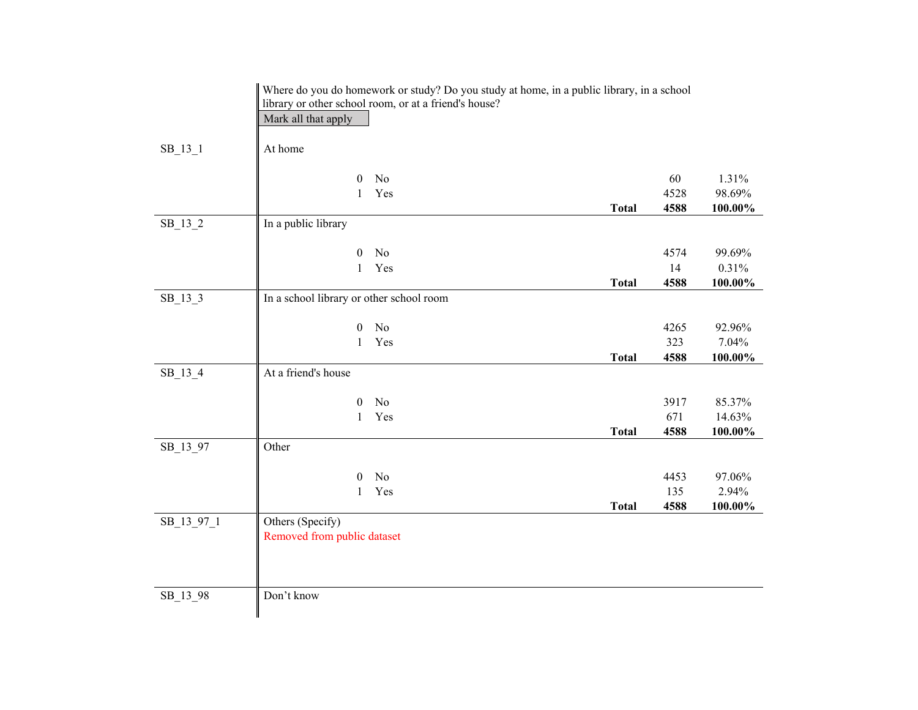|            |                                          | Where do you do homework or study? Do you study at home, in a public library, in a school |              |      |         |
|------------|------------------------------------------|-------------------------------------------------------------------------------------------|--------------|------|---------|
|            |                                          | library or other school room, or at a friend's house?                                     |              |      |         |
|            | Mark all that apply                      |                                                                                           |              |      |         |
| $SB_13_1$  | At home                                  |                                                                                           |              |      |         |
|            |                                          |                                                                                           |              |      |         |
|            | $\boldsymbol{0}$                         | No                                                                                        |              | 60   | 1.31%   |
|            | 1                                        | Yes                                                                                       |              | 4528 | 98.69%  |
|            |                                          |                                                                                           | <b>Total</b> | 4588 | 100.00% |
| $SB_13_2$  | In a public library                      |                                                                                           |              |      |         |
|            |                                          |                                                                                           |              |      |         |
|            | $\mathbf{0}$                             | No                                                                                        |              | 4574 | 99.69%  |
|            | $\mathbf{1}$                             | Yes                                                                                       |              | 14   | 0.31%   |
|            |                                          |                                                                                           | <b>Total</b> | 4588 | 100.00% |
| $SB_13_3$  | In a school library or other school room |                                                                                           |              |      |         |
|            |                                          |                                                                                           |              |      |         |
|            | $\mathbf{0}$                             | N <sub>o</sub>                                                                            |              | 4265 | 92.96%  |
|            | $\mathbf{1}$                             | Yes                                                                                       |              | 323  | 7.04%   |
|            |                                          |                                                                                           | <b>Total</b> | 4588 | 100.00% |
| SB_13_4    | At a friend's house                      |                                                                                           |              |      |         |
|            | $\boldsymbol{0}$                         | No                                                                                        |              | 3917 | 85.37%  |
|            | 1                                        | Yes                                                                                       |              | 671  | 14.63%  |
|            |                                          |                                                                                           | <b>Total</b> | 4588 | 100.00% |
| SB_13_97   | Other                                    |                                                                                           |              |      |         |
|            |                                          |                                                                                           |              |      |         |
|            | $\boldsymbol{0}$                         | No                                                                                        |              | 4453 | 97.06%  |
|            | 1                                        | Yes                                                                                       |              | 135  | 2.94%   |
|            |                                          |                                                                                           | <b>Total</b> | 4588 | 100.00% |
| SB_13_97_1 | Others (Specify)                         |                                                                                           |              |      |         |
|            | Removed from public dataset              |                                                                                           |              |      |         |
|            |                                          |                                                                                           |              |      |         |
|            |                                          |                                                                                           |              |      |         |
|            |                                          |                                                                                           |              |      |         |
| SB_13_98   | Don't know                               |                                                                                           |              |      |         |
|            |                                          |                                                                                           |              |      |         |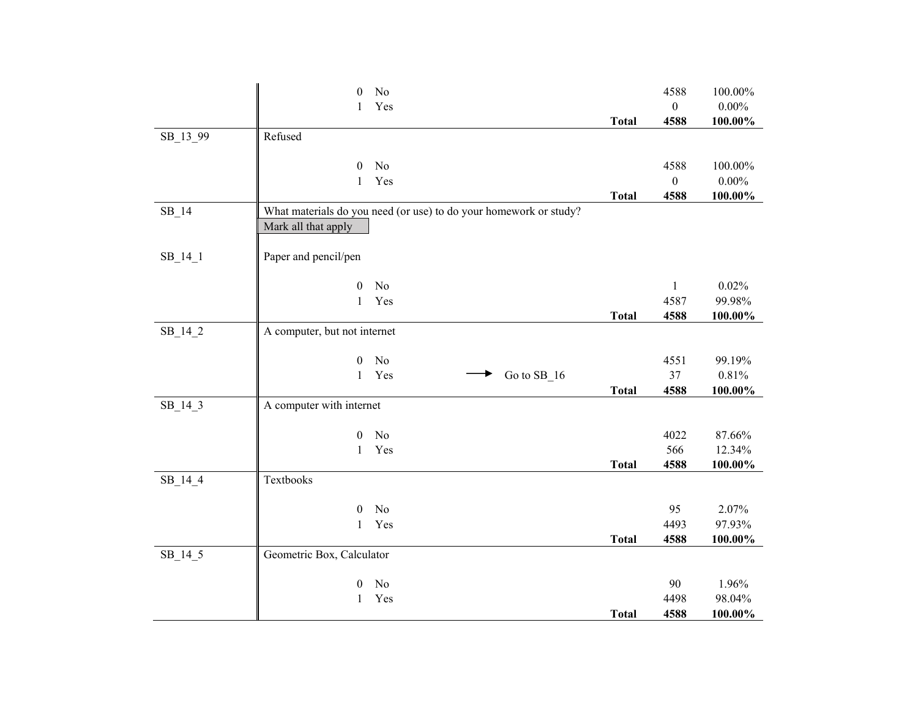|           | No<br>$\boldsymbol{0}$                                            |              | 4588             | 100.00%          |
|-----------|-------------------------------------------------------------------|--------------|------------------|------------------|
|           | Yes<br>1                                                          |              | $\boldsymbol{0}$ | $0.00\%$         |
|           |                                                                   | <b>Total</b> | 4588             | 100.00%          |
| SB_13_99  | Refused                                                           |              |                  |                  |
|           |                                                                   |              |                  |                  |
|           | No<br>0                                                           |              | 4588             | 100.00%          |
|           | Yes<br>$\mathbf{1}$                                               |              | $\boldsymbol{0}$ | $0.00\%$         |
|           |                                                                   | <b>Total</b> | 4588             | 100.00%          |
| SB 14     | What materials do you need (or use) to do your homework or study? |              |                  |                  |
|           | Mark all that apply                                               |              |                  |                  |
|           |                                                                   |              |                  |                  |
| $SB_14_1$ | Paper and pencil/pen                                              |              |                  |                  |
|           |                                                                   |              |                  |                  |
|           | No<br>$\boldsymbol{0}$                                            |              | $\mathbf{1}$     | 0.02%            |
|           | Yes<br>$\mathbf{1}$                                               |              | 4587             | 99.98%           |
|           |                                                                   | <b>Total</b> | 4588             | $100.00\%$       |
| $SB_14_2$ | A computer, but not internet                                      |              |                  |                  |
|           |                                                                   |              |                  |                  |
|           | No<br>0                                                           |              | 4551             | 99.19%           |
|           | Go to SB_16<br>$\mathbf{1}$<br>Yes                                |              | 37               | 0.81%            |
|           |                                                                   | <b>Total</b> | 4588             | $100.00\%$       |
| $SB_14_3$ | A computer with internet                                          |              |                  |                  |
|           |                                                                   |              |                  |                  |
|           | No<br>$\boldsymbol{0}$<br>Yes<br>1                                |              | 4022<br>566      | 87.66%<br>12.34% |
|           |                                                                   | <b>Total</b> | 4588             | 100.00%          |
| $SB_14_4$ | Textbooks                                                         |              |                  |                  |
|           |                                                                   |              |                  |                  |
|           | No<br>$\theta$                                                    |              | 95               | 2.07%            |
|           | Yes<br>$\mathbf{1}$                                               |              | 4493             | 97.93%           |
|           |                                                                   | <b>Total</b> | 4588             | 100.00%          |
| $SB_14_5$ | Geometric Box, Calculator                                         |              |                  |                  |
|           |                                                                   |              |                  |                  |
|           | No<br>0                                                           |              | 90               | 1.96%            |
|           | Yes<br>$\mathbf{1}$                                               |              | 4498             | 98.04%           |
|           |                                                                   | <b>Total</b> | 4588             | 100.00%          |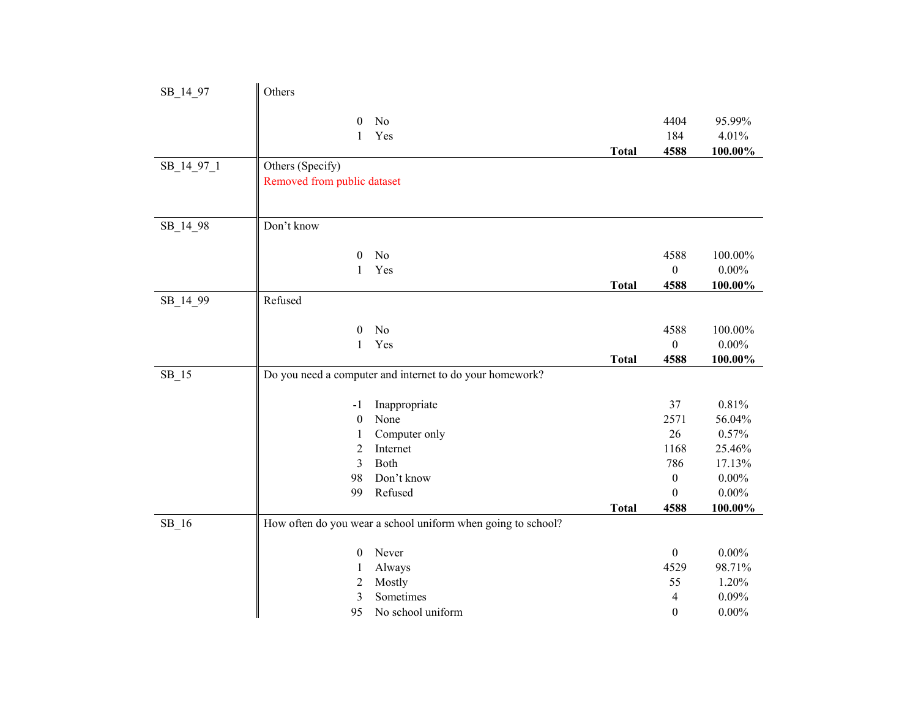| SB_14_97   | Others                                          |                                                              |              |                              |                                |
|------------|-------------------------------------------------|--------------------------------------------------------------|--------------|------------------------------|--------------------------------|
|            | $\mathbf{0}$<br>$\mathbf{1}$                    | No<br>Yes                                                    | <b>Total</b> | 4404<br>184<br>4588          | 95.99%<br>4.01%<br>100.00%     |
| SB_14_97_1 | Others (Specify)<br>Removed from public dataset |                                                              |              |                              |                                |
| SB_14_98   | Don't know                                      |                                                              |              |                              |                                |
|            | $\mathbf{0}$<br>$\mathbf{1}$                    | No<br>Yes                                                    | <b>Total</b> | 4588<br>$\mathbf{0}$<br>4588 | 100.00%<br>$0.00\%$<br>100.00% |
| SB_14_99   | Refused                                         |                                                              |              |                              |                                |
|            | $\mathbf{0}$<br>$\mathbf{1}$                    | No<br>Yes                                                    |              | 4588<br>$\boldsymbol{0}$     | 100.00%<br>$0.00\%$            |
| $SB_15$    |                                                 | Do you need a computer and internet to do your homework?     | <b>Total</b> | 4588                         | 100.00%                        |
|            |                                                 |                                                              |              |                              |                                |
|            |                                                 |                                                              |              |                              |                                |
|            | -1                                              | Inappropriate                                                |              | 37                           | 0.81%                          |
|            | $\boldsymbol{0}$                                | None                                                         |              | 2571                         | 56.04%                         |
|            | 1<br>$\overline{c}$                             | Computer only<br>Internet                                    |              | 26<br>1168                   | 0.57%<br>25.46%                |
|            | $\overline{3}$                                  | Both                                                         |              | 786                          | 17.13%                         |
|            | 98                                              | Don't know                                                   |              | $\boldsymbol{0}$             | $0.00\%$                       |
|            | 99                                              | Refused                                                      |              | $\mathbf{0}$                 | $0.00\%$                       |
|            |                                                 |                                                              | <b>Total</b> | 4588                         | 100.00%                        |
| $SB_16$    |                                                 | How often do you wear a school uniform when going to school? |              |                              |                                |
|            | $\boldsymbol{0}$                                | Never                                                        |              | $\boldsymbol{0}$             | $0.00\%$                       |
|            | $\mathbf{1}$                                    | Always                                                       |              | 4529                         | 98.71%                         |
|            | 2                                               | Mostly                                                       |              | 55                           | 1.20%                          |
|            | 3<br>95                                         | Sometimes<br>No school uniform                               |              | 4<br>$\boldsymbol{0}$        | 0.09%<br>$0.00\%$              |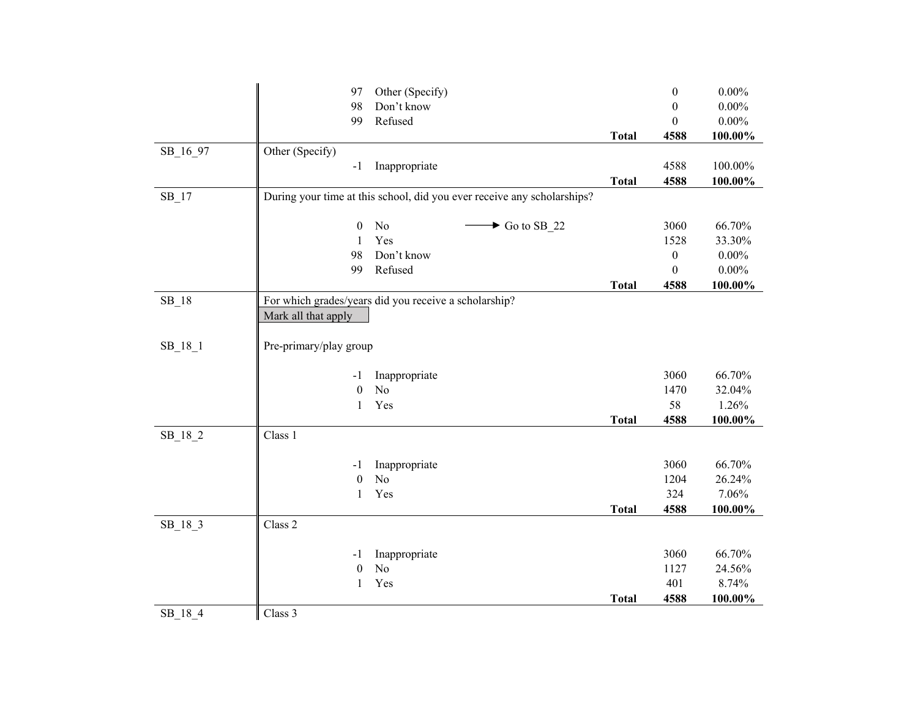|           | Other (Specify)<br>97                                                   |              | $\boldsymbol{0}$ | $0.00\%$ |
|-----------|-------------------------------------------------------------------------|--------------|------------------|----------|
|           | Don't know<br>98                                                        |              | $\mathbf{0}$     | $0.00\%$ |
|           | Refused<br>99                                                           |              | $\mathbf{0}$     | $0.00\%$ |
|           |                                                                         | <b>Total</b> | 4588             | 100.00%  |
| SB_16_97  | Other (Specify)                                                         |              |                  |          |
|           | Inappropriate<br>$-1$                                                   |              | 4588             | 100.00%  |
|           |                                                                         | <b>Total</b> | 4588             | 100.00%  |
| $SB_17$   | During your time at this school, did you ever receive any scholarships? |              |                  |          |
|           | $\boldsymbol{0}$<br>No<br>$\blacktriangleright$ Go to SB 22             |              | 3060             | 66.70%   |
|           | Yes<br>$\mathbf{1}$                                                     |              | 1528             | 33.30%   |
|           | 98<br>Don't know                                                        |              | $\boldsymbol{0}$ | $0.00\%$ |
|           | Refused<br>99                                                           |              | $\theta$         | $0.00\%$ |
|           |                                                                         | <b>Total</b> | 4588             | 100.00%  |
| $SB_18$   | For which grades/years did you receive a scholarship?                   |              |                  |          |
|           | Mark all that apply                                                     |              |                  |          |
| $SB_18_1$ | Pre-primary/play group                                                  |              |                  |          |
|           | Inappropriate<br>-1                                                     |              | 3060             | 66.70%   |
|           | N <sub>o</sub><br>$\boldsymbol{0}$                                      |              | 1470             | 32.04%   |
|           | Yes<br>1                                                                |              | 58               | 1.26%    |
|           |                                                                         | <b>Total</b> | 4588             | 100.00%  |
| $SB_18_2$ | Class 1                                                                 |              |                  |          |
|           | Inappropriate<br>-1                                                     |              | 3060             | 66.70%   |
|           | No<br>$\boldsymbol{0}$                                                  |              | 1204             | 26.24%   |
|           | Yes<br>$\mathbf{1}$                                                     |              | 324              | 7.06%    |
|           |                                                                         | <b>Total</b> | 4588             | 100.00%  |
| $SB_18_3$ | Class 2                                                                 |              |                  |          |
|           | Inappropriate<br>-1                                                     |              | 3060             | 66.70%   |
|           | N <sub>o</sub><br>$\boldsymbol{0}$                                      |              | 1127             | 24.56%   |
|           | Yes<br>1                                                                |              | 401              | 8.74%    |
|           |                                                                         | <b>Total</b> | 4588             | 100.00%  |
| SB_18_4   | Class 3                                                                 |              |                  |          |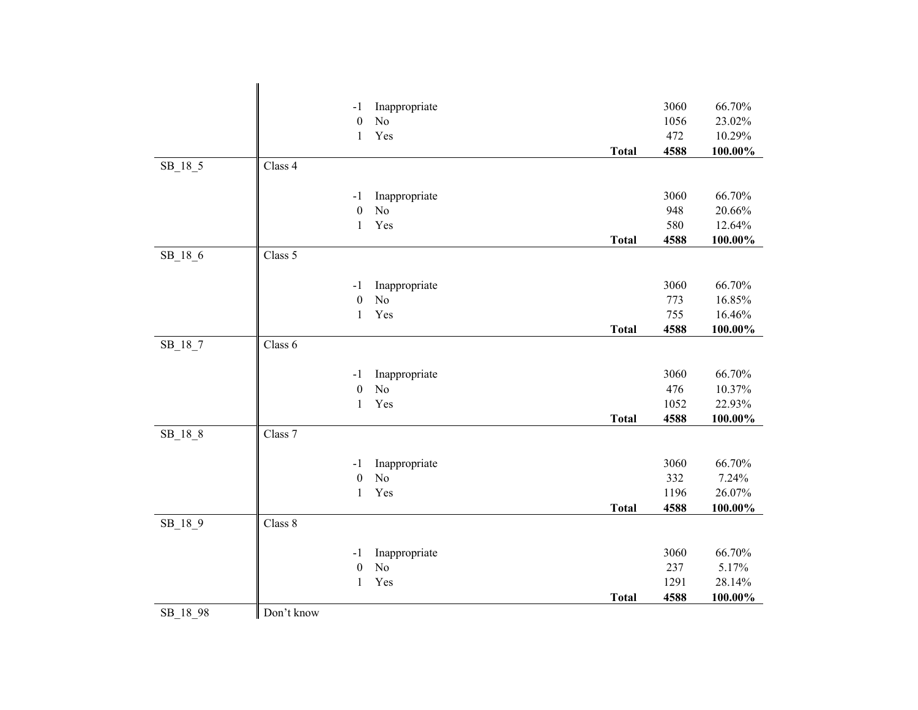|           |            | $-1$                   | Inappropriate                   |              | 3060 | 66.70%          |
|-----------|------------|------------------------|---------------------------------|--------------|------|-----------------|
|           |            | $\boldsymbol{0}$       | N <sub>o</sub>                  |              | 1056 | 23.02%          |
|           |            | $\mathbf{1}$           | Yes                             |              | 472  | 10.29%          |
|           |            |                        |                                 | <b>Total</b> | 4588 | 100.00%         |
| $SB_18_5$ | Class 4    |                        |                                 |              |      |                 |
|           |            |                        |                                 |              |      |                 |
|           |            | $-1$                   | Inappropriate                   |              | 3060 | 66.70%          |
|           |            | $\boldsymbol{0}$       | N <sub>o</sub>                  |              | 948  | 20.66%          |
|           |            | $\mathbf{1}$           | Yes                             |              | 580  | 12.64%          |
|           | Class 5    |                        |                                 | <b>Total</b> | 4588 | 100.00%         |
| $SB_18_6$ |            |                        |                                 |              |      |                 |
|           |            | $-1$                   | Inappropriate                   |              | 3060 | 66.70%          |
|           |            | $\boldsymbol{0}$       | N <sub>o</sub>                  |              | 773  | 16.85%          |
|           |            | $\mathbf{1}$           | Yes                             |              | 755  | 16.46%          |
|           |            |                        |                                 | <b>Total</b> | 4588 | 100.00%         |
| $SB_18_7$ | Class 6    |                        |                                 |              |      |                 |
|           |            |                        |                                 |              |      |                 |
|           |            | $-1$                   | Inappropriate                   |              | 3060 | 66.70%          |
|           |            | $\boldsymbol{0}$       | N <sub>o</sub>                  |              | 476  | 10.37%          |
|           |            | $\mathbf{1}$           | Yes                             |              | 1052 | 22.93%          |
|           |            |                        |                                 | <b>Total</b> | 4588 | 100.00%         |
| $SB_18_8$ | Class 7    |                        |                                 |              |      |                 |
|           |            |                        |                                 |              | 3060 |                 |
|           |            | -1<br>$\boldsymbol{0}$ | Inappropriate<br>N <sub>o</sub> |              | 332  | 66.70%<br>7.24% |
|           |            | $\mathbf{1}$           | Yes                             |              | 1196 | 26.07%          |
|           |            |                        |                                 | <b>Total</b> | 4588 | 100.00%         |
| SB_18_9   | Class 8    |                        |                                 |              |      |                 |
|           |            |                        |                                 |              |      |                 |
|           |            | -1                     | Inappropriate                   |              | 3060 | 66.70%          |
|           |            | $\boldsymbol{0}$       | N <sub>o</sub>                  |              | 237  | 5.17%           |
|           |            | $\mathbf{1}$           | Yes                             |              | 1291 | 28.14%          |
|           |            |                        |                                 | <b>Total</b> | 4588 | 100.00%         |
| SB_18_98  | Don't know |                        |                                 |              |      |                 |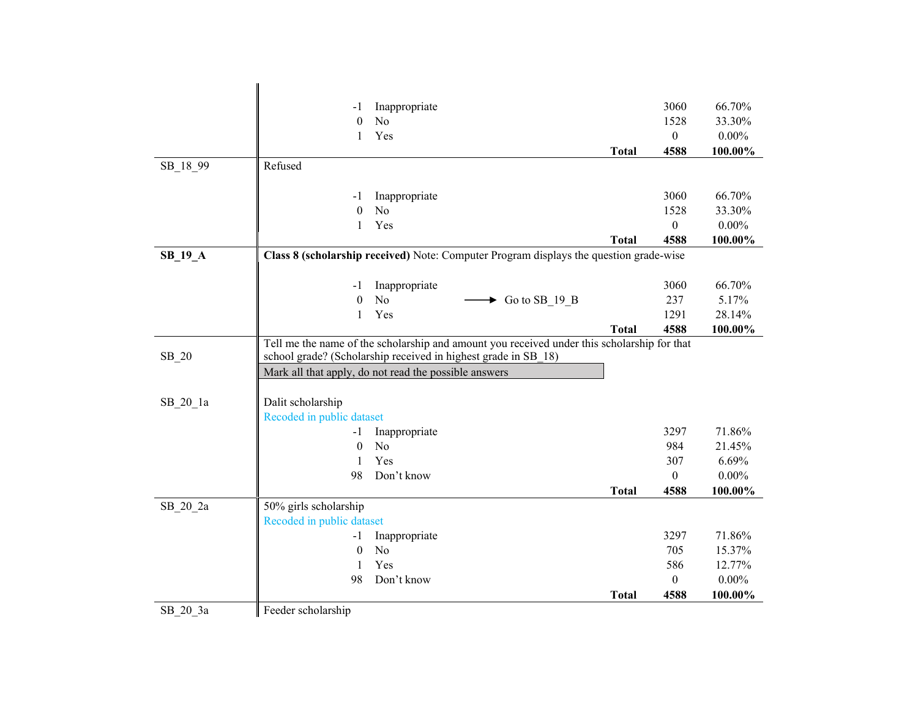|           | -1                        | Inappropriate                                                                               |              | 3060             | 66.70%            |
|-----------|---------------------------|---------------------------------------------------------------------------------------------|--------------|------------------|-------------------|
|           | $\theta$                  | N <sub>o</sub>                                                                              |              | 1528             | 33.30%            |
|           | 1                         | Yes                                                                                         |              | $\boldsymbol{0}$ | $0.00\%$          |
|           |                           |                                                                                             | <b>Total</b> | 4588             | 100.00%           |
| SB_18_99  | Refused                   |                                                                                             |              |                  |                   |
|           |                           |                                                                                             |              |                  |                   |
|           | -1                        | Inappropriate                                                                               |              | 3060             | 66.70%            |
|           | $\boldsymbol{0}$          | N <sub>o</sub>                                                                              |              | 1528             | 33.30%            |
|           | 1                         | Yes                                                                                         |              | $\boldsymbol{0}$ | $0.00\%$          |
|           |                           |                                                                                             | <b>Total</b> | 4588             | 100.00%           |
| $SB_19_A$ |                           | Class 8 (scholarship received) Note: Computer Program displays the question grade-wise      |              |                  |                   |
|           |                           |                                                                                             |              |                  |                   |
|           | $-1$                      | Inappropriate                                                                               |              | 3060             | 66.70%            |
|           | $\boldsymbol{0}$          | No<br>$\triangleright$ Go to SB_19_B<br>Yes                                                 |              | 237              | 5.17%             |
|           | $\mathbf{1}$              |                                                                                             | <b>Total</b> | 1291<br>4588     | 28.14%<br>100.00% |
|           |                           | Tell me the name of the scholarship and amount you received under this scholarship for that |              |                  |                   |
| $SB_20$   |                           | school grade? (Scholarship received in highest grade in SB 18)                              |              |                  |                   |
|           |                           | Mark all that apply, do not read the possible answers                                       |              |                  |                   |
|           |                           |                                                                                             |              |                  |                   |
| SB 20 1a  | Dalit scholarship         |                                                                                             |              |                  |                   |
|           | Recoded in public dataset |                                                                                             |              |                  |                   |
|           | $-1$                      | Inappropriate                                                                               |              | 3297             | 71.86%            |
|           | $\boldsymbol{0}$          | N <sub>o</sub>                                                                              |              | 984              | 21.45%            |
|           | 1                         | Yes                                                                                         |              | 307              | 6.69%             |
|           | 98                        | Don't know                                                                                  |              | $\boldsymbol{0}$ | $0.00\%$          |
|           |                           |                                                                                             | <b>Total</b> | 4588             | 100.00%           |
| SB 20 2a  | 50% girls scholarship     |                                                                                             |              |                  |                   |
|           | Recoded in public dataset |                                                                                             |              |                  |                   |
|           | $-1$                      | Inappropriate                                                                               |              | 3297             | 71.86%            |
|           |                           |                                                                                             |              |                  |                   |
|           | $\mathbf{0}$              | N <sub>o</sub>                                                                              |              | 705              | 15.37%            |
|           | 1                         | Yes                                                                                         |              | 586              | 12.77%            |
|           | 98                        | Don't know                                                                                  |              | $\mathbf{0}$     | $0.00\%$          |
| SB 20 3a  | Feeder scholarship        |                                                                                             | <b>Total</b> | 4588             | 100.00%           |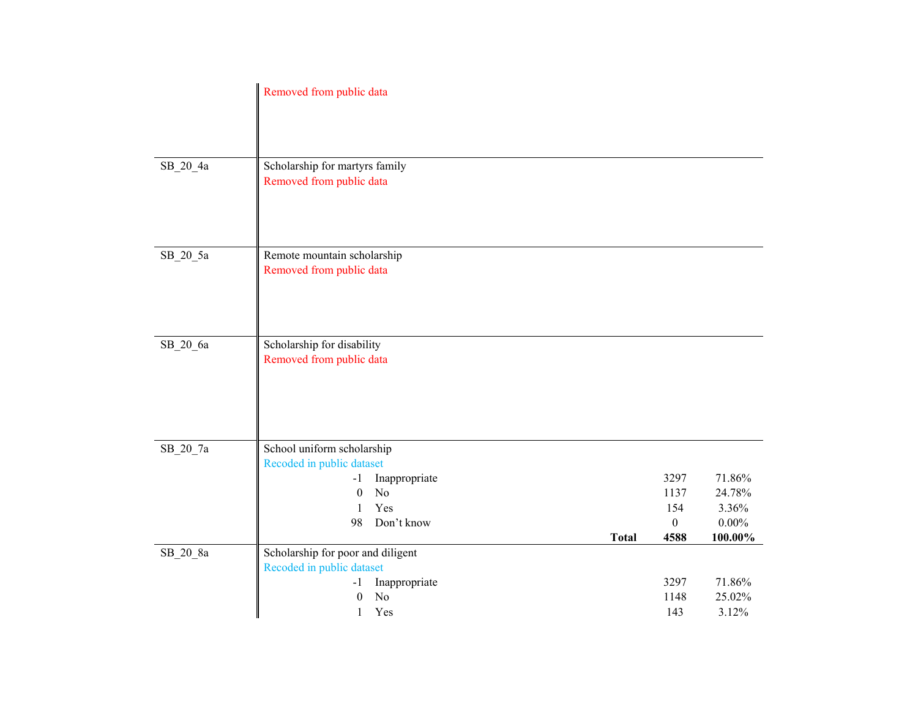|            | Removed from public data                                                                                   |              |                                 |                              |
|------------|------------------------------------------------------------------------------------------------------------|--------------|---------------------------------|------------------------------|
| SB_20_4a   | Scholarship for martyrs family<br>Removed from public data                                                 |              |                                 |                              |
| $SB_20_5a$ | Remote mountain scholarship<br>Removed from public data                                                    |              |                                 |                              |
| SB_20_6a   | Scholarship for disability<br>Removed from public data                                                     |              |                                 |                              |
| SB_20_7a   | School uniform scholarship<br>Recoded in public dataset<br>Inappropriate<br>$-1$<br>No<br>$\boldsymbol{0}$ |              | 3297<br>1137                    | 71.86%<br>24.78%             |
| SB_20_8a   | Yes<br>1<br>Don't know<br>98<br>Scholarship for poor and diligent                                          | <b>Total</b> | 154<br>$\boldsymbol{0}$<br>4588 | 3.36%<br>$0.00\%$<br>100.00% |
|            | Recoded in public dataset<br>Inappropriate<br>$-1$<br>N <sub>o</sub><br>$\boldsymbol{0}$<br>Yes<br>1       |              | 3297<br>1148<br>143             | 71.86%<br>25.02%<br>3.12%    |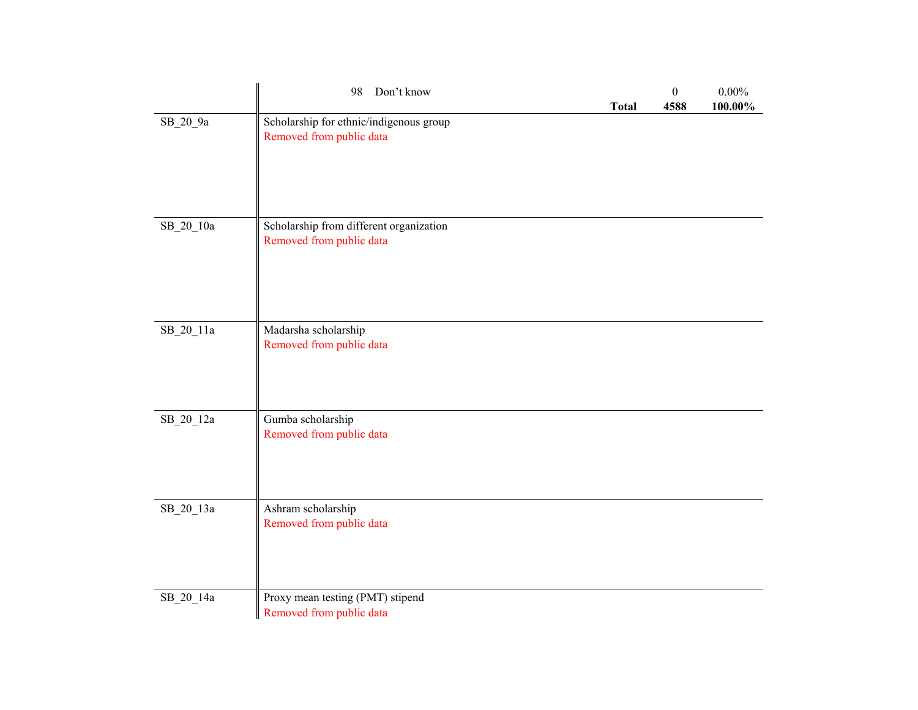|           | Don't know<br>98                                                    | <b>Total</b> | $\boldsymbol{0}$<br>4588 | $0.00\%$<br>100.00% |
|-----------|---------------------------------------------------------------------|--------------|--------------------------|---------------------|
| SB_20_9a  | Scholarship for ethnic/indigenous group<br>Removed from public data |              |                          |                     |
| SB_20_10a | Scholarship from different organization<br>Removed from public data |              |                          |                     |
| SB_20_11a | Madarsha scholarship<br>Removed from public data                    |              |                          |                     |
| SB_20_12a | Gumba scholarship<br>Removed from public data                       |              |                          |                     |
| SB_20_13a | Ashram scholarship<br>Removed from public data                      |              |                          |                     |
| SB_20_14a | Proxy mean testing (PMT) stipend<br>Removed from public data        |              |                          |                     |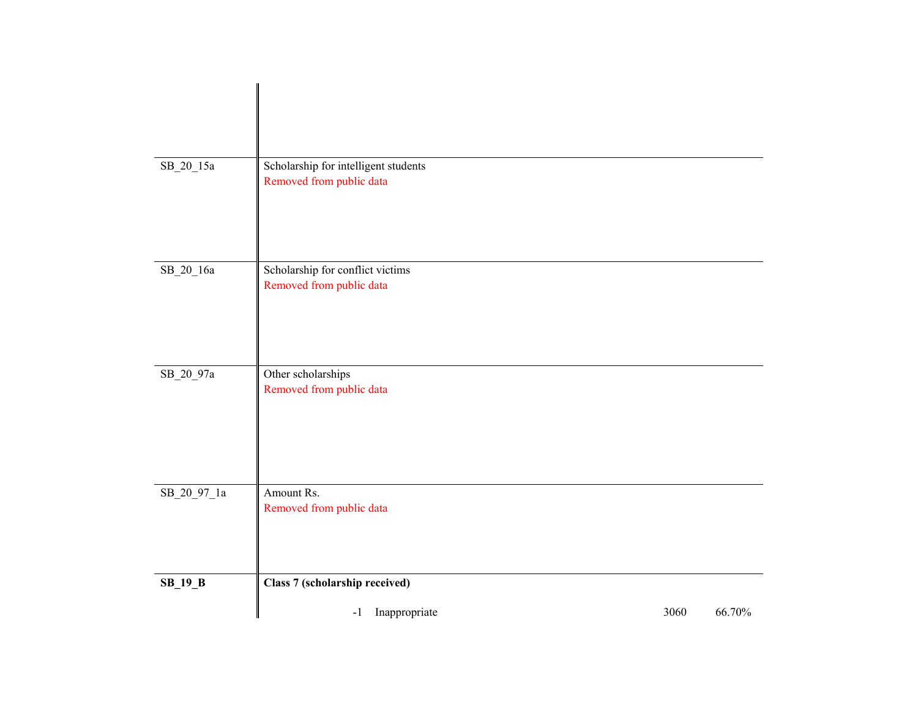| $\rm SB\_20\_15a$ | Scholarship for intelligent students<br>Removed from public data |      |        |
|-------------------|------------------------------------------------------------------|------|--------|
| $SB_20_16a$       | Scholarship for conflict victims<br>Removed from public data     |      |        |
| SB_20_97a         | Other scholarships<br>Removed from public data                   |      |        |
| $SB_20_97_1a$     | Amount Rs.<br>Removed from public data                           |      |        |
| $SB_19_B$         | Class 7 (scholarship received)                                   |      |        |
|                   | Inappropriate<br>$-1$                                            | 3060 | 66.70% |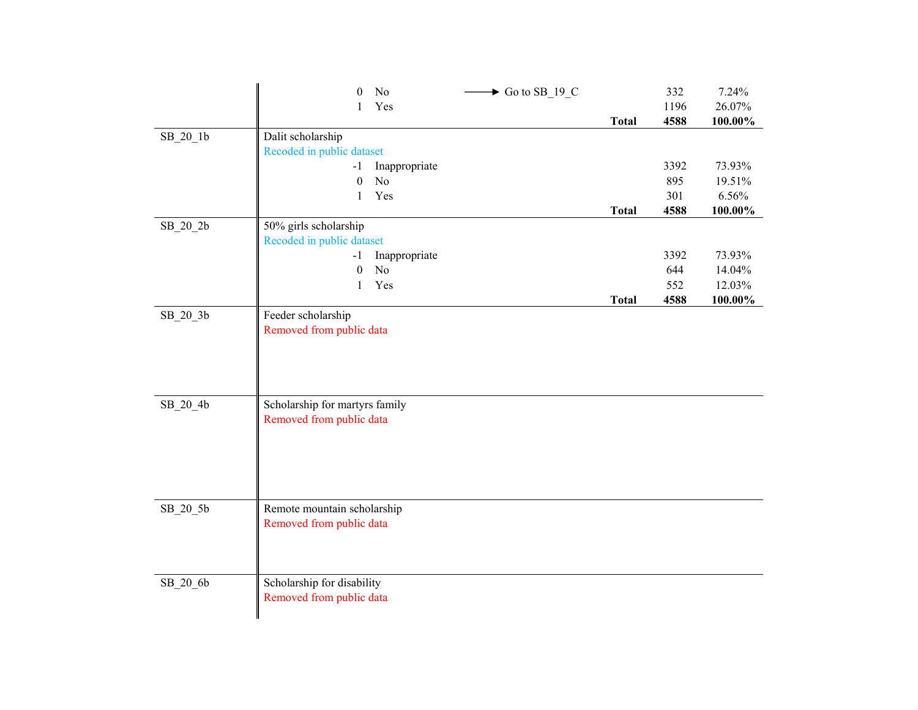|            | $\theta$                       | No            | $\blacktriangleright$ Go to SB_19_C |              | 332  | 7.24%      |
|------------|--------------------------------|---------------|-------------------------------------|--------------|------|------------|
|            | 1                              | Yes           |                                     |              | 1196 | 26.07%     |
|            |                                |               |                                     | <b>Total</b> | 4588 | 100.00%    |
| $SB_20_1b$ | Dalit scholarship              |               |                                     |              |      |            |
|            | Recoded in public dataset      |               |                                     |              |      |            |
|            | $-1$                           | Inappropriate |                                     |              | 3392 | 73.93%     |
|            | $\boldsymbol{0}$               | No            |                                     |              | 895  | 19.51%     |
|            | $\mathbf{1}$                   | Yes           |                                     |              | 301  | 6.56%      |
|            |                                |               |                                     | <b>Total</b> | 4588 | 100.00%    |
| SB_20_2b   | 50% girls scholarship          |               |                                     |              |      |            |
|            | Recoded in public dataset      |               |                                     |              |      |            |
|            | $-1$                           | Inappropriate |                                     |              | 3392 | 73.93%     |
|            | $\boldsymbol{0}$               | No            |                                     |              | 644  | 14.04%     |
|            | 1                              | Yes           |                                     |              | 552  | 12.03%     |
|            |                                |               |                                     | <b>Total</b> | 4588 | $100.00\%$ |
| SB_20_3b   | Feeder scholarship             |               |                                     |              |      |            |
|            | Removed from public data       |               |                                     |              |      |            |
|            |                                |               |                                     |              |      |            |
|            |                                |               |                                     |              |      |            |
|            |                                |               |                                     |              |      |            |
|            |                                |               |                                     |              |      |            |
| SB_20_4b   | Scholarship for martyrs family |               |                                     |              |      |            |
|            | Removed from public data       |               |                                     |              |      |            |
|            |                                |               |                                     |              |      |            |
|            |                                |               |                                     |              |      |            |
|            |                                |               |                                     |              |      |            |
|            |                                |               |                                     |              |      |            |
|            |                                |               |                                     |              |      |            |
| $SB_20_5b$ | Remote mountain scholarship    |               |                                     |              |      |            |
|            | Removed from public data       |               |                                     |              |      |            |
|            |                                |               |                                     |              |      |            |
|            |                                |               |                                     |              |      |            |
|            |                                |               |                                     |              |      |            |
| $SB_20_6b$ | Scholarship for disability     |               |                                     |              |      |            |
|            | Removed from public data       |               |                                     |              |      |            |
|            |                                |               |                                     |              |      |            |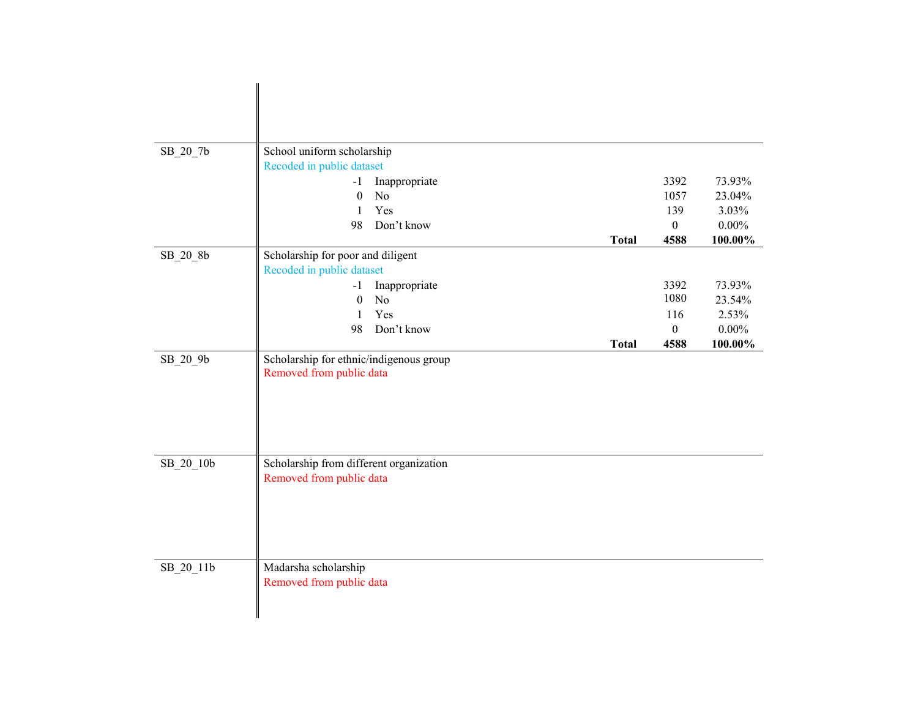| SB_20_7b  | School uniform scholarship              |                |               |  |              |                  |          |
|-----------|-----------------------------------------|----------------|---------------|--|--------------|------------------|----------|
|           | Recoded in public dataset               |                |               |  |              |                  |          |
|           | $-1$                                    |                | Inappropriate |  |              | 3392             | 73.93%   |
|           | $\boldsymbol{0}$                        | N <sub>o</sub> |               |  |              | 1057             | 23.04%   |
|           | 1                                       | Yes            |               |  |              | 139              | 3.03%    |
|           | 98                                      |                | Don't know    |  |              | $\boldsymbol{0}$ | $0.00\%$ |
|           |                                         |                |               |  | <b>Total</b> | 4588             | 100.00%  |
| SB_20_8b  | Scholarship for poor and diligent       |                |               |  |              |                  |          |
|           | Recoded in public dataset               |                |               |  |              |                  |          |
|           | $-1$                                    |                | Inappropriate |  |              | 3392             | 73.93%   |
|           | $\boldsymbol{0}$                        | N <sub>o</sub> |               |  |              | 1080             | 23.54%   |
|           | $\mathbf{1}$                            | Yes            |               |  |              | 116              | 2.53%    |
|           | 98                                      |                | Don't know    |  |              | $\boldsymbol{0}$ | $0.00\%$ |
|           |                                         |                |               |  | <b>Total</b> | 4588             | 100.00%  |
| SB_20_9b  | Scholarship for ethnic/indigenous group |                |               |  |              |                  |          |
|           | Removed from public data                |                |               |  |              |                  |          |
|           |                                         |                |               |  |              |                  |          |
|           |                                         |                |               |  |              |                  |          |
|           |                                         |                |               |  |              |                  |          |
|           |                                         |                |               |  |              |                  |          |
|           |                                         |                |               |  |              |                  |          |
| SB_20_10b | Scholarship from different organization |                |               |  |              |                  |          |
|           | Removed from public data                |                |               |  |              |                  |          |
|           |                                         |                |               |  |              |                  |          |
|           |                                         |                |               |  |              |                  |          |
|           |                                         |                |               |  |              |                  |          |
|           |                                         |                |               |  |              |                  |          |
|           |                                         |                |               |  |              |                  |          |
| SB_20_11b | Madarsha scholarship                    |                |               |  |              |                  |          |
|           | Removed from public data                |                |               |  |              |                  |          |
|           |                                         |                |               |  |              |                  |          |
|           |                                         |                |               |  |              |                  |          |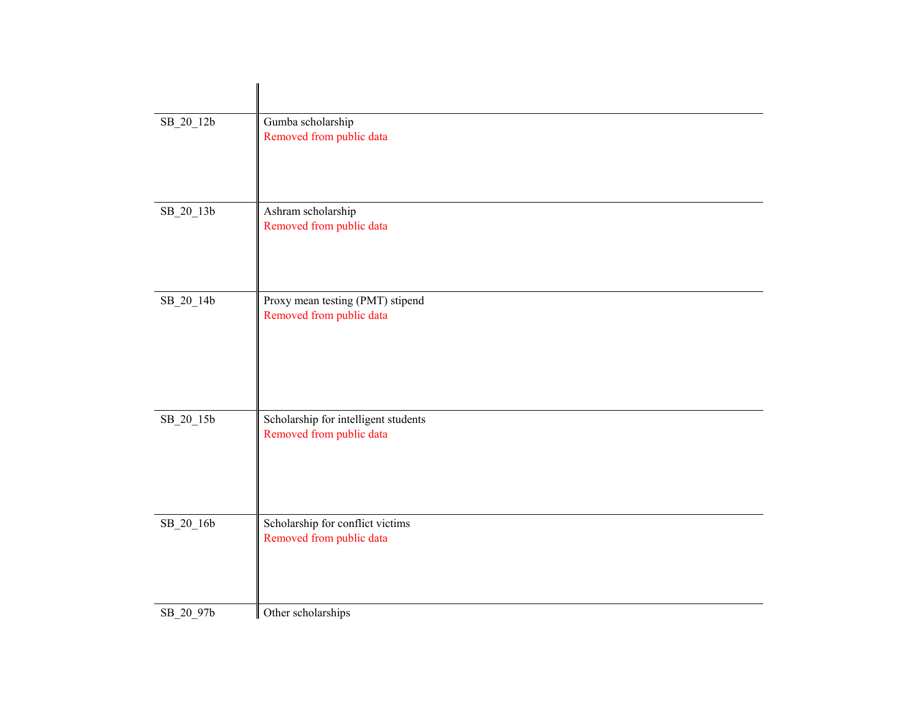| SB_20_12b | Gumba scholarship<br>Removed from public data                    |
|-----------|------------------------------------------------------------------|
| SB_20_13b | Ashram scholarship<br>Removed from public data                   |
| SB_20_14b | Proxy mean testing (PMT) stipend<br>Removed from public data     |
| SB_20_15b | Scholarship for intelligent students<br>Removed from public data |
| SB_20_16b | Scholarship for conflict victims<br>Removed from public data     |
| SB_20_97b | Other scholarships                                               |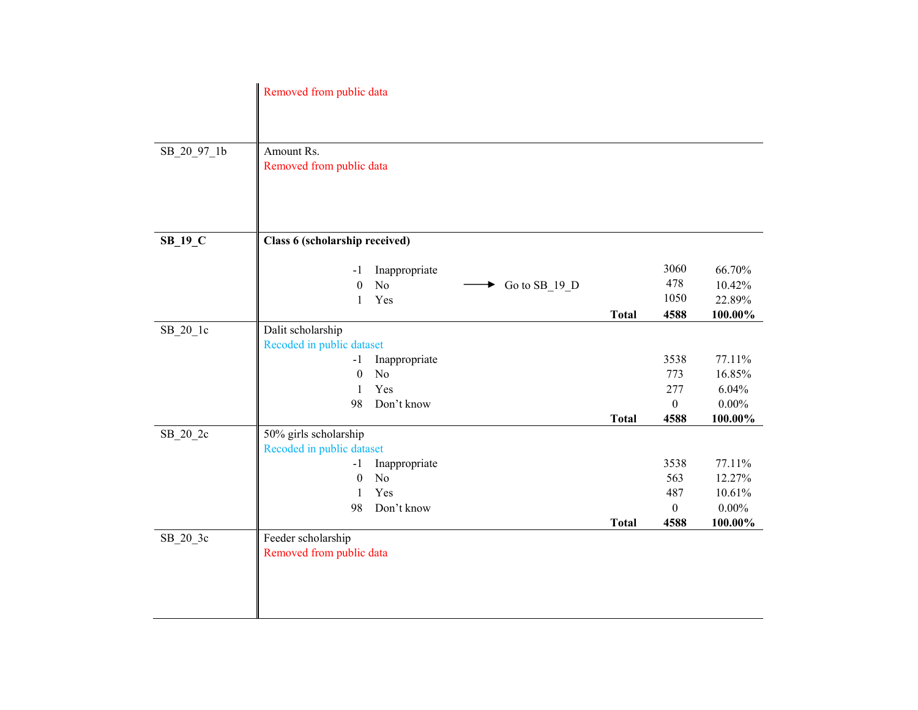|             | Removed from public data               |               |                    |              |                  |          |
|-------------|----------------------------------------|---------------|--------------------|--------------|------------------|----------|
|             |                                        |               |                    |              |                  |          |
| SB 20 97 1b | Amount Rs.<br>Removed from public data |               |                    |              |                  |          |
|             |                                        |               |                    |              |                  |          |
|             |                                        |               |                    |              |                  |          |
| $SB_19_C$   | Class 6 (scholarship received)         |               |                    |              |                  |          |
|             |                                        |               |                    |              |                  |          |
|             | $-1$                                   | Inappropriate |                    |              | 3060             | 66.70%   |
|             | $\boldsymbol{0}$                       | $\rm No$      | Go to SB_19_D<br>▶ |              | 478              | 10.42%   |
|             | 1                                      | Yes           |                    |              | 1050             | 22.89%   |
|             |                                        |               |                    | <b>Total</b> | 4588             | 100.00%  |
| $SB_20_1c$  | Dalit scholarship                      |               |                    |              |                  |          |
|             | Recoded in public dataset              |               |                    |              |                  |          |
|             | $-1$                                   | Inappropriate |                    |              | 3538             | 77.11%   |
|             | $\boldsymbol{0}$                       | No            |                    |              | 773              | 16.85%   |
|             | 1                                      | Yes           |                    |              | 277              | 6.04%    |
|             | 98                                     | Don't know    |                    |              | $\mathbf{0}$     | $0.00\%$ |
|             |                                        |               |                    | <b>Total</b> | 4588             | 100.00%  |
| $SB_20_2c$  | 50% girls scholarship                  |               |                    |              |                  |          |
|             | Recoded in public dataset              |               |                    |              |                  |          |
|             | $-1$                                   | Inappropriate |                    |              | 3538             | 77.11%   |
|             | $\boldsymbol{0}$                       | No            |                    |              | 563              | 12.27%   |
|             | $\mathbf{1}$                           | Yes           |                    |              | 487              | 10.61%   |
|             | 98                                     | Don't know    |                    |              | $\boldsymbol{0}$ | $0.00\%$ |
|             |                                        |               |                    | <b>Total</b> | 4588             | 100.00%  |
| SB_20_3c    | Feeder scholarship                     |               |                    |              |                  |          |
|             | Removed from public data               |               |                    |              |                  |          |
|             |                                        |               |                    |              |                  |          |
|             |                                        |               |                    |              |                  |          |
|             |                                        |               |                    |              |                  |          |
|             |                                        |               |                    |              |                  |          |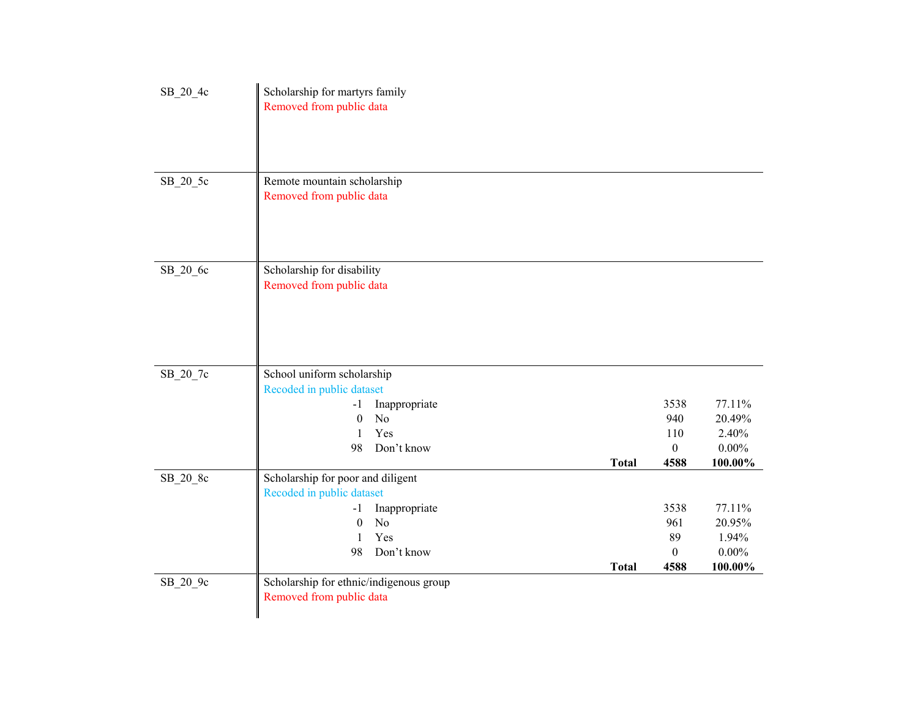| SB_20_4c | Scholarship for martyrs family             |              |                  |          |
|----------|--------------------------------------------|--------------|------------------|----------|
|          | Removed from public data                   |              |                  |          |
|          |                                            |              |                  |          |
|          |                                            |              |                  |          |
|          |                                            |              |                  |          |
| SB_20_5c | Remote mountain scholarship                |              |                  |          |
|          | Removed from public data                   |              |                  |          |
|          |                                            |              |                  |          |
|          |                                            |              |                  |          |
|          |                                            |              |                  |          |
|          |                                            |              |                  |          |
| SB_20_6c | Scholarship for disability                 |              |                  |          |
|          | Removed from public data                   |              |                  |          |
|          |                                            |              |                  |          |
|          |                                            |              |                  |          |
|          |                                            |              |                  |          |
|          |                                            |              |                  |          |
| SB_20_7c | School uniform scholarship                 |              |                  |          |
|          | Recoded in public dataset                  |              |                  |          |
|          | Inappropriate<br>$-1$                      |              | 3538             | 77.11%   |
|          | $\boldsymbol{0}$<br>N <sub>o</sub>         |              | 940              | 20.49%   |
|          | Yes<br>1                                   |              | 110              | 2.40%    |
|          | 98<br>Don't know                           |              | $\boldsymbol{0}$ | $0.00\%$ |
|          |                                            | <b>Total</b> | 4588             | 100.00%  |
| SB_20_8c | Scholarship for poor and diligent          |              |                  |          |
|          | Recoded in public dataset<br>Inappropriate |              | 3538             | 77.11%   |
|          | $-1$<br>No<br>$\theta$                     |              | 961              | 20.95%   |
|          | Yes<br>1                                   |              | 89               | 1.94%    |
|          | 98<br>Don't know                           |              | $\boldsymbol{0}$ | $0.00\%$ |
|          |                                            | <b>Total</b> | 4588             | 100.00%  |
| SB_20_9c | Scholarship for ethnic/indigenous group    |              |                  |          |
|          | Removed from public data                   |              |                  |          |
|          |                                            |              |                  |          |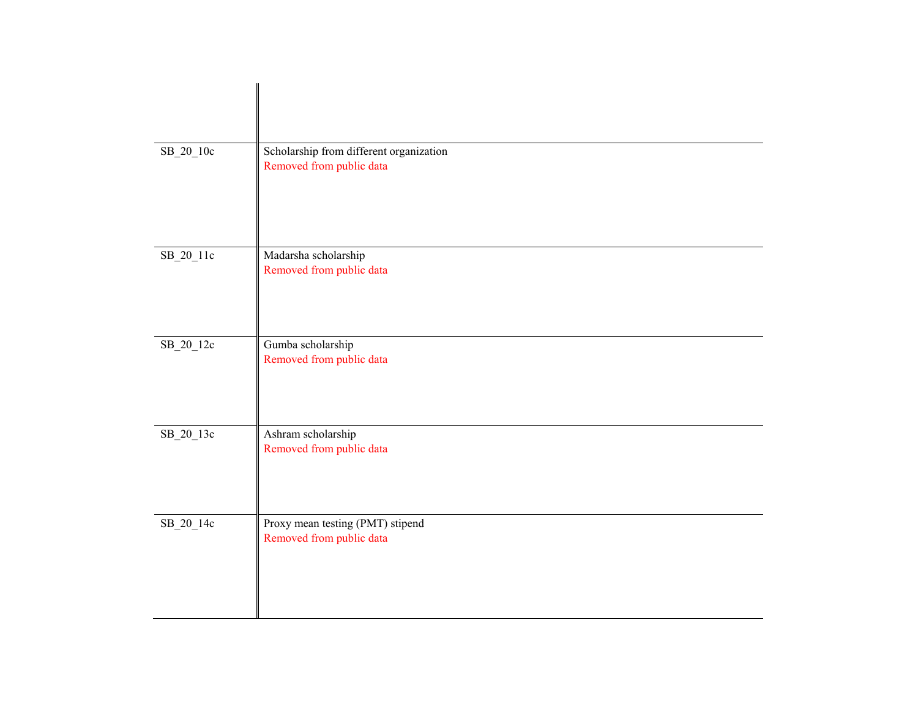| $SB_20_10c$ | Scholarship from different organization<br>Removed from public data |
|-------------|---------------------------------------------------------------------|
| $SB_20_11c$ | Madarsha scholarship<br>Removed from public data                    |
| SB_20_12c   | Gumba scholarship<br>Removed from public data                       |
| $SB_20_13c$ | Ashram scholarship<br>Removed from public data                      |
| SB_20_14c   | Proxy mean testing (PMT) stipend<br>Removed from public data        |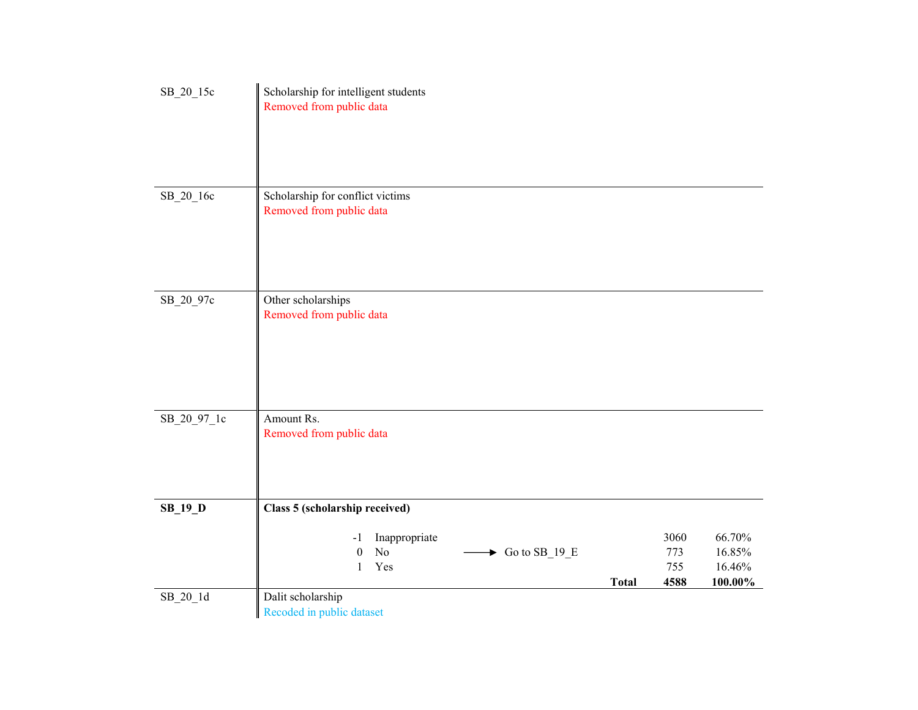| SB_20_15c      | Scholarship for intelligent students<br>Removed from public data                                 |              |                            |                                       |
|----------------|--------------------------------------------------------------------------------------------------|--------------|----------------------------|---------------------------------------|
| SB_20_16c      | Scholarship for conflict victims<br>Removed from public data                                     |              |                            |                                       |
| SB_20_97c      | Other scholarships<br>Removed from public data                                                   |              |                            |                                       |
| SB_20_97_1c    | Amount Rs.<br>Removed from public data                                                           |              |                            |                                       |
| <b>SB_19_D</b> | Class 5 (scholarship received)                                                                   |              |                            |                                       |
|                | Inappropriate<br>-1<br>$\rm No$<br>Go to SB_19_E<br>$\boldsymbol{0}$<br>▶<br>Yes<br>$\mathbf{1}$ | <b>Total</b> | 3060<br>773<br>755<br>4588 | 66.70%<br>16.85%<br>16.46%<br>100.00% |
| $SB_20_1d$     | Dalit scholarship<br>Recoded in public dataset                                                   |              |                            |                                       |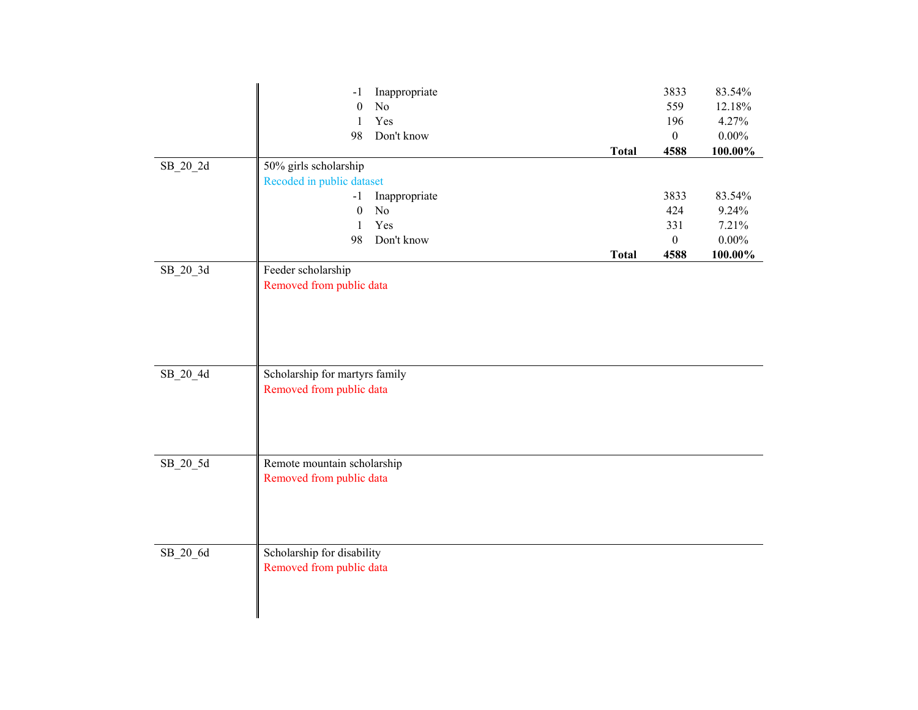|            | Inappropriate<br>$-1$          | 3833             | 83.54%     |
|------------|--------------------------------|------------------|------------|
|            | $\rm No$<br>$\boldsymbol{0}$   | 559              | 12.18%     |
|            | Yes<br>$\mathbf{1}$            | 196              | 4.27%      |
|            | Don't know<br>98               | $\boldsymbol{0}$ | $0.00\%$   |
|            | <b>Total</b>                   | 4588             | 100.00%    |
| SB_20_2d   | 50% girls scholarship          |                  |            |
|            | Recoded in public dataset      |                  |            |
|            | Inappropriate<br>$-1$          | 3833             | 83.54%     |
|            | $\boldsymbol{0}$<br>$\rm No$   | 424              | 9.24%      |
|            | Yes<br>$\mathbf{1}$            | 331              | 7.21%      |
|            | 98<br>Don't know               | $\boldsymbol{0}$ | $0.00\%$   |
|            | <b>Total</b>                   | 4588             | $100.00\%$ |
| SB_20_3d   | Feeder scholarship             |                  |            |
|            | Removed from public data       |                  |            |
|            |                                |                  |            |
|            |                                |                  |            |
|            |                                |                  |            |
|            |                                |                  |            |
|            |                                |                  |            |
| $SB_20_4d$ | Scholarship for martyrs family |                  |            |
|            | Removed from public data       |                  |            |
|            |                                |                  |            |
|            |                                |                  |            |
|            |                                |                  |            |
|            |                                |                  |            |
| $SB_20_5d$ | Remote mountain scholarship    |                  |            |
|            | Removed from public data       |                  |            |
|            |                                |                  |            |
|            |                                |                  |            |
|            |                                |                  |            |
|            |                                |                  |            |
| SB_20_6d   | Scholarship for disability     |                  |            |
|            | Removed from public data       |                  |            |
|            |                                |                  |            |
|            |                                |                  |            |
|            |                                |                  |            |
|            |                                |                  |            |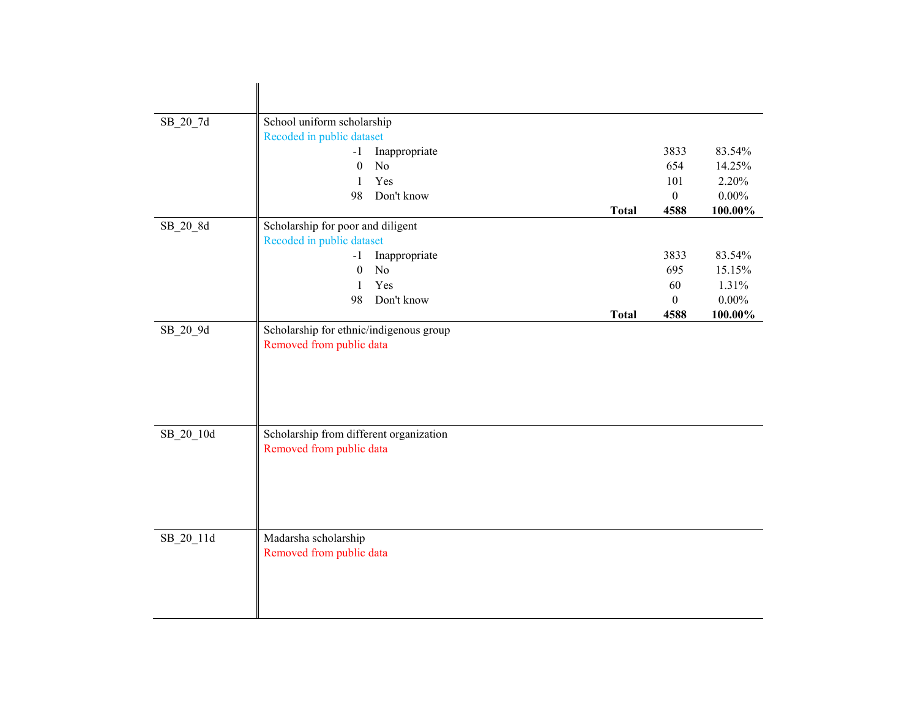| SB_20_7d   | School uniform scholarship              |                |              |                  |          |
|------------|-----------------------------------------|----------------|--------------|------------------|----------|
|            | Recoded in public dataset               |                |              |                  |          |
|            | $-1$                                    | Inappropriate  |              | 3833             | 83.54%   |
|            | $\mathbf{0}$                            | N <sub>o</sub> |              | 654              | 14.25%   |
|            | 1                                       | Yes            |              | 101              | 2.20%    |
|            | 98                                      | Don't know     |              | $\boldsymbol{0}$ | $0.00\%$ |
|            |                                         |                | <b>Total</b> | 4588             | 100.00%  |
| SB_20_8d   | Scholarship for poor and diligent       |                |              |                  |          |
|            | Recoded in public dataset               |                |              |                  |          |
|            | $-1$                                    | Inappropriate  |              | 3833             | 83.54%   |
|            | $\boldsymbol{0}$                        | N <sub>o</sub> |              | 695              | 15.15%   |
|            | $\mathbf{1}$                            | Yes            |              | 60               | 1.31%    |
|            | 98                                      | Don't know     |              | $\boldsymbol{0}$ | $0.00\%$ |
|            |                                         |                | <b>Total</b> | 4588             | 100.00%  |
| $SB_20_9d$ | Scholarship for ethnic/indigenous group |                |              |                  |          |
|            | Removed from public data                |                |              |                  |          |
|            |                                         |                |              |                  |          |
|            |                                         |                |              |                  |          |
|            |                                         |                |              |                  |          |
|            |                                         |                |              |                  |          |
|            |                                         |                |              |                  |          |
| SB_20_10d  | Scholarship from different organization |                |              |                  |          |
|            | Removed from public data                |                |              |                  |          |
|            |                                         |                |              |                  |          |
|            |                                         |                |              |                  |          |
|            |                                         |                |              |                  |          |
|            |                                         |                |              |                  |          |
|            |                                         |                |              |                  |          |
| SB_20_11d  | Madarsha scholarship                    |                |              |                  |          |
|            | Removed from public data                |                |              |                  |          |
|            |                                         |                |              |                  |          |
|            |                                         |                |              |                  |          |
|            |                                         |                |              |                  |          |
|            |                                         |                |              |                  |          |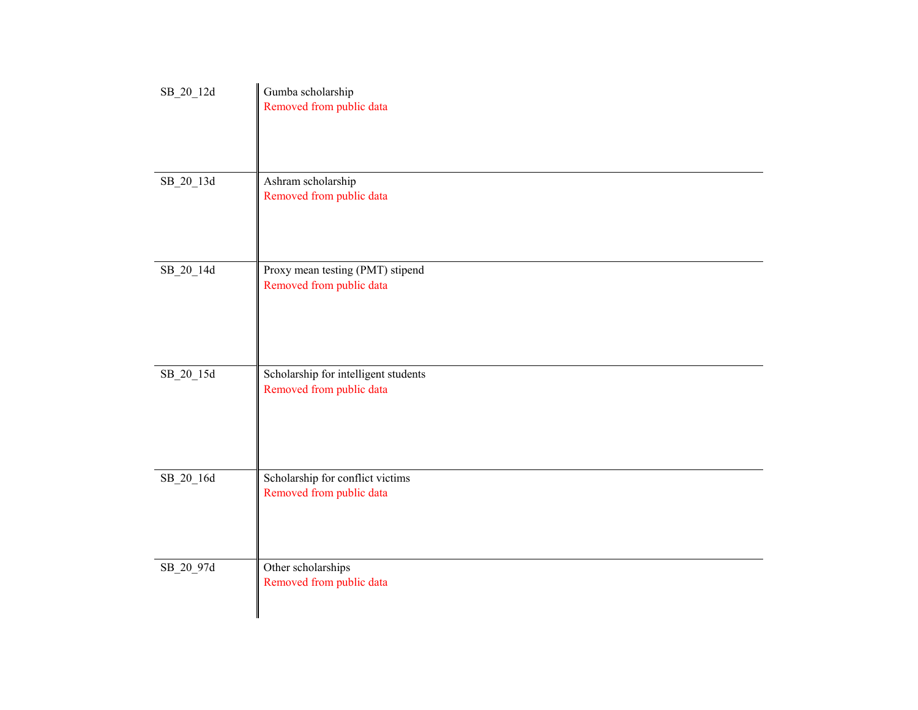| SB_20_12d         | Gumba scholarship<br>Removed from public data                    |
|-------------------|------------------------------------------------------------------|
| SB_20_13d         | Ashram scholarship<br>Removed from public data                   |
| SB_20_14d         | Proxy mean testing (PMT) stipend<br>Removed from public data     |
| $\rm SB\_20\_15d$ | Scholarship for intelligent students<br>Removed from public data |
| SB_20_16d         | Scholarship for conflict victims<br>Removed from public data     |
| SB_20_97d         | Other scholarships<br>Removed from public data                   |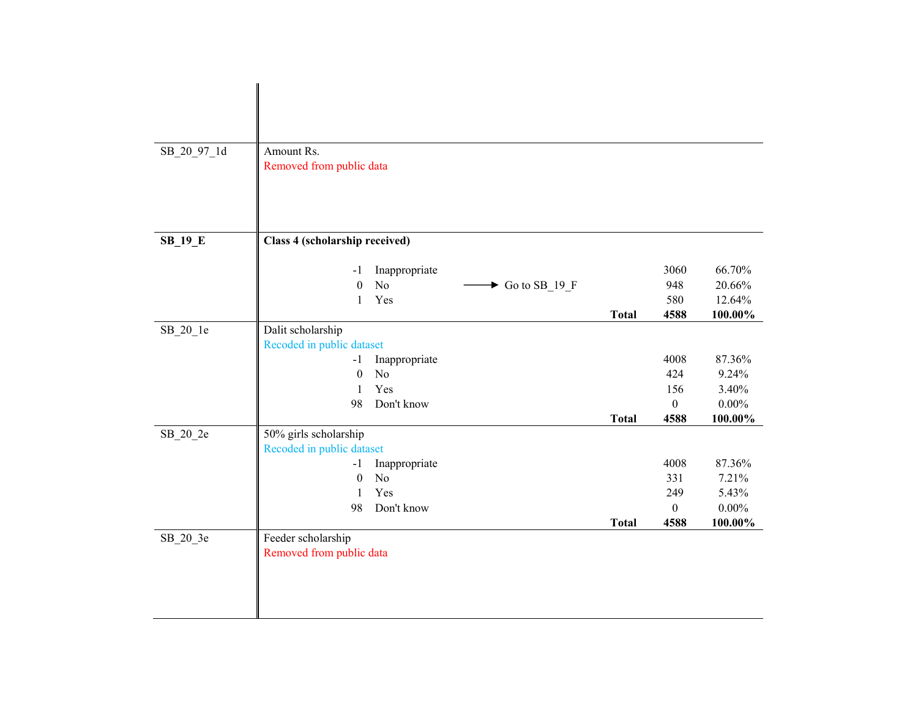| SB_20_97_1d    | Amount Rs.                                               |              |              |          |
|----------------|----------------------------------------------------------|--------------|--------------|----------|
|                | Removed from public data                                 |              |              |          |
|                |                                                          |              |              |          |
|                |                                                          |              |              |          |
|                |                                                          |              |              |          |
| <b>SB_19_E</b> | Class 4 (scholarship received)                           |              |              |          |
|                |                                                          |              |              |          |
|                | Inappropriate<br>-1                                      |              | 3060         | 66.70%   |
|                | No<br>$\boldsymbol{0}$<br>$\triangleright$ Go to SB_19_F |              | 948          | 20.66%   |
|                | Yes<br>1                                                 |              | 580          | 12.64%   |
|                |                                                          | <b>Total</b> | 4588         | 100.00%  |
| SB_20_1e       | Dalit scholarship                                        |              |              |          |
|                | Recoded in public dataset                                |              |              |          |
|                | Inappropriate<br>$-1$                                    |              | 4008         | 87.36%   |
|                | $\boldsymbol{0}$<br>N <sub>o</sub>                       |              | 424          | 9.24%    |
|                | Yes<br>$\mathbf{1}$                                      |              | 156          | 3.40%    |
|                | 98<br>Don't know                                         |              | $\mathbf{0}$ | $0.00\%$ |
|                |                                                          | <b>Total</b> | 4588         | 100.00%  |
| SB_20_2e       | 50% girls scholarship                                    |              |              |          |
|                | Recoded in public dataset                                |              |              |          |
|                | Inappropriate<br>$-1$                                    |              | 4008         | 87.36%   |
|                | N <sub>o</sub><br>$\boldsymbol{0}$                       |              | 331          | 7.21%    |
|                | Yes<br>1                                                 |              | 249          | 5.43%    |
|                | 98<br>Don't know                                         |              | $\mathbf{0}$ | $0.00\%$ |
|                |                                                          | <b>Total</b> | 4588         | 100.00%  |
| SB_20_3e       | Feeder scholarship                                       |              |              |          |
|                | Removed from public data                                 |              |              |          |
|                |                                                          |              |              |          |
|                |                                                          |              |              |          |
|                |                                                          |              |              |          |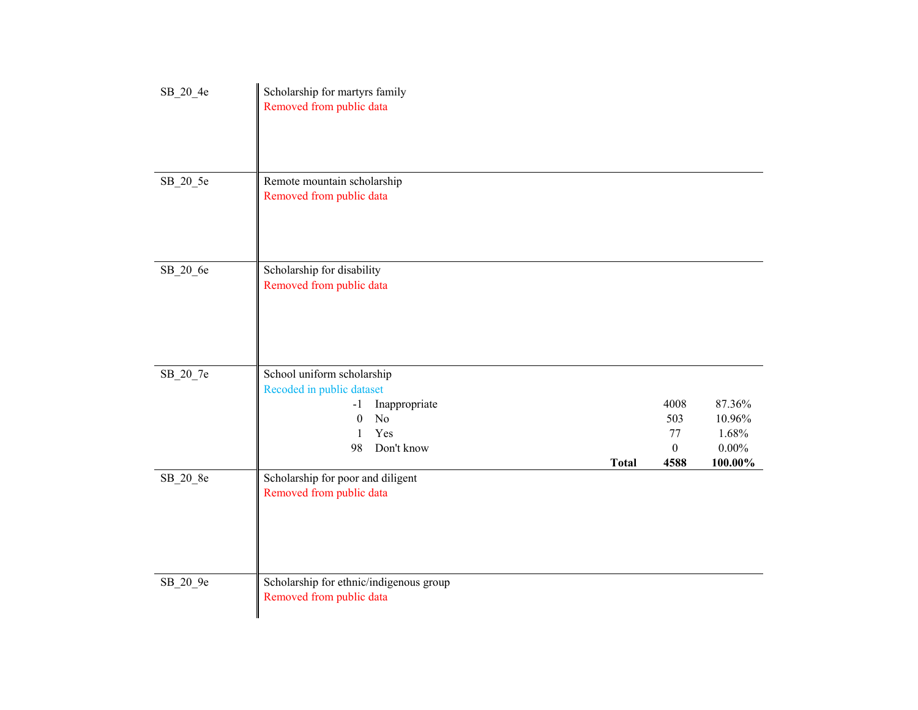| SB_20_4e | Scholarship for martyrs family<br>Removed from public data                                                                                                 |                                               |                                                  |
|----------|------------------------------------------------------------------------------------------------------------------------------------------------------------|-----------------------------------------------|--------------------------------------------------|
| SB_20_5e | Remote mountain scholarship<br>Removed from public data                                                                                                    |                                               |                                                  |
| SB_20_6e | Scholarship for disability<br>Removed from public data                                                                                                     |                                               |                                                  |
| SB_20_7e | School uniform scholarship<br>Recoded in public dataset<br>Inappropriate<br>$-1$<br>No<br>$\boldsymbol{0}$<br>Yes<br>1<br>98<br>Don't know<br><b>Total</b> | 4008<br>503<br>77<br>$\boldsymbol{0}$<br>4588 | 87.36%<br>10.96%<br>1.68%<br>$0.00\%$<br>100.00% |
| SB_20_8e | Scholarship for poor and diligent<br>Removed from public data                                                                                              |                                               |                                                  |
| SB_20_9e | Scholarship for ethnic/indigenous group<br>Removed from public data                                                                                        |                                               |                                                  |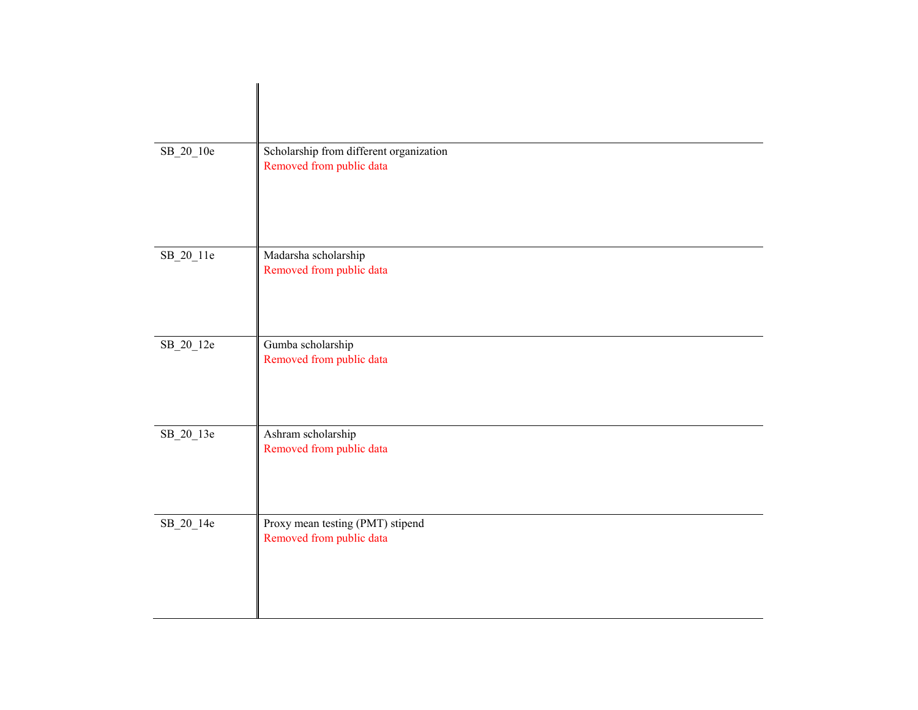| $SB_20_10e$ | Scholarship from different organization<br>Removed from public data |
|-------------|---------------------------------------------------------------------|
| $SB_20_11e$ | Madarsha scholarship<br>Removed from public data                    |
| SB_20_12e   | Gumba scholarship<br>Removed from public data                       |
| SB_20_13e   | Ashram scholarship<br>Removed from public data                      |
| SB_20_14e   | Proxy mean testing (PMT) stipend<br>Removed from public data        |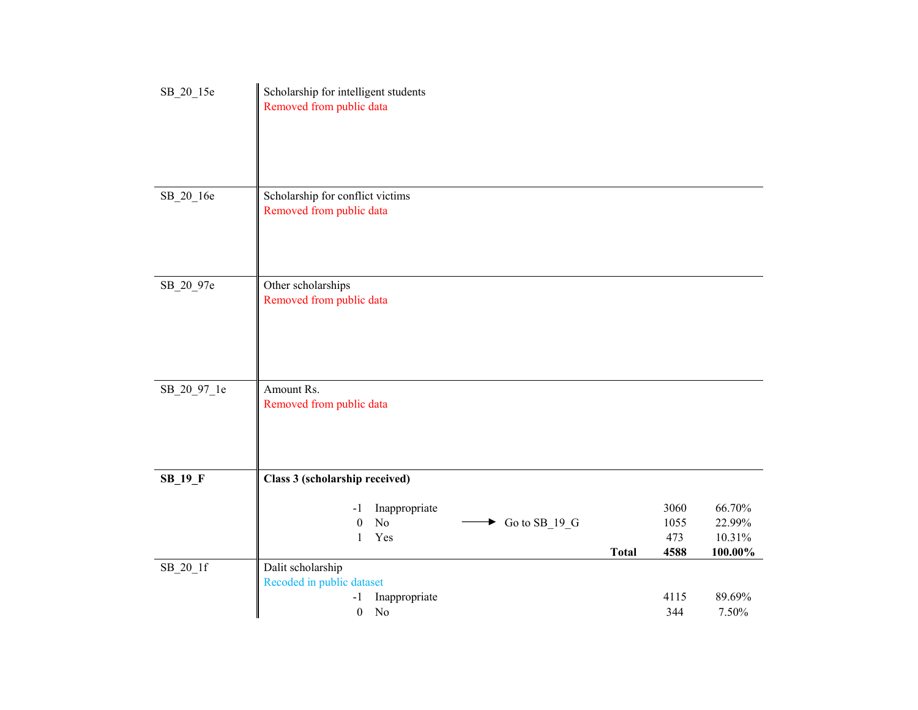| SB_20_15e   | Scholarship for intelligent students<br>Removed from public data                                                                                               |  |
|-------------|----------------------------------------------------------------------------------------------------------------------------------------------------------------|--|
| SB_20_16e   | Scholarship for conflict victims<br>Removed from public data                                                                                                   |  |
| SB_20_97e   | Other scholarships<br>Removed from public data                                                                                                                 |  |
| SB_20_97_1e | Amount Rs.<br>Removed from public data                                                                                                                         |  |
| $SB_19_F$   | Class 3 (scholarship received)<br>66.70%<br>3060<br>Inappropriate<br>$-1$                                                                                      |  |
|             | $\rm No$<br>$\triangleright$ Go to SB_19_G<br>22.99%<br>$\boldsymbol{0}$<br>1055<br>Yes<br>473<br>10.31%<br>$\mathbf{1}$<br>4588<br>$100.00\%$<br><b>Total</b> |  |
| $SB_20_1f$  | Dalit scholarship<br>Recoded in public dataset<br>89.69%<br>Inappropriate<br>4115<br>-1<br>N <sub>o</sub><br>344<br>7.50%<br>$\boldsymbol{0}$                  |  |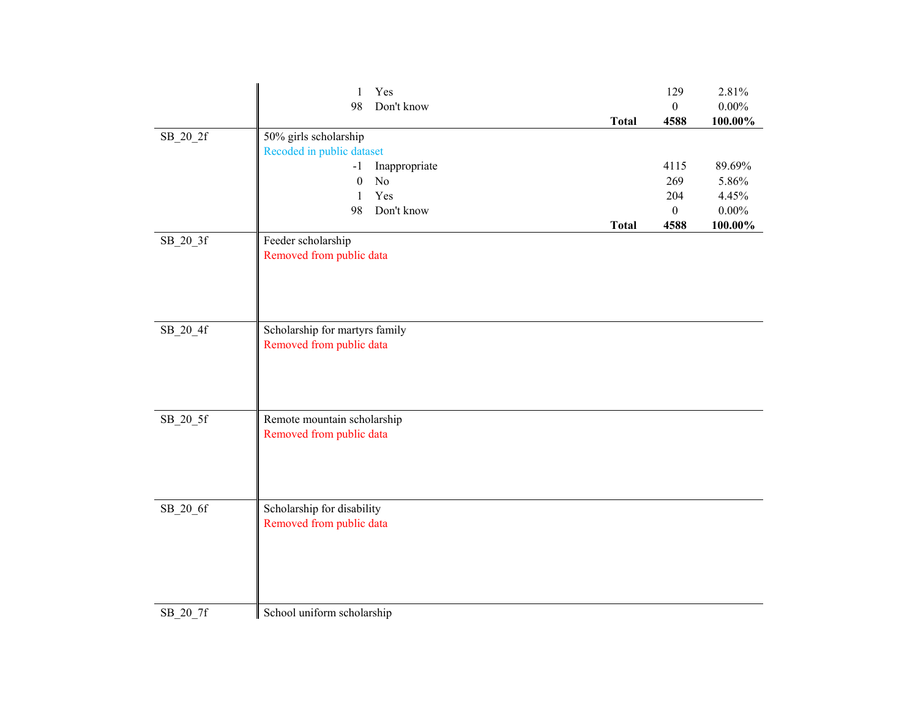|            | Yes<br>$\mathbf{1}$                                     |              | 129              | 2.81%    |
|------------|---------------------------------------------------------|--------------|------------------|----------|
|            | 98<br>Don't know                                        |              | $\boldsymbol{0}$ | $0.00\%$ |
|            |                                                         | <b>Total</b> | 4588             | 100.00%  |
| SB_20_2f   | 50% girls scholarship                                   |              |                  |          |
|            | Recoded in public dataset<br>Inappropriate<br>$-1$      |              | 4115             | 89.69%   |
|            | $\boldsymbol{0}$<br>No                                  |              | 269              | 5.86%    |
|            | Yes<br>1                                                |              | 204              | 4.45%    |
|            | 98<br>Don't know                                        |              | $\boldsymbol{0}$ | $0.00\%$ |
|            |                                                         | <b>Total</b> | 4588             | 100.00%  |
| SB_20_3f   | Feeder scholarship                                      |              |                  |          |
|            | Removed from public data                                |              |                  |          |
|            |                                                         |              |                  |          |
|            |                                                         |              |                  |          |
|            |                                                         |              |                  |          |
|            |                                                         |              |                  |          |
| $SB_20_4f$ | Scholarship for martyrs family                          |              |                  |          |
|            | Removed from public data                                |              |                  |          |
|            |                                                         |              |                  |          |
|            |                                                         |              |                  |          |
|            |                                                         |              |                  |          |
|            |                                                         |              |                  |          |
| SB_20_5f   | Remote mountain scholarship<br>Removed from public data |              |                  |          |
|            |                                                         |              |                  |          |
|            |                                                         |              |                  |          |
|            |                                                         |              |                  |          |
|            |                                                         |              |                  |          |
| SB_20_6f   | Scholarship for disability                              |              |                  |          |
|            | Removed from public data                                |              |                  |          |
|            |                                                         |              |                  |          |
|            |                                                         |              |                  |          |
|            |                                                         |              |                  |          |
|            |                                                         |              |                  |          |
|            |                                                         |              |                  |          |
| $SB_20_7f$ | School uniform scholarship                              |              |                  |          |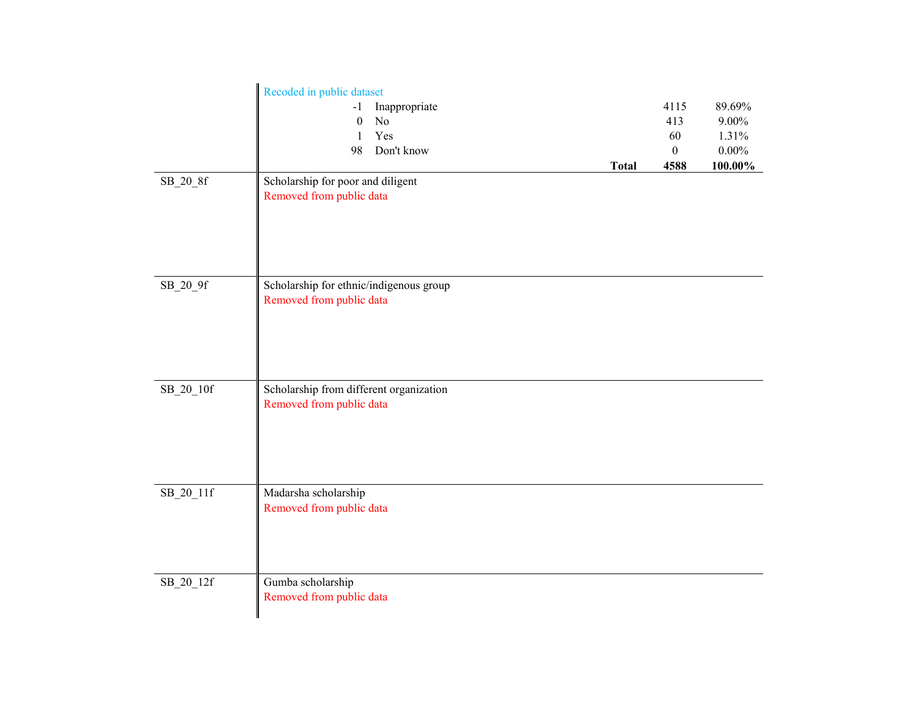|             | Recoded in public dataset               |              |          |
|-------------|-----------------------------------------|--------------|----------|
|             | Inappropriate<br>-1                     | 4115         | 89.69%   |
|             | No<br>$\theta$                          | 413          | 9.00%    |
|             | Yes<br>1                                | 60           | 1.31%    |
|             | Don't know<br>98                        | $\mathbf{0}$ | $0.00\%$ |
|             | <b>Total</b>                            | 4588         | 100.00%  |
| $SB_20_8f$  | Scholarship for poor and diligent       |              |          |
|             | Removed from public data                |              |          |
|             |                                         |              |          |
|             |                                         |              |          |
|             |                                         |              |          |
|             |                                         |              |          |
|             |                                         |              |          |
| SB_20_9f    | Scholarship for ethnic/indigenous group |              |          |
|             | Removed from public data                |              |          |
|             |                                         |              |          |
|             |                                         |              |          |
|             |                                         |              |          |
|             |                                         |              |          |
|             |                                         |              |          |
| $SB_20_10f$ | Scholarship from different organization |              |          |
|             | Removed from public data                |              |          |
|             |                                         |              |          |
|             |                                         |              |          |
|             |                                         |              |          |
|             |                                         |              |          |
| $SB_20_11f$ | Madarsha scholarship                    |              |          |
|             | Removed from public data                |              |          |
|             |                                         |              |          |
|             |                                         |              |          |
|             |                                         |              |          |
|             |                                         |              |          |
| SB_20_12f   | Gumba scholarship                       |              |          |
|             | Removed from public data                |              |          |
|             |                                         |              |          |
|             |                                         |              |          |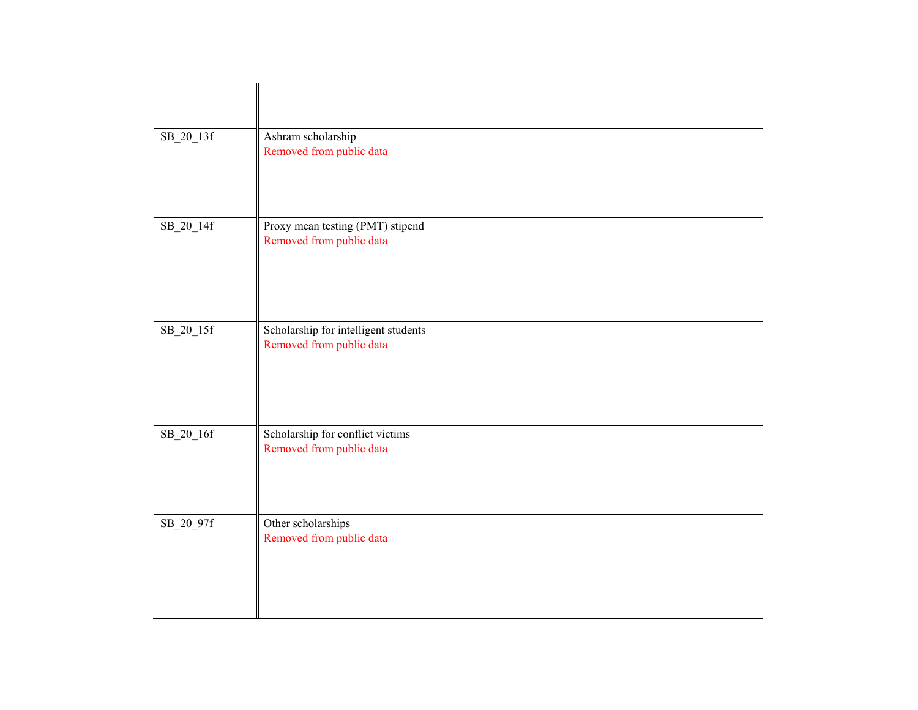| $SB_20_13f$ | Ashram scholarship<br>Removed from public data                   |
|-------------|------------------------------------------------------------------|
| SB_20_14f   | Proxy mean testing (PMT) stipend<br>Removed from public data     |
| $SB_20_15f$ | Scholarship for intelligent students<br>Removed from public data |
| SB_20_16f   | Scholarship for conflict victims<br>Removed from public data     |
| SB_20_97f   | Other scholarships<br>Removed from public data                   |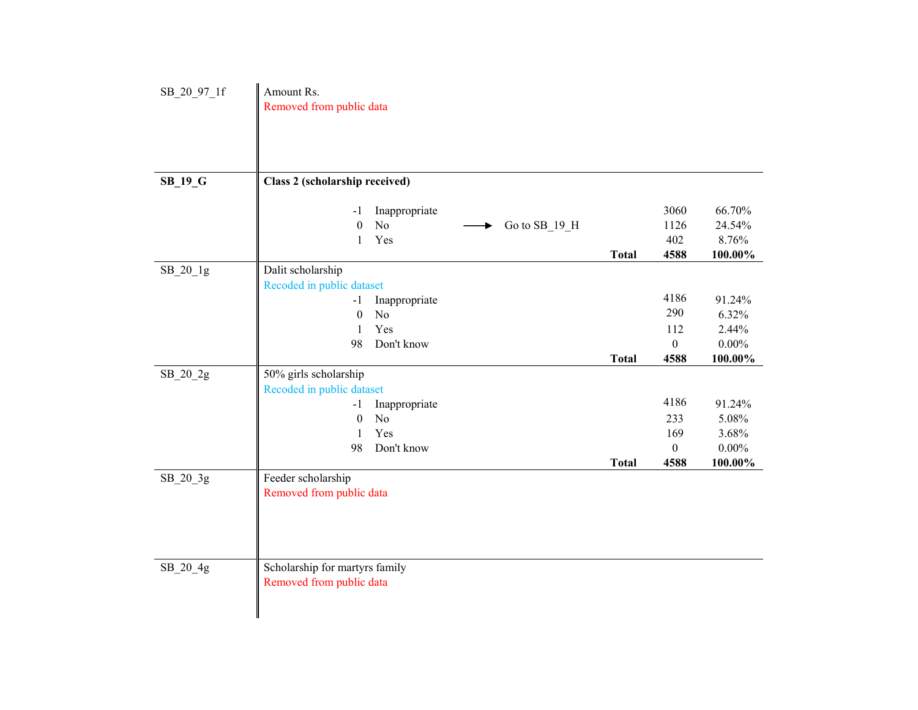| SB 20 97 1f    | Amount Rs.<br>Removed from public data                                                                                                       |              |                                                |                                                 |
|----------------|----------------------------------------------------------------------------------------------------------------------------------------------|--------------|------------------------------------------------|-------------------------------------------------|
| <b>SB_19_G</b> | Class 2 (scholarship received)                                                                                                               |              |                                                |                                                 |
|                | Inappropriate<br>$-1$<br>$\boldsymbol{0}$<br>$\rm No$<br>Go to SB_19_H<br>Yes<br>$\mathbf{1}$                                                | <b>Total</b> | 3060<br>1126<br>402<br>4588                    | 66.70%<br>24.54%<br>8.76%<br>100.00%            |
| $SB_20_1g$     | Dalit scholarship<br>Recoded in public dataset<br>Inappropriate<br>$-1$<br>No<br>$\boldsymbol{0}$<br>Yes<br>$\mathbf{1}$<br>98<br>Don't know |              | 4186<br>290<br>112<br>$\boldsymbol{0}$         | 91.24%<br>6.32%<br>2.44%<br>$0.00\%$            |
|                |                                                                                                                                              | <b>Total</b> | 4588                                           | 100.00%                                         |
| SB_20_2g       | 50% girls scholarship<br>Recoded in public dataset<br>Inappropriate<br>$-1$<br>No<br>$\boldsymbol{0}$<br>Yes<br>1<br>98<br>Don't know        | <b>Total</b> | 4186<br>233<br>169<br>$\boldsymbol{0}$<br>4588 | 91.24%<br>5.08%<br>3.68%<br>$0.00\%$<br>100.00% |
| SB_20_3g       | Feeder scholarship<br>Removed from public data                                                                                               |              |                                                |                                                 |
| SB_20_4g       | Scholarship for martyrs family<br>Removed from public data                                                                                   |              |                                                |                                                 |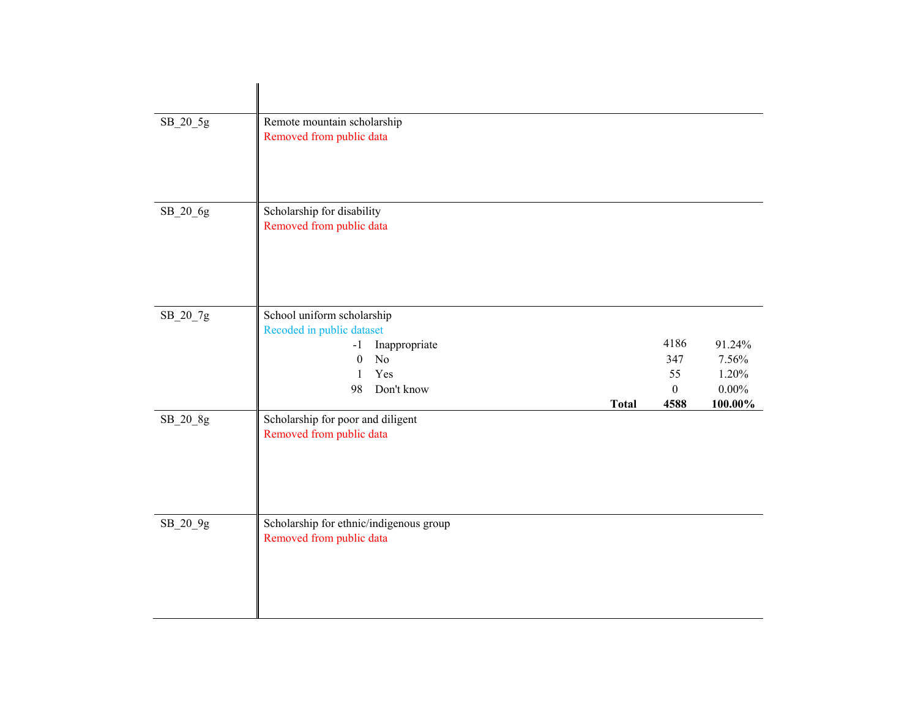| SB_20_5g | Remote mountain scholarship<br>Removed from public data                                                                                                                           |                                           |                                                    |
|----------|-----------------------------------------------------------------------------------------------------------------------------------------------------------------------------------|-------------------------------------------|----------------------------------------------------|
| SB_20_6g | Scholarship for disability<br>Removed from public data                                                                                                                            |                                           |                                                    |
| SB_20_7g | School uniform scholarship<br>Recoded in public dataset<br>Inappropriate<br>$-1$<br>$\boldsymbol{0}$<br>N <sub>o</sub><br>Yes<br>$\mathbf{1}$<br>Don't know<br>98<br><b>Total</b> | 4186<br>347<br>55<br>$\mathbf{0}$<br>4588 | 91.24%<br>7.56%<br>1.20%<br>$0.00\%$<br>$100.00\%$ |
| SB_20_8g | Scholarship for poor and diligent<br>Removed from public data                                                                                                                     |                                           |                                                    |
| SB_20_9g | Scholarship for ethnic/indigenous group<br>Removed from public data                                                                                                               |                                           |                                                    |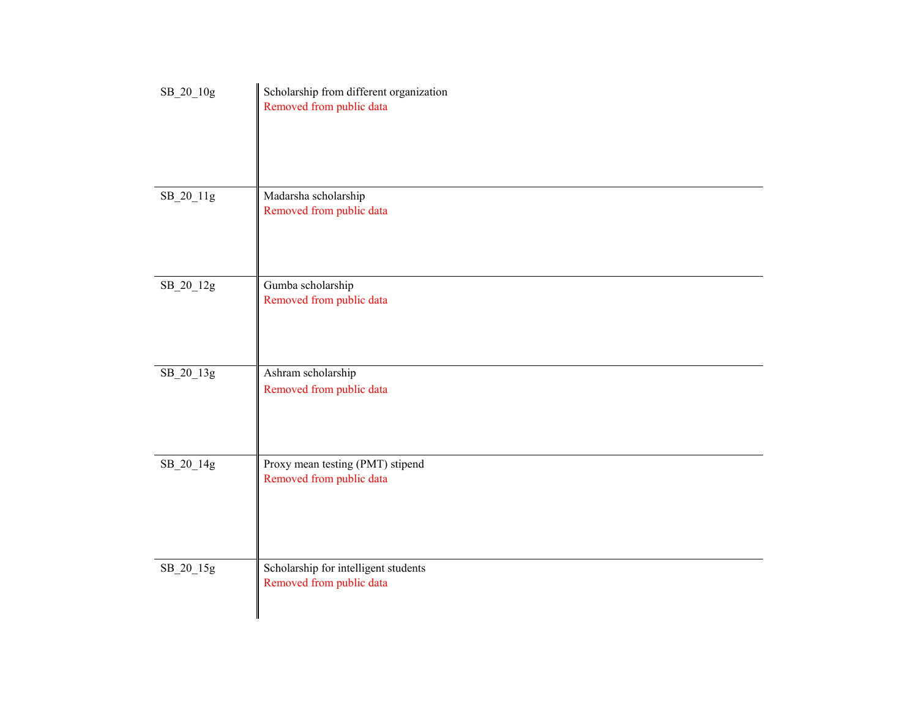| $\rm SB\_20\_10g$ | Scholarship from different organization<br>Removed from public data |
|-------------------|---------------------------------------------------------------------|
| SB_20_11g         | Madarsha scholarship<br>Removed from public data                    |
| SB_20_12g         | Gumba scholarship<br>Removed from public data                       |
| SB_20_13g         | Ashram scholarship<br>Removed from public data                      |
| SB_20_14g         | Proxy mean testing (PMT) stipend<br>Removed from public data        |
| SB_20_15g         | Scholarship for intelligent students<br>Removed from public data    |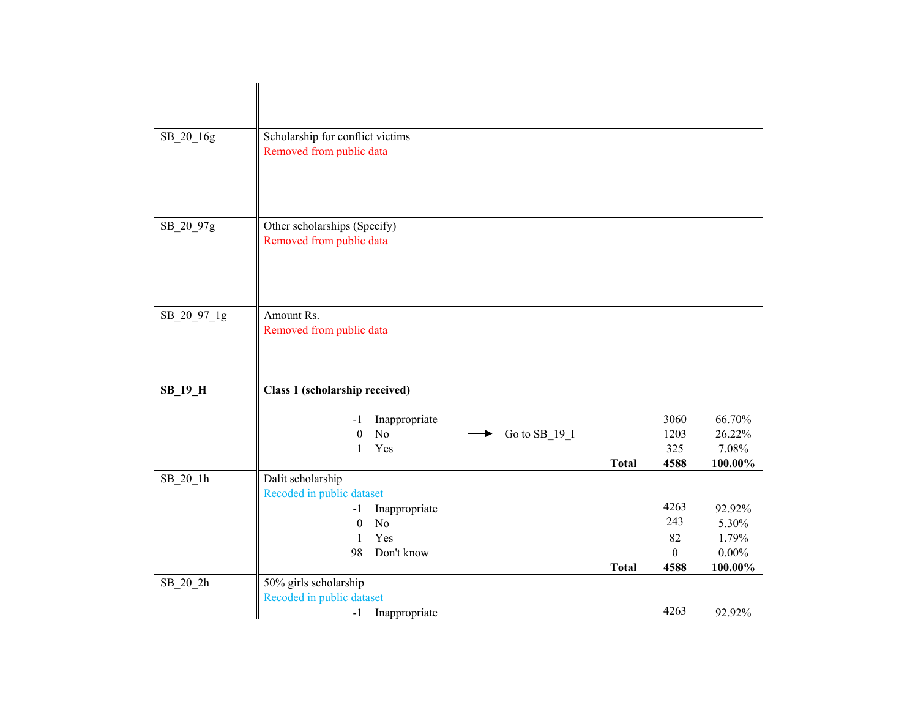| SB_20_16g   | Scholarship for conflict victims<br>Removed from public data                            |              |                             |                                      |
|-------------|-----------------------------------------------------------------------------------------|--------------|-----------------------------|--------------------------------------|
| SB_20_97g   | Other scholarships (Specify)<br>Removed from public data                                |              |                             |                                      |
| SB_20_97_1g | Amount Rs.<br>Removed from public data                                                  |              |                             |                                      |
| $SB_19_H$   | Class 1 (scholarship received)                                                          |              |                             |                                      |
|             | Inappropriate<br>$-1$<br>No<br>$\boldsymbol{0}$<br>Go to SB_19_I<br>Yes<br>$\mathbf{1}$ | <b>Total</b> | 3060<br>1203<br>325<br>4588 | 66.70%<br>26.22%<br>7.08%<br>100.00% |
| $SB_20_1h$  | Dalit scholarship<br>Recoded in public dataset                                          |              | 4263                        | 92.92%                               |
|             | Inappropriate<br>$-1$<br>N <sub>o</sub><br>$\theta$<br>Yes<br>1<br>98<br>Don't know     |              | 243<br>82<br>$\theta$       | 5.30%<br>1.79%<br>$0.00\%$           |
| $SB_20_2h$  | 50% girls scholarship<br>Recoded in public dataset                                      | <b>Total</b> | 4588                        | 100.00%                              |
|             | Inappropriate<br>$-1$                                                                   |              | 4263                        | 92.92%                               |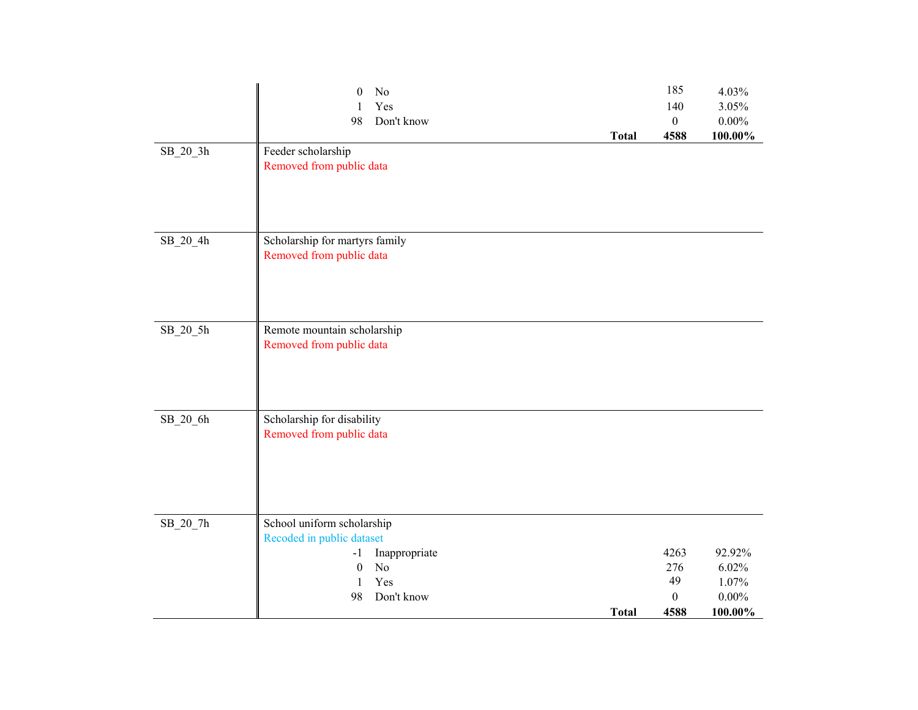|            | $\boldsymbol{0}$<br>No<br>Yes<br>Don't know<br>98                                                                      | <b>Total</b> | 185<br>140<br>$\boldsymbol{0}$<br>4588 | 4.03%<br>3.05%<br>$0.00\%$<br>$100.00\%$ |
|------------|------------------------------------------------------------------------------------------------------------------------|--------------|----------------------------------------|------------------------------------------|
| $SB_20_3h$ | Feeder scholarship<br>Removed from public data                                                                         |              |                                        |                                          |
| SB_20_4h   | Scholarship for martyrs family<br>Removed from public data                                                             |              |                                        |                                          |
| $SB_20_5h$ | Remote mountain scholarship<br>Removed from public data                                                                |              |                                        |                                          |
| SB_20_6h   | Scholarship for disability<br>Removed from public data                                                                 |              |                                        |                                          |
| SB_20_7h   | School uniform scholarship<br>Recoded in public dataset<br>Inappropriate<br>$-1$<br>No<br>$\boldsymbol{0}$<br>Yes<br>1 |              | 4263<br>276<br>49                      | 92.92%<br>6.02%<br>1.07%                 |
|            | Don't know<br>98                                                                                                       | <b>Total</b> | $\boldsymbol{0}$<br>4588               | $0.00\%$<br>100.00%                      |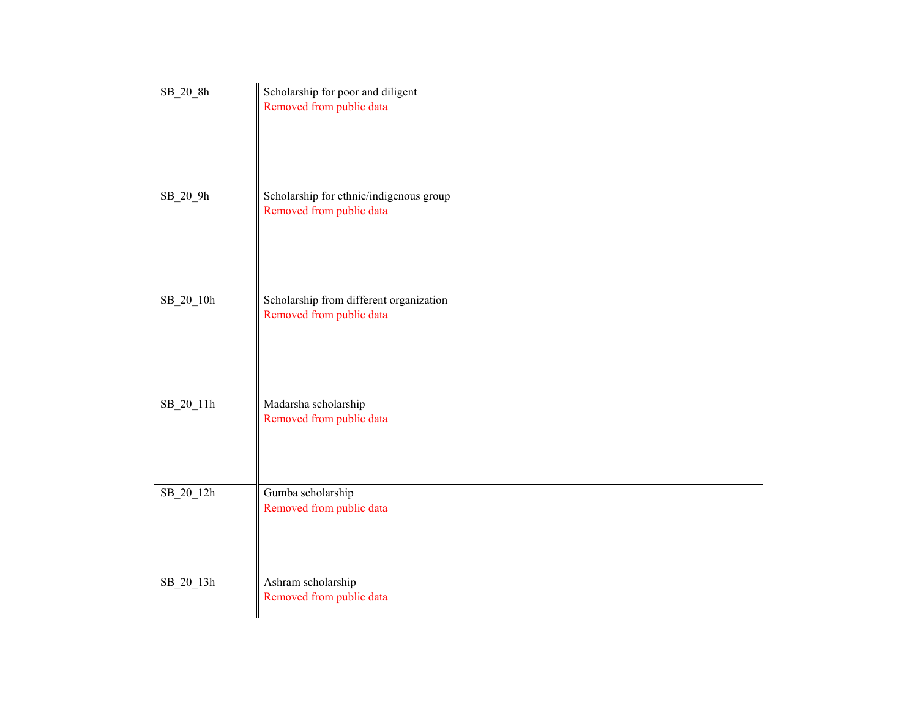| $SB_20_8h$        | Scholarship for poor and diligent<br>Removed from public data       |
|-------------------|---------------------------------------------------------------------|
| $SB_20_9h$        | Scholarship for ethnic/indigenous group<br>Removed from public data |
| $\rm SB\_20\_10h$ | Scholarship from different organization<br>Removed from public data |
| SB_20_11h         | Madarsha scholarship<br>Removed from public data                    |
| $SB_20_12h$       | Gumba scholarship<br>Removed from public data                       |
| $\rm SB\_20\_13h$ | Ashram scholarship<br>Removed from public data                      |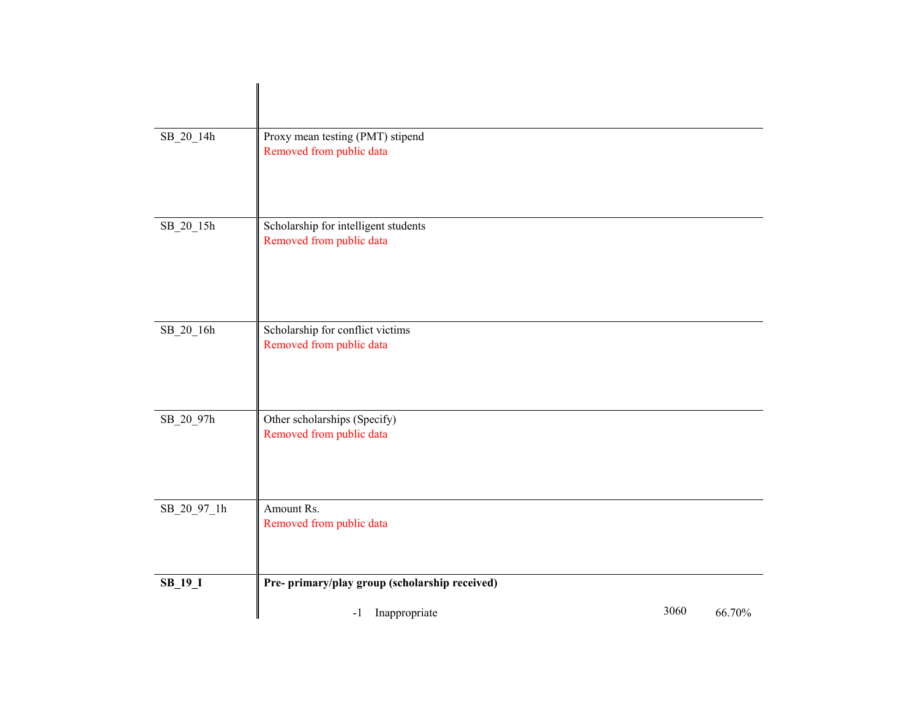| SB_20_14h   | Proxy mean testing (PMT) stipend<br>Removed from public data     |      |        |
|-------------|------------------------------------------------------------------|------|--------|
| SB_20_15h   | Scholarship for intelligent students<br>Removed from public data |      |        |
| SB_20_16h   | Scholarship for conflict victims<br>Removed from public data     |      |        |
| SB_20_97h   | Other scholarships (Specify)<br>Removed from public data         |      |        |
| SB_20_97_1h | Amount Rs.<br>Removed from public data                           |      |        |
| $SB_19_1$   | Pre- primary/play group (scholarship received)                   |      |        |
|             | Inappropriate<br>$-1$                                            | 3060 | 66.70% |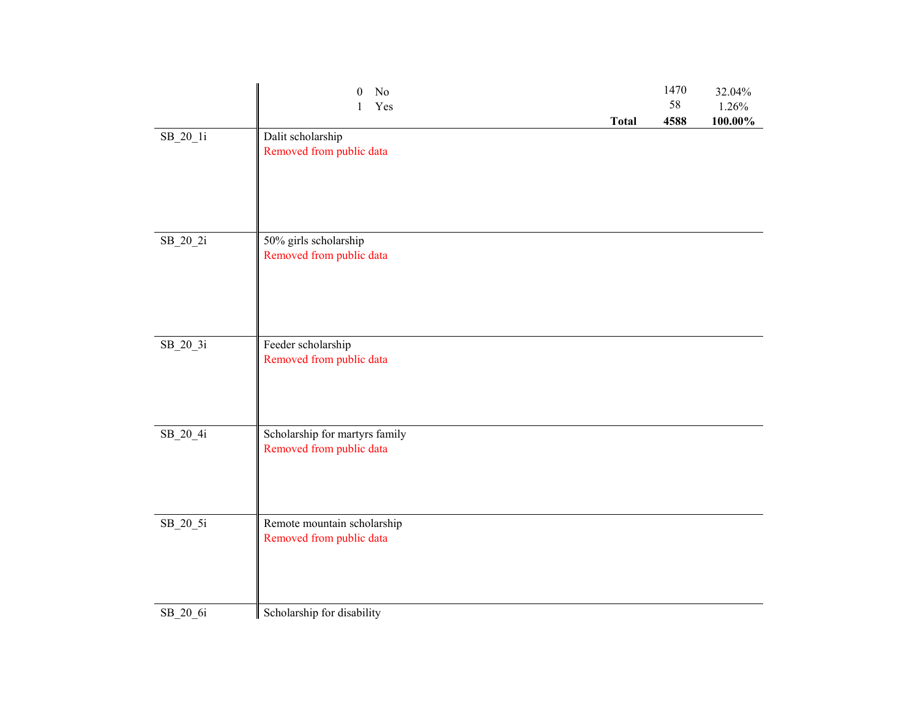|            | No<br>$\theta$<br>Yes<br>1                                 | <b>Total</b> | 1470<br>58<br>4588 | 32.04%<br>1.26%<br>100.00% |
|------------|------------------------------------------------------------|--------------|--------------------|----------------------------|
| $SB_20_1i$ | Dalit scholarship<br>Removed from public data              |              |                    |                            |
| $SB_20_2i$ | 50% girls scholarship<br>Removed from public data          |              |                    |                            |
| $SB_20_3i$ | Feeder scholarship<br>Removed from public data             |              |                    |                            |
| $SB_20_4i$ | Scholarship for martyrs family<br>Removed from public data |              |                    |                            |
| $SB_20_5i$ | Remote mountain scholarship<br>Removed from public data    |              |                    |                            |
| SB 20 6i   | Scholarship for disability                                 |              |                    |                            |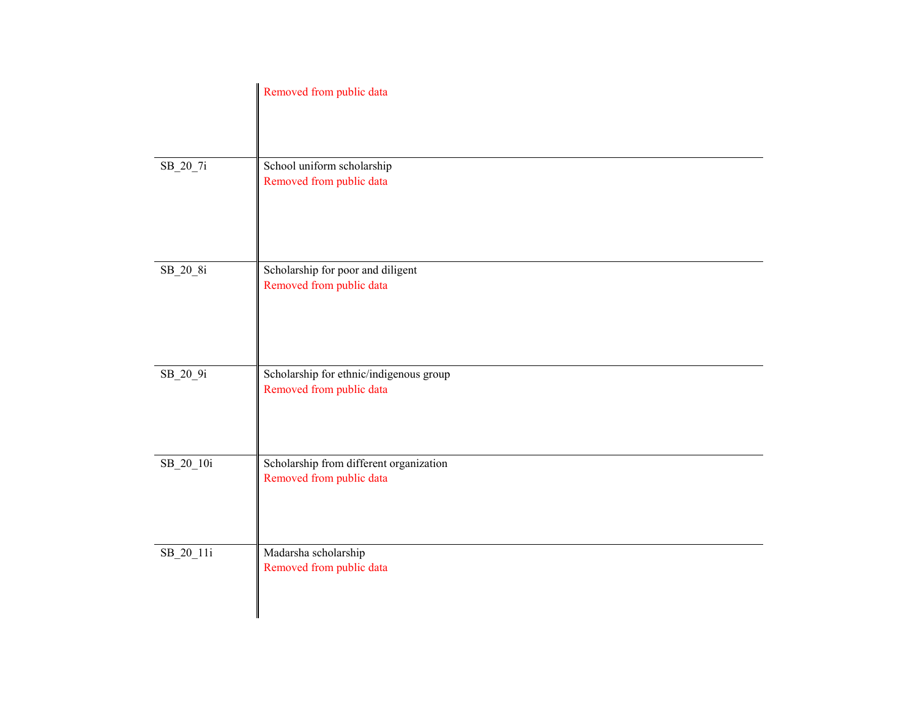|             | Removed from public data                                            |
|-------------|---------------------------------------------------------------------|
| $SB_20_7i$  | School uniform scholarship<br>Removed from public data              |
| $SB_20_8i$  | Scholarship for poor and diligent<br>Removed from public data       |
| $SB_20_9i$  | Scholarship for ethnic/indigenous group<br>Removed from public data |
| $SB_20_10i$ | Scholarship from different organization<br>Removed from public data |
| $SB_20_11i$ | Madarsha scholarship<br>Removed from public data                    |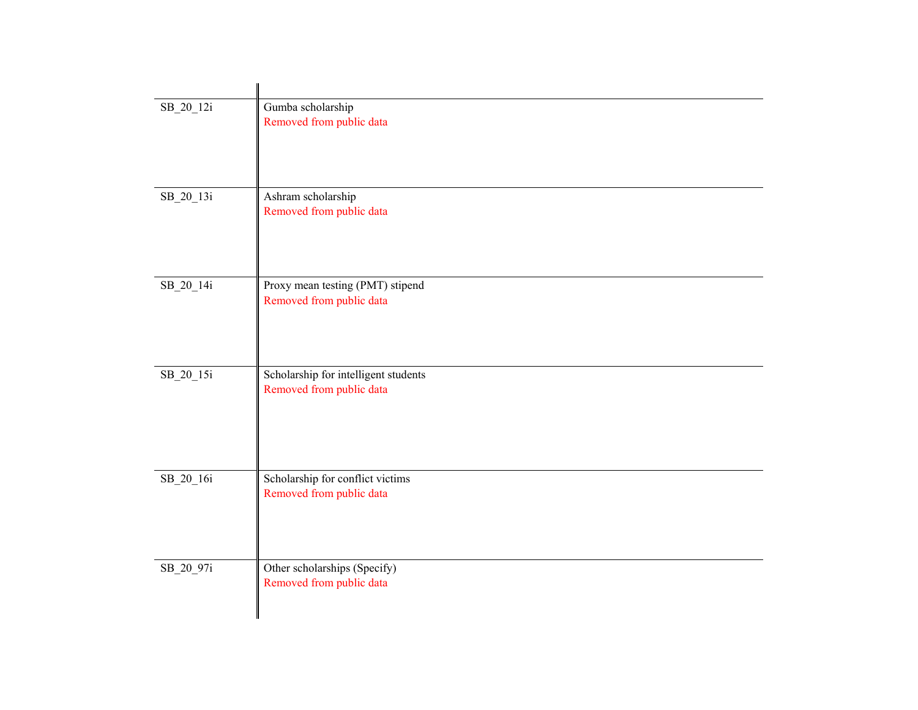| SB_20_12i | Gumba scholarship<br>Removed from public data                    |
|-----------|------------------------------------------------------------------|
| SB_20_13i | Ashram scholarship<br>Removed from public data                   |
| SB_20_14i | Proxy mean testing (PMT) stipend<br>Removed from public data     |
| SB_20_15i | Scholarship for intelligent students<br>Removed from public data |
| SB_20_16i | Scholarship for conflict victims<br>Removed from public data     |
| SB_20_97i | Other scholarships (Specify)<br>Removed from public data         |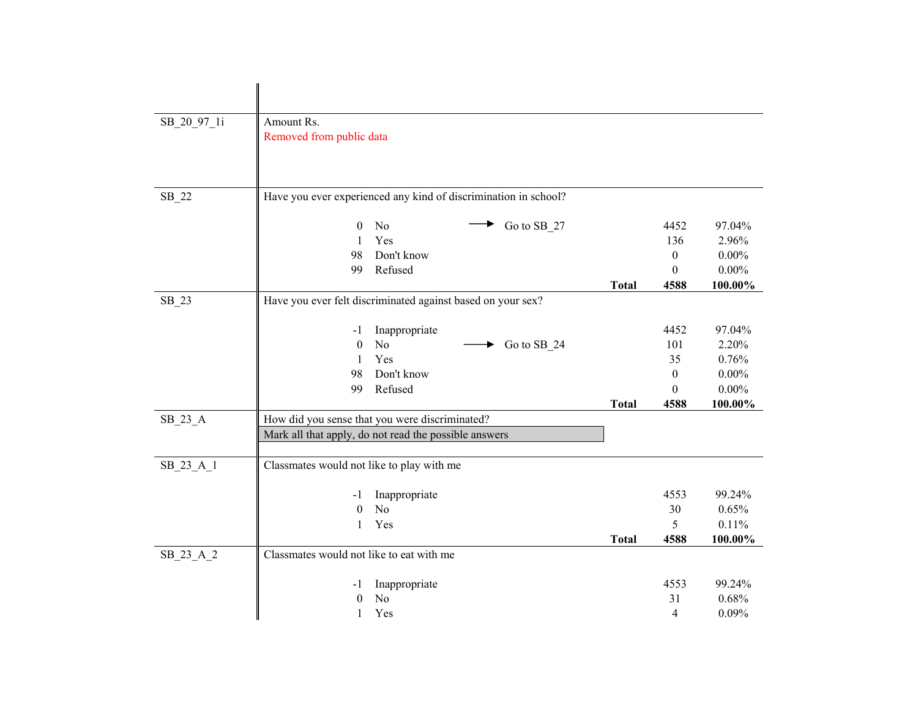| SB_20_97_1i | Amount Rs.                                                      |              |                  |          |
|-------------|-----------------------------------------------------------------|--------------|------------------|----------|
|             | Removed from public data                                        |              |                  |          |
|             |                                                                 |              |                  |          |
|             |                                                                 |              |                  |          |
|             |                                                                 |              |                  |          |
| $SB_22$     | Have you ever experienced any kind of discrimination in school? |              |                  |          |
|             | Go to SB_27<br>N <sub>o</sub><br>$\mathbf{0}$                   |              | 4452             | 97.04%   |
|             | Yes<br>$\mathbf{1}$                                             |              | 136              | 2.96%    |
|             | 98<br>Don't know                                                |              | $\boldsymbol{0}$ | $0.00\%$ |
|             | Refused<br>99                                                   |              | $\Omega$         | $0.00\%$ |
|             |                                                                 | <b>Total</b> | 4588             | 100.00%  |
| $SB_23$     | Have you ever felt discriminated against based on your sex?     |              |                  |          |
|             | Inappropriate<br>-1                                             |              | 4452             | 97.04%   |
|             | N <sub>o</sub><br>$\theta$<br>Go to SB_24                       |              | 101              | 2.20%    |
|             | Yes<br>$\mathbf{1}$                                             |              | 35               | 0.76%    |
|             | 98<br>Don't know                                                |              | $\boldsymbol{0}$ | $0.00\%$ |
|             | Refused<br>99                                                   |              | $\theta$         | $0.00\%$ |
|             |                                                                 | <b>Total</b> | 4588             | 100.00%  |
| $SB_23_A$   | How did you sense that you were discriminated?                  |              |                  |          |
|             | Mark all that apply, do not read the possible answers           |              |                  |          |
|             |                                                                 |              |                  |          |
| SB_23_A_1   | Classmates would not like to play with me                       |              |                  |          |
|             | Inappropriate<br>$-1$                                           |              | 4553             | 99.24%   |
|             | $\boldsymbol{0}$<br>No                                          |              | 30               | 0.65%    |
|             | Yes<br>1                                                        |              | 5                | 0.11%    |
|             |                                                                 | <b>Total</b> | 4588             | 100.00%  |
| SB_23_A_2   | Classmates would not like to eat with me                        |              |                  |          |
|             | Inappropriate<br>-1                                             |              | 4553             | 99.24%   |
|             | N <sub>o</sub><br>$\theta$                                      |              | 31               | 0.68%    |
|             | $\mathbf{1}$<br>Yes                                             |              | 4                | 0.09%    |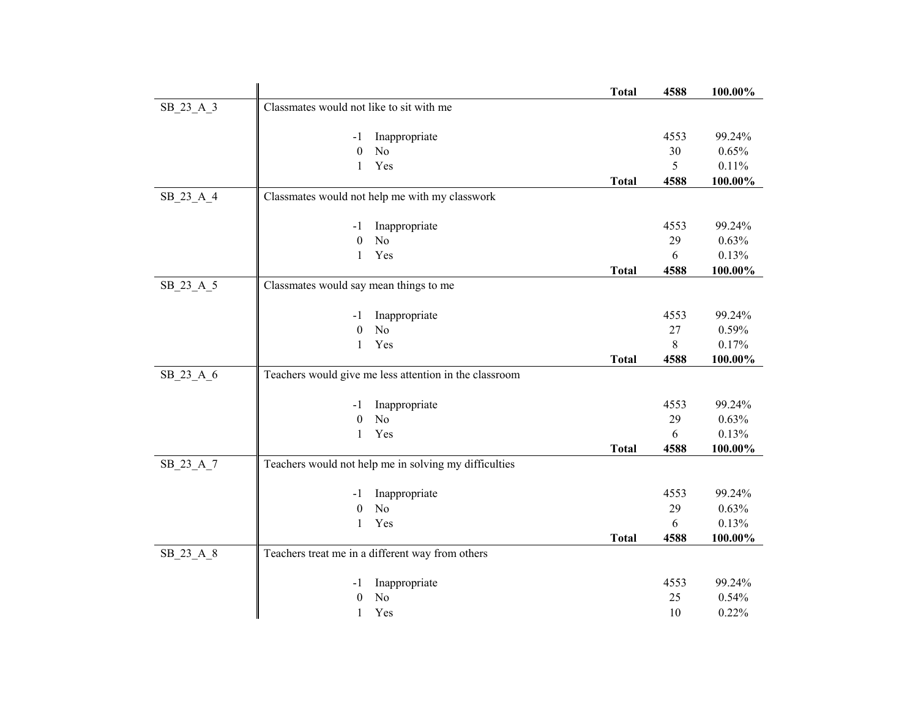|             |                                                        | <b>Total</b> | 4588 | 100.00% |
|-------------|--------------------------------------------------------|--------------|------|---------|
| SB_23_A_3   | Classmates would not like to sit with me               |              |      |         |
|             | Inappropriate<br>-1                                    |              | 4553 | 99.24%  |
|             | $\boldsymbol{0}$<br>N <sub>o</sub>                     |              | 30   | 0.65%   |
|             | Yes<br>1                                               |              | 5    | 0.11%   |
|             |                                                        | <b>Total</b> | 4588 | 100.00% |
| SB 23 A 4   | Classmates would not help me with my classwork         |              |      |         |
|             | Inappropriate<br>$-1$                                  |              | 4553 | 99.24%  |
|             | No<br>$\boldsymbol{0}$                                 |              | 29   | 0.63%   |
|             | Yes<br>1                                               |              | 6    | 0.13%   |
|             |                                                        | <b>Total</b> | 4588 | 100.00% |
| $SB_23_A_5$ | Classmates would say mean things to me                 |              |      |         |
|             | Inappropriate<br>$-1$                                  |              | 4553 | 99.24%  |
|             | No<br>$\mathbf{0}$                                     |              | 27   | 0.59%   |
|             | Yes<br>$\mathbf{1}$                                    |              | 8    | 0.17%   |
|             |                                                        | <b>Total</b> | 4588 | 100.00% |
| SB_23_A_6   | Teachers would give me less attention in the classroom |              |      |         |
|             | Inappropriate<br>-1                                    |              | 4553 | 99.24%  |
|             | No<br>$\boldsymbol{0}$                                 |              | 29   | 0.63%   |
|             | Yes<br>1                                               |              | 6    | 0.13%   |
|             |                                                        | <b>Total</b> | 4588 | 100.00% |
| SB_23_A_7   | Teachers would not help me in solving my difficulties  |              |      |         |
|             | Inappropriate<br>-1                                    |              | 4553 | 99.24%  |
|             | N <sub>o</sub><br>$\boldsymbol{0}$                     |              | 29   | 0.63%   |
|             | Yes<br>1                                               |              | 6    | 0.13%   |
|             |                                                        | <b>Total</b> | 4588 | 100.00% |
| SB_23_A_8   | Teachers treat me in a different way from others       |              |      |         |
|             | Inappropriate<br>-1                                    |              | 4553 | 99.24%  |
|             | No<br>$\theta$                                         |              | 25   | 0.54%   |
|             | 1<br>Yes                                               |              | 10   | 0.22%   |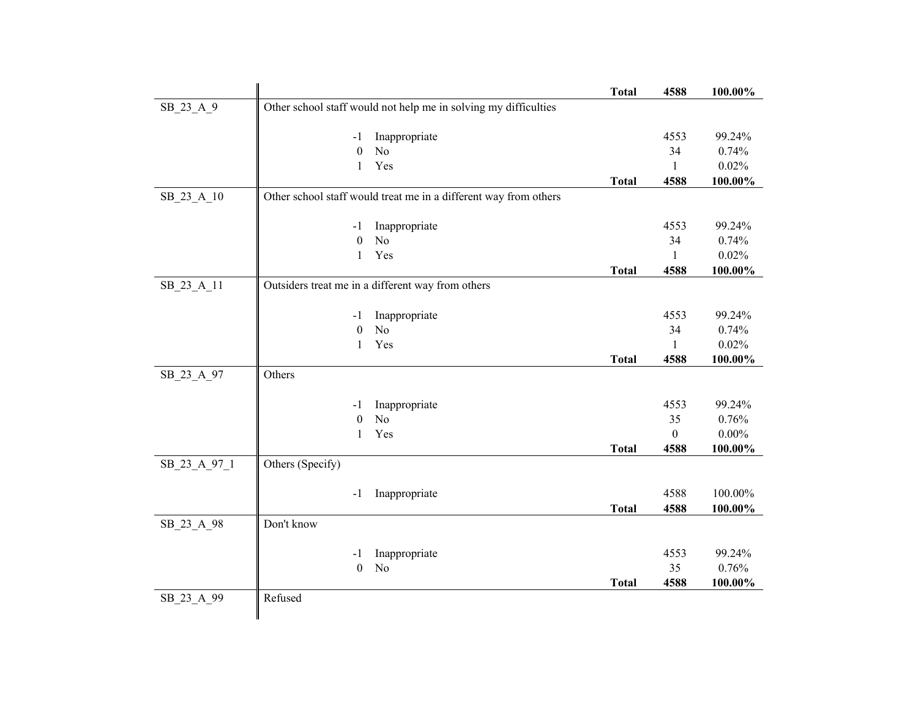|              |                                                                  | <b>Total</b> | 4588             | 100.00%  |
|--------------|------------------------------------------------------------------|--------------|------------------|----------|
| SB 23 A 9    | Other school staff would not help me in solving my difficulties  |              |                  |          |
|              | Inappropriate<br>-1                                              |              | 4553             | 99.24%   |
|              | $\boldsymbol{0}$<br>N <sub>o</sub>                               |              | 34               | 0.74%    |
|              | Yes<br>$\mathbf{1}$                                              |              | $\mathbf{1}$     | 0.02%    |
|              |                                                                  | <b>Total</b> | 4588             | 100.00%  |
| SB 23 A 10   | Other school staff would treat me in a different way from others |              |                  |          |
|              | Inappropriate<br>$-1$                                            |              | 4553             | 99.24%   |
|              | $\boldsymbol{0}$<br>N <sub>o</sub>                               |              | 34               | 0.74%    |
|              | Yes<br>$\mathbf{1}$                                              |              | $\mathbf{1}$     | 0.02%    |
|              |                                                                  | <b>Total</b> | 4588             | 100.00%  |
| SB_23_A_11   | Outsiders treat me in a different way from others                |              |                  |          |
|              | Inappropriate<br>-1                                              |              | 4553             | 99.24%   |
|              | N <sub>o</sub><br>$\boldsymbol{0}$                               |              | 34               | 0.74%    |
|              | Yes<br>1                                                         |              | 1                | 0.02%    |
|              |                                                                  | <b>Total</b> | 4588             | 100.00%  |
| SB_23_A_97   | Others                                                           |              |                  |          |
|              | Inappropriate<br>-1                                              |              | 4553             | 99.24%   |
|              | $\boldsymbol{0}$<br>N <sub>o</sub>                               |              | 35               | 0.76%    |
|              | Yes<br>$\mathbf{1}$                                              |              | $\boldsymbol{0}$ | $0.00\%$ |
|              |                                                                  | <b>Total</b> | 4588             | 100.00%  |
| SB_23_A_97_1 | Others (Specify)                                                 |              |                  |          |
|              | Inappropriate<br>$-1$                                            |              | 4588             | 100.00%  |
|              |                                                                  | <b>Total</b> | 4588             | 100.00%  |
| SB 23 A 98   | Don't know                                                       |              |                  |          |
|              | Inappropriate<br>-1                                              |              | 4553             | 99.24%   |
|              | N <sub>o</sub><br>$\boldsymbol{0}$                               |              | 35               | 0.76%    |
|              |                                                                  | <b>Total</b> | 4588             | 100.00%  |
| SB_23_A_99   | Refused                                                          |              |                  |          |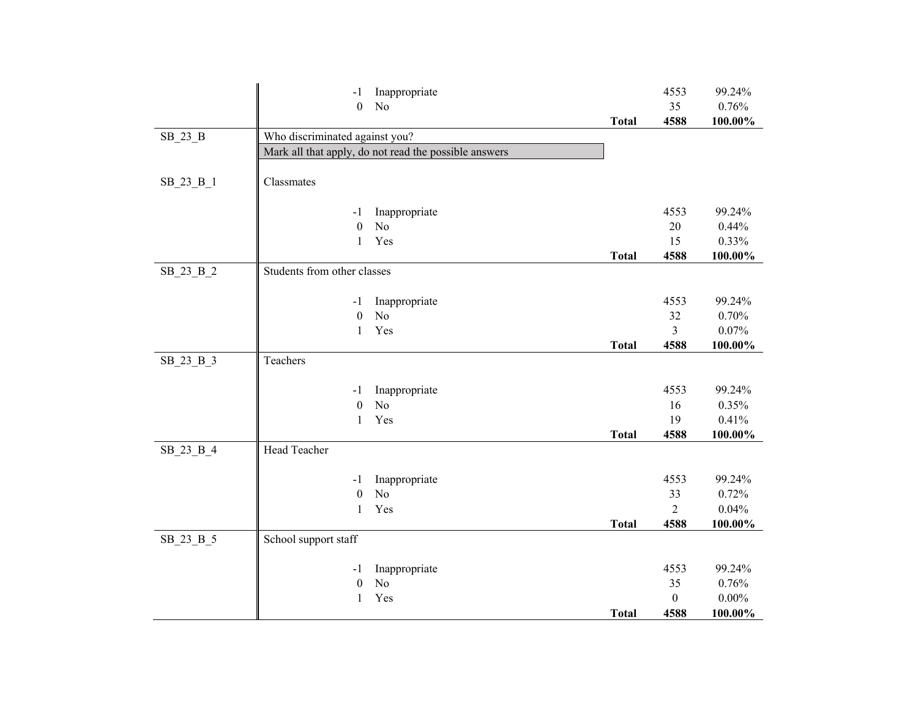|             | $-1$                             | Inappropriate                                         |              | 4553             | 99.24%         |
|-------------|----------------------------------|-------------------------------------------------------|--------------|------------------|----------------|
|             | $\boldsymbol{0}$                 | N <sub>o</sub>                                        |              | 35               | 0.76%          |
|             |                                  |                                                       | <b>Total</b> | 4588             | 100.00%        |
| $SB_23_B$   | Who discriminated against you?   |                                                       |              |                  |                |
|             |                                  | Mark all that apply, do not read the possible answers |              |                  |                |
|             |                                  |                                                       |              |                  |                |
| SB_23 B_1   | Classmates                       |                                                       |              |                  |                |
|             |                                  |                                                       |              |                  |                |
|             | -1                               | Inappropriate                                         |              | 4553             | 99.24%         |
|             | $\boldsymbol{0}$                 | N <sub>o</sub>                                        |              | 20               | 0.44%          |
|             | $\mathbf{1}$                     | Yes                                                   |              | 15               | 0.33%          |
|             |                                  |                                                       | <b>Total</b> | 4588             | $100.00\%$     |
| SB_23_B_2   | Students from other classes      |                                                       |              |                  |                |
|             |                                  |                                                       |              |                  |                |
|             | $-1$                             | Inappropriate                                         |              | 4553             | 99.24%         |
|             | $\boldsymbol{0}$                 | N <sub>o</sub>                                        |              | 32               | 0.70%          |
|             | $\mathbf{1}$                     | Yes                                                   |              | $\overline{3}$   | 0.07%          |
|             |                                  |                                                       | <b>Total</b> | 4588             | 100.00%        |
| $SB_23_B_3$ | Teachers                         |                                                       |              |                  |                |
|             |                                  |                                                       |              |                  |                |
|             | -1                               | Inappropriate                                         |              | 4553             | 99.24%         |
|             | $\boldsymbol{0}$<br>$\mathbf{1}$ | N <sub>o</sub><br>Yes                                 |              | 16<br>19         | 0.35%<br>0.41% |
|             |                                  |                                                       | <b>Total</b> | 4588             | 100.00%        |
| SB_23_B_4   | Head Teacher                     |                                                       |              |                  |                |
|             |                                  |                                                       |              |                  |                |
|             | -1                               | Inappropriate                                         |              | 4553             | 99.24%         |
|             | $\boldsymbol{0}$                 | N <sub>o</sub>                                        |              | 33               | 0.72%          |
|             | $\mathbf{1}$                     | Yes                                                   |              | $\overline{2}$   | 0.04%          |
|             |                                  |                                                       | <b>Total</b> | 4588             | 100.00%        |
| SB_23_B_5   | School support staff             |                                                       |              |                  |                |
|             |                                  |                                                       |              |                  |                |
|             | $-1$                             | Inappropriate                                         |              | 4553             | 99.24%         |
|             | $\boldsymbol{0}$                 | N <sub>o</sub>                                        |              | 35               | 0.76%          |
|             | $\mathbf{1}$                     | Yes                                                   |              | $\boldsymbol{0}$ | $0.00\%$       |
|             |                                  |                                                       | <b>Total</b> | 4588             | 100.00%        |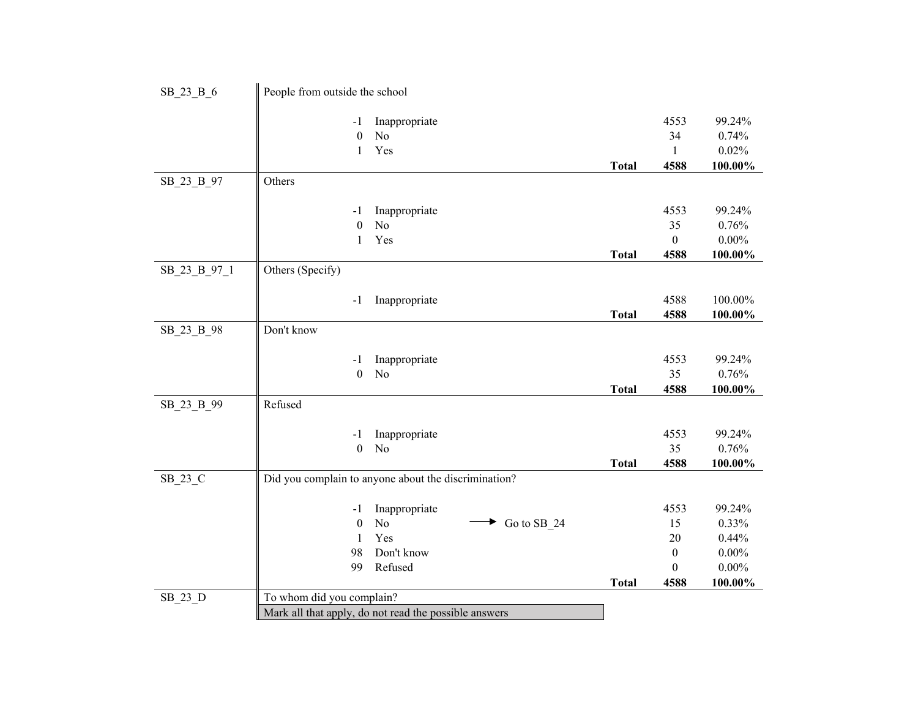| SB_23_B_6    | People from outside the school |                                                       |              |                  |          |
|--------------|--------------------------------|-------------------------------------------------------|--------------|------------------|----------|
|              | $-1$                           | Inappropriate                                         |              | 4553             | 99.24%   |
|              | $\mathbf{0}$                   | N <sub>o</sub>                                        |              | 34               | 0.74%    |
|              | $\mathbf{1}$                   | Yes                                                   |              | $\mathbf{1}$     | 0.02%    |
|              |                                |                                                       | <b>Total</b> | 4588             | 100.00%  |
| SB 23 B 97   | Others                         |                                                       |              |                  |          |
|              | -1                             | Inappropriate                                         |              | 4553             | 99.24%   |
|              | $\boldsymbol{0}$               | N <sub>o</sub>                                        |              | 35               | 0.76%    |
|              | $\mathbf{1}$                   | Yes                                                   |              | $\boldsymbol{0}$ | $0.00\%$ |
|              |                                |                                                       | <b>Total</b> | 4588             | 100.00%  |
| SB_23_B_97_1 | Others (Specify)               |                                                       |              |                  |          |
|              | $-1$                           | Inappropriate                                         |              | 4588             | 100.00%  |
|              |                                |                                                       | <b>Total</b> | 4588             | 100.00%  |
| SB_23_B_98   | Don't know                     |                                                       |              |                  |          |
|              |                                |                                                       |              |                  |          |
|              | -1                             | Inappropriate                                         |              | 4553             | 99.24%   |
|              | $\boldsymbol{0}$               | N <sub>o</sub>                                        |              | 35               | 0.76%    |
|              |                                |                                                       | <b>Total</b> | 4588             | 100.00%  |
| SB_23_B_99   | Refused                        |                                                       |              |                  |          |
|              | -1                             | Inappropriate                                         |              | 4553             | 99.24%   |
|              | $\boldsymbol{0}$               | N <sub>o</sub>                                        |              | 35               | 0.76%    |
|              |                                |                                                       | <b>Total</b> | 4588             | 100.00%  |
| SB_23_C      |                                | Did you complain to anyone about the discrimination?  |              |                  |          |
|              | $-1$                           | Inappropriate                                         |              | 4553             | 99.24%   |
|              | $\boldsymbol{0}$               | N <sub>o</sub><br>Go to SB_24                         |              | 15               | 0.33%    |
|              | $\mathbf{1}$                   | Yes                                                   |              | 20               | 0.44%    |
|              | 98                             | Don't know                                            |              | $\mathbf{0}$     | $0.00\%$ |
|              | 99                             | Refused                                               |              | $\mathbf{0}$     | $0.00\%$ |
|              |                                |                                                       | <b>Total</b> | 4588             | 100.00%  |
| SB_23_D      | To whom did you complain?      |                                                       |              |                  |          |
|              |                                | Mark all that apply, do not read the possible answers |              |                  |          |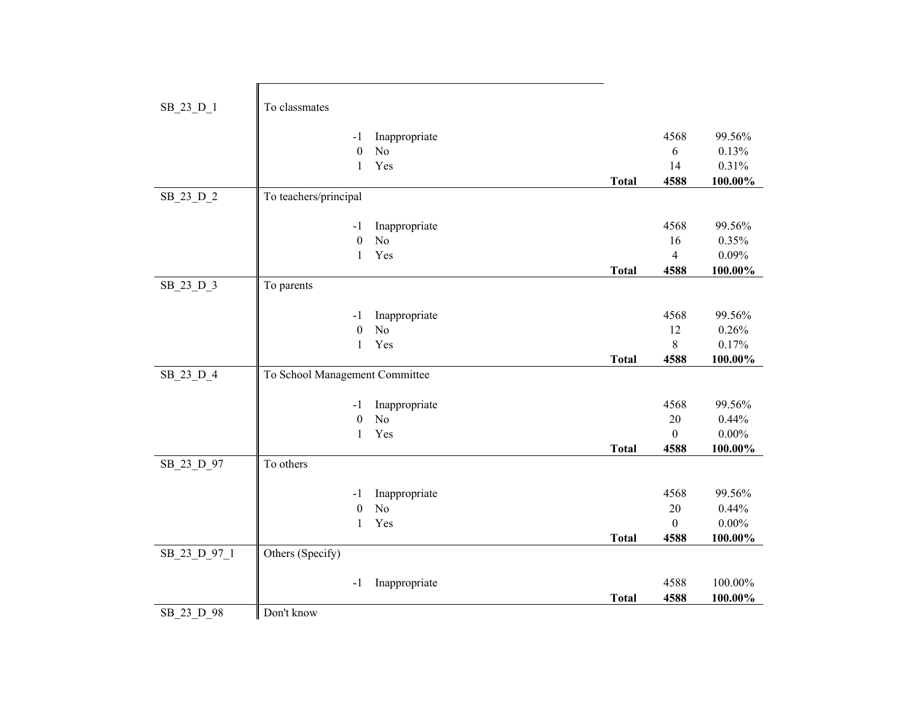| SB_23_D_1    | To classmates                  |                |              |                        |          |
|--------------|--------------------------------|----------------|--------------|------------------------|----------|
|              |                                |                |              |                        |          |
|              | $-1$                           | Inappropriate  |              | 4568                   | 99.56%   |
|              | $\boldsymbol{0}$               | N <sub>o</sub> |              | 6                      | 0.13%    |
|              | 1                              | Yes            |              | 14                     | 0.31%    |
|              |                                |                | <b>Total</b> | 4588                   | 100.00%  |
| SB_23_D_2    | To teachers/principal          |                |              |                        |          |
|              |                                |                |              |                        |          |
|              | $-1$                           | Inappropriate  |              | 4568                   | 99.56%   |
|              | $\boldsymbol{0}$               | N <sub>o</sub> |              | 16                     | 0.35%    |
|              | 1                              | Yes            |              | $\overline{4}$         | 0.09%    |
|              |                                |                | <b>Total</b> | 4588                   | 100.00%  |
| SB_23_D_3    | To parents                     |                |              |                        |          |
|              |                                |                |              |                        |          |
|              | -1                             | Inappropriate  |              | 4568                   | 99.56%   |
|              | $\boldsymbol{0}$               | N <sub>o</sub> |              | 12                     | 0.26%    |
|              | 1                              | Yes            |              | 8                      | 0.17%    |
|              |                                |                |              |                        | 100.00%  |
|              |                                |                | <b>Total</b> | 4588                   |          |
| SB_23_D_4    | To School Management Committee |                |              |                        |          |
|              |                                |                |              |                        |          |
|              | $-1$                           | Inappropriate  |              | 4568                   | 99.56%   |
|              | $\boldsymbol{0}$               | N <sub>o</sub> |              | 20                     | 0.44%    |
|              | $\mathbf{1}$                   | Yes            |              | $\mathbf{0}$           | $0.00\%$ |
|              |                                |                | <b>Total</b> | 4588                   | 100.00%  |
| SB_23_D_97   | To others                      |                |              |                        |          |
|              |                                |                |              |                        |          |
|              | -1                             | Inappropriate  |              | 4568                   | 99.56%   |
|              | $\boldsymbol{0}$<br>1          | N <sub>o</sub> |              | $20\,$<br>$\mathbf{0}$ | 0.44%    |
|              |                                | Yes            | <b>Total</b> | 4588                   | $0.00\%$ |
|              | Others (Specify)               |                |              |                        | 100.00%  |
| SB_23_D_97_1 |                                |                |              |                        |          |
|              | $-1$                           | Inappropriate  |              | 4588                   | 100.00%  |
|              |                                |                | <b>Total</b> | 4588                   | 100.00%  |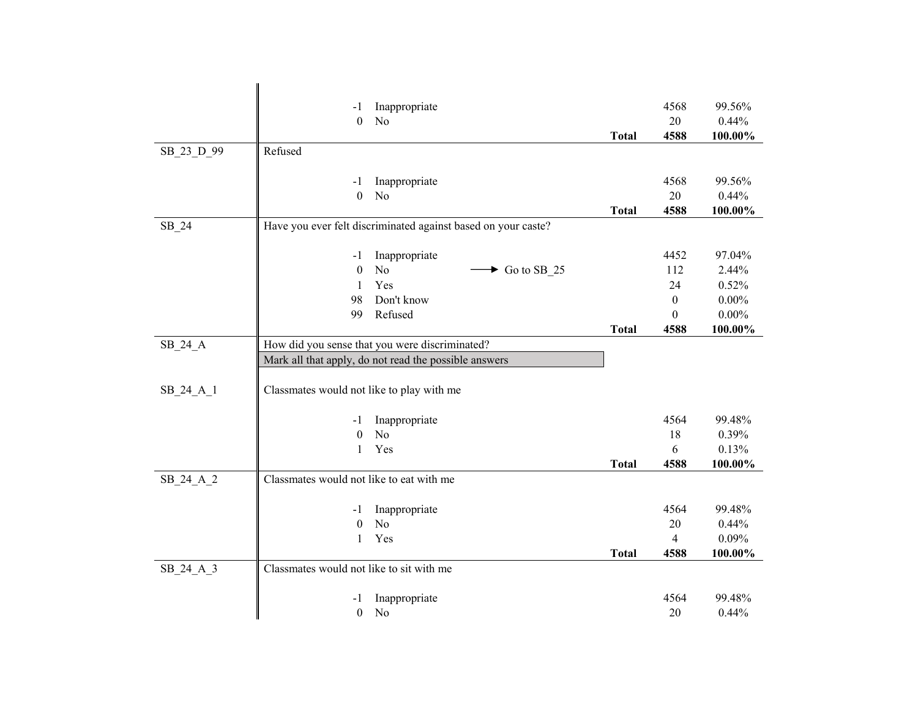|            | -1                                        | Inappropriate                                                 |              | 4568             | 99.56%          |
|------------|-------------------------------------------|---------------------------------------------------------------|--------------|------------------|-----------------|
|            | $\overline{0}$                            | N <sub>o</sub>                                                |              | 20               | 0.44%           |
|            |                                           |                                                               | <b>Total</b> | 4588             | 100.00%         |
| SB 23 D 99 | Refused                                   |                                                               |              |                  |                 |
|            |                                           |                                                               |              |                  |                 |
|            | -1                                        | Inappropriate                                                 |              | 4568             | 99.56%          |
|            | $\boldsymbol{0}$                          | N <sub>o</sub>                                                |              | 20               | 0.44%           |
|            |                                           |                                                               | <b>Total</b> | 4588             | 100.00%         |
| $SB_24$    |                                           | Have you ever felt discriminated against based on your caste? |              |                  |                 |
|            |                                           |                                                               |              |                  |                 |
|            | $-1$<br>$\boldsymbol{0}$                  | Inappropriate<br>No<br>$\blacktriangleright$ Go to SB_25      |              | 4452<br>112      | 97.04%<br>2.44% |
|            | 1                                         | Yes                                                           |              | 24               | 0.52%           |
|            | 98                                        | Don't know                                                    |              | $\boldsymbol{0}$ | $0.00\%$        |
|            | 99                                        | Refused                                                       |              | $\theta$         | $0.00\%$        |
|            |                                           |                                                               | <b>Total</b> | 4588             | 100.00%         |
| SB_24_A    |                                           | How did you sense that you were discriminated?                |              |                  |                 |
|            |                                           | Mark all that apply, do not read the possible answers         |              |                  |                 |
|            |                                           |                                                               |              |                  |                 |
| SB_24_A_1  | Classmates would not like to play with me |                                                               |              |                  |                 |
|            |                                           |                                                               |              |                  |                 |
|            | -1                                        | Inappropriate                                                 |              | 4564             | 99.48%          |
|            | $\theta$                                  | N <sub>o</sub>                                                |              | 18               | 0.39%           |
|            | 1                                         | Yes                                                           |              | 6                | 0.13%           |
|            |                                           |                                                               | <b>Total</b> | 4588             | 100.00%         |
| SB_24_A_2  | Classmates would not like to eat with me  |                                                               |              |                  |                 |
|            | -1                                        | Inappropriate                                                 |              | 4564             | 99.48%          |
|            | $\boldsymbol{0}$                          | N <sub>o</sub>                                                |              | 20               | 0.44%           |
|            | $\mathbf{1}$                              | Yes                                                           |              | 4                | 0.09%           |
|            |                                           |                                                               | <b>Total</b> | 4588             | 100.00%         |
| SB_24_A_3  | Classmates would not like to sit with me  |                                                               |              |                  |                 |
|            |                                           |                                                               |              |                  |                 |
|            | -1                                        | Inappropriate                                                 |              | 4564             | 99.48%          |
|            | $\boldsymbol{0}$                          | No                                                            |              | 20               | 0.44%           |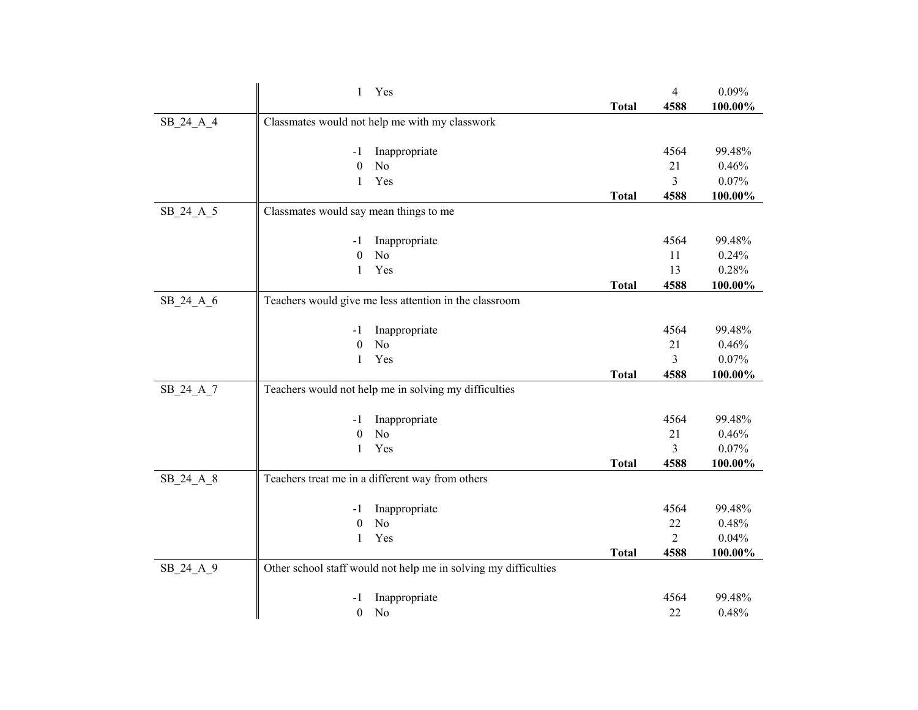|             | $\mathbf{1}$<br>Yes                                             |              | $\overline{4}$ | 0.09%      |
|-------------|-----------------------------------------------------------------|--------------|----------------|------------|
|             |                                                                 | <b>Total</b> | 4588           | 100.00%    |
| $SB_24_A_4$ | Classmates would not help me with my classwork                  |              |                |            |
|             |                                                                 |              |                |            |
|             | Inappropriate<br>-1                                             |              | 4564           | 99.48%     |
|             | $\boldsymbol{0}$<br>No                                          |              | 21             | 0.46%      |
|             | Yes<br>$\mathbf{1}$                                             |              | 3              | 0.07%      |
|             |                                                                 | <b>Total</b> | 4588           | 100.00%    |
| SB 24 A 5   | Classmates would say mean things to me                          |              |                |            |
|             |                                                                 |              |                |            |
|             | Inappropriate<br>-1                                             |              | 4564           | 99.48%     |
|             | N <sub>o</sub><br>$\boldsymbol{0}$                              |              | 11             | 0.24%      |
|             | Yes<br>1                                                        |              | 13             | 0.28%      |
|             |                                                                 | <b>Total</b> | 4588           | 100.00%    |
| SB_24_A_6   | Teachers would give me less attention in the classroom          |              |                |            |
|             |                                                                 |              |                |            |
|             | Inappropriate<br>-1                                             |              | 4564           | 99.48%     |
|             | No<br>$\theta$                                                  |              | 21             | 0.46%      |
|             | Yes<br>$\mathbf{1}$                                             |              | 3              | 0.07%      |
|             |                                                                 | <b>Total</b> | 4588           | 100.00%    |
| SB_24_A_7   | Teachers would not help me in solving my difficulties           |              |                |            |
|             |                                                                 |              |                |            |
|             | Inappropriate<br>-1                                             |              | 4564           | 99.48%     |
|             | N <sub>o</sub><br>$\boldsymbol{0}$                              |              | 21             | 0.46%      |
|             | $\mathbf{1}$<br>Yes                                             |              | 3              | 0.07%      |
|             |                                                                 | <b>Total</b> | 4588           | $100.00\%$ |
| SB_24_A_8   | Teachers treat me in a different way from others                |              |                |            |
|             |                                                                 |              | 4564           | 99.48%     |
|             | Inappropriate<br>-1<br>$\boldsymbol{0}$<br>No                   |              | 22             | 0.48%      |
|             | Yes                                                             |              | $\overline{2}$ | 0.04%      |
|             | $\mathbf{1}$                                                    | <b>Total</b> | 4588           | 100.00%    |
|             |                                                                 |              |                |            |
| SB_24_A_9   | Other school staff would not help me in solving my difficulties |              |                |            |
|             | Inappropriate<br>-1                                             |              | 4564           | 99.48%     |
|             | $\boldsymbol{0}$<br>N <sub>o</sub>                              |              | 22             | 0.48%      |
|             |                                                                 |              |                |            |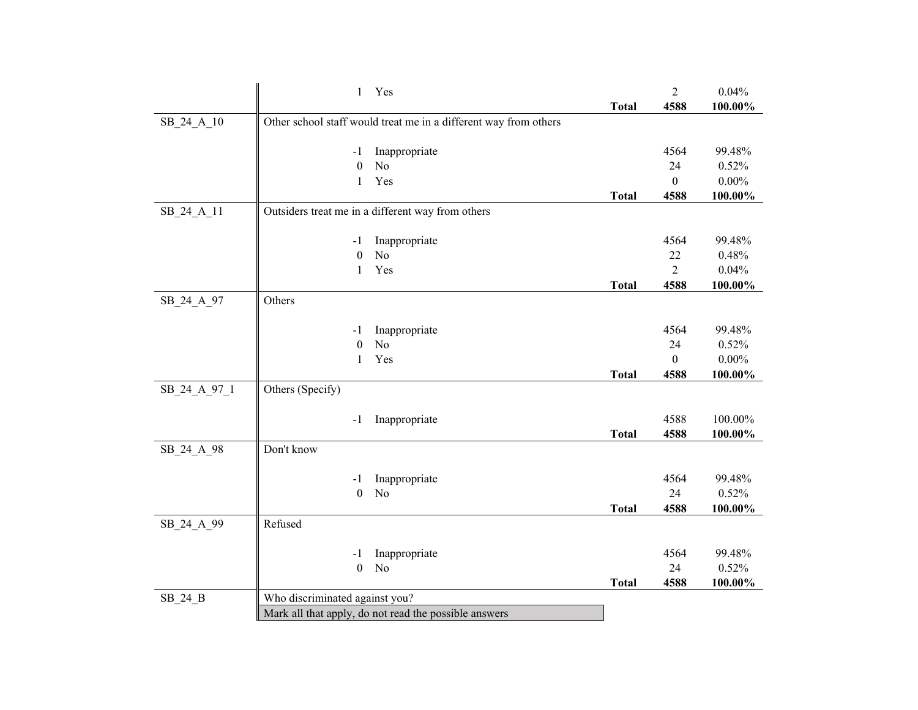|              | $\mathbf{1}$<br>Yes                                              |              | $\sqrt{2}$     | 0.04%    |
|--------------|------------------------------------------------------------------|--------------|----------------|----------|
|              |                                                                  | <b>Total</b> | 4588           | 100.00%  |
| SB_24_A_10   | Other school staff would treat me in a different way from others |              |                |          |
|              |                                                                  |              |                |          |
|              | Inappropriate<br>-1                                              |              | 4564           | 99.48%   |
|              | $\boldsymbol{0}$<br>No                                           |              | 24             | 0.52%    |
|              | Yes<br>$\mathbf{1}$                                              |              | $\mathbf{0}$   | $0.00\%$ |
|              |                                                                  | <b>Total</b> | 4588           | 100.00%  |
| SB 24 A 11   | Outsiders treat me in a different way from others                |              |                |          |
|              |                                                                  |              |                |          |
|              | Inappropriate<br>$-1$                                            |              | 4564           | 99.48%   |
|              | No<br>$\boldsymbol{0}$                                           |              | 22             | 0.48%    |
|              | Yes<br>$\mathbf{1}$                                              |              | $\overline{2}$ | 0.04%    |
|              |                                                                  | <b>Total</b> | 4588           | 100.00%  |
| SB_24_A_97   | Others                                                           |              |                |          |
|              |                                                                  |              |                |          |
|              | Inappropriate<br>$-1$                                            |              | 4564           | 99.48%   |
|              | N <sub>o</sub><br>$\mathbf{0}$                                   |              | 24             | 0.52%    |
|              | Yes<br>1                                                         |              | $\mathbf{0}$   | $0.00\%$ |
|              |                                                                  | <b>Total</b> | 4588           | 100.00%  |
| SB_24_A_97_1 | Others (Specify)                                                 |              |                |          |
|              |                                                                  |              |                |          |
|              | Inappropriate<br>-1                                              |              | 4588           | 100.00%  |
|              |                                                                  | <b>Total</b> | 4588           | 100.00%  |
| SB_24_A_98   | Don't know                                                       |              |                |          |
|              |                                                                  |              |                |          |
|              | Inappropriate<br>-1                                              |              | 4564           | 99.48%   |
|              | N <sub>o</sub><br>$\boldsymbol{0}$                               |              | 24             | 0.52%    |
|              |                                                                  | <b>Total</b> | 4588           | 100.00%  |
| SB_24_A_99   | Refused                                                          |              |                |          |
|              |                                                                  |              | 4564           | 99.48%   |
|              | Inappropriate<br>-1<br>$\boldsymbol{0}$<br>N <sub>o</sub>        |              | 24             | 0.52%    |
|              |                                                                  | <b>Total</b> | 4588           | 100.00%  |
|              | Who discriminated against you?                                   |              |                |          |
| $SB_24_B$    |                                                                  |              |                |          |
|              | Mark all that apply, do not read the possible answers            |              |                |          |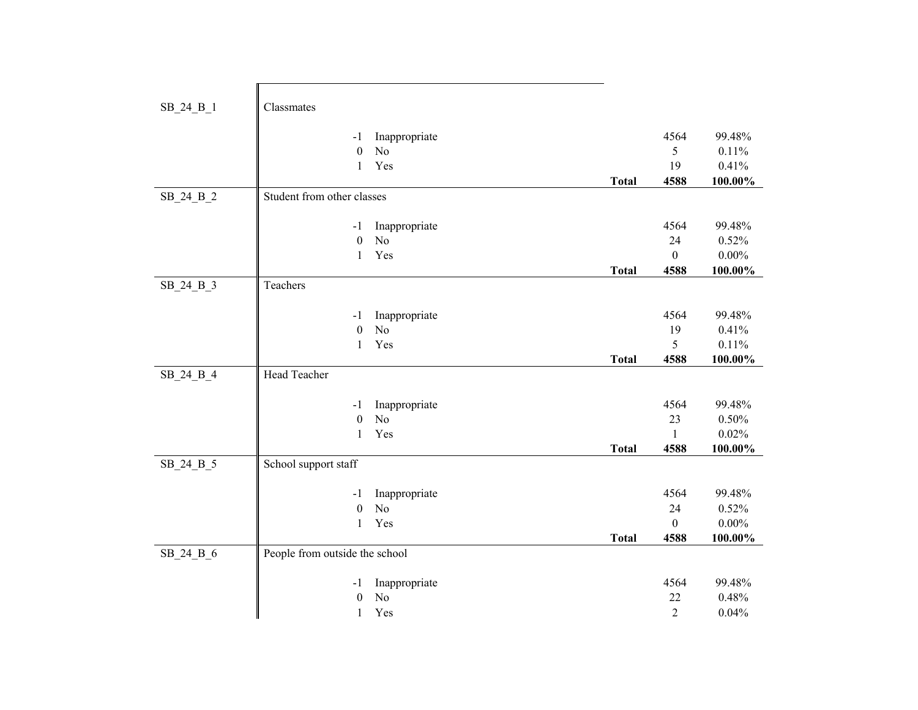| SB_24_B_1 | Classmates                                                                         |              |                                    |                                        |
|-----------|------------------------------------------------------------------------------------|--------------|------------------------------------|----------------------------------------|
|           | Inappropriate<br>-1<br>$\boldsymbol{0}$<br>N <sub>o</sub><br>Yes<br>$\mathbf{1}$   | <b>Total</b> | 4564<br>5<br>19<br>4588            | 99.48%<br>0.11%<br>0.41%<br>100.00%    |
| SB 24 B 2 | Student from other classes                                                         |              |                                    |                                        |
|           | Inappropriate<br>$-1$<br>No<br>$\boldsymbol{0}$<br>Yes<br>$\mathbf{1}$             | <b>Total</b> | 4564<br>24<br>$\mathbf{0}$<br>4588 | 99.48%<br>0.52%<br>$0.00\%$<br>100.00% |
| SB_24_B_3 | Teachers                                                                           |              |                                    |                                        |
|           | Inappropriate<br>$-1$<br>N <sub>o</sub><br>$\boldsymbol{0}$<br>Yes<br>1            |              | 4564<br>19<br>5                    | 99.48%<br>0.41%<br>0.11%               |
| SB_24_B_4 | Head Teacher                                                                       | <b>Total</b> | 4588                               | 100.00%                                |
|           | Inappropriate<br>$-1$<br>$\boldsymbol{0}$<br>N <sub>o</sub><br>$\mathbf{1}$<br>Yes | <b>Total</b> | 4564<br>23<br>1<br>4588            | 99.48%<br>0.50%<br>0.02%<br>100.00%    |
| SB_24_B_5 | School support staff                                                               |              |                                    |                                        |
|           | Inappropriate<br>$-1$<br>N <sub>o</sub><br>$\boldsymbol{0}$<br>Yes<br>$\mathbf{1}$ | <b>Total</b> | 4564<br>24<br>$\mathbf{0}$<br>4588 | 99.48%<br>0.52%<br>$0.00\%$<br>100.00% |
| SB 24 B 6 | People from outside the school                                                     |              |                                    |                                        |
|           | Inappropriate<br>$-1$<br>$\boldsymbol{0}$<br>No<br>Yes<br>$\mathbf{1}$             |              | 4564<br>22<br>2                    | 99.48%<br>0.48%<br>0.04%               |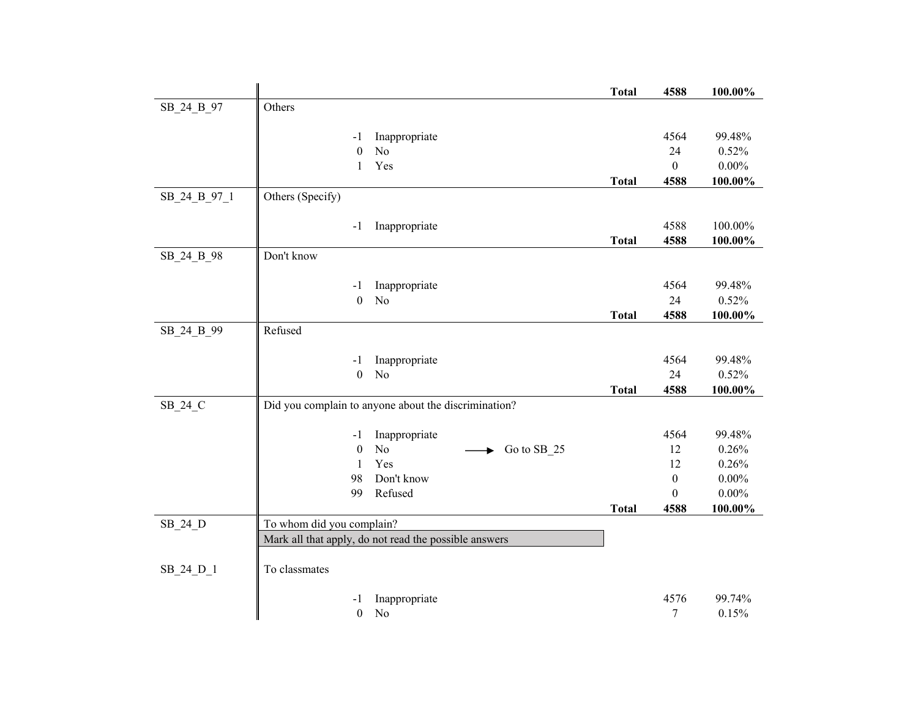| Others<br>SB_24_B_97<br>4564<br>Inappropriate<br>99.48%<br>$-1$<br>$\mathbf{0}$<br>N <sub>o</sub><br>0.52%<br>24<br>Yes<br>$\mathbf{0}$<br>$0.00\%$<br>1<br>4588<br>100.00%<br><b>Total</b><br>Others (Specify)<br>SB 24 B 97 1<br>4588<br>100.00%<br>Inappropriate<br>$-1$<br><b>Total</b><br>4588<br>100.00%<br>Don't know<br>SB_24_B_98<br>4564<br>99.48%<br>Inappropriate<br>$-1$<br>24<br>0.52%<br>$\boldsymbol{0}$<br>No<br>4588<br><b>Total</b><br>100.00%<br>Refused<br>SB_24_B_99<br>4564<br>99.48%<br>Inappropriate<br>$-1$<br>$\mathbf{0}$<br>24<br>N <sub>o</sub><br>0.52%<br>$100.00\%$<br>4588<br><b>Total</b><br>Did you complain to anyone about the discrimination?<br>SB_24_C<br>4564<br>99.48%<br>Inappropriate<br>$-1$<br>N <sub>o</sub><br>$\boldsymbol{0}$<br>12<br>Go to SB_25<br>0.26%<br>Yes<br>12<br>0.26%<br>$\mathbf{1}$<br>98<br>Don't know<br>$\boldsymbol{0}$<br>$0.00\%$<br>Refused<br>$0.00\%$<br>99<br>$\boldsymbol{0}$<br>4588<br>100.00%<br><b>Total</b><br>To whom did you complain?<br>SB_24_D<br>Mark all that apply, do not read the possible answers<br>SB 24 D 1<br>To classmates<br>4576<br>Inappropriate<br>99.74%<br>-1<br>$\boldsymbol{0}$<br>N <sub>o</sub><br>$\tau$<br>0.15% |  | <b>Total</b> | 4588 | 100.00% |
|-------------------------------------------------------------------------------------------------------------------------------------------------------------------------------------------------------------------------------------------------------------------------------------------------------------------------------------------------------------------------------------------------------------------------------------------------------------------------------------------------------------------------------------------------------------------------------------------------------------------------------------------------------------------------------------------------------------------------------------------------------------------------------------------------------------------------------------------------------------------------------------------------------------------------------------------------------------------------------------------------------------------------------------------------------------------------------------------------------------------------------------------------------------------------------------------------------------------------------|--|--------------|------|---------|
|                                                                                                                                                                                                                                                                                                                                                                                                                                                                                                                                                                                                                                                                                                                                                                                                                                                                                                                                                                                                                                                                                                                                                                                                                               |  |              |      |         |
|                                                                                                                                                                                                                                                                                                                                                                                                                                                                                                                                                                                                                                                                                                                                                                                                                                                                                                                                                                                                                                                                                                                                                                                                                               |  |              |      |         |
|                                                                                                                                                                                                                                                                                                                                                                                                                                                                                                                                                                                                                                                                                                                                                                                                                                                                                                                                                                                                                                                                                                                                                                                                                               |  |              |      |         |
|                                                                                                                                                                                                                                                                                                                                                                                                                                                                                                                                                                                                                                                                                                                                                                                                                                                                                                                                                                                                                                                                                                                                                                                                                               |  |              |      |         |
|                                                                                                                                                                                                                                                                                                                                                                                                                                                                                                                                                                                                                                                                                                                                                                                                                                                                                                                                                                                                                                                                                                                                                                                                                               |  |              |      |         |
|                                                                                                                                                                                                                                                                                                                                                                                                                                                                                                                                                                                                                                                                                                                                                                                                                                                                                                                                                                                                                                                                                                                                                                                                                               |  |              |      |         |
|                                                                                                                                                                                                                                                                                                                                                                                                                                                                                                                                                                                                                                                                                                                                                                                                                                                                                                                                                                                                                                                                                                                                                                                                                               |  |              |      |         |
|                                                                                                                                                                                                                                                                                                                                                                                                                                                                                                                                                                                                                                                                                                                                                                                                                                                                                                                                                                                                                                                                                                                                                                                                                               |  |              |      |         |
|                                                                                                                                                                                                                                                                                                                                                                                                                                                                                                                                                                                                                                                                                                                                                                                                                                                                                                                                                                                                                                                                                                                                                                                                                               |  |              |      |         |
|                                                                                                                                                                                                                                                                                                                                                                                                                                                                                                                                                                                                                                                                                                                                                                                                                                                                                                                                                                                                                                                                                                                                                                                                                               |  |              |      |         |
|                                                                                                                                                                                                                                                                                                                                                                                                                                                                                                                                                                                                                                                                                                                                                                                                                                                                                                                                                                                                                                                                                                                                                                                                                               |  |              |      |         |
|                                                                                                                                                                                                                                                                                                                                                                                                                                                                                                                                                                                                                                                                                                                                                                                                                                                                                                                                                                                                                                                                                                                                                                                                                               |  |              |      |         |
|                                                                                                                                                                                                                                                                                                                                                                                                                                                                                                                                                                                                                                                                                                                                                                                                                                                                                                                                                                                                                                                                                                                                                                                                                               |  |              |      |         |
|                                                                                                                                                                                                                                                                                                                                                                                                                                                                                                                                                                                                                                                                                                                                                                                                                                                                                                                                                                                                                                                                                                                                                                                                                               |  |              |      |         |
|                                                                                                                                                                                                                                                                                                                                                                                                                                                                                                                                                                                                                                                                                                                                                                                                                                                                                                                                                                                                                                                                                                                                                                                                                               |  |              |      |         |
|                                                                                                                                                                                                                                                                                                                                                                                                                                                                                                                                                                                                                                                                                                                                                                                                                                                                                                                                                                                                                                                                                                                                                                                                                               |  |              |      |         |
|                                                                                                                                                                                                                                                                                                                                                                                                                                                                                                                                                                                                                                                                                                                                                                                                                                                                                                                                                                                                                                                                                                                                                                                                                               |  |              |      |         |
|                                                                                                                                                                                                                                                                                                                                                                                                                                                                                                                                                                                                                                                                                                                                                                                                                                                                                                                                                                                                                                                                                                                                                                                                                               |  |              |      |         |
|                                                                                                                                                                                                                                                                                                                                                                                                                                                                                                                                                                                                                                                                                                                                                                                                                                                                                                                                                                                                                                                                                                                                                                                                                               |  |              |      |         |
|                                                                                                                                                                                                                                                                                                                                                                                                                                                                                                                                                                                                                                                                                                                                                                                                                                                                                                                                                                                                                                                                                                                                                                                                                               |  |              |      |         |
|                                                                                                                                                                                                                                                                                                                                                                                                                                                                                                                                                                                                                                                                                                                                                                                                                                                                                                                                                                                                                                                                                                                                                                                                                               |  |              |      |         |
|                                                                                                                                                                                                                                                                                                                                                                                                                                                                                                                                                                                                                                                                                                                                                                                                                                                                                                                                                                                                                                                                                                                                                                                                                               |  |              |      |         |
|                                                                                                                                                                                                                                                                                                                                                                                                                                                                                                                                                                                                                                                                                                                                                                                                                                                                                                                                                                                                                                                                                                                                                                                                                               |  |              |      |         |
|                                                                                                                                                                                                                                                                                                                                                                                                                                                                                                                                                                                                                                                                                                                                                                                                                                                                                                                                                                                                                                                                                                                                                                                                                               |  |              |      |         |
|                                                                                                                                                                                                                                                                                                                                                                                                                                                                                                                                                                                                                                                                                                                                                                                                                                                                                                                                                                                                                                                                                                                                                                                                                               |  |              |      |         |
|                                                                                                                                                                                                                                                                                                                                                                                                                                                                                                                                                                                                                                                                                                                                                                                                                                                                                                                                                                                                                                                                                                                                                                                                                               |  |              |      |         |
|                                                                                                                                                                                                                                                                                                                                                                                                                                                                                                                                                                                                                                                                                                                                                                                                                                                                                                                                                                                                                                                                                                                                                                                                                               |  |              |      |         |
|                                                                                                                                                                                                                                                                                                                                                                                                                                                                                                                                                                                                                                                                                                                                                                                                                                                                                                                                                                                                                                                                                                                                                                                                                               |  |              |      |         |
|                                                                                                                                                                                                                                                                                                                                                                                                                                                                                                                                                                                                                                                                                                                                                                                                                                                                                                                                                                                                                                                                                                                                                                                                                               |  |              |      |         |
|                                                                                                                                                                                                                                                                                                                                                                                                                                                                                                                                                                                                                                                                                                                                                                                                                                                                                                                                                                                                                                                                                                                                                                                                                               |  |              |      |         |
|                                                                                                                                                                                                                                                                                                                                                                                                                                                                                                                                                                                                                                                                                                                                                                                                                                                                                                                                                                                                                                                                                                                                                                                                                               |  |              |      |         |
|                                                                                                                                                                                                                                                                                                                                                                                                                                                                                                                                                                                                                                                                                                                                                                                                                                                                                                                                                                                                                                                                                                                                                                                                                               |  |              |      |         |
|                                                                                                                                                                                                                                                                                                                                                                                                                                                                                                                                                                                                                                                                                                                                                                                                                                                                                                                                                                                                                                                                                                                                                                                                                               |  |              |      |         |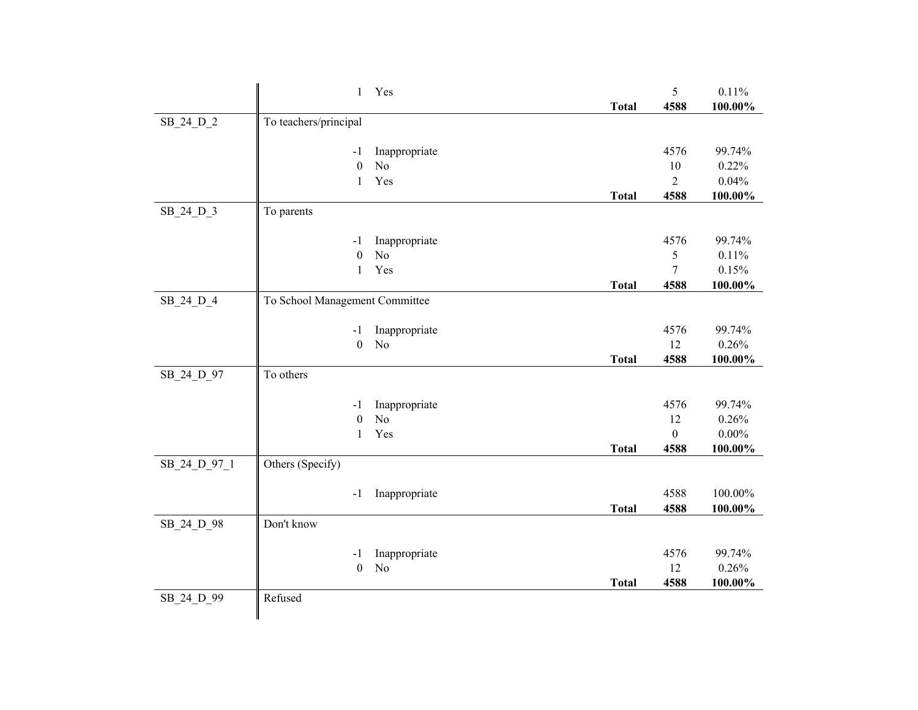|              | $\mathbf{1}$                   | Yes                             |              | 5            | 0.11%           |
|--------------|--------------------------------|---------------------------------|--------------|--------------|-----------------|
|              |                                |                                 | <b>Total</b> | 4588         | 100.00%         |
| SB_24_D_2    | To teachers/principal          |                                 |              |              |                 |
|              |                                |                                 |              |              |                 |
|              | -1                             | Inappropriate                   |              | 4576         | 99.74%          |
|              | $\mathbf{0}$                   | N <sub>o</sub>                  |              | 10           | 0.22%           |
|              | $\mathbf{1}$                   | Yes                             |              | 2            | 0.04%           |
|              |                                |                                 | <b>Total</b> | 4588         | 100.00%         |
| SB_24_D_3    | To parents                     |                                 |              |              |                 |
|              |                                |                                 |              |              |                 |
|              | $-1$                           | Inappropriate                   |              | 4576         | 99.74%          |
|              | $\mathbf{0}$                   | $\rm No$                        |              | 5            | 0.11%           |
|              | $\mathbf{1}$                   | Yes                             |              | 7            | 0.15%           |
|              |                                |                                 | <b>Total</b> | 4588         | 100.00%         |
| SB_24_D_4    | To School Management Committee |                                 |              |              |                 |
|              |                                |                                 |              | 4576         |                 |
|              | $-1$<br>$\boldsymbol{0}$       | Inappropriate<br>N <sub>o</sub> |              | 12           | 99.74%<br>0.26% |
|              |                                |                                 | <b>Total</b> | 4588         | 100.00%         |
| SB_24_D_97   | To others                      |                                 |              |              |                 |
|              |                                |                                 |              |              |                 |
|              | $-1$                           | Inappropriate                   |              | 4576         | 99.74%          |
|              | $\boldsymbol{0}$               | No                              |              | 12           | 0.26%           |
|              | $\mathbf{1}$                   | Yes                             |              | $\mathbf{0}$ | $0.00\%$        |
|              |                                |                                 | <b>Total</b> | 4588         | 100.00%         |
| SB_24_D_97_1 | Others (Specify)               |                                 |              |              |                 |
|              |                                |                                 |              |              |                 |
|              | $-1$                           | Inappropriate                   |              | 4588         | 100.00%         |
|              |                                |                                 | <b>Total</b> | 4588         | 100.00%         |
| SB 24 D 98   | Don't know                     |                                 |              |              |                 |
|              |                                |                                 |              |              |                 |
|              | $-1$                           | Inappropriate                   |              | 4576         | 99.74%          |
|              | $\boldsymbol{0}$               | N <sub>o</sub>                  |              | 12           | 0.26%           |
|              |                                |                                 | <b>Total</b> | 4588         | 100.00%         |
| SB_24_D_99   | Refused                        |                                 |              |              |                 |
|              |                                |                                 |              |              |                 |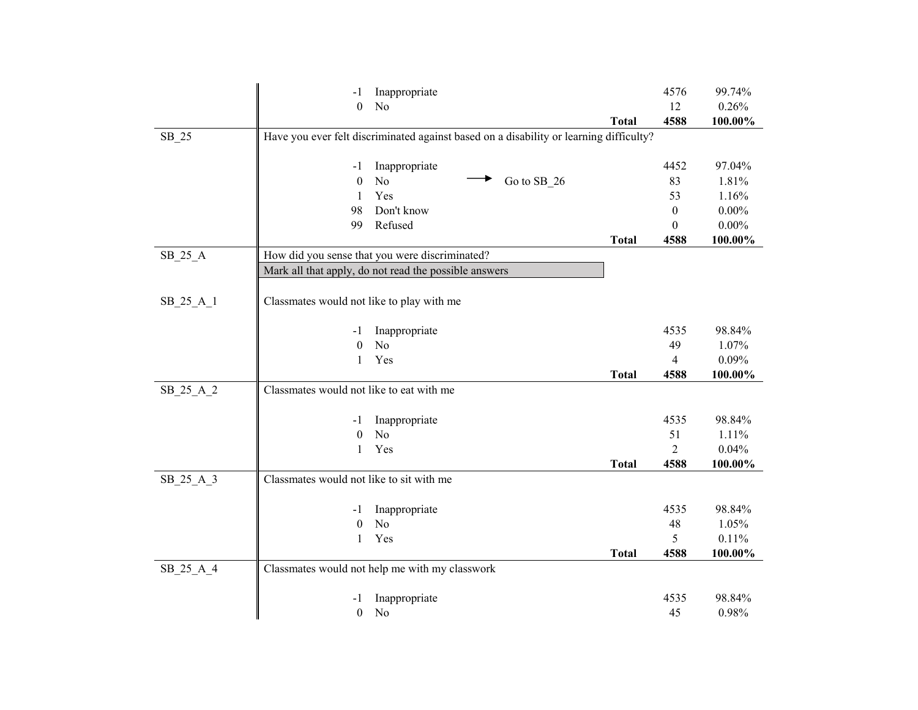|           | Inappropriate<br>-1                                                                    |              | 4576             | 99.74%     |
|-----------|----------------------------------------------------------------------------------------|--------------|------------------|------------|
|           | $\boldsymbol{0}$<br>No                                                                 |              | 12               | 0.26%      |
|           |                                                                                        | <b>Total</b> | 4588             | 100.00%    |
| SB_25     | Have you ever felt discriminated against based on a disability or learning difficulty? |              |                  |            |
|           |                                                                                        |              |                  |            |
|           | Inappropriate<br>-1                                                                    |              | 4452             | 97.04%     |
|           | Go to SB_26<br>$\theta$<br>No                                                          |              | 83               | 1.81%      |
|           | Yes<br>1                                                                               |              | 53               | 1.16%      |
|           | 98<br>Don't know                                                                       |              | $\boldsymbol{0}$ | $0.00\%$   |
|           | Refused<br>99                                                                          |              | $\theta$         | $0.00\%$   |
|           |                                                                                        | <b>Total</b> | 4588             | 100.00%    |
| $SB_25_A$ | How did you sense that you were discriminated?                                         |              |                  |            |
|           | Mark all that apply, do not read the possible answers                                  |              |                  |            |
|           |                                                                                        |              |                  |            |
| SB_25_A_1 | Classmates would not like to play with me                                              |              |                  |            |
|           |                                                                                        |              |                  |            |
|           | Inappropriate<br>-1                                                                    |              | 4535             | 98.84%     |
|           | No<br>$\theta$                                                                         |              | 49               | 1.07%      |
|           | Yes<br>$\mathbf{1}$                                                                    |              | 4                | 0.09%      |
|           |                                                                                        | <b>Total</b> | 4588             | 100.00%    |
| SB_25_A_2 | Classmates would not like to eat with me                                               |              |                  |            |
|           |                                                                                        |              |                  |            |
|           | Inappropriate<br>- 1                                                                   |              | 4535             | 98.84%     |
|           | N <sub>o</sub><br>$\theta$                                                             |              | 51               | 1.11%      |
|           | Yes<br>1                                                                               |              | $\overline{2}$   | 0.04%      |
|           |                                                                                        | <b>Total</b> | 4588             | $100.00\%$ |
| SB_25_A_3 | Classmates would not like to sit with me                                               |              |                  |            |
|           |                                                                                        |              |                  |            |
|           | Inappropriate<br>-1                                                                    |              | 4535             | 98.84%     |
|           | N <sub>o</sub><br>$\theta$                                                             |              | 48               | 1.05%      |
|           | Yes<br>1                                                                               |              | 5                | 0.11%      |
|           |                                                                                        | <b>Total</b> | 4588             | 100.00%    |
| SB_25_A_4 | Classmates would not help me with my classwork                                         |              |                  |            |
|           |                                                                                        |              |                  |            |
|           | Inappropriate<br>-1                                                                    |              | 4535             | 98.84%     |
|           | $\boldsymbol{0}$<br>No                                                                 |              | 45               | 0.98%      |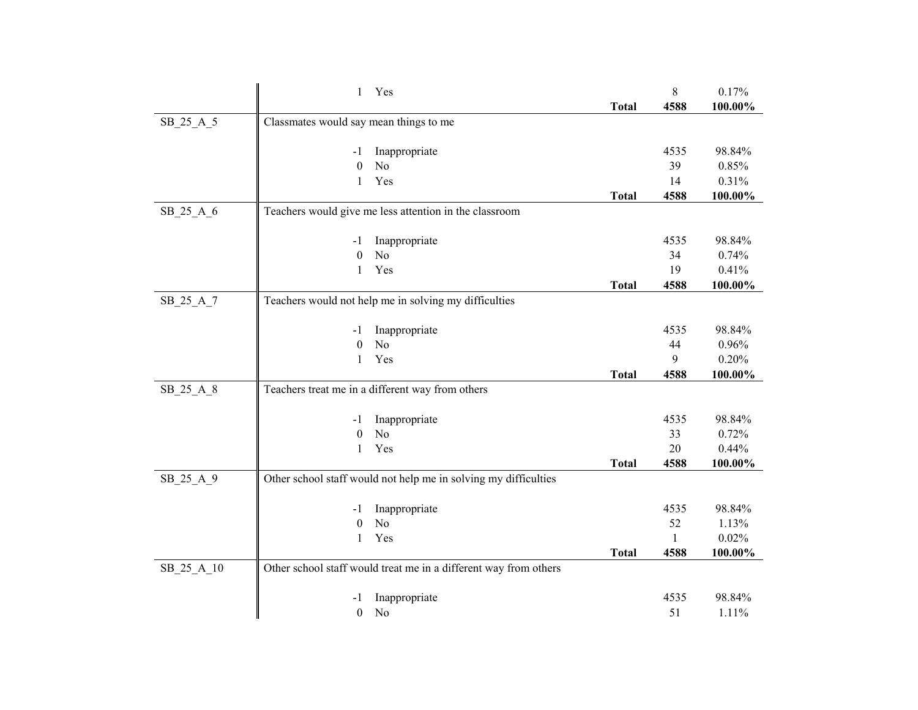|            | Yes<br>1                                                         |              | $8\,$        | 0.17%          |
|------------|------------------------------------------------------------------|--------------|--------------|----------------|
|            |                                                                  | <b>Total</b> | 4588         | 100.00%        |
| SB_25_A_5  | Classmates would say mean things to me                           |              |              |                |
|            |                                                                  |              |              |                |
|            | Inappropriate<br>-1                                              |              | 4535         | 98.84%         |
|            | $\theta$<br>No                                                   |              | 39           | 0.85%          |
|            | Yes<br>$\mathbf{1}$                                              |              | 14           | 0.31%          |
|            |                                                                  | <b>Total</b> | 4588         | 100.00%        |
| SB 25 A 6  | Teachers would give me less attention in the classroom           |              |              |                |
|            | Inappropriate<br>-1                                              |              | 4535         | 98.84%         |
|            | No<br>$\theta$                                                   |              | 34           | 0.74%          |
|            | Yes<br>1                                                         |              | 19           | 0.41%          |
|            |                                                                  | <b>Total</b> | 4588         | 100.00%        |
| SB_25_A_7  | Teachers would not help me in solving my difficulties            |              |              |                |
|            |                                                                  |              |              |                |
|            | Inappropriate<br>-1                                              |              | 4535         | 98.84%         |
|            | N <sub>o</sub><br>$\theta$                                       |              | 44           | 0.96%          |
|            | Yes<br>1                                                         |              | 9            | 0.20%          |
|            |                                                                  | <b>Total</b> | 4588         | 100.00%        |
| SB_25_A_8  | Teachers treat me in a different way from others                 |              |              |                |
|            | Inappropriate<br>$-1$                                            |              | 4535         | 98.84%         |
|            | No<br>$\boldsymbol{0}$                                           |              | 33           | 0.72%          |
|            | Yes<br>1                                                         |              | 20           | 0.44%          |
|            |                                                                  | <b>Total</b> | 4588         | 100.00%        |
| SB_25_A_9  | Other school staff would not help me in solving my difficulties  |              |              |                |
|            |                                                                  |              | 4535         |                |
|            | Inappropriate<br>-1<br>N <sub>o</sub><br>$\theta$                |              | 52           | 98.84%         |
|            | Yes<br>1                                                         |              | $\mathbf{1}$ | 1.13%<br>0.02% |
|            |                                                                  | <b>Total</b> | 4588         | 100.00%        |
| SB_25_A_10 | Other school staff would treat me in a different way from others |              |              |                |
|            |                                                                  |              |              |                |
|            | Inappropriate<br>- 1                                             |              | 4535         | 98.84%         |
|            | $\boldsymbol{0}$<br>No                                           |              | 51           | 1.11%          |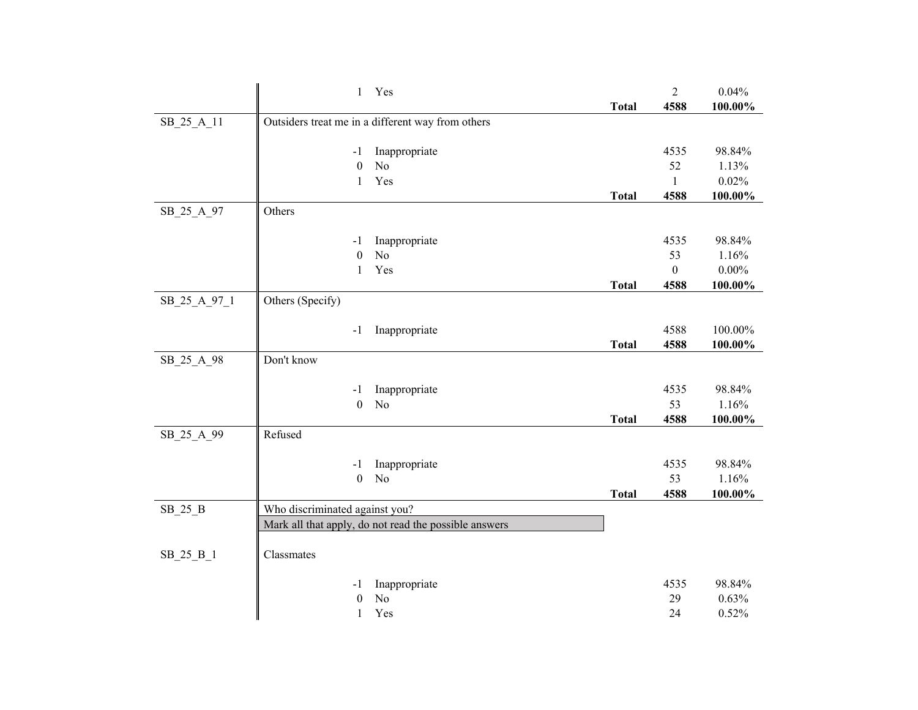|              | $\mathbf{1}$                   | Yes                                                   |              | $\overline{c}$   | 0.04%    |
|--------------|--------------------------------|-------------------------------------------------------|--------------|------------------|----------|
|              |                                |                                                       | <b>Total</b> | 4588             | 100.00%  |
| SB_25_A_11   |                                | Outsiders treat me in a different way from others     |              |                  |          |
|              |                                |                                                       |              |                  |          |
|              | $-1$                           | Inappropriate                                         |              | 4535             | 98.84%   |
|              | $\boldsymbol{0}$               | N <sub>o</sub>                                        |              | 52               | 1.13%    |
|              | 1                              | Yes                                                   |              | 1                | 0.02%    |
|              |                                |                                                       | <b>Total</b> | 4588             | 100.00%  |
| SB_25_A_97   | Others                         |                                                       |              |                  |          |
|              |                                |                                                       |              |                  |          |
|              | $-1$                           | Inappropriate                                         |              | 4535             | 98.84%   |
|              | $\boldsymbol{0}$               | N <sub>o</sub>                                        |              | 53               | 1.16%    |
|              | $\mathbf{1}$                   | Yes                                                   |              | $\boldsymbol{0}$ | $0.00\%$ |
|              |                                |                                                       | <b>Total</b> | 4588             | 100.00%  |
| SB_25_A_97_1 | Others (Specify)               |                                                       |              |                  |          |
|              |                                |                                                       |              |                  |          |
|              | -1                             | Inappropriate                                         |              | 4588             | 100.00%  |
|              |                                |                                                       | <b>Total</b> | 4588             | 100.00%  |
| SB_25_A_98   | Don't know                     |                                                       |              |                  |          |
|              |                                |                                                       |              |                  |          |
|              | -1                             | Inappropriate                                         |              | 4535             | 98.84%   |
|              | $\boldsymbol{0}$               | N <sub>o</sub>                                        |              | 53               | 1.16%    |
|              |                                |                                                       | <b>Total</b> | 4588             | 100.00%  |
| SB_25_A_99   | Refused                        |                                                       |              |                  |          |
|              |                                |                                                       |              |                  |          |
|              | -1                             | Inappropriate                                         |              | 4535             | 98.84%   |
|              | $\boldsymbol{0}$               | N <sub>o</sub>                                        |              | 53               | 1.16%    |
|              |                                |                                                       | <b>Total</b> | 4588             | 100.00%  |
| $SB_25_B$    | Who discriminated against you? |                                                       |              |                  |          |
|              |                                | Mark all that apply, do not read the possible answers |              |                  |          |
|              |                                |                                                       |              |                  |          |
| SB_25 B_1    | Classmates                     |                                                       |              |                  |          |
|              |                                |                                                       |              |                  |          |
|              | -1                             | Inappropriate                                         |              | 4535             | 98.84%   |
|              | $\boldsymbol{0}$               | N <sub>o</sub>                                        |              | 29               | 0.63%    |
|              | 1                              | Yes                                                   |              | 24               | 0.52%    |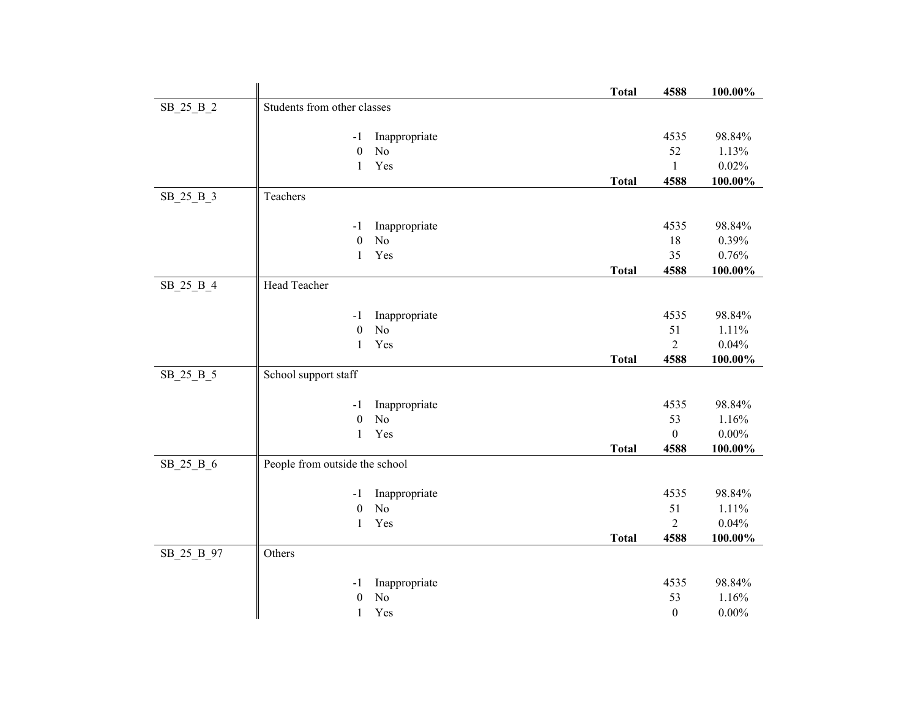|            |                                    | <b>Total</b> | 4588             | 100.00%    |
|------------|------------------------------------|--------------|------------------|------------|
| SB_25_B_2  | Students from other classes        |              |                  |            |
|            |                                    |              |                  |            |
|            | Inappropriate<br>$-1$              |              | 4535             | 98.84%     |
|            | $\mathbf{0}$<br>No                 |              | 52               | 1.13%      |
|            | Yes<br>1                           |              | 1                | 0.02%      |
|            |                                    | <b>Total</b> | 4588             | 100.00%    |
| SB 25 B 3  | Teachers                           |              |                  |            |
|            | Inappropriate<br>-1                |              | 4535             | 98.84%     |
|            | $\rm No$<br>$\boldsymbol{0}$       |              | 18               | 0.39%      |
|            | Yes<br>1                           |              | 35               | 0.76%      |
|            |                                    | <b>Total</b> | 4588             | 100.00%    |
| SB_25_B_4  | Head Teacher                       |              |                  |            |
|            |                                    |              |                  |            |
|            | Inappropriate<br>$-1$              |              | 4535             | 98.84%     |
|            | $\boldsymbol{0}$<br>No             |              | 51               | 1.11%      |
|            | Yes<br>1                           |              | $\overline{2}$   | 0.04%      |
|            |                                    | <b>Total</b> | 4588             | 100.00%    |
| SB_25_B_5  | School support staff               |              |                  |            |
|            | Inappropriate<br>$-1$              |              | 4535             | 98.84%     |
|            | N <sub>o</sub><br>$\boldsymbol{0}$ |              | 53               | 1.16%      |
|            | Yes<br>1                           |              | $\theta$         | $0.00\%$   |
|            |                                    | <b>Total</b> | 4588             | $100.00\%$ |
| SB_25_B_6  | People from outside the school     |              |                  |            |
|            |                                    |              |                  |            |
|            | Inappropriate<br>$-1$              |              | 4535             | 98.84%     |
|            | $\boldsymbol{0}$<br>No             |              | 51               | 1.11%      |
|            | Yes<br>$\mathbf{1}$                |              | $\overline{2}$   | 0.04%      |
|            |                                    | <b>Total</b> | 4588             | 100.00%    |
| SB_25_B_97 | Others                             |              |                  |            |
|            | Inappropriate<br>$-1$              |              | 4535             | 98.84%     |
|            | N <sub>o</sub><br>$\boldsymbol{0}$ |              | 53               | 1.16%      |
|            | Yes<br>1                           |              | $\boldsymbol{0}$ | $0.00\%$   |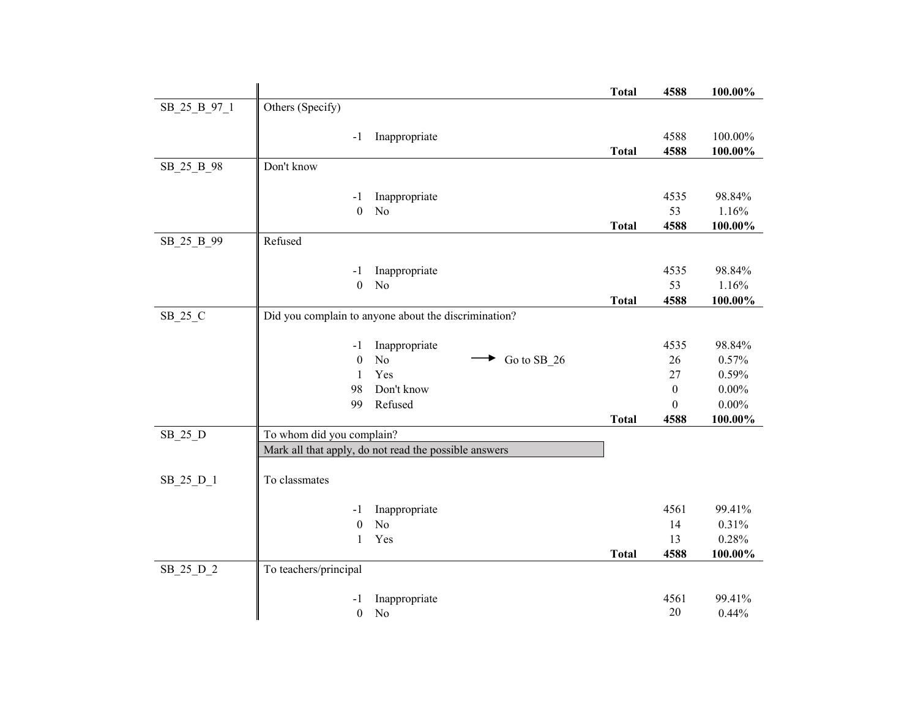|              |                           |                                                       | <b>Total</b> | 4588         | 100.00%         |
|--------------|---------------------------|-------------------------------------------------------|--------------|--------------|-----------------|
| SB_25_B_97_1 | Others (Specify)          |                                                       |              |              |                 |
|              |                           |                                                       |              |              |                 |
|              | $-1$                      | Inappropriate                                         |              | 4588<br>4588 | 100.00%         |
| SB_25_B_98   | Don't know                |                                                       | <b>Total</b> |              | 100.00%         |
|              |                           |                                                       |              |              |                 |
|              | -1                        | Inappropriate                                         |              | 4535         | 98.84%          |
|              | $\boldsymbol{0}$          | N <sub>o</sub>                                        |              | 53           | 1.16%           |
|              |                           |                                                       | <b>Total</b> | 4588         | 100.00%         |
| SB_25_B_99   | Refused                   |                                                       |              |              |                 |
|              |                           |                                                       |              |              |                 |
|              | -1<br>$\boldsymbol{0}$    | Inappropriate<br>N <sub>o</sub>                       |              | 4535<br>53   | 98.84%<br>1.16% |
|              |                           |                                                       | <b>Total</b> | 4588         | 100.00%         |
| SB_25_C      |                           | Did you complain to anyone about the discrimination?  |              |              |                 |
|              |                           |                                                       |              |              |                 |
|              | $-1$                      | Inappropriate                                         |              | 4535         | 98.84%          |
|              | $\boldsymbol{0}$          | No<br>Go to SB_26                                     |              | 26           | 0.57%           |
|              | 1                         | Yes                                                   |              | 27           | 0.59%           |
|              | 98                        | Don't know                                            |              | $\mathbf{0}$ | $0.00\%$        |
|              | 99                        | Refused                                               |              | $\Omega$     | $0.00\%$        |
| SB_25_D      | To whom did you complain? |                                                       | <b>Total</b> | 4588         | $100.00\%$      |
|              |                           | Mark all that apply, do not read the possible answers |              |              |                 |
|              |                           |                                                       |              |              |                 |
| SB_25_D_1    | To classmates             |                                                       |              |              |                 |
|              |                           |                                                       |              |              |                 |
|              | -1                        | Inappropriate                                         |              | 4561         | 99.41%          |
|              | $\boldsymbol{0}$          | N <sub>o</sub>                                        |              | 14           | 0.31%           |
|              | 1                         | Yes                                                   |              | 13           | 0.28%           |
|              |                           |                                                       | <b>Total</b> | 4588         | 100.00%         |
| SB_25_D_2    | To teachers/principal     |                                                       |              |              |                 |
|              | $-1$                      | Inappropriate                                         |              | 4561         | 99.41%          |
|              | $\boldsymbol{0}$          | N <sub>o</sub>                                        |              | 20           | 0.44%           |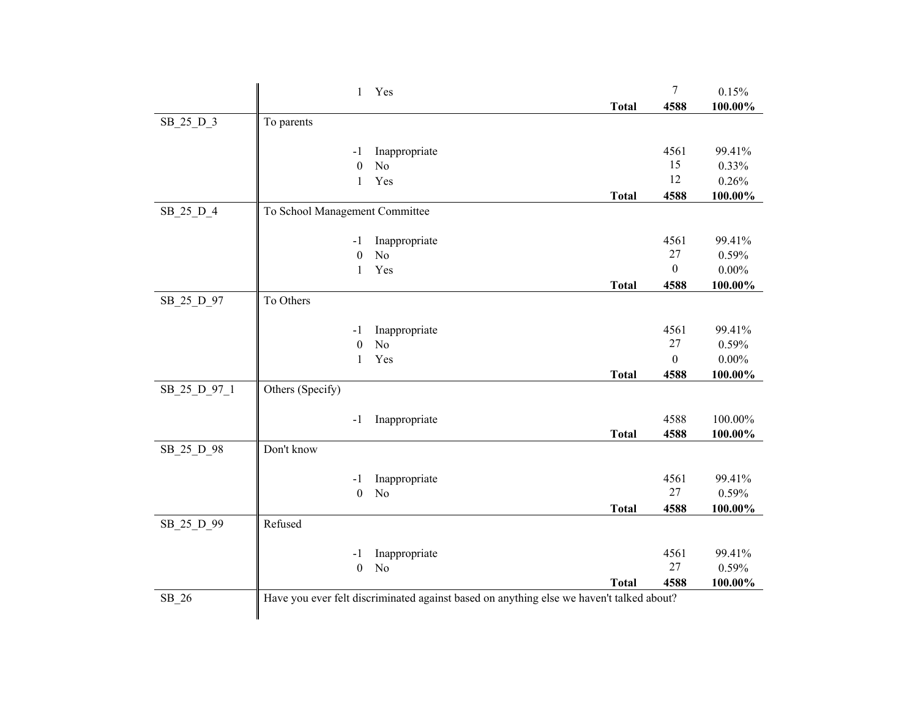|              | $\mathbf{1}$                   | Yes                                                                                      |              | $\tau$       | 0.15%    |
|--------------|--------------------------------|------------------------------------------------------------------------------------------|--------------|--------------|----------|
|              |                                |                                                                                          | <b>Total</b> | 4588         | 100.00%  |
| SB_25_D_3    | To parents                     |                                                                                          |              |              |          |
|              |                                |                                                                                          |              |              |          |
|              | -1                             | Inappropriate                                                                            |              | 4561         | 99.41%   |
|              | $\boldsymbol{0}$               | No                                                                                       |              | 15           | 0.33%    |
|              | $\mathbf{1}$                   | Yes                                                                                      |              | 12           | 0.26%    |
|              |                                |                                                                                          | <b>Total</b> | 4588         | 100.00%  |
| SB 25 D 4    | To School Management Committee |                                                                                          |              |              |          |
|              |                                |                                                                                          |              |              |          |
|              | $-1$                           | Inappropriate                                                                            |              | 4561         | 99.41%   |
|              | $\mathbf{0}$                   | N <sub>o</sub>                                                                           |              | 27           | 0.59%    |
|              | $\mathbf{1}$                   | Yes                                                                                      |              | $\theta$     | $0.00\%$ |
|              |                                |                                                                                          | <b>Total</b> | 4588         | 100.00%  |
| SB_25_D_97   | To Others                      |                                                                                          |              |              |          |
|              |                                |                                                                                          |              |              |          |
|              | -1                             | Inappropriate                                                                            |              | 4561         | 99.41%   |
|              | $\boldsymbol{0}$               | N <sub>o</sub>                                                                           |              | $27\,$       | 0.59%    |
|              | $\mathbf{1}$                   | Yes                                                                                      |              | $\mathbf{0}$ | $0.00\%$ |
|              |                                |                                                                                          | <b>Total</b> | 4588         | 100.00%  |
| SB_25_D_97_1 | Others (Specify)               |                                                                                          |              |              |          |
|              |                                |                                                                                          |              |              |          |
|              | $-1$                           | Inappropriate                                                                            |              | 4588         | 100.00%  |
|              |                                |                                                                                          | <b>Total</b> | 4588         | 100.00%  |
| SB_25_D_98   | Don't know                     |                                                                                          |              |              |          |
|              |                                |                                                                                          |              |              |          |
|              | -1                             | Inappropriate<br>N <sub>o</sub>                                                          |              | 4561<br>27   | 99.41%   |
|              | $\boldsymbol{0}$               |                                                                                          |              |              | 0.59%    |
|              | Refused                        |                                                                                          | <b>Total</b> | 4588         | 100.00%  |
| SB_25_D_99   |                                |                                                                                          |              |              |          |
|              | -1                             | Inappropriate                                                                            |              | 4561         | 99.41%   |
|              | $\boldsymbol{0}$               | N <sub>o</sub>                                                                           |              | 27           | 0.59%    |
|              |                                |                                                                                          | <b>Total</b> | 4588         | 100.00%  |
| $SB_26$      |                                | Have you ever felt discriminated against based on anything else we haven't talked about? |              |              |          |
|              |                                |                                                                                          |              |              |          |
|              |                                |                                                                                          |              |              |          |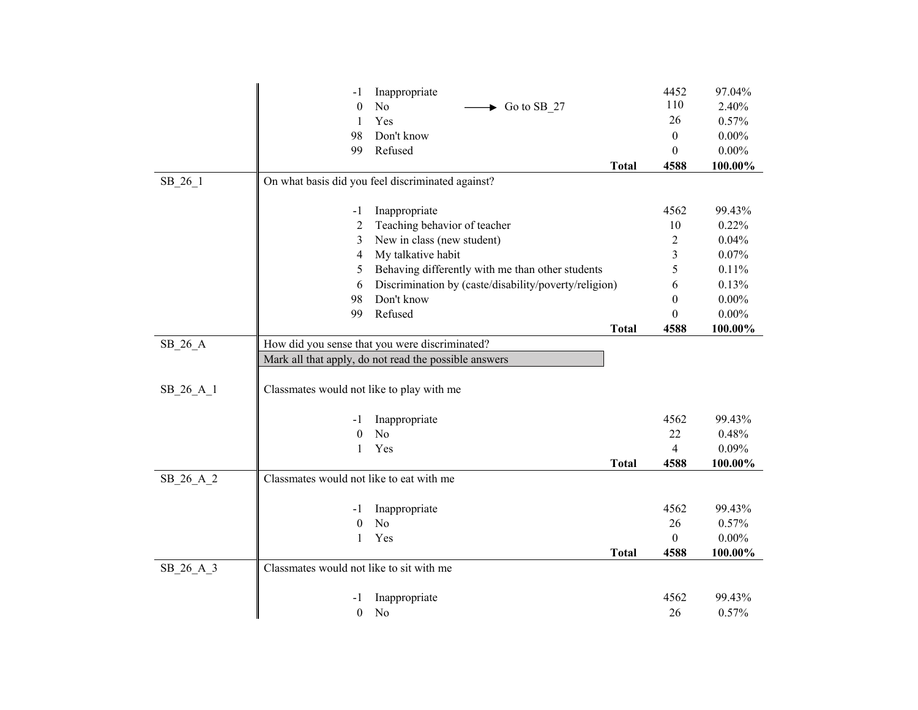|           | -1                                        | Inappropriate                                         |              | 4452             | 97.04%   |
|-----------|-------------------------------------------|-------------------------------------------------------|--------------|------------------|----------|
|           | $\theta$                                  | No<br>Go to SB_27                                     |              | 110              | 2.40%    |
|           | 1                                         | Yes                                                   |              | 26               | 0.57%    |
|           | 98                                        | Don't know                                            |              | $\mathbf{0}$     | $0.00\%$ |
|           | 99                                        | Refused                                               |              | $\boldsymbol{0}$ | $0.00\%$ |
|           |                                           |                                                       | <b>Total</b> | 4588             | 100.00%  |
| SB_26_1   |                                           | On what basis did you feel discriminated against?     |              |                  |          |
|           |                                           |                                                       |              |                  |          |
|           | -1                                        | Inappropriate                                         |              | 4562             | 99.43%   |
|           | 2                                         | Teaching behavior of teacher                          |              | 10               | 0.22%    |
|           | 3                                         | New in class (new student)                            |              | $\overline{2}$   | 0.04%    |
|           | 4                                         | My talkative habit                                    |              | 3                | 0.07%    |
|           | 5                                         | Behaving differently with me than other students      |              | 5                | 0.11%    |
|           | 6                                         | Discrimination by (caste/disability/poverty/religion) |              | 6                | 0.13%    |
|           | 98                                        | Don't know                                            |              | $\theta$         | $0.00\%$ |
|           | 99                                        | Refused                                               |              | $\overline{0}$   | $0.00\%$ |
|           |                                           |                                                       | <b>Total</b> | 4588             | 100.00%  |
| $SB_26_A$ |                                           | How did you sense that you were discriminated?        |              |                  |          |
|           |                                           | Mark all that apply, do not read the possible answers |              |                  |          |
|           |                                           |                                                       |              |                  |          |
| SB_26_A_1 | Classmates would not like to play with me |                                                       |              |                  |          |
|           | -1                                        | Inappropriate                                         |              | 4562             | 99.43%   |
|           | $\theta$                                  | N <sub>o</sub>                                        |              | 22               | 0.48%    |
|           | 1                                         | Yes                                                   |              | 4                | 0.09%    |
|           |                                           |                                                       | <b>Total</b> | 4588             | 100.00%  |
| SB_26_A_2 | Classmates would not like to eat with me  |                                                       |              |                  |          |
|           |                                           |                                                       |              |                  |          |
|           | -1                                        | Inappropriate                                         |              | 4562             | 99.43%   |
|           | $\theta$                                  | No                                                    |              | 26               | 0.57%    |
|           | 1                                         | Yes                                                   |              | $\boldsymbol{0}$ | $0.00\%$ |
|           |                                           |                                                       | <b>Total</b> | 4588             | 100.00%  |
| SB_26_A_3 | Classmates would not like to sit with me  |                                                       |              |                  |          |
|           |                                           |                                                       |              |                  |          |
|           | - 1                                       | Inappropriate                                         |              | 4562             | 99.43%   |
|           | $\boldsymbol{0}$                          | N <sub>o</sub>                                        |              | 26               | 0.57%    |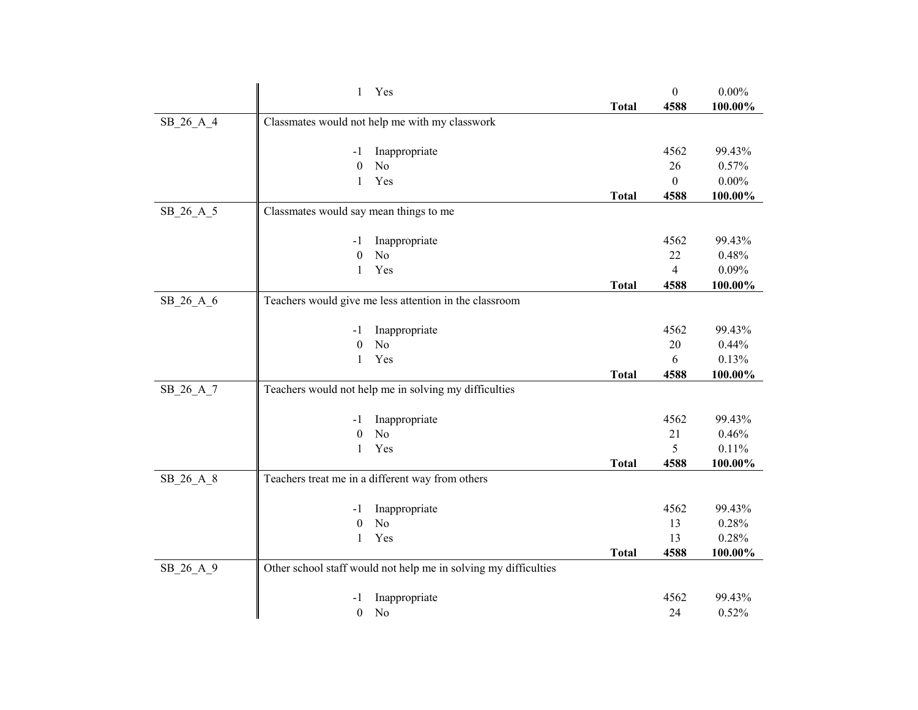|           | $\mathbf{1}$<br>Yes                                             |              | $\boldsymbol{0}$ | $0.00\%$       |
|-----------|-----------------------------------------------------------------|--------------|------------------|----------------|
|           |                                                                 | <b>Total</b> | 4588             | 100.00%        |
| SB_26_A_4 | Classmates would not help me with my classwork                  |              |                  |                |
|           |                                                                 |              |                  |                |
|           | Inappropriate<br>-1                                             |              | 4562             | 99.43%         |
|           | $\boldsymbol{0}$<br>No                                          |              | 26               | 0.57%          |
|           | Yes<br>$\mathbf{1}$                                             |              | $\Omega$         | $0.00\%$       |
|           |                                                                 | <b>Total</b> | 4588             | 100.00%        |
| SB_26_A_5 | Classmates would say mean things to me                          |              |                  |                |
|           | Inappropriate<br>-1                                             |              | 4562             | 99.43%         |
|           | N <sub>o</sub><br>$\boldsymbol{0}$                              |              | 22               | 0.48%          |
|           | Yes<br>$\mathbf{1}$                                             |              | $\overline{4}$   | 0.09%          |
|           |                                                                 | <b>Total</b> | 4588             | 100.00%        |
| SB_26_A_6 | Teachers would give me less attention in the classroom          |              |                  |                |
|           |                                                                 |              |                  |                |
|           | Inappropriate<br>-1                                             |              | 4562             | 99.43%         |
|           | No<br>$\theta$                                                  |              | 20               | 0.44%          |
|           | Yes<br>$\mathbf{1}$                                             |              | 6                | 0.13%          |
|           |                                                                 | <b>Total</b> | 4588             | 100.00%        |
| SB_26_A_7 | Teachers would not help me in solving my difficulties           |              |                  |                |
|           |                                                                 |              |                  |                |
|           | Inappropriate<br>-1                                             |              | 4562             | 99.43%         |
|           | $\boldsymbol{0}$<br>N <sub>o</sub>                              |              | 21               | 0.46%          |
|           | $\mathbf{1}$<br>Yes                                             |              | 5                | 0.11%          |
|           |                                                                 | <b>Total</b> | 4588             | $100.00\%$     |
| SB_26_A_8 | Teachers treat me in a different way from others                |              |                  |                |
|           |                                                                 |              |                  |                |
|           | Inappropriate<br>-1<br>No                                       |              | 4562<br>13       | 99.43%         |
|           | $\boldsymbol{0}$<br>Yes<br>$\mathbf{1}$                         |              | 13               | 0.28%<br>0.28% |
|           |                                                                 | <b>Total</b> | 4588             |                |
|           |                                                                 |              |                  | 100.00%        |
| SB_26_A_9 | Other school staff would not help me in solving my difficulties |              |                  |                |
|           | Inappropriate<br>-1                                             |              | 4562             | 99.43%         |
|           | $\boldsymbol{0}$<br>No                                          |              | 24               | 0.52%          |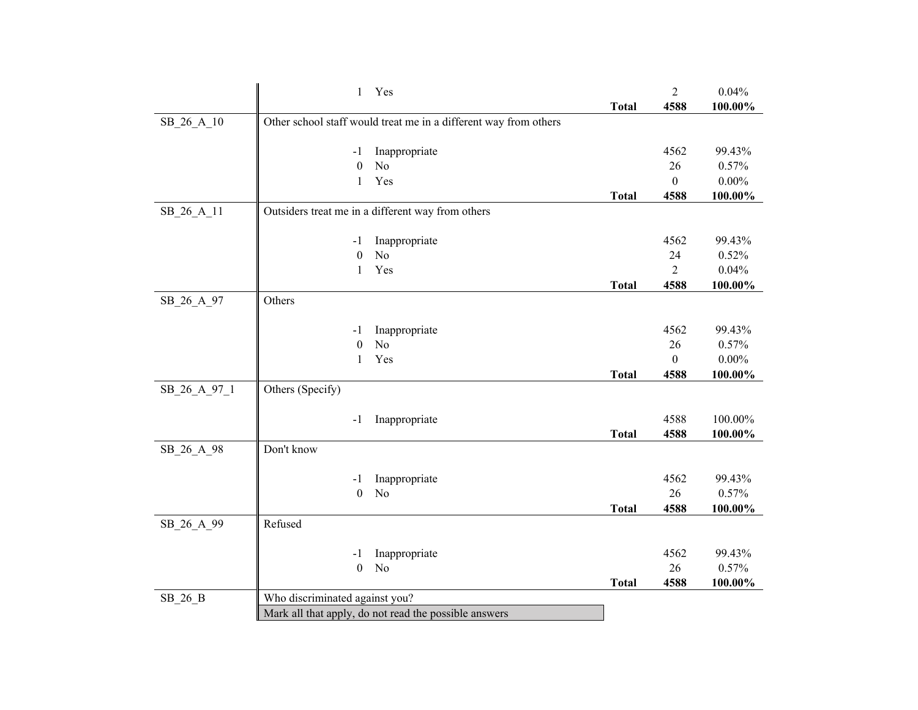|              | $\mathbf{1}$<br>Yes                                              |              | $\sqrt{2}$     | 0.04%    |
|--------------|------------------------------------------------------------------|--------------|----------------|----------|
|              |                                                                  | <b>Total</b> | 4588           | 100.00%  |
| SB_26_A_10   | Other school staff would treat me in a different way from others |              |                |          |
|              |                                                                  |              |                |          |
|              | Inappropriate<br>-1                                              |              | 4562           | 99.43%   |
|              | $\boldsymbol{0}$<br>No                                           |              | 26             | 0.57%    |
|              | Yes<br>$\mathbf{1}$                                              |              | $\mathbf{0}$   | $0.00\%$ |
|              |                                                                  | <b>Total</b> | 4588           | 100.00%  |
| SB_26_A_11   | Outsiders treat me in a different way from others                |              |                |          |
|              |                                                                  |              |                |          |
|              | Inappropriate<br>$-1$                                            |              | 4562           | 99.43%   |
|              | N <sub>o</sub><br>$\boldsymbol{0}$                               |              | 24             | 0.52%    |
|              | Yes<br>$\mathbf{1}$                                              |              | $\overline{2}$ | 0.04%    |
|              |                                                                  | <b>Total</b> | 4588           | 100.00%  |
| SB_26_A_97   | Others                                                           |              |                |          |
|              |                                                                  |              |                |          |
|              | Inappropriate<br>-1                                              |              | 4562           | 99.43%   |
|              | $\boldsymbol{0}$<br>N <sub>o</sub>                               |              | 26             | 0.57%    |
|              | Yes<br>1                                                         |              | $\mathbf{0}$   | $0.00\%$ |
|              |                                                                  | <b>Total</b> | 4588           | 100.00%  |
| SB_26_A_97_1 | Others (Specify)                                                 |              |                |          |
|              |                                                                  |              |                |          |
|              | Inappropriate<br>-1                                              |              | 4588           | 100.00%  |
|              |                                                                  | <b>Total</b> | 4588           | 100.00%  |
| SB 26 A 98   | Don't know                                                       |              |                |          |
|              |                                                                  |              |                |          |
|              | Inappropriate<br>-1                                              |              | 4562           | 99.43%   |
|              | N <sub>o</sub><br>$\boldsymbol{0}$                               |              | 26             | 0.57%    |
|              |                                                                  | <b>Total</b> | 4588           | 100.00%  |
| SB_26_A_99   | Refused                                                          |              |                |          |
|              |                                                                  |              |                |          |
|              | Inappropriate<br>-1                                              |              | 4562<br>26     | 99.43%   |
|              | $\boldsymbol{0}$<br>No                                           |              |                | 0.57%    |
|              |                                                                  | <b>Total</b> | 4588           | 100.00%  |
| $SB_26_B$    | Who discriminated against you?                                   |              |                |          |
|              | Mark all that apply, do not read the possible answers            |              |                |          |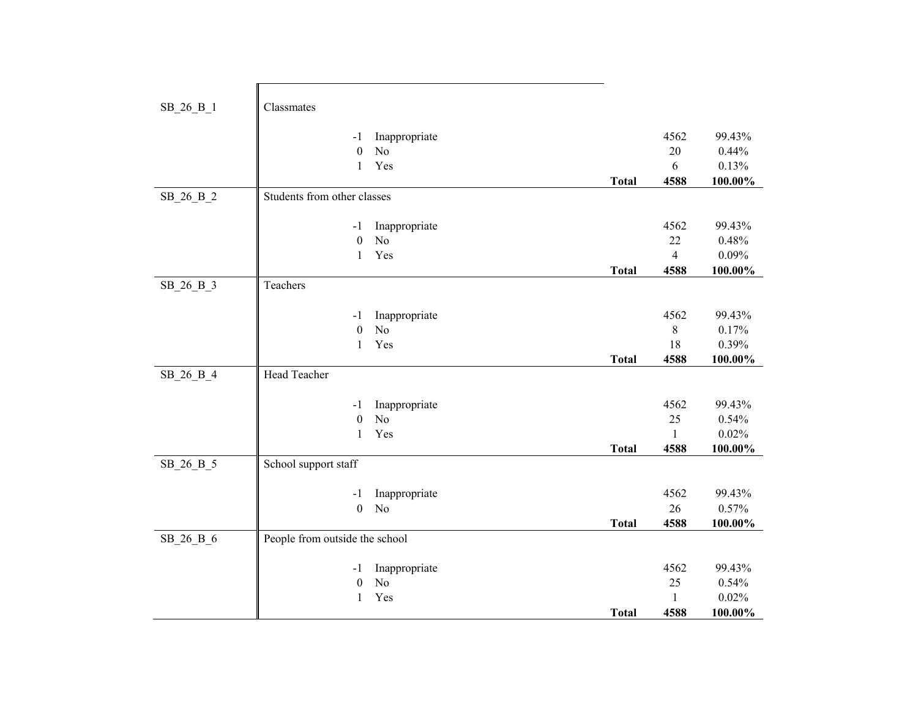| SB_26_B_1 | Classmates                     |                                 |              |                |            |
|-----------|--------------------------------|---------------------------------|--------------|----------------|------------|
|           | $-1$                           | Inappropriate                   |              | 4562           | 99.43%     |
|           | $\boldsymbol{0}$               | N <sub>o</sub>                  |              | 20             | 0.44%      |
|           | $\mathbf{1}$                   | Yes                             |              | 6              | 0.13%      |
|           |                                |                                 | <b>Total</b> | 4588           | $100.00\%$ |
| SB_26_B_2 | Students from other classes    |                                 |              |                |            |
|           |                                |                                 |              |                |            |
|           | $-1$                           | Inappropriate                   |              | 4562           | 99.43%     |
|           | $\boldsymbol{0}$               | N <sub>o</sub>                  |              | 22             | 0.48%      |
|           | $\mathbf{1}$                   | Yes                             |              | $\overline{4}$ | 0.09%      |
|           |                                |                                 | <b>Total</b> | 4588           | $100.00\%$ |
| SB_26_B_3 | Teachers                       |                                 |              |                |            |
|           |                                |                                 |              |                |            |
|           | $-1$                           | Inappropriate                   |              | 4562           | 99.43%     |
|           | $\boldsymbol{0}$               | N <sub>o</sub>                  |              | 8              | 0.17%      |
|           | $\mathbf{1}$                   | Yes                             |              | 18             | 0.39%      |
|           |                                |                                 | <b>Total</b> | 4588           | 100.00%    |
| SB 26 B 4 | Head Teacher                   |                                 |              |                |            |
|           | $-1$                           |                                 |              | 4562           | 99.43%     |
|           | $\boldsymbol{0}$               | Inappropriate<br>N <sub>o</sub> |              | 25             | 0.54%      |
|           | $\mathbf{1}$                   | Yes                             |              | 1              | 0.02%      |
|           |                                |                                 | <b>Total</b> | 4588           | $100.00\%$ |
| SB_26_B_5 | School support staff           |                                 |              |                |            |
|           |                                |                                 |              |                |            |
|           | $-1$                           | Inappropriate                   |              | 4562           | 99.43%     |
|           | $\boldsymbol{0}$               | N <sub>o</sub>                  |              | 26             | 0.57%      |
|           |                                |                                 | <b>Total</b> | 4588           | 100.00%    |
| SB 26 B 6 | People from outside the school |                                 |              |                |            |
|           |                                |                                 |              |                |            |
|           | -1                             | Inappropriate                   |              | 4562           | 99.43%     |
|           | $\boldsymbol{0}$               | N <sub>o</sub>                  |              | 25             | 0.54%      |
|           | $\mathbf{1}$                   | Yes                             |              | 1              | 0.02%      |
|           |                                |                                 | <b>Total</b> | 4588           | 100.00%    |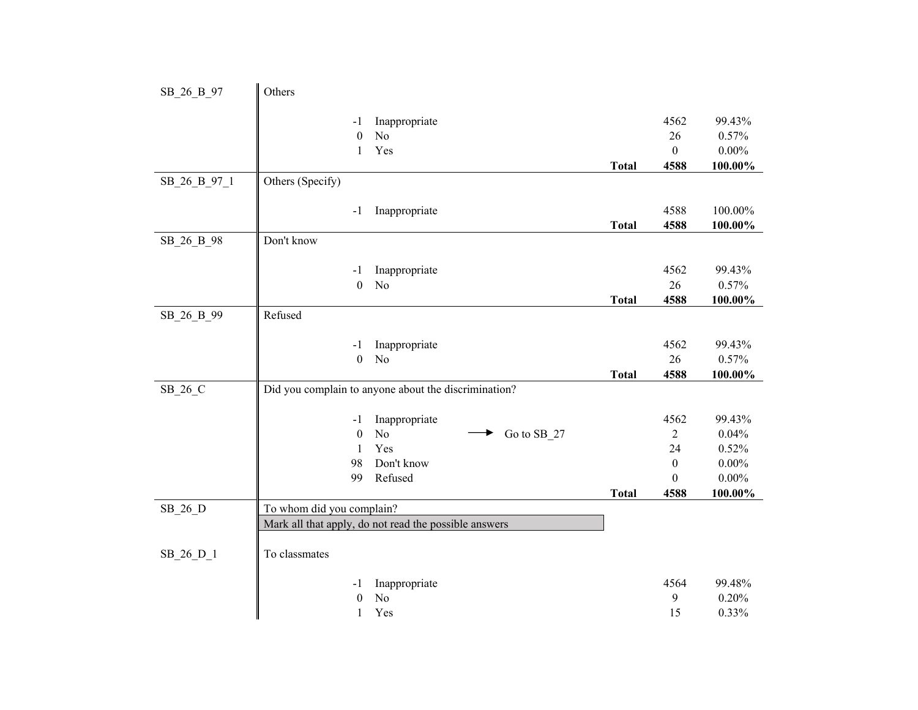| SB_26_B_97   | Others                    |                                                       |              |                              |                      |
|--------------|---------------------------|-------------------------------------------------------|--------------|------------------------------|----------------------|
|              |                           |                                                       |              |                              |                      |
|              | -1                        | Inappropriate                                         |              | 4562                         | 99.43%               |
|              | $\theta$                  | N <sub>o</sub>                                        |              | 26                           | 0.57%                |
|              | 1                         | Yes                                                   |              | $\mathbf{0}$                 | $0.00\%$             |
|              |                           |                                                       | <b>Total</b> | 4588                         | 100.00%              |
| SB_26_B_97_1 | Others (Specify)          |                                                       |              |                              |                      |
|              | $-1$                      | Inappropriate                                         |              | 4588                         | 100.00%              |
|              |                           |                                                       | <b>Total</b> | 4588                         | $100.00\%$           |
| SB 26 B 98   | Don't know                |                                                       |              |                              |                      |
|              |                           |                                                       |              |                              |                      |
|              | -1                        | Inappropriate<br>N <sub>o</sub>                       |              | 4562<br>26                   | 99.43%<br>0.57%      |
|              | $\boldsymbol{0}$          |                                                       | <b>Total</b> |                              |                      |
|              | Refused                   |                                                       |              | 4588                         | $100.00\%$           |
| SB_26_B_99   |                           |                                                       |              |                              |                      |
|              | -1                        | Inappropriate                                         |              | 4562                         | 99.43%               |
|              | $\boldsymbol{0}$          | No                                                    |              | 26                           | 0.57%                |
|              |                           |                                                       | <b>Total</b> | 4588                         | 100.00%              |
| SB_26_C      |                           | Did you complain to anyone about the discrimination?  |              |                              |                      |
|              |                           |                                                       |              |                              |                      |
|              | $-1$<br>$\boldsymbol{0}$  | Inappropriate<br>N <sub>o</sub>                       |              | 4562                         | 99.43%               |
|              |                           | Go to SB_27<br>Yes                                    |              | $\overline{2}$               | 0.04%                |
|              | $\mathbf{1}$<br>98        |                                                       |              | 24                           | 0.52%                |
|              | 99                        | Don't know<br>Refused                                 |              | $\boldsymbol{0}$<br>$\theta$ | $0.00\%$<br>$0.00\%$ |
|              |                           |                                                       |              |                              |                      |
| $SB_26_D$    | To whom did you complain? |                                                       | <b>Total</b> | 4588                         | 100.00%              |
|              |                           | Mark all that apply, do not read the possible answers |              |                              |                      |
|              |                           |                                                       |              |                              |                      |
| SB_26_D_1    | To classmates             |                                                       |              |                              |                      |
|              |                           |                                                       |              |                              |                      |
|              | -1                        | Inappropriate                                         |              | 4564                         | 99.48%               |
|              | $\theta$                  | N <sub>o</sub>                                        |              | 9                            | 0.20%                |
|              | 1                         | Yes                                                   |              | 15                           | 0.33%                |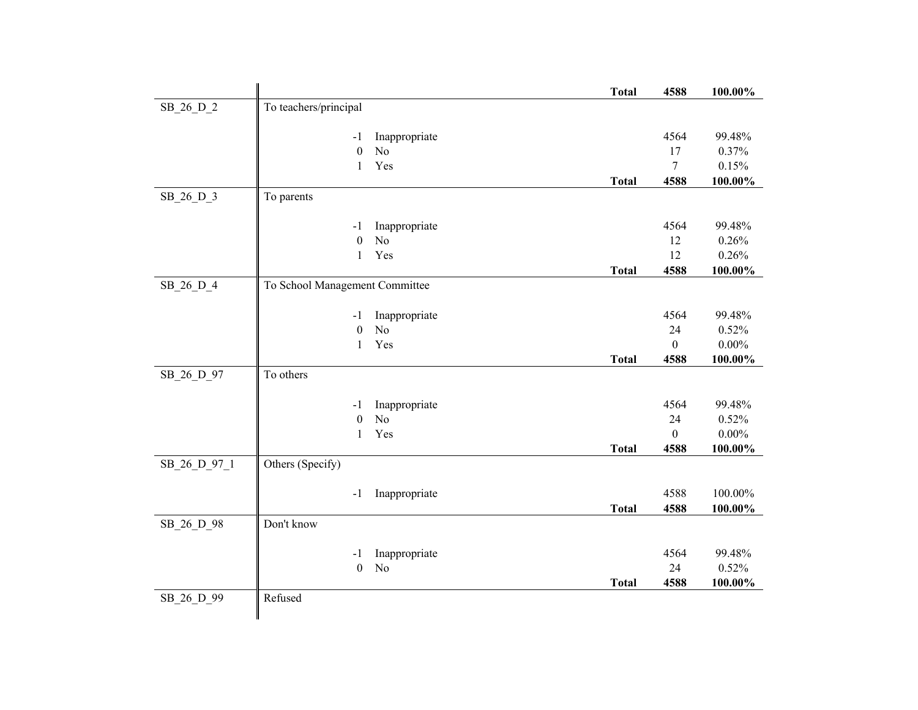|              |                                                             | <b>Total</b> | 4588             | 100.00%         |
|--------------|-------------------------------------------------------------|--------------|------------------|-----------------|
| SB_26_D_2    | To teachers/principal                                       |              |                  |                 |
|              |                                                             |              |                  |                 |
|              | Inappropriate<br>$-1$<br>$\boldsymbol{0}$<br>N <sub>o</sub> |              | 4564<br>17       | 99.48%<br>0.37% |
|              | Yes<br>$\mathbf{1}$                                         |              | $\tau$           | 0.15%           |
|              |                                                             | <b>Total</b> | 4588             | 100.00%         |
| SB_26_D_3    | To parents                                                  |              |                  |                 |
|              |                                                             |              |                  |                 |
|              | Inappropriate<br>$-1$                                       |              | 4564             | 99.48%          |
|              | N <sub>o</sub><br>$\boldsymbol{0}$                          |              | 12               | 0.26%           |
|              | Yes<br>$\mathbf{1}$                                         |              | 12               | 0.26%           |
|              |                                                             | <b>Total</b> | 4588             | $100.00\%$      |
| SB_26_D_4    | To School Management Committee                              |              |                  |                 |
|              |                                                             |              |                  |                 |
|              | Inappropriate<br>-1                                         |              | 4564             | 99.48%          |
|              | N <sub>o</sub><br>$\boldsymbol{0}$                          |              | 24               | 0.52%           |
|              | Yes<br>$\mathbf{1}$                                         |              | $\boldsymbol{0}$ | $0.00\%$        |
| SB_26_D_97   | To others                                                   | <b>Total</b> | 4588             | 100.00%         |
|              |                                                             |              |                  |                 |
|              | Inappropriate<br>$-1$                                       |              | 4564             | 99.48%          |
|              | $\boldsymbol{0}$<br>N <sub>o</sub>                          |              | 24               | 0.52%           |
|              | Yes<br>1                                                    |              | $\overline{0}$   | $0.00\%$        |
|              |                                                             | <b>Total</b> | 4588             | 100.00%         |
| SB_26_D_97_1 | Others (Specify)                                            |              |                  |                 |
|              |                                                             |              |                  |                 |
|              | Inappropriate<br>$-1$                                       |              | 4588             | 100.00%         |
|              |                                                             | <b>Total</b> | 4588             | 100.00%         |
| SB 26 D 98   | Don't know                                                  |              |                  |                 |
|              | Inappropriate<br>$-1$                                       |              | 4564             | 99.48%          |
|              | N <sub>o</sub><br>$\boldsymbol{0}$                          |              | 24               | 0.52%           |
|              |                                                             | <b>Total</b> | 4588             | 100.00%         |
| SB_26_D_99   | Refused                                                     |              |                  |                 |
|              |                                                             |              |                  |                 |
|              |                                                             |              |                  |                 |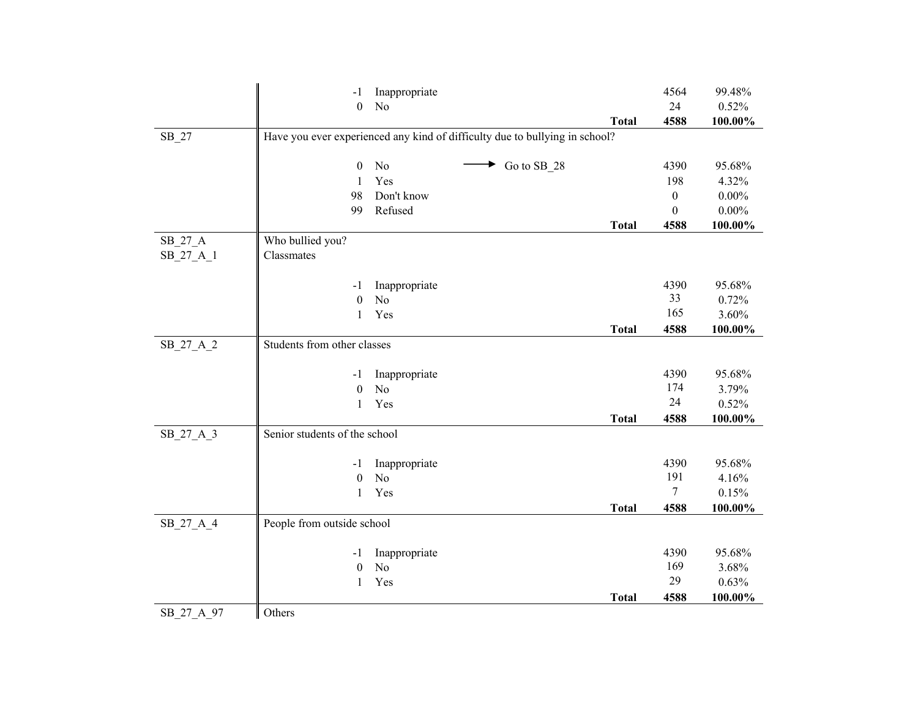| N <sub>o</sub><br>24<br>$\boldsymbol{0}$<br>4588<br><b>Total</b>                       | 0.52%<br>100.00% |
|----------------------------------------------------------------------------------------|------------------|
|                                                                                        |                  |
|                                                                                        |                  |
| Have you ever experienced any kind of difficulty due to bullying in school?<br>$SB_27$ |                  |
|                                                                                        |                  |
| Go to SB_28<br>No<br>4390<br>$\boldsymbol{0}$                                          | 95.68%           |
| Yes<br>198<br>1                                                                        | 4.32%            |
| 98<br>Don't know<br>$\mathbf{0}$                                                       | $0.00\%$         |
| Refused<br>99<br>$\theta$                                                              | $0.00\%$         |
| 4588<br><b>Total</b>                                                                   | 100.00%          |
| SB_27_A<br>Who bullied you?                                                            |                  |
| SB_27_A_1<br>Classmates                                                                |                  |
|                                                                                        |                  |
| 4390<br>Inappropriate<br>-1                                                            | 95.68%           |
| 33<br>N <sub>o</sub><br>$\theta$                                                       | 0.72%            |
| 165<br>Yes<br>1                                                                        | 3.60%            |
| 4588<br><b>Total</b>                                                                   | 100.00%          |
| Students from other classes<br>SB_27_A_2                                               |                  |
|                                                                                        |                  |
| 4390<br>Inappropriate<br>-1                                                            | 95.68%           |
| 174<br>No<br>$\boldsymbol{0}$                                                          | 3.79%            |
| 24<br>Yes<br>$\mathbf{1}$                                                              | 0.52%            |
| 4588<br><b>Total</b>                                                                   | 100.00%          |
| Senior students of the school<br>SB_27_A_3                                             |                  |
|                                                                                        |                  |
| 4390<br>Inappropriate<br>-1<br>191<br>$\rm No$                                         | 95.68%           |
| $\boldsymbol{0}$<br>$\tau$<br>$\mathbf{1}$<br>Yes                                      | 4.16%<br>0.15%   |
| <b>Total</b><br>4588                                                                   |                  |
|                                                                                        | $100.00\%$       |
| People from outside school<br>SB 27 A 4                                                |                  |
| 4390<br>Inappropriate<br>-1                                                            | 95.68%           |
| 169<br>$\boldsymbol{0}$<br>No                                                          | 3.68%            |
| 29<br>Yes<br>1                                                                         | 0.63%            |
| 4588<br><b>Total</b>                                                                   | 100.00%          |
| Others<br>SB 27 A 97                                                                   |                  |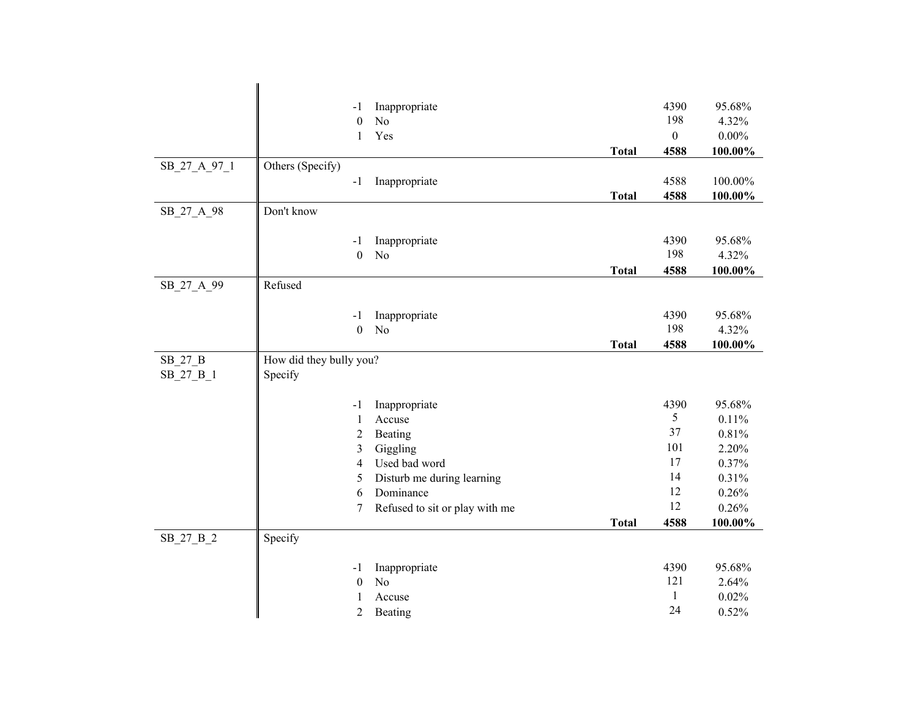|              | $-1$                    | Inappropriate                  |              | 4390             | 95.68%   |
|--------------|-------------------------|--------------------------------|--------------|------------------|----------|
|              | $\boldsymbol{0}$        | No                             |              | 198              | 4.32%    |
|              | $\mathbf{1}$            | Yes                            |              | $\boldsymbol{0}$ | $0.00\%$ |
|              |                         |                                | <b>Total</b> | 4588             | 100.00%  |
| SB 27 A 97 1 | Others (Specify)        |                                |              |                  |          |
|              | $-1$                    | Inappropriate                  |              | 4588             | 100.00%  |
|              |                         |                                | <b>Total</b> | 4588             | 100.00%  |
| SB 27 A 98   | Don't know              |                                |              |                  |          |
|              |                         |                                |              |                  |          |
|              | $-1$                    | Inappropriate                  |              | 4390             | 95.68%   |
|              | $\mathbf{0}$            | N <sub>o</sub>                 |              | 198              | 4.32%    |
|              |                         |                                | <b>Total</b> | 4588             | 100.00%  |
| SB_27_A_99   | Refused                 |                                |              |                  |          |
|              | $-1$                    | Inappropriate                  |              | 4390             | 95.68%   |
|              | $\mathbf{0}$            | N <sub>o</sub>                 |              | 198              | 4.32%    |
|              |                         |                                | <b>Total</b> | 4588             | 100.00%  |
| SB 27 B      | How did they bully you? |                                |              |                  |          |
| SB_27_B_1    | Specify                 |                                |              |                  |          |
|              |                         |                                |              |                  |          |
|              | $-1$                    | Inappropriate                  |              | 4390             | 95.68%   |
|              | $\mathbf{1}$            | Accuse                         |              | 5                | 0.11%    |
|              | $\overline{2}$          | Beating                        |              | 37               | 0.81%    |
|              | 3                       | Giggling                       |              | 101              | 2.20%    |
|              | 4                       | Used bad word                  |              | 17               | 0.37%    |
|              | 5                       | Disturb me during learning     |              | 14               | 0.31%    |
|              | 6                       | Dominance                      |              | 12               | 0.26%    |
|              | 7                       | Refused to sit or play with me |              | 12               | 0.26%    |
|              |                         |                                | <b>Total</b> | 4588             | 100.00%  |
| SB_27_B_2    | Specify                 |                                |              |                  |          |
|              | $-1$                    | Inappropriate                  |              | 4390             | 95.68%   |
|              | $\boldsymbol{0}$        | N <sub>o</sub>                 |              | 121              | 2.64%    |
|              | 1                       | Accuse                         |              | $\mathbf{1}$     | 0.02%    |
|              | $\overline{2}$          | Beating                        |              | 24               | 0.52%    |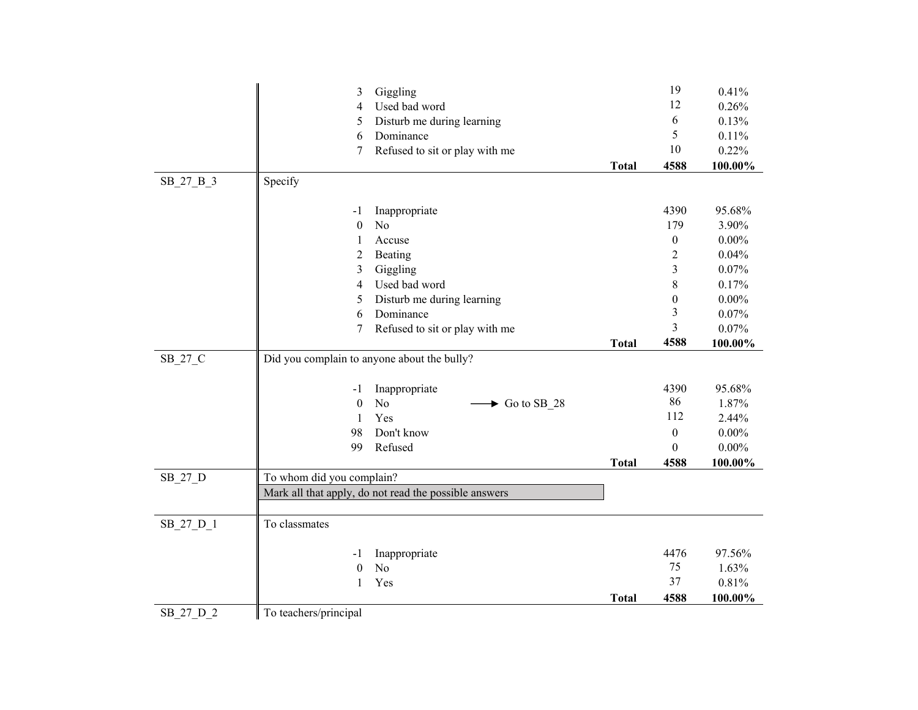| Giggling<br>12<br>Used bad word<br>0.26%<br>4<br>6<br>0.13%<br>Disturb me during learning<br>5<br>5<br>0.11%<br>6<br>Dominance<br>10<br>0.22%<br>Refused to sit or play with me<br>7<br>4588<br>100.00%<br><b>Total</b><br>Specify<br>SB_27_B_3<br>4390<br>95.68%<br>Inappropriate<br>-1<br>N <sub>o</sub><br>179<br>3.90%<br>$\mathbf{0}$ | 0.41%    |
|--------------------------------------------------------------------------------------------------------------------------------------------------------------------------------------------------------------------------------------------------------------------------------------------------------------------------------------------|----------|
|                                                                                                                                                                                                                                                                                                                                            |          |
|                                                                                                                                                                                                                                                                                                                                            |          |
|                                                                                                                                                                                                                                                                                                                                            |          |
|                                                                                                                                                                                                                                                                                                                                            |          |
|                                                                                                                                                                                                                                                                                                                                            |          |
|                                                                                                                                                                                                                                                                                                                                            |          |
|                                                                                                                                                                                                                                                                                                                                            |          |
|                                                                                                                                                                                                                                                                                                                                            |          |
| Accuse<br>$\boldsymbol{0}$<br>1                                                                                                                                                                                                                                                                                                            | $0.00\%$ |
| $\overline{2}$<br>0.04%<br>2<br>Beating                                                                                                                                                                                                                                                                                                    |          |
| 3<br>3<br>Giggling<br>0.07%                                                                                                                                                                                                                                                                                                                |          |
| $8\,$<br>Used bad word<br>0.17%<br>4                                                                                                                                                                                                                                                                                                       |          |
| Disturb me during learning<br>$0.00\%$<br>5<br>$\mathbf{0}$                                                                                                                                                                                                                                                                                |          |
| 3<br>Dominance<br>0.07%<br>6                                                                                                                                                                                                                                                                                                               |          |
| 3<br>0.07%<br>Refused to sit or play with me<br>7                                                                                                                                                                                                                                                                                          |          |
| 4588<br><b>Total</b><br>100.00%                                                                                                                                                                                                                                                                                                            |          |
| SB_27_C<br>Did you complain to anyone about the bully?                                                                                                                                                                                                                                                                                     |          |
| 4390<br>95.68%<br>Inappropriate<br>$-1$                                                                                                                                                                                                                                                                                                    |          |
| 86<br>N <sub>o</sub><br>$\boldsymbol{0}$<br>$\blacktriangleright$ Go to SB 28<br>1.87%                                                                                                                                                                                                                                                     |          |
| 112<br>Yes<br>2.44%<br>$\mathbf{1}$                                                                                                                                                                                                                                                                                                        |          |
| Don't know<br>$0.00\%$<br>98<br>$\boldsymbol{0}$                                                                                                                                                                                                                                                                                           |          |
| Refused<br>99<br>$0.00\%$<br>$\theta$                                                                                                                                                                                                                                                                                                      |          |
| 4588<br>100.00%<br><b>Total</b>                                                                                                                                                                                                                                                                                                            |          |
| To whom did you complain?<br>$SB_27_D$                                                                                                                                                                                                                                                                                                     |          |
| Mark all that apply, do not read the possible answers                                                                                                                                                                                                                                                                                      |          |
|                                                                                                                                                                                                                                                                                                                                            |          |
| SB_27_D_1<br>To classmates                                                                                                                                                                                                                                                                                                                 |          |
| Inappropriate<br>4476<br>-1                                                                                                                                                                                                                                                                                                                |          |
| 75<br>N <sub>o</sub><br>$\boldsymbol{0}$<br>1.63%                                                                                                                                                                                                                                                                                          |          |
| 37<br>Yes<br>0.81%<br>1                                                                                                                                                                                                                                                                                                                    | 97.56%   |
| <b>Total</b><br>4588<br>100.00%                                                                                                                                                                                                                                                                                                            |          |
| SB 27 D 2<br>To teachers/principal                                                                                                                                                                                                                                                                                                         |          |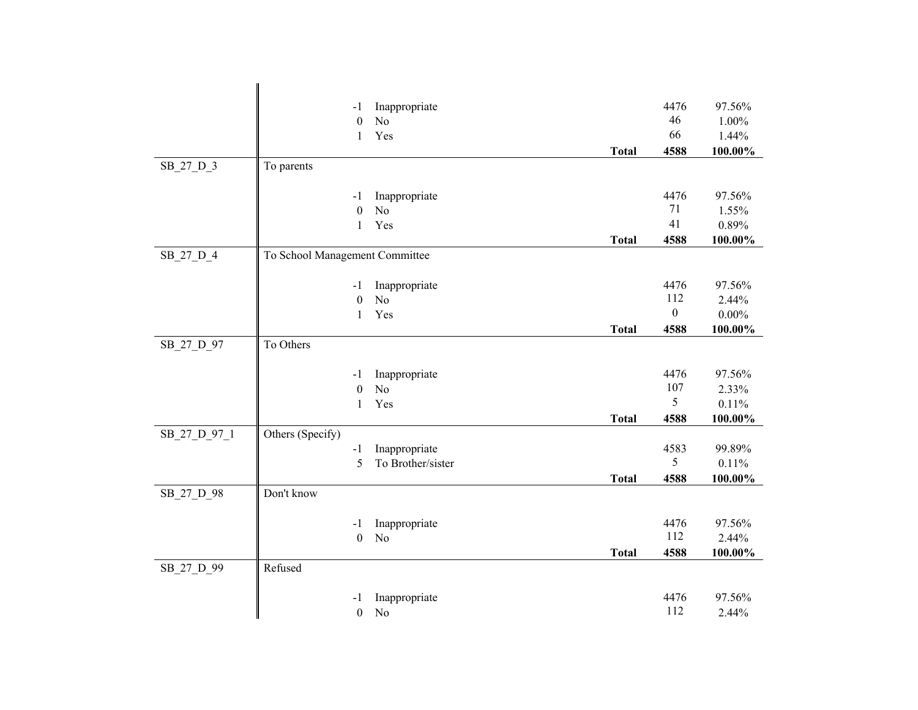|              | -1                             | Inappropriate                   |              | 4476             | 97.56%          |
|--------------|--------------------------------|---------------------------------|--------------|------------------|-----------------|
|              | $\boldsymbol{0}$               | No                              |              | 46               | $1.00\%$        |
|              | 1                              | Yes                             |              | 66               | 1.44%           |
|              |                                |                                 | <b>Total</b> | 4588             | 100.00%         |
| SB_27_D_3    | To parents                     |                                 |              |                  |                 |
|              |                                |                                 |              |                  |                 |
|              | $-1$                           | Inappropriate                   |              | 4476             | 97.56%          |
|              | $\boldsymbol{0}$               | N <sub>o</sub>                  |              | 71               | 1.55%           |
|              | $\mathbf{1}$                   | Yes                             |              | 41               | 0.89%           |
|              |                                |                                 | <b>Total</b> | 4588             | 100.00%         |
| SB_27_D_4    | To School Management Committee |                                 |              |                  |                 |
|              |                                |                                 |              | 4476             | 97.56%          |
|              | $-1$<br>$\boldsymbol{0}$       | Inappropriate<br>N <sub>o</sub> |              | 112              | 2.44%           |
|              | 1                              | Yes                             |              | $\boldsymbol{0}$ | $0.00\%$        |
|              |                                |                                 | <b>Total</b> | 4588             | 100.00%         |
| SB_27_D_97   | To Others                      |                                 |              |                  |                 |
|              |                                |                                 |              |                  |                 |
|              | $-1$                           | Inappropriate                   |              | 4476             | 97.56%          |
|              | $\boldsymbol{0}$               | No                              |              | 107              | 2.33%           |
|              | $\mathbf{1}$                   | Yes                             |              | 5                | 0.11%           |
|              |                                |                                 | <b>Total</b> | 4588             | $100.00\%$      |
| SB_27_D_97_1 | Others (Specify)               |                                 |              |                  |                 |
|              | $-1$                           | Inappropriate                   |              | 4583             | 99.89%          |
|              | 5                              | To Brother/sister               |              | $5\overline{)}$  | 0.11%           |
|              |                                |                                 | <b>Total</b> | 4588             | 100.00%         |
| SB_27_D_98   | Don't know                     |                                 |              |                  |                 |
|              |                                |                                 |              |                  |                 |
|              | -1<br>$\boldsymbol{0}$         | Inappropriate<br>No             |              | 4476<br>112      | 97.56%<br>2.44% |
|              |                                |                                 | <b>Total</b> | 4588             | 100.00%         |
| SB_27_D_99   | Refused                        |                                 |              |                  |                 |
|              |                                |                                 |              |                  |                 |
|              | -1                             | Inappropriate                   |              | 4476             | 97.56%          |
|              | $\boldsymbol{0}$               | No                              |              | 112              | 2.44%           |
|              |                                |                                 |              |                  |                 |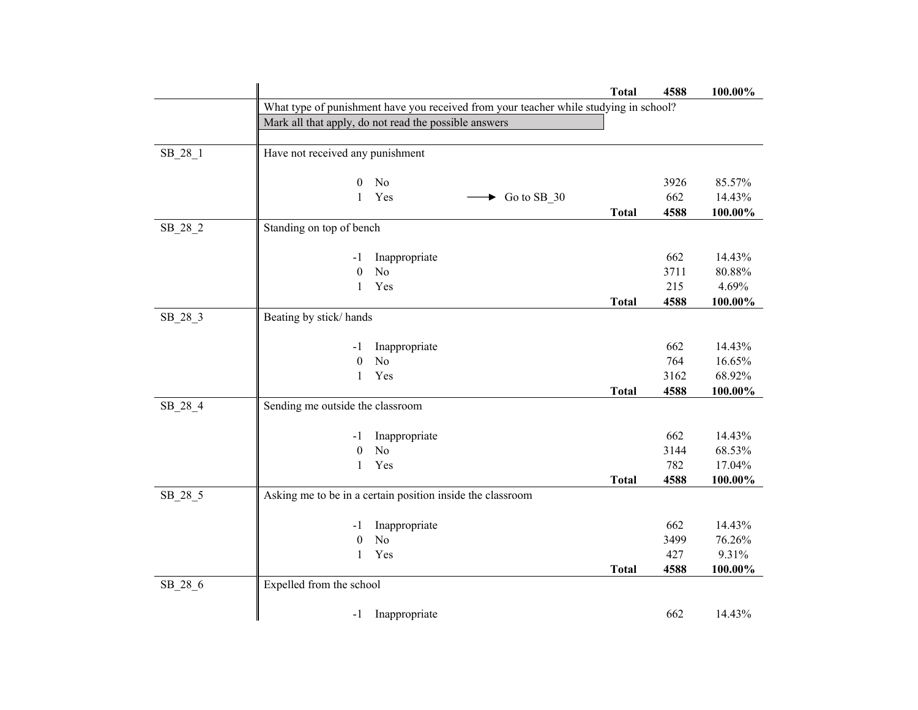|           |                                                                                       | <b>Total</b> | 4588 | 100.00% |
|-----------|---------------------------------------------------------------------------------------|--------------|------|---------|
|           | What type of punishment have you received from your teacher while studying in school? |              |      |         |
|           | Mark all that apply, do not read the possible answers                                 |              |      |         |
|           |                                                                                       |              |      |         |
| SB_28_1   | Have not received any punishment                                                      |              |      |         |
|           |                                                                                       |              |      |         |
|           | No<br>$\overline{0}$                                                                  |              | 3926 | 85.57%  |
|           | Yes<br>$\mathbf{1}$<br>$\blacktriangleright$ Go to SB_30                              |              | 662  | 14.43%  |
|           |                                                                                       | <b>Total</b> | 4588 | 100.00% |
| $SB_28_2$ | Standing on top of bench                                                              |              |      |         |
|           |                                                                                       |              |      |         |
|           | Inappropriate<br>$-1$                                                                 |              | 662  | 14.43%  |
|           | No<br>$\theta$                                                                        |              | 3711 | 80.88%  |
|           | Yes<br>1                                                                              |              | 215  | 4.69%   |
|           | Beating by stick/hands                                                                | <b>Total</b> | 4588 | 100.00% |
| $SB_28_3$ |                                                                                       |              |      |         |
|           | Inappropriate<br>$-1$                                                                 |              | 662  | 14.43%  |
|           | N <sub>o</sub><br>$\boldsymbol{0}$                                                    |              | 764  | 16.65%  |
|           | Yes<br>$\mathbf{1}$                                                                   |              | 3162 | 68.92%  |
|           |                                                                                       | <b>Total</b> | 4588 | 100.00% |
| SB_28_4   | Sending me outside the classroom                                                      |              |      |         |
|           |                                                                                       |              |      |         |
|           | Inappropriate<br>$-1$                                                                 |              | 662  | 14.43%  |
|           | N <sub>o</sub><br>$\boldsymbol{0}$                                                    |              | 3144 | 68.53%  |
|           | Yes<br>$\mathbf{1}$                                                                   |              | 782  | 17.04%  |
|           |                                                                                       | <b>Total</b> | 4588 | 100.00% |
| $SB_28_5$ | Asking me to be in a certain position inside the classroom                            |              |      |         |
|           |                                                                                       |              |      |         |
|           | Inappropriate<br>$-1$                                                                 |              | 662  | 14.43%  |
|           | No<br>$\theta$                                                                        |              | 3499 | 76.26%  |
|           | Yes<br>1                                                                              |              | 427  | 9.31%   |
|           |                                                                                       | <b>Total</b> | 4588 | 100.00% |
| $SB_28_6$ | Expelled from the school                                                              |              |      |         |
|           |                                                                                       |              |      |         |
|           | Inappropriate<br>$-1$                                                                 |              | 662  | 14.43%  |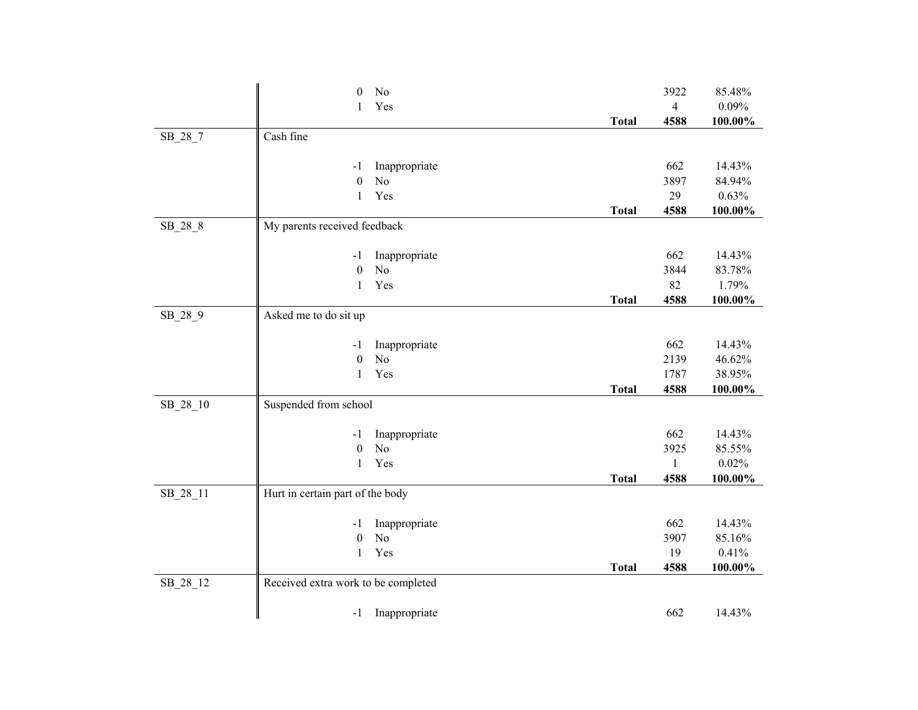|           | No<br>0                             |              | 3922           | 85.48%  |
|-----------|-------------------------------------|--------------|----------------|---------|
|           | Yes<br>1                            |              | $\overline{4}$ | 0.09%   |
|           |                                     | <b>Total</b> | 4588           | 100.00% |
| $SB_28_7$ | Cash fine                           |              |                |         |
|           |                                     |              |                |         |
|           | Inappropriate<br>-1                 |              | 662            | 14.43%  |
|           | $\boldsymbol{0}$<br>No              |              | 3897           | 84.94%  |
|           | Yes<br>$\mathbf{1}$                 |              | 29             | 0.63%   |
|           |                                     | <b>Total</b> | 4588           | 100.00% |
| SB_28_8   | My parents received feedback        |              |                |         |
|           |                                     |              |                |         |
|           | Inappropriate<br>$-1$               |              | 662            | 14.43%  |
|           | No<br>$\boldsymbol{0}$              |              | 3844           | 83.78%  |
|           | Yes<br>$\mathbf{1}$                 |              | 82             | 1.79%   |
|           |                                     | <b>Total</b> | 4588           | 100.00% |
| SB_28_9   | Asked me to do sit up               |              |                |         |
|           |                                     |              |                |         |
|           | Inappropriate<br>-1                 |              | 662            | 14.43%  |
|           | No<br>$\boldsymbol{0}$              |              | 2139           | 46.62%  |
|           | Yes<br>$\mathbf{1}$                 |              | 1787           | 38.95%  |
|           |                                     | <b>Total</b> | 4588           | 100.00% |
| SB_28_10  | Suspended from school               |              |                |         |
|           |                                     |              |                |         |
|           | Inappropriate<br>$-1$               |              | 662            | 14.43%  |
|           | N <sub>o</sub><br>$\boldsymbol{0}$  |              | 3925           | 85.55%  |
|           | Yes<br>$\mathbf{1}$                 |              | $\mathbf{1}$   | 0.02%   |
|           |                                     | <b>Total</b> | 4588           | 100.00% |
| SB_28_11  | Hurt in certain part of the body    |              |                |         |
|           |                                     |              |                |         |
|           | Inappropriate<br>-1                 |              | 662            | 14.43%  |
|           | No<br>$\boldsymbol{0}$              |              | 3907           | 85.16%  |
|           | Yes<br>1                            |              | 19             | 0.41%   |
|           |                                     | <b>Total</b> | 4588           | 100.00% |
| SB_28_12  | Received extra work to be completed |              |                |         |
|           |                                     |              |                |         |
|           | Inappropriate<br>$-1$               |              | 662            | 14.43%  |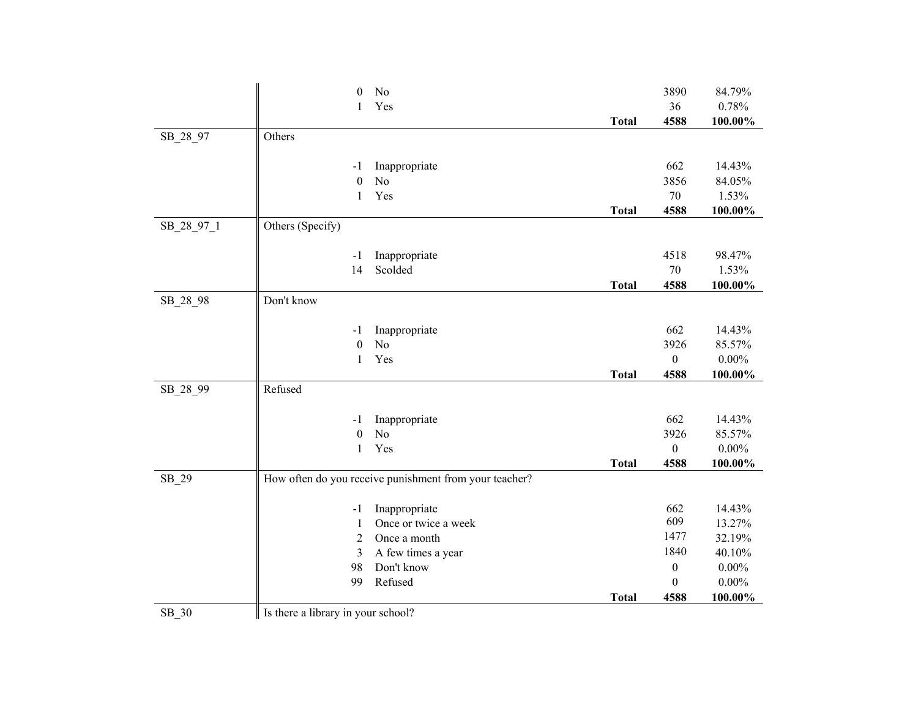|            | No<br>$\boldsymbol{0}$                                 |              | 3890             | 84.79%   |
|------------|--------------------------------------------------------|--------------|------------------|----------|
|            | Yes<br>1                                               |              | 36               | 0.78%    |
|            |                                                        | <b>Total</b> | 4588             | 100.00%  |
| SB_28_97   | Others                                                 |              |                  |          |
|            |                                                        |              |                  |          |
|            | Inappropriate<br>-1                                    |              | 662              | 14.43%   |
|            | $\boldsymbol{0}$<br>N <sub>o</sub>                     |              | 3856             | 84.05%   |
|            | Yes<br>$\mathbf{1}$                                    |              | 70               | 1.53%    |
|            |                                                        | <b>Total</b> | 4588             | 100.00%  |
| SB_28_97_1 | Others (Specify)                                       |              |                  |          |
|            |                                                        |              |                  |          |
|            | Inappropriate<br>$-1$                                  |              | 4518             | 98.47%   |
|            | Scolded<br>14                                          |              | 70               | 1.53%    |
|            |                                                        | <b>Total</b> | 4588             | 100.00%  |
| SB_28_98   | Don't know                                             |              |                  |          |
|            | Inappropriate<br>-1                                    |              | 662              | 14.43%   |
|            | N <sub>o</sub><br>$\boldsymbol{0}$                     |              | 3926             | 85.57%   |
|            | Yes<br>$\mathbf{1}$                                    |              | $\boldsymbol{0}$ | $0.00\%$ |
|            |                                                        | <b>Total</b> | 4588             | 100.00%  |
| SB_28_99   | Refused                                                |              |                  |          |
|            |                                                        |              |                  |          |
|            | Inappropriate<br>$-1$                                  |              | 662              | 14.43%   |
|            | N <sub>o</sub><br>$\boldsymbol{0}$                     |              | 3926             | 85.57%   |
|            | Yes<br>$\mathbf{1}$                                    |              | $\boldsymbol{0}$ | $0.00\%$ |
|            |                                                        | <b>Total</b> | 4588             | 100.00%  |
| SB_29      | How often do you receive punishment from your teacher? |              |                  |          |
|            |                                                        |              |                  |          |
|            | Inappropriate<br>$-1$                                  |              | 662              | 14.43%   |
|            | Once or twice a week<br>$\mathbf{1}$                   |              | 609              | 13.27%   |
|            | $\overline{2}$<br>Once a month                         |              | 1477             | 32.19%   |
|            | A few times a year<br>3                                |              | 1840             | 40.10%   |
|            | Don't know<br>98                                       |              | $\boldsymbol{0}$ | $0.00\%$ |
|            | Refused<br>99                                          |              | $\boldsymbol{0}$ | $0.00\%$ |
|            |                                                        | <b>Total</b> | 4588             | 100.00%  |
| SB_30      | Is there a library in your school?                     |              |                  |          |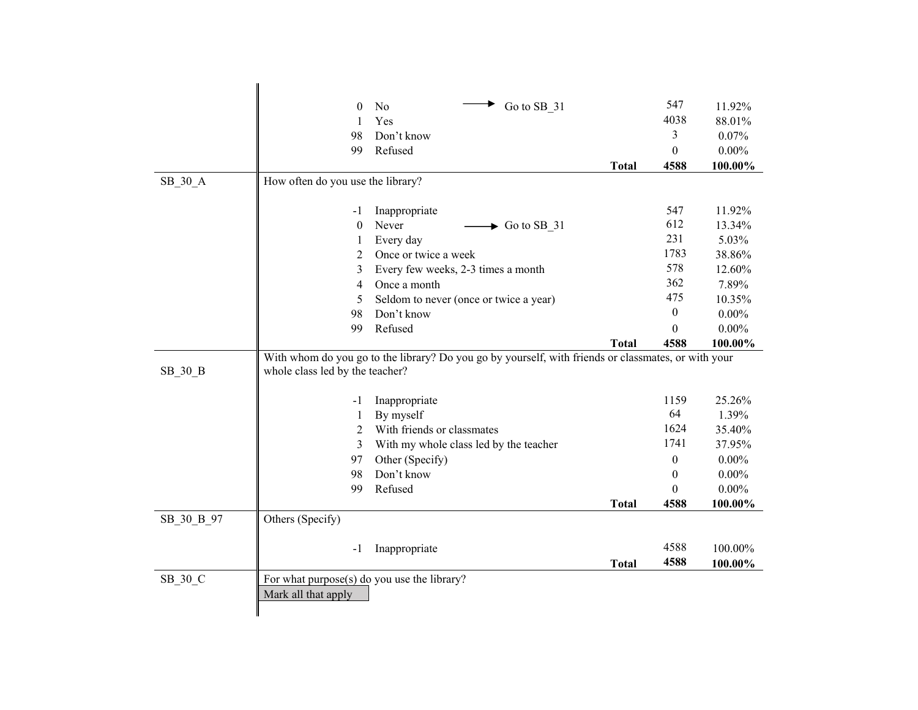| 547<br>$\Omega$<br>No<br>Go to SB 31<br>11.92%<br>4038<br>Yes<br>88.01%<br>1<br>3<br>98<br>Don't know<br>0.07%<br>Refused<br>99<br>$\theta$<br>$0.00\%$<br><b>Total</b><br>4588<br>100.00%<br>How often do you use the library?<br>SB 30 A<br>11.92%<br>Inappropriate<br>547<br>$-1$<br>612<br>Never<br>$\mathbf{0}$<br>$\blacktriangleright$ Go to SB_31<br>13.34%<br>231<br>Every day<br>5.03%<br>1<br>1783<br>Once or twice a week<br>38.86%<br>2<br>578<br>Every few weeks, 2-3 times a month<br>12.60%<br>3<br>362<br>$\overline{4}$<br>Once a month<br>7.89%<br>475<br>Seldom to never (once or twice a year)<br>10.35%<br>5<br>$\mathbf{0}$<br>Don't know<br>$0.00\%$<br>98<br>$0.00\%$<br>99<br>Refused<br>$\theta$<br>4588<br>100.00%<br><b>Total</b><br>With whom do you go to the library? Do you go by yourself, with friends or classmates, or with your<br>SB 30 B<br>whole class led by the teacher?<br>25.26%<br>Inappropriate<br>1159<br>$-1$<br>64<br>1.39%<br>$\mathbf{1}$<br>By myself<br>1624<br>With friends or classmates<br>2<br>35.40%<br>1741<br>With my whole class led by the teacher<br>3<br>37.95%<br>Other (Specify)<br>97<br>$\boldsymbol{0}$<br>$0.00\%$<br>Don't know<br>$0.00\%$<br>98<br>$\Omega$<br>$0.00\%$<br>99<br>Refused<br>$\theta$<br><b>Total</b><br>4588<br>100.00%<br>SB 30 B 97<br>Others (Specify)<br>4588<br>Inappropriate<br>100.00%<br>$-1$<br>4588<br>100.00%<br><b>Total</b><br>SB_30_C<br>For what purpose(s) do you use the library? |                     |  |  |  |  |  |
|----------------------------------------------------------------------------------------------------------------------------------------------------------------------------------------------------------------------------------------------------------------------------------------------------------------------------------------------------------------------------------------------------------------------------------------------------------------------------------------------------------------------------------------------------------------------------------------------------------------------------------------------------------------------------------------------------------------------------------------------------------------------------------------------------------------------------------------------------------------------------------------------------------------------------------------------------------------------------------------------------------------------------------------------------------------------------------------------------------------------------------------------------------------------------------------------------------------------------------------------------------------------------------------------------------------------------------------------------------------------------------------------------------------------------------------------------------------------------------------------|---------------------|--|--|--|--|--|
|                                                                                                                                                                                                                                                                                                                                                                                                                                                                                                                                                                                                                                                                                                                                                                                                                                                                                                                                                                                                                                                                                                                                                                                                                                                                                                                                                                                                                                                                                              |                     |  |  |  |  |  |
|                                                                                                                                                                                                                                                                                                                                                                                                                                                                                                                                                                                                                                                                                                                                                                                                                                                                                                                                                                                                                                                                                                                                                                                                                                                                                                                                                                                                                                                                                              |                     |  |  |  |  |  |
|                                                                                                                                                                                                                                                                                                                                                                                                                                                                                                                                                                                                                                                                                                                                                                                                                                                                                                                                                                                                                                                                                                                                                                                                                                                                                                                                                                                                                                                                                              |                     |  |  |  |  |  |
|                                                                                                                                                                                                                                                                                                                                                                                                                                                                                                                                                                                                                                                                                                                                                                                                                                                                                                                                                                                                                                                                                                                                                                                                                                                                                                                                                                                                                                                                                              |                     |  |  |  |  |  |
|                                                                                                                                                                                                                                                                                                                                                                                                                                                                                                                                                                                                                                                                                                                                                                                                                                                                                                                                                                                                                                                                                                                                                                                                                                                                                                                                                                                                                                                                                              |                     |  |  |  |  |  |
|                                                                                                                                                                                                                                                                                                                                                                                                                                                                                                                                                                                                                                                                                                                                                                                                                                                                                                                                                                                                                                                                                                                                                                                                                                                                                                                                                                                                                                                                                              |                     |  |  |  |  |  |
|                                                                                                                                                                                                                                                                                                                                                                                                                                                                                                                                                                                                                                                                                                                                                                                                                                                                                                                                                                                                                                                                                                                                                                                                                                                                                                                                                                                                                                                                                              |                     |  |  |  |  |  |
|                                                                                                                                                                                                                                                                                                                                                                                                                                                                                                                                                                                                                                                                                                                                                                                                                                                                                                                                                                                                                                                                                                                                                                                                                                                                                                                                                                                                                                                                                              |                     |  |  |  |  |  |
|                                                                                                                                                                                                                                                                                                                                                                                                                                                                                                                                                                                                                                                                                                                                                                                                                                                                                                                                                                                                                                                                                                                                                                                                                                                                                                                                                                                                                                                                                              |                     |  |  |  |  |  |
|                                                                                                                                                                                                                                                                                                                                                                                                                                                                                                                                                                                                                                                                                                                                                                                                                                                                                                                                                                                                                                                                                                                                                                                                                                                                                                                                                                                                                                                                                              | Mark all that apply |  |  |  |  |  |
|                                                                                                                                                                                                                                                                                                                                                                                                                                                                                                                                                                                                                                                                                                                                                                                                                                                                                                                                                                                                                                                                                                                                                                                                                                                                                                                                                                                                                                                                                              |                     |  |  |  |  |  |
|                                                                                                                                                                                                                                                                                                                                                                                                                                                                                                                                                                                                                                                                                                                                                                                                                                                                                                                                                                                                                                                                                                                                                                                                                                                                                                                                                                                                                                                                                              |                     |  |  |  |  |  |
|                                                                                                                                                                                                                                                                                                                                                                                                                                                                                                                                                                                                                                                                                                                                                                                                                                                                                                                                                                                                                                                                                                                                                                                                                                                                                                                                                                                                                                                                                              |                     |  |  |  |  |  |
|                                                                                                                                                                                                                                                                                                                                                                                                                                                                                                                                                                                                                                                                                                                                                                                                                                                                                                                                                                                                                                                                                                                                                                                                                                                                                                                                                                                                                                                                                              |                     |  |  |  |  |  |
|                                                                                                                                                                                                                                                                                                                                                                                                                                                                                                                                                                                                                                                                                                                                                                                                                                                                                                                                                                                                                                                                                                                                                                                                                                                                                                                                                                                                                                                                                              |                     |  |  |  |  |  |
|                                                                                                                                                                                                                                                                                                                                                                                                                                                                                                                                                                                                                                                                                                                                                                                                                                                                                                                                                                                                                                                                                                                                                                                                                                                                                                                                                                                                                                                                                              |                     |  |  |  |  |  |
|                                                                                                                                                                                                                                                                                                                                                                                                                                                                                                                                                                                                                                                                                                                                                                                                                                                                                                                                                                                                                                                                                                                                                                                                                                                                                                                                                                                                                                                                                              |                     |  |  |  |  |  |
|                                                                                                                                                                                                                                                                                                                                                                                                                                                                                                                                                                                                                                                                                                                                                                                                                                                                                                                                                                                                                                                                                                                                                                                                                                                                                                                                                                                                                                                                                              |                     |  |  |  |  |  |
|                                                                                                                                                                                                                                                                                                                                                                                                                                                                                                                                                                                                                                                                                                                                                                                                                                                                                                                                                                                                                                                                                                                                                                                                                                                                                                                                                                                                                                                                                              |                     |  |  |  |  |  |
|                                                                                                                                                                                                                                                                                                                                                                                                                                                                                                                                                                                                                                                                                                                                                                                                                                                                                                                                                                                                                                                                                                                                                                                                                                                                                                                                                                                                                                                                                              |                     |  |  |  |  |  |
|                                                                                                                                                                                                                                                                                                                                                                                                                                                                                                                                                                                                                                                                                                                                                                                                                                                                                                                                                                                                                                                                                                                                                                                                                                                                                                                                                                                                                                                                                              |                     |  |  |  |  |  |
|                                                                                                                                                                                                                                                                                                                                                                                                                                                                                                                                                                                                                                                                                                                                                                                                                                                                                                                                                                                                                                                                                                                                                                                                                                                                                                                                                                                                                                                                                              |                     |  |  |  |  |  |
|                                                                                                                                                                                                                                                                                                                                                                                                                                                                                                                                                                                                                                                                                                                                                                                                                                                                                                                                                                                                                                                                                                                                                                                                                                                                                                                                                                                                                                                                                              |                     |  |  |  |  |  |
|                                                                                                                                                                                                                                                                                                                                                                                                                                                                                                                                                                                                                                                                                                                                                                                                                                                                                                                                                                                                                                                                                                                                                                                                                                                                                                                                                                                                                                                                                              |                     |  |  |  |  |  |
|                                                                                                                                                                                                                                                                                                                                                                                                                                                                                                                                                                                                                                                                                                                                                                                                                                                                                                                                                                                                                                                                                                                                                                                                                                                                                                                                                                                                                                                                                              |                     |  |  |  |  |  |
|                                                                                                                                                                                                                                                                                                                                                                                                                                                                                                                                                                                                                                                                                                                                                                                                                                                                                                                                                                                                                                                                                                                                                                                                                                                                                                                                                                                                                                                                                              |                     |  |  |  |  |  |
|                                                                                                                                                                                                                                                                                                                                                                                                                                                                                                                                                                                                                                                                                                                                                                                                                                                                                                                                                                                                                                                                                                                                                                                                                                                                                                                                                                                                                                                                                              |                     |  |  |  |  |  |
|                                                                                                                                                                                                                                                                                                                                                                                                                                                                                                                                                                                                                                                                                                                                                                                                                                                                                                                                                                                                                                                                                                                                                                                                                                                                                                                                                                                                                                                                                              |                     |  |  |  |  |  |
|                                                                                                                                                                                                                                                                                                                                                                                                                                                                                                                                                                                                                                                                                                                                                                                                                                                                                                                                                                                                                                                                                                                                                                                                                                                                                                                                                                                                                                                                                              |                     |  |  |  |  |  |
|                                                                                                                                                                                                                                                                                                                                                                                                                                                                                                                                                                                                                                                                                                                                                                                                                                                                                                                                                                                                                                                                                                                                                                                                                                                                                                                                                                                                                                                                                              |                     |  |  |  |  |  |
|                                                                                                                                                                                                                                                                                                                                                                                                                                                                                                                                                                                                                                                                                                                                                                                                                                                                                                                                                                                                                                                                                                                                                                                                                                                                                                                                                                                                                                                                                              |                     |  |  |  |  |  |
|                                                                                                                                                                                                                                                                                                                                                                                                                                                                                                                                                                                                                                                                                                                                                                                                                                                                                                                                                                                                                                                                                                                                                                                                                                                                                                                                                                                                                                                                                              |                     |  |  |  |  |  |
|                                                                                                                                                                                                                                                                                                                                                                                                                                                                                                                                                                                                                                                                                                                                                                                                                                                                                                                                                                                                                                                                                                                                                                                                                                                                                                                                                                                                                                                                                              |                     |  |  |  |  |  |
|                                                                                                                                                                                                                                                                                                                                                                                                                                                                                                                                                                                                                                                                                                                                                                                                                                                                                                                                                                                                                                                                                                                                                                                                                                                                                                                                                                                                                                                                                              |                     |  |  |  |  |  |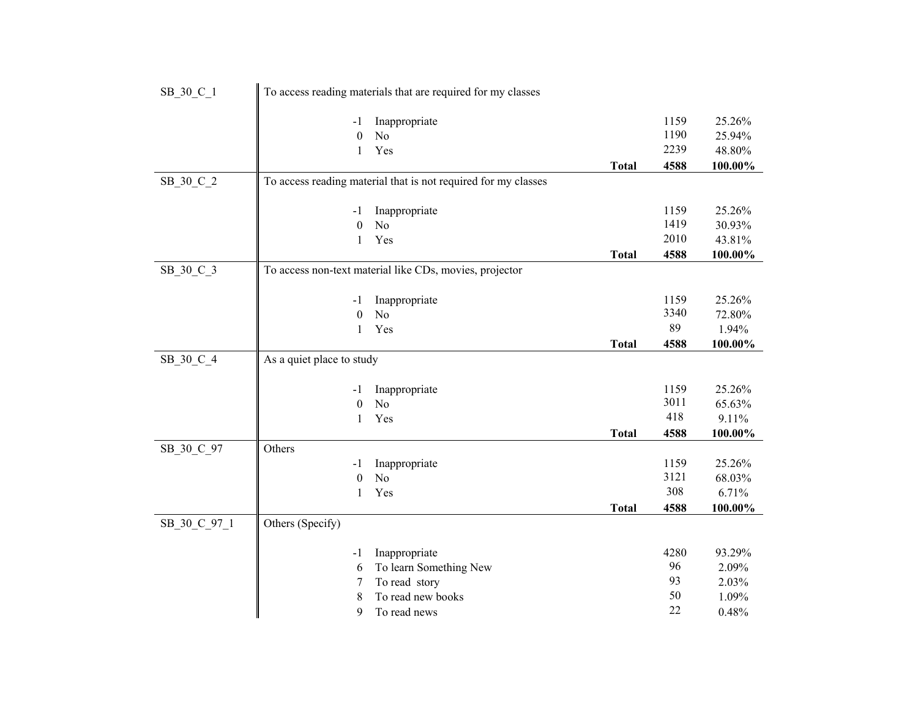| SB_30_C_1    |                           | To access reading materials that are required for my classes   |              |            |         |
|--------------|---------------------------|----------------------------------------------------------------|--------------|------------|---------|
|              |                           |                                                                |              |            |         |
|              | -1                        | Inappropriate                                                  |              | 1159       | 25.26%  |
|              | $\boldsymbol{0}$          | No                                                             |              | 1190       | 25.94%  |
|              | $\mathbf{1}$              | Yes                                                            |              | 2239       | 48.80%  |
|              |                           |                                                                | <b>Total</b> | 4588       | 100.00% |
| SB 30 C 2    |                           | To access reading material that is not required for my classes |              |            |         |
|              |                           |                                                                |              |            |         |
|              | -1                        | Inappropriate                                                  |              | 1159       | 25.26%  |
|              | $\boldsymbol{0}$          | No                                                             |              | 1419       | 30.93%  |
|              | $\mathbf{1}$              | Yes                                                            |              | 2010       | 43.81%  |
|              |                           |                                                                | <b>Total</b> | 4588       | 100.00% |
| SB_30_C_3    |                           | To access non-text material like CDs, movies, projector        |              |            |         |
|              |                           |                                                                |              |            |         |
|              | -1                        | Inappropriate                                                  |              | 1159       | 25.26%  |
|              | $\boldsymbol{0}$          | N <sub>o</sub>                                                 |              | 3340       | 72.80%  |
|              | 1                         | Yes                                                            |              | 89         | 1.94%   |
|              |                           |                                                                | <b>Total</b> | 4588       | 100.00% |
| SB 30 C 4    | As a quiet place to study |                                                                |              |            |         |
|              |                           |                                                                |              |            |         |
|              | -1                        | Inappropriate                                                  |              | 1159       | 25.26%  |
|              | $\boldsymbol{0}$          | N <sub>o</sub>                                                 |              | 3011       | 65.63%  |
|              | 1                         | Yes                                                            |              | 418        | 9.11%   |
|              |                           |                                                                | <b>Total</b> | 4588       | 100.00% |
| SB_30_C_97   | Others                    |                                                                |              |            |         |
|              | -1                        | Inappropriate                                                  |              | 1159       | 25.26%  |
|              | $\boldsymbol{0}$          | N <sub>o</sub>                                                 |              | 3121       | 68.03%  |
|              | $\mathbf{1}$              | Yes                                                            |              | 308        | 6.71%   |
|              |                           |                                                                | <b>Total</b> | 4588       | 100.00% |
| SB_30_C_97_1 | Others (Specify)          |                                                                |              |            |         |
|              |                           |                                                                |              |            |         |
|              | -1                        | Inappropriate                                                  |              | 4280<br>96 | 93.29%  |
|              | 6                         | To learn Something New                                         |              | 93         | 2.09%   |
|              | 7                         | To read story                                                  |              | 50         | 2.03%   |
|              | 8                         | To read new books                                              |              | 22         | 1.09%   |
|              | 9                         | To read news                                                   |              |            | 0.48%   |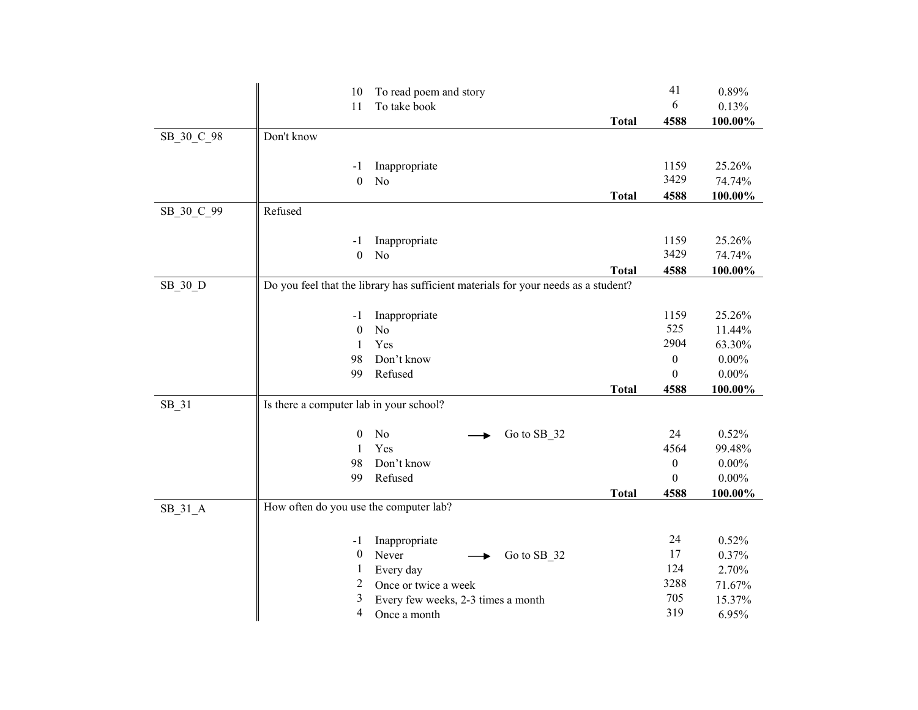|            | 10                                                                                 | To read poem and story                                     |             |              | 41               | 0.89%            |
|------------|------------------------------------------------------------------------------------|------------------------------------------------------------|-------------|--------------|------------------|------------------|
|            | 11                                                                                 | To take book                                               |             |              | 6                | 0.13%            |
|            |                                                                                    |                                                            |             | <b>Total</b> | 4588             | 100.00%          |
| SB_30_C_98 | Don't know                                                                         |                                                            |             |              |                  |                  |
|            | -1                                                                                 | Inappropriate                                              |             |              | 1159             | 25.26%           |
|            | $\boldsymbol{0}$                                                                   | N <sub>o</sub>                                             |             |              | 3429             | 74.74%           |
|            |                                                                                    |                                                            |             | <b>Total</b> | 4588             | 100.00%          |
| SB_30_C_99 | Refused                                                                            |                                                            |             |              |                  |                  |
|            |                                                                                    |                                                            |             |              |                  |                  |
|            | -1                                                                                 | Inappropriate                                              |             |              | 1159             | 25.26%           |
|            | $\boldsymbol{0}$                                                                   | No                                                         |             |              | 3429             | 74.74%           |
|            |                                                                                    |                                                            |             | <b>Total</b> | 4588             | 100.00%          |
| SB_30_D    | Do you feel that the library has sufficient materials for your needs as a student? |                                                            |             |              |                  |                  |
|            |                                                                                    |                                                            |             |              |                  |                  |
|            | $-1$                                                                               | Inappropriate                                              |             |              | 1159             | 25.26%           |
|            | $\boldsymbol{0}$                                                                   | N <sub>o</sub>                                             |             |              | 525              | 11.44%           |
|            | 1                                                                                  | Yes                                                        |             |              | 2904             | 63.30%           |
|            | 98                                                                                 | Don't know                                                 |             |              | $\boldsymbol{0}$ | $0.00\%$         |
|            | 99                                                                                 | Refused                                                    |             |              | $\boldsymbol{0}$ | $0.00\%$         |
|            |                                                                                    |                                                            |             | <b>Total</b> | 4588             | 100.00%          |
| SB_31      | Is there a computer lab in your school?                                            |                                                            |             |              |                  |                  |
|            | $\boldsymbol{0}$                                                                   | No                                                         | Go to SB_32 |              | 24               | 0.52%            |
|            | $\mathbf{1}$                                                                       | Yes                                                        |             |              | 4564             | 99.48%           |
|            | 98                                                                                 | Don't know                                                 |             |              | $\boldsymbol{0}$ | $0.00\%$         |
|            | 99                                                                                 | Refused                                                    |             |              | $\Omega$         | $0.00\%$         |
|            |                                                                                    |                                                            |             | <b>Total</b> | 4588             | 100.00%          |
| $SB_31_A$  | How often do you use the computer lab?                                             |                                                            |             |              |                  |                  |
|            |                                                                                    |                                                            |             |              |                  |                  |
|            |                                                                                    |                                                            |             |              |                  |                  |
|            |                                                                                    |                                                            |             |              |                  |                  |
|            | $-1$                                                                               | Inappropriate                                              |             |              | 24               | 0.52%            |
|            | $\boldsymbol{0}$<br>1                                                              | Never                                                      | Go to SB_32 |              | 17<br>124        | 0.37%            |
|            | 2                                                                                  | Every day                                                  |             |              | 3288             | 2.70%            |
|            | 3                                                                                  | Once or twice a week<br>Every few weeks, 2-3 times a month |             |              | 705              | 71.67%<br>15.37% |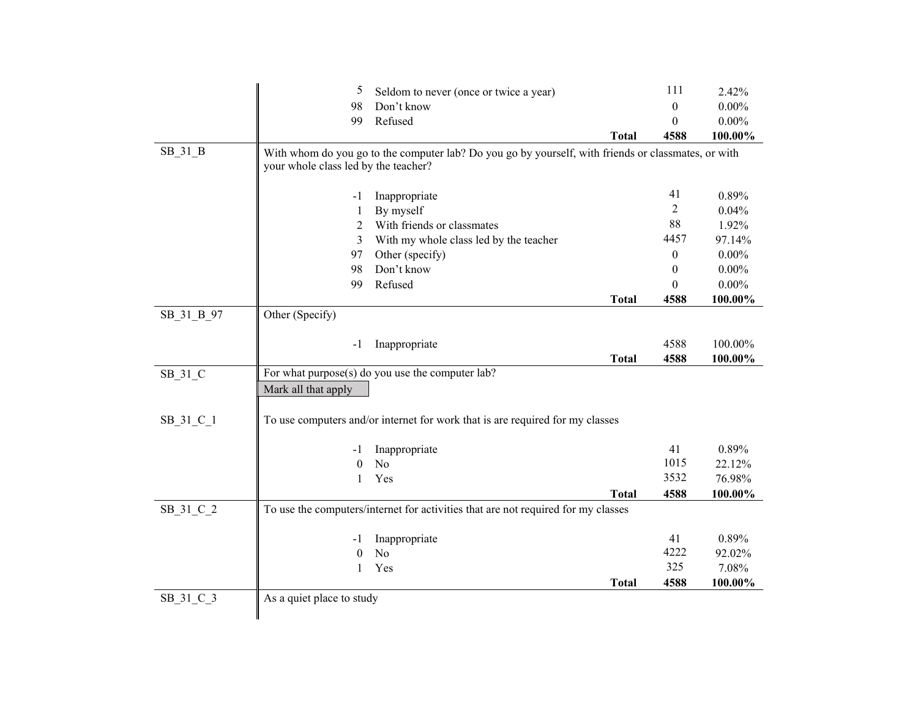|                                                                                                                                                                                                     | 5<br>Seldom to never (once or twice a year)<br>Don't know<br>98<br>Refused<br>99                                                            | <b>Total</b> | 111<br>$\mathbf{0}$<br>$\boldsymbol{0}$<br>4588 | 2.42%<br>$0.00\%$<br>$0.00\%$<br>100.00% |
|-----------------------------------------------------------------------------------------------------------------------------------------------------------------------------------------------------|---------------------------------------------------------------------------------------------------------------------------------------------|--------------|-------------------------------------------------|------------------------------------------|
| SB_31_B                                                                                                                                                                                             | With whom do you go to the computer lab? Do you go by yourself, with friends or classmates, or with<br>your whole class led by the teacher? |              |                                                 |                                          |
|                                                                                                                                                                                                     | Inappropriate<br>$-1$                                                                                                                       |              | 41                                              | 0.89%                                    |
|                                                                                                                                                                                                     | By myself<br>1                                                                                                                              |              | $\overline{2}$                                  | 0.04%                                    |
|                                                                                                                                                                                                     | With friends or classmates<br>2                                                                                                             |              | 88                                              | 1.92%                                    |
|                                                                                                                                                                                                     | With my whole class led by the teacher<br>3                                                                                                 |              | 4457                                            | 97.14%                                   |
|                                                                                                                                                                                                     | Other (specify)<br>97                                                                                                                       |              | $\boldsymbol{0}$                                | $0.00\%$                                 |
|                                                                                                                                                                                                     | Don't know<br>98                                                                                                                            |              | $\mathbf{0}$                                    | $0.00\%$                                 |
|                                                                                                                                                                                                     | Refused<br>99                                                                                                                               |              | $\theta$                                        | $0.00\%$                                 |
|                                                                                                                                                                                                     |                                                                                                                                             | <b>Total</b> | 4588                                            | 100.00%                                  |
| Other (Specify)<br>SB 31 B 97<br>$-1$<br>SB_31_C<br>Mark all that apply<br>SB_31_C_1<br>$-1$<br>$\boldsymbol{0}$<br>1<br>SB_31_C_2<br>-1<br>$\theta$<br>1<br>SB_31_C_3<br>As a quiet place to study |                                                                                                                                             |              |                                                 |                                          |
|                                                                                                                                                                                                     | Inappropriate                                                                                                                               |              | 4588                                            | 100.00%                                  |
|                                                                                                                                                                                                     |                                                                                                                                             | <b>Total</b> | 4588                                            | 100.00%                                  |
|                                                                                                                                                                                                     | For what purpose(s) do you use the computer lab?                                                                                            |              |                                                 |                                          |
|                                                                                                                                                                                                     |                                                                                                                                             |              |                                                 |                                          |
|                                                                                                                                                                                                     | To use computers and/or internet for work that is are required for my classes                                                               |              |                                                 |                                          |
|                                                                                                                                                                                                     | Inappropriate                                                                                                                               |              | 41                                              | 0.89%                                    |
|                                                                                                                                                                                                     | No                                                                                                                                          |              | 1015                                            | 22.12%                                   |
|                                                                                                                                                                                                     | Yes                                                                                                                                         |              | 3532                                            | 76.98%                                   |
|                                                                                                                                                                                                     |                                                                                                                                             | <b>Total</b> | 4588<br>41<br>4222<br>325<br>4588               | 100.00%                                  |
|                                                                                                                                                                                                     | To use the computers/internet for activities that are not required for my classes                                                           |              |                                                 |                                          |
|                                                                                                                                                                                                     | Inappropriate                                                                                                                               |              |                                                 | 0.89%                                    |
|                                                                                                                                                                                                     | No                                                                                                                                          |              |                                                 | 92.02%                                   |
|                                                                                                                                                                                                     | Yes                                                                                                                                         |              |                                                 | 7.08%                                    |
|                                                                                                                                                                                                     |                                                                                                                                             | <b>Total</b> |                                                 | 100.00%                                  |
|                                                                                                                                                                                                     |                                                                                                                                             |              |                                                 |                                          |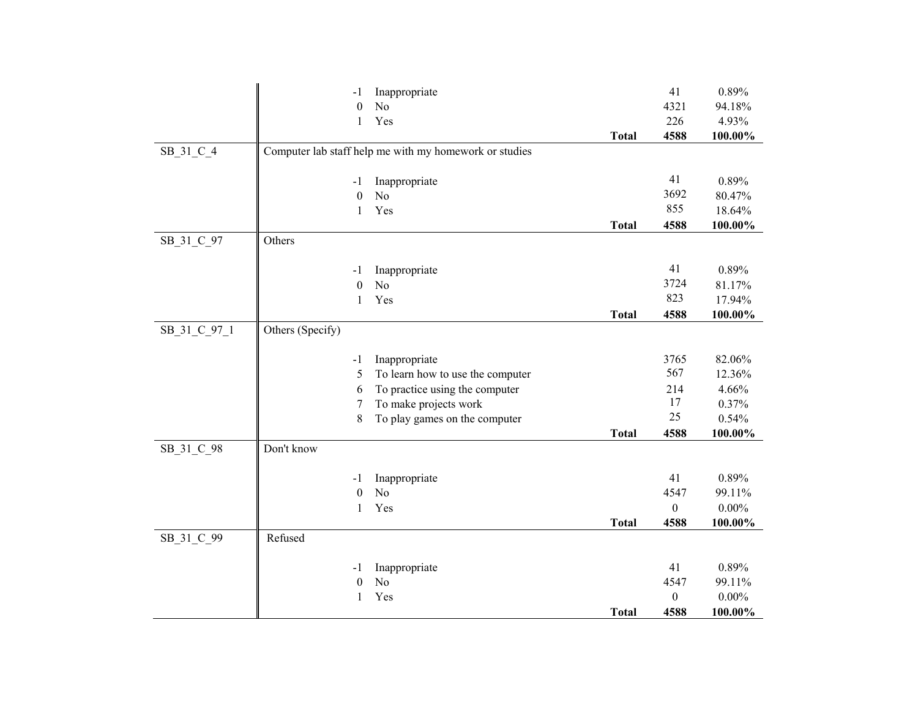|              | -1                     | Inappropriate                                          |              | 41               | 0.89%    |
|--------------|------------------------|--------------------------------------------------------|--------------|------------------|----------|
|              | $\theta$               | No                                                     |              | 4321             | 94.18%   |
|              | $\mathbf{1}$           | Yes                                                    |              | 226              | 4.93%    |
|              |                        |                                                        | <b>Total</b> | 4588             | 100.00%  |
| SB_31_C_4    |                        | Computer lab staff help me with my homework or studies |              |                  |          |
|              |                        |                                                        |              |                  |          |
|              | -1                     | Inappropriate                                          |              | 41               | 0.89%    |
|              | $\boldsymbol{0}$       | N <sub>o</sub>                                         |              | 3692             | 80.47%   |
|              | $\mathbf{1}$           | Yes                                                    |              | 855              | 18.64%   |
|              |                        |                                                        | <b>Total</b> | 4588             | 100.00%  |
| SB_31_C_97   | Others                 |                                                        |              |                  |          |
|              |                        |                                                        |              | 41               | 0.89%    |
|              | -1<br>$\boldsymbol{0}$ | Inappropriate<br>N <sub>o</sub>                        |              | 3724             | 81.17%   |
|              | $\mathbf{1}$           | Yes                                                    |              | 823              | 17.94%   |
|              |                        |                                                        | <b>Total</b> | 4588             | 100.00%  |
| SB_31_C_97_1 | Others (Specify)       |                                                        |              |                  |          |
|              |                        |                                                        |              |                  |          |
|              | $-1$                   | Inappropriate                                          |              | 3765             | 82.06%   |
|              | 5                      | To learn how to use the computer                       |              | 567              | 12.36%   |
|              | 6                      | To practice using the computer                         |              | 214              | 4.66%    |
|              | 7                      | To make projects work                                  |              | 17               | 0.37%    |
|              | $8\,$                  | To play games on the computer                          |              | 25               | 0.54%    |
|              |                        |                                                        | <b>Total</b> | 4588             | 100.00%  |
| SB_31_C_98   | Don't know             |                                                        |              |                  |          |
|              |                        |                                                        |              |                  |          |
|              | -1                     | Inappropriate                                          |              | 41               | 0.89%    |
|              | $\theta$               | N <sub>o</sub>                                         |              | 4547             | 99.11%   |
|              | 1                      | Yes                                                    |              | $\boldsymbol{0}$ | $0.00\%$ |
|              |                        |                                                        | <b>Total</b> | 4588             | 100.00%  |
| SB_31_C_99   | Refused                |                                                        |              |                  |          |
|              | -1                     | Inappropriate                                          |              | 41               | 0.89%    |
|              | $\boldsymbol{0}$       | N <sub>o</sub>                                         |              | 4547             | 99.11%   |
|              | $\mathbf{1}$           | Yes                                                    |              | $\boldsymbol{0}$ | $0.00\%$ |
|              |                        |                                                        | <b>Total</b> | 4588             | 100.00%  |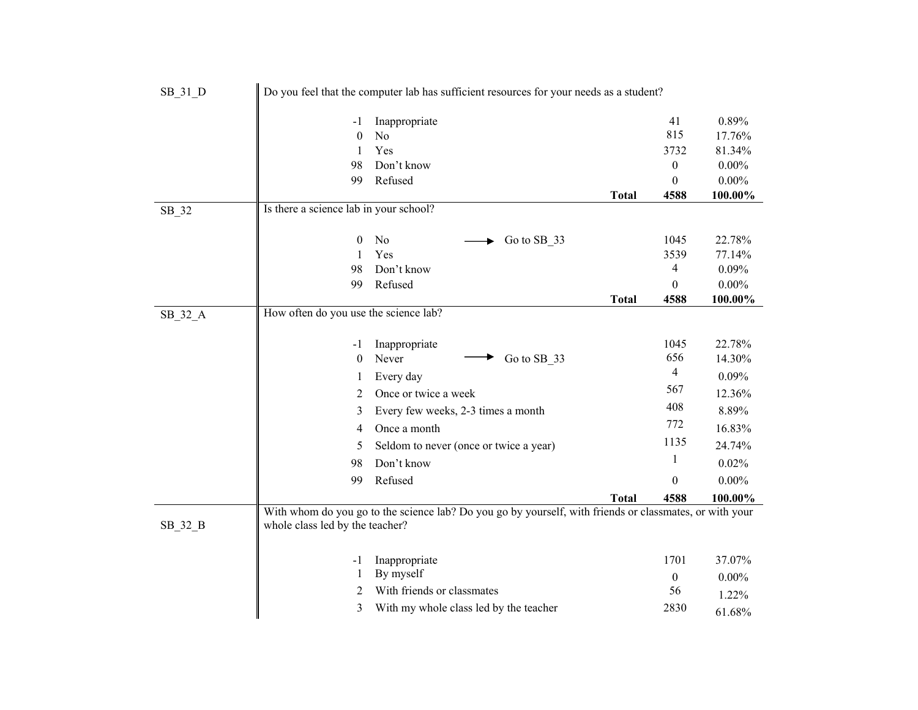| SB_31_D   |                                        | Do you feel that the computer lab has sufficient resources for your needs as a student?                 |              |                  |          |
|-----------|----------------------------------------|---------------------------------------------------------------------------------------------------------|--------------|------------------|----------|
|           | -1                                     | Inappropriate                                                                                           |              | 41               | 0.89%    |
|           | $\theta$                               | N <sub>o</sub>                                                                                          |              | 815              | 17.76%   |
|           | 1                                      | Yes                                                                                                     |              | 3732             | 81.34%   |
|           | 98                                     | Don't know                                                                                              |              | $\boldsymbol{0}$ | $0.00\%$ |
|           | 99                                     | Refused                                                                                                 |              | $\boldsymbol{0}$ | $0.00\%$ |
|           |                                        |                                                                                                         | <b>Total</b> | 4588             | 100.00%  |
| SB_32     | Is there a science lab in your school? |                                                                                                         |              |                  |          |
|           | 0                                      | No<br>Go to SB 33                                                                                       |              | 1045             | 22.78%   |
|           | 1                                      | Yes                                                                                                     |              | 3539             | 77.14%   |
|           | 98                                     | Don't know                                                                                              |              | 4                | 0.09%    |
|           | 99                                     | Refused                                                                                                 |              | $\theta$         | $0.00\%$ |
|           |                                        |                                                                                                         | <b>Total</b> | 4588             | 100.00%  |
| $SB_32_A$ | How often do you use the science lab?  |                                                                                                         |              |                  |          |
|           |                                        |                                                                                                         |              |                  |          |
|           | -1                                     | Inappropriate                                                                                           |              | 1045             | 22.78%   |
|           | $\mathbf{0}$                           | Go to SB 33<br>Never                                                                                    |              | 656              | 14.30%   |
|           | 1                                      | Every day                                                                                               |              | $\overline{4}$   | 0.09%    |
|           | 2                                      | Once or twice a week                                                                                    |              | 567              | 12.36%   |
|           | 3                                      | Every few weeks, 2-3 times a month                                                                      |              | 408              | 8.89%    |
|           | 4                                      | Once a month                                                                                            |              | 772              | 16.83%   |
|           | 5                                      | Seldom to never (once or twice a year)                                                                  |              | 1135             | 24.74%   |
|           | 98                                     | Don't know                                                                                              |              | 1                | 0.02%    |
|           | 99                                     | Refused                                                                                                 |              | $\Omega$         | $0.00\%$ |
|           |                                        |                                                                                                         | <b>Total</b> | 4588             | 100.00%  |
|           |                                        | With whom do you go to the science lab? Do you go by yourself, with friends or classmates, or with your |              |                  |          |
| SB_32_B   | whole class led by the teacher?        |                                                                                                         |              |                  |          |
|           |                                        |                                                                                                         |              |                  |          |
|           | $-1$                                   | Inappropriate                                                                                           |              | 1701             | 37.07%   |
|           | 1                                      | By myself                                                                                               |              | $\boldsymbol{0}$ | $0.00\%$ |
|           | 2                                      | With friends or classmates                                                                              |              | 56               | 1.22%    |
|           | 3                                      | With my whole class led by the teacher                                                                  |              | 2830             | 61.68%   |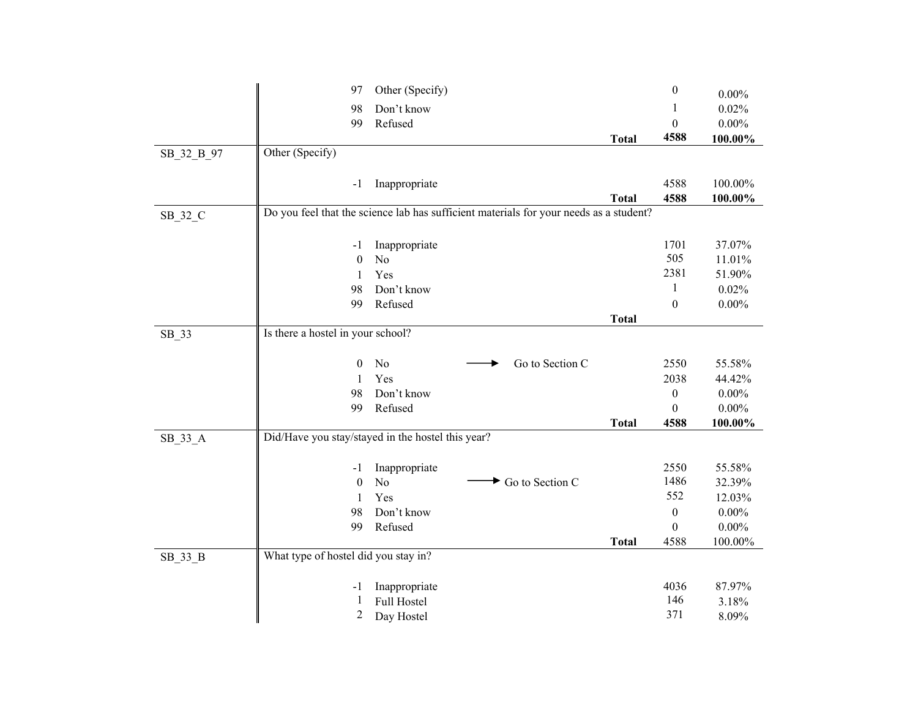|            | 97                                   | Other (Specify)                                                                        |              | $\boldsymbol{0}$ | $0.00\%$         |
|------------|--------------------------------------|----------------------------------------------------------------------------------------|--------------|------------------|------------------|
|            | 98                                   | Don't know                                                                             |              | 1                | 0.02%            |
|            | 99                                   | Refused                                                                                |              | $\boldsymbol{0}$ | $0.00\%$         |
|            |                                      |                                                                                        | <b>Total</b> | 4588             | 100.00%          |
| SB_32_B_97 | Other (Specify)                      |                                                                                        |              |                  |                  |
|            |                                      |                                                                                        |              |                  |                  |
|            | -1                                   | Inappropriate                                                                          |              | 4588             | 100.00%          |
|            |                                      |                                                                                        | <b>Total</b> | 4588             | 100.00%          |
| SB_32_C    |                                      | Do you feel that the science lab has sufficient materials for your needs as a student? |              |                  |                  |
|            |                                      |                                                                                        |              |                  |                  |
|            | $-1$                                 | Inappropriate                                                                          |              | 1701             | 37.07%           |
|            | $\boldsymbol{0}$                     | No                                                                                     |              | 505              | 11.01%           |
|            | 1                                    | Yes                                                                                    |              | 2381             | 51.90%           |
|            | 98                                   | Don't know                                                                             |              | $\mathbf{1}$     | 0.02%            |
|            | 99                                   | Refused                                                                                |              | $\mathbf{0}$     | $0.00\%$         |
|            |                                      |                                                                                        | <b>Total</b> |                  |                  |
| SB_33      | Is there a hostel in your school?    |                                                                                        |              |                  |                  |
|            |                                      |                                                                                        |              |                  |                  |
|            | $\theta$                             | No<br>Go to Section C                                                                  |              | 2550             | 55.58%           |
|            | 1                                    | Yes                                                                                    |              | 2038             | 44.42%           |
|            | 98                                   | Don't know                                                                             |              | $\boldsymbol{0}$ | $0.00\%$         |
|            | 99                                   | Refused                                                                                |              | $\mathbf{0}$     | $0.00\%$         |
|            |                                      |                                                                                        | <b>Total</b> | 4588             | 100.00%          |
| $SB_33_A$  |                                      | Did/Have you stay/stayed in the hostel this year?                                      |              |                  |                  |
|            |                                      |                                                                                        |              |                  |                  |
|            | -1                                   | Inappropriate<br>No<br>Go to Section C                                                 |              | 2550<br>1486     | 55.58%           |
|            | $\boldsymbol{0}$                     | Yes                                                                                    |              | 552              | 32.39%<br>12.03% |
|            | 1<br>98                              | Don't know                                                                             |              | $\boldsymbol{0}$ | $0.00\%$         |
|            | 99                                   | Refused                                                                                |              | $\mathbf{0}$     | $0.00\%$         |
|            |                                      |                                                                                        | <b>Total</b> | 4588             | 100.00%          |
| SB_33_B    | What type of hostel did you stay in? |                                                                                        |              |                  |                  |
|            |                                      |                                                                                        |              |                  |                  |
|            | -1                                   | Inappropriate                                                                          |              | 4036             | 87.97%           |
|            | 1                                    | Full Hostel                                                                            |              | 146              | 3.18%            |
|            | $\overline{c}$                       | Day Hostel                                                                             |              | 371              | 8.09%            |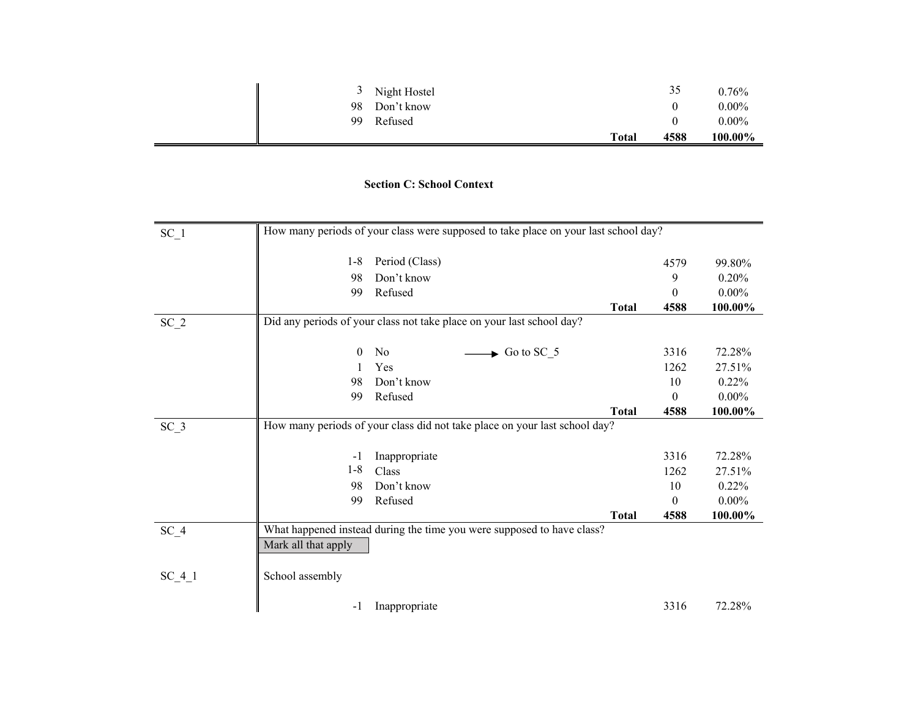| $\mathfrak{I}$ | Night Hostel |              | 35   | $0.76\%$ |
|----------------|--------------|--------------|------|----------|
| 98             | Don't know   |              |      | $0.00\%$ |
| 99             | Refused      |              |      | $0.00\%$ |
|                |              | <b>Total</b> | 4588 | 100.00%  |

## **Section C: School Context**

| $SC_1$   |                     | How many periods of your class were supposed to take place on your last school day? |              |          |          |
|----------|---------------------|-------------------------------------------------------------------------------------|--------------|----------|----------|
|          | $1 - 8$             | Period (Class)                                                                      |              | 4579     | 99.80%   |
|          | 98                  | Don't know                                                                          |              | 9        | 0.20%    |
|          | 99                  | Refused                                                                             |              | 0        | $0.00\%$ |
|          |                     |                                                                                     | <b>Total</b> | 4588     | 100.00%  |
| $SC_2$   |                     | Did any periods of your class not take place on your last school day?               |              |          |          |
|          |                     |                                                                                     |              |          |          |
|          | $\theta$            | $\rightarrow$ Go to SC_5<br>N <sub>0</sub>                                          |              | 3316     | 72.28%   |
|          |                     | Yes                                                                                 |              | 1262     | 27.51%   |
|          | 98                  | Don't know                                                                          |              | 10       | 0.22%    |
|          | 99                  | Refused                                                                             |              | 0        | $0.00\%$ |
|          |                     |                                                                                     | Total        | 4588     | 100.00%  |
| $SC_3$   |                     | How many periods of your class did not take place on your last school day?          |              |          |          |
|          |                     |                                                                                     |              | 3316     | 72.28%   |
|          | $-1$<br>$1 - 8$     | Inappropriate<br>Class                                                              |              |          |          |
|          |                     |                                                                                     |              | 1262     | 27.51%   |
|          | 98                  | Don't know                                                                          |              | 10       | 0.22%    |
|          | 99                  | Refused                                                                             |              | $\Omega$ | $0.00\%$ |
|          |                     |                                                                                     | <b>Total</b> | 4588     | 100.00%  |
| $SC_4$   |                     | What happened instead during the time you were supposed to have class?              |              |          |          |
|          | Mark all that apply |                                                                                     |              |          |          |
| $SC_4_1$ | School assembly     |                                                                                     |              |          |          |
|          | $-1$                | Inappropriate                                                                       |              | 3316     | 72.28%   |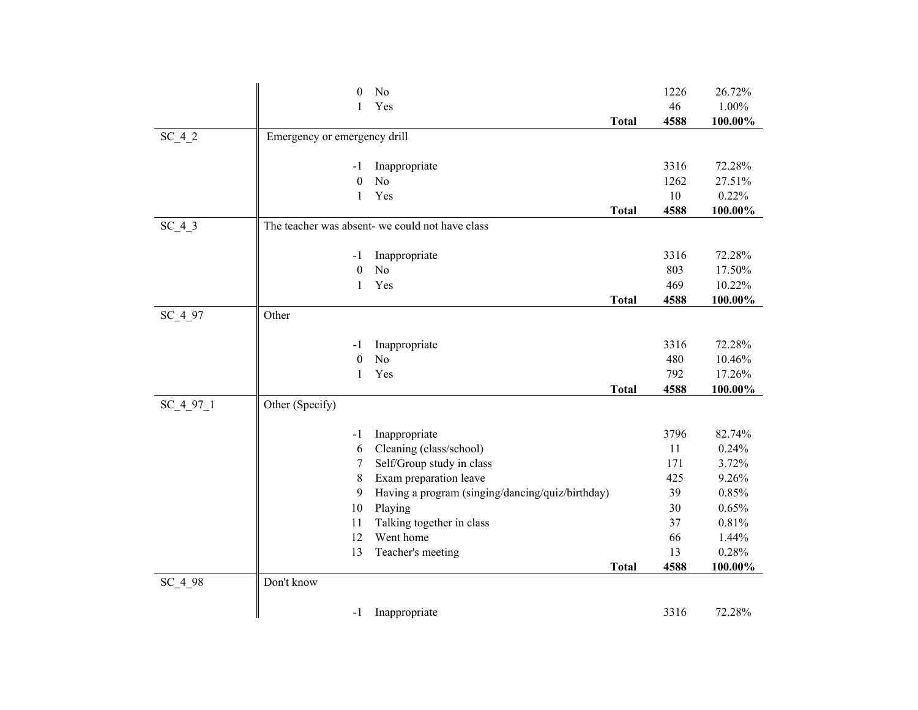|           | $\boldsymbol{0}$             | No                                               |              | 1226 | 26.72%  |
|-----------|------------------------------|--------------------------------------------------|--------------|------|---------|
|           | 1                            | Yes                                              |              | 46   | 1.00%   |
|           |                              |                                                  | <b>Total</b> | 4588 | 100.00% |
| $SC_4_2$  | Emergency or emergency drill |                                                  |              |      |         |
|           |                              |                                                  |              |      |         |
|           | -1                           | Inappropriate                                    |              | 3316 | 72.28%  |
|           | $\boldsymbol{0}$             | No                                               |              | 1262 | 27.51%  |
|           | 1                            | Yes                                              |              | 10   | 0.22%   |
|           |                              |                                                  | <b>Total</b> | 4588 | 100.00% |
| $SC_4_3$  |                              | The teacher was absent- we could not have class  |              |      |         |
|           |                              |                                                  |              |      |         |
|           | $-1$                         | Inappropriate                                    |              | 3316 | 72.28%  |
|           | $\boldsymbol{0}$             | No                                               |              | 803  | 17.50%  |
|           | 1                            | Yes                                              |              | 469  | 10.22%  |
|           |                              |                                                  | <b>Total</b> | 4588 | 100.00% |
| SC_4_97   | Other                        |                                                  |              |      |         |
|           |                              |                                                  |              |      |         |
|           | -1                           | Inappropriate                                    |              | 3316 | 72.28%  |
|           | $\theta$                     | N <sub>o</sub>                                   |              | 480  | 10.46%  |
|           | 1                            | Yes                                              |              | 792  | 17.26%  |
|           |                              |                                                  | <b>Total</b> | 4588 | 100.00% |
| SC 4 97 1 | Other (Specify)              |                                                  |              |      |         |
|           |                              |                                                  |              |      |         |
|           | $-1$                         | Inappropriate                                    |              | 3796 | 82.74%  |
|           | 6                            | Cleaning (class/school)                          |              | 11   | 0.24%   |
|           | 7                            | Self/Group study in class                        |              | 171  | 3.72%   |
|           | 8                            | Exam preparation leave                           |              | 425  | 9.26%   |
|           | 9                            | Having a program (singing/dancing/quiz/birthday) |              | 39   | 0.85%   |
|           | 10                           | Playing                                          |              | 30   | 0.65%   |
|           | 11                           | Talking together in class                        |              | 37   | 0.81%   |
|           | 12                           | Went home                                        |              | 66   | 1.44%   |
|           | 13                           | Teacher's meeting                                |              | 13   | 0.28%   |
|           |                              |                                                  | <b>Total</b> | 4588 | 100.00% |
| $SC_4_98$ | Don't know                   |                                                  |              |      |         |
|           |                              |                                                  |              |      |         |
|           | $-1$                         | Inappropriate                                    |              | 3316 | 72.28%  |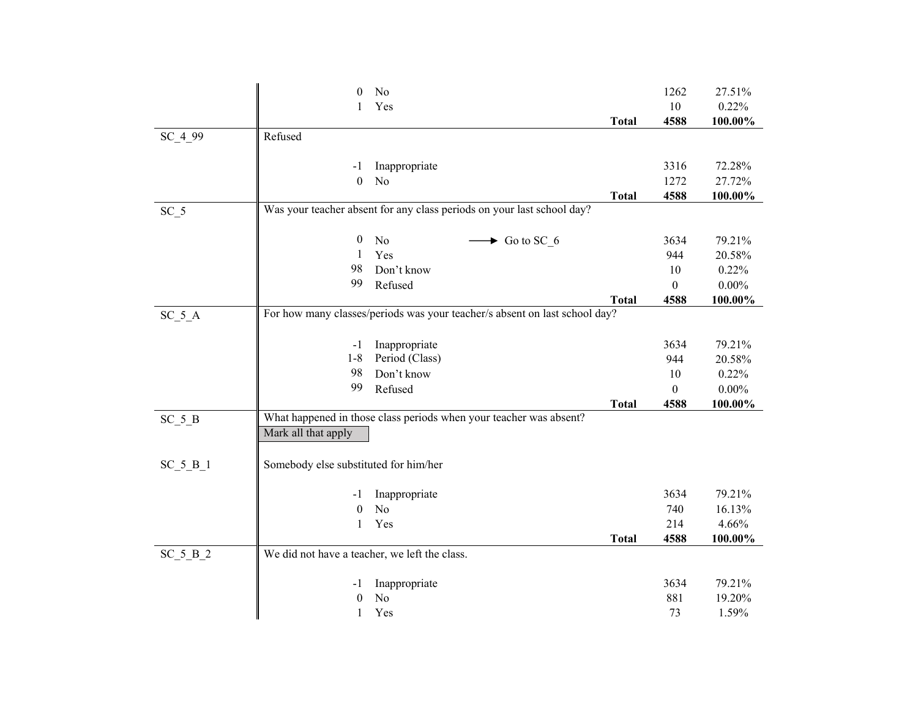|           | $\theta$                                      | No                                                                         |              | 1262             | 27.51%   |
|-----------|-----------------------------------------------|----------------------------------------------------------------------------|--------------|------------------|----------|
|           | 1                                             | Yes                                                                        |              | 10               | 0.22%    |
|           |                                               |                                                                            | <b>Total</b> | 4588             | 100.00%  |
| SC_4_99   | Refused                                       |                                                                            |              |                  |          |
|           |                                               |                                                                            |              |                  |          |
|           | -1                                            | Inappropriate                                                              |              | 3316             | 72.28%   |
|           | $\theta$                                      | No                                                                         |              | 1272             | 27.72%   |
|           |                                               |                                                                            | <b>Total</b> | 4588             | 100.00%  |
| $SC_5$    |                                               | Was your teacher absent for any class periods on your last school day?     |              |                  |          |
|           |                                               |                                                                            |              |                  |          |
|           | $\boldsymbol{0}$                              | No<br>$\rightarrow$ Go to SC 6                                             |              | 3634             | 79.21%   |
|           | 1                                             | Yes                                                                        |              | 944              | 20.58%   |
|           | 98                                            | Don't know                                                                 |              | $10\,$           | 0.22%    |
|           | 99                                            | Refused                                                                    |              | $\boldsymbol{0}$ | $0.00\%$ |
|           |                                               |                                                                            | <b>Total</b> | 4588             | 100.00%  |
| $SC_5_A$  |                                               | For how many classes/periods was your teacher/s absent on last school day? |              |                  |          |
|           |                                               |                                                                            |              |                  |          |
|           | $-1$                                          | Inappropriate                                                              |              | 3634             | 79.21%   |
|           | $1 - 8$                                       | Period (Class)                                                             |              | 944              | 20.58%   |
|           | 98                                            | Don't know                                                                 |              | 10               | 0.22%    |
|           | 99                                            | Refused                                                                    |              | $\boldsymbol{0}$ | $0.00\%$ |
|           |                                               |                                                                            | <b>Total</b> | 4588             | 100.00%  |
| $SC_5B$   |                                               | What happened in those class periods when your teacher was absent?         |              |                  |          |
|           | Mark all that apply                           |                                                                            |              |                  |          |
|           |                                               |                                                                            |              |                  |          |
| $SC_5B_1$ | Somebody else substituted for him/her         |                                                                            |              |                  |          |
|           |                                               |                                                                            |              |                  |          |
|           | -1                                            | Inappropriate                                                              |              | 3634             | 79.21%   |
|           | $\theta$                                      | No                                                                         |              | 740              | 16.13%   |
|           | 1                                             | Yes                                                                        |              | 214              | 4.66%    |
|           |                                               |                                                                            | <b>Total</b> | 4588             | 100.00%  |
| $SC_5B_2$ | We did not have a teacher, we left the class. |                                                                            |              |                  |          |
|           |                                               |                                                                            |              |                  |          |
|           | -1                                            | Inappropriate                                                              |              | 3634             | 79.21%   |
|           | $\theta$                                      | No                                                                         |              | 881              | 19.20%   |
|           | 1                                             | Yes                                                                        |              | 73               | 1.59%    |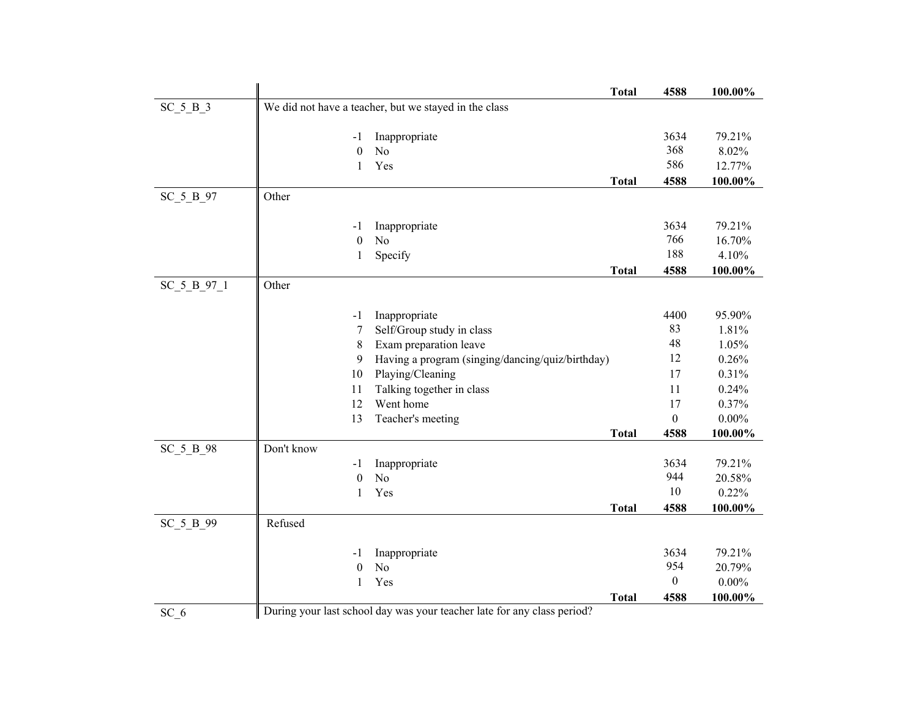|                                         |            |                  | <b>Total</b>                                          | 4588           | 100.00%  |
|-----------------------------------------|------------|------------------|-------------------------------------------------------|----------------|----------|
| $SC_5_B_3$                              |            |                  | We did not have a teacher, but we stayed in the class |                |          |
|                                         |            | -1               | Inappropriate                                         | 3634           | 79.21%   |
|                                         |            | $\boldsymbol{0}$ | No                                                    | 368            | 8.02%    |
|                                         |            | $\mathbf{1}$     | Yes                                                   | 586            | 12.77%   |
|                                         |            |                  | <b>Total</b>                                          | 4588           | 100.00%  |
| SC_5_B_97                               | Other      |                  |                                                       |                |          |
| $SC_5_B_97_1$<br>SC 5 B 98<br>SC 5 B 99 |            | $-1$             | Inappropriate                                         | 3634           | 79.21%   |
|                                         |            | $\boldsymbol{0}$ | No                                                    | 766            | 16.70%   |
|                                         |            | $\mathbf{1}$     | Specify                                               | 188            | 4.10%    |
|                                         |            |                  | <b>Total</b>                                          | 4588           | 100.00%  |
|                                         | Other      |                  |                                                       |                |          |
|                                         |            | $-1$             | Inappropriate                                         | 4400           | 95.90%   |
|                                         |            | $\tau$           | Self/Group study in class                             | 83             | 1.81%    |
|                                         |            | 8                | Exam preparation leave                                | 48             | 1.05%    |
|                                         |            | 9                | Having a program (singing/dancing/quiz/birthday)      | 12             | 0.26%    |
|                                         |            | 10               | Playing/Cleaning                                      | 17             | 0.31%    |
|                                         |            | 11               | Talking together in class                             | 11             | 0.24%    |
|                                         |            | 12               | Went home                                             | 17             | 0.37%    |
|                                         |            | 13               | Teacher's meeting                                     | $\overline{0}$ | $0.00\%$ |
|                                         |            |                  | <b>Total</b>                                          | 4588           | 100.00%  |
|                                         | Don't know |                  |                                                       |                |          |
|                                         |            | $-1$             | Inappropriate                                         | 3634           | 79.21%   |
|                                         |            | $\boldsymbol{0}$ | No                                                    | 944            | 20.58%   |
|                                         |            | $\mathbf{1}$     | Yes                                                   | 10             | 0.22%    |
|                                         |            |                  | <b>Total</b>                                          | 4588           | 100.00%  |
|                                         | Refused    |                  |                                                       |                |          |
|                                         |            | -1               | Inappropriate                                         | 3634           | 79.21%   |
|                                         |            | $\theta$         | N <sub>o</sub>                                        | 954            | 20.79%   |
|                                         |            | $\mathbf{1}$     | Yes                                                   | $\mathbf{0}$   | $0.00\%$ |
|                                         |            |                  | <b>Total</b>                                          | 4588           | 100.00%  |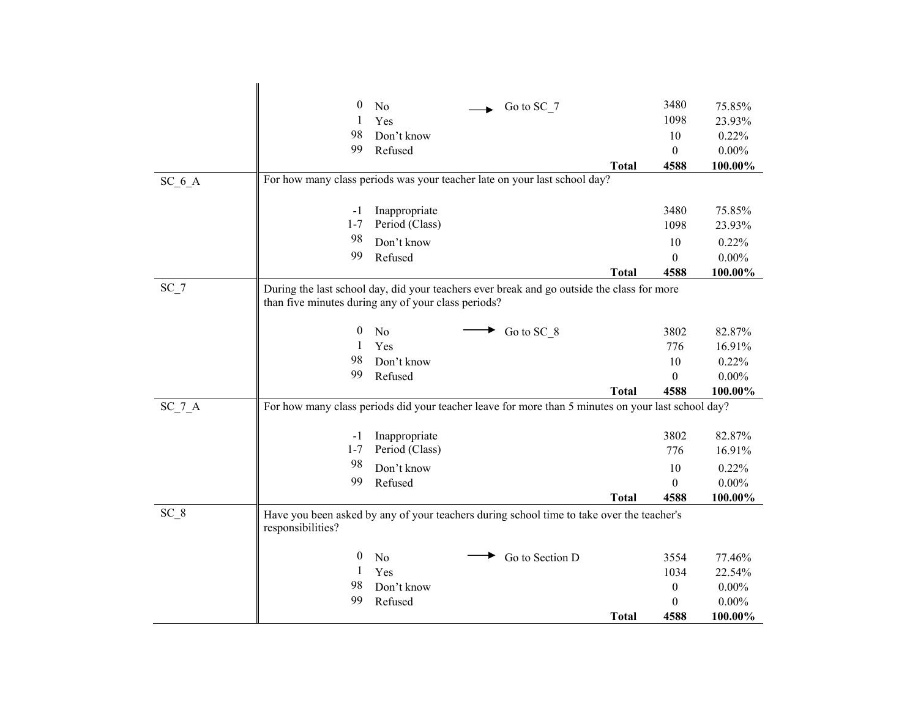|          | 0                                                   | No                    | Go to SC 7                                                                                         |              | 3480                         | 75.85%   |
|----------|-----------------------------------------------------|-----------------------|----------------------------------------------------------------------------------------------------|--------------|------------------------------|----------|
|          | 1                                                   | Yes                   |                                                                                                    |              | 1098                         | 23.93%   |
|          | 98                                                  | Don't know            |                                                                                                    |              | 10                           | 0.22%    |
|          | 99                                                  | Refused               |                                                                                                    |              | $\boldsymbol{0}$             | $0.00\%$ |
|          |                                                     |                       |                                                                                                    | <b>Total</b> | 4588                         | 100.00%  |
| $SC_6_A$ |                                                     |                       | For how many class periods was your teacher late on your last school day?                          |              |                              |          |
|          | $-1$                                                | Inappropriate         |                                                                                                    |              | 3480                         | 75.85%   |
|          | $1 - 7$                                             | Period (Class)        |                                                                                                    |              | 1098                         | 23.93%   |
|          | 98                                                  | Don't know            |                                                                                                    |              | 10                           | 0.22%    |
|          | 99                                                  | Refused               |                                                                                                    |              | $\theta$                     | $0.00\%$ |
|          |                                                     |                       |                                                                                                    | <b>Total</b> | 4588                         | 100.00%  |
| $SC_7$   |                                                     |                       | During the last school day, did your teachers ever break and go outside the class for more         |              |                              |          |
|          | than five minutes during any of your class periods? |                       |                                                                                                    |              |                              |          |
|          | 0                                                   | No                    |                                                                                                    |              | 3802                         | 82.87%   |
|          | 1                                                   | Yes                   | Go to SC 8                                                                                         |              | 776                          | 16.91%   |
|          | 98                                                  | Don't know            |                                                                                                    |              | 10                           | 0.22%    |
|          | 99                                                  | Refused               |                                                                                                    |              | $\theta$                     | $0.00\%$ |
|          |                                                     |                       |                                                                                                    | <b>Total</b> | 4588                         | 100.00%  |
| $SC_7_A$ |                                                     |                       | For how many class periods did your teacher leave for more than 5 minutes on your last school day? |              |                              |          |
|          |                                                     |                       |                                                                                                    |              |                              |          |
|          | -1                                                  | Inappropriate         |                                                                                                    |              | 3802                         | 82.87%   |
|          | $1 - 7$                                             | Period (Class)        |                                                                                                    |              | 776                          | 16.91%   |
|          | 98                                                  | Don't know            |                                                                                                    |              | 10                           | 0.22%    |
|          | 99                                                  | Refused               |                                                                                                    |              | $\theta$                     | $0.00\%$ |
|          |                                                     |                       |                                                                                                    | Total        | 4588                         | 100.00%  |
| $SC_8$   |                                                     |                       | Have you been asked by any of your teachers during school time to take over the teacher's          |              |                              |          |
|          | responsibilities?                                   |                       |                                                                                                    |              |                              |          |
|          |                                                     |                       |                                                                                                    |              |                              |          |
|          | $\theta$                                            | No                    | Go to Section D                                                                                    |              | 3554                         | 77.46%   |
|          | 1                                                   | Yes                   |                                                                                                    |              | 1034                         | 22.54%   |
|          | 98<br>99                                            | Don't know<br>Refused |                                                                                                    |              | $\boldsymbol{0}$<br>$\theta$ | $0.00\%$ |
|          |                                                     |                       |                                                                                                    |              |                              | $0.00\%$ |
|          |                                                     |                       |                                                                                                    | <b>Total</b> | 4588                         | 100.00%  |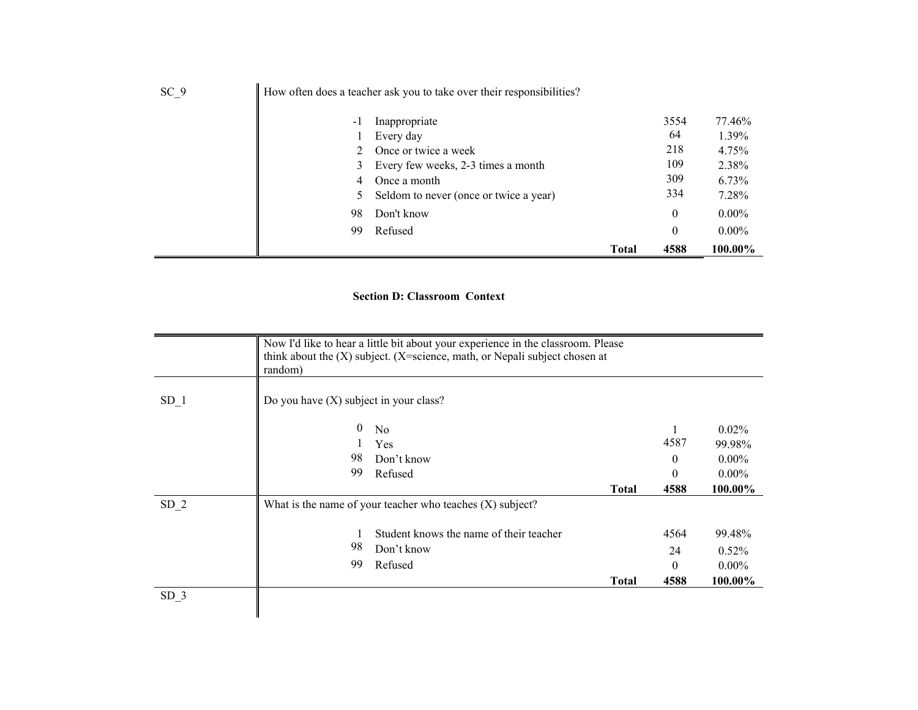|      |      |                                                                       | <b>Total</b> | 4588             | 100.00%  |
|------|------|-----------------------------------------------------------------------|--------------|------------------|----------|
|      | 99   | Refused                                                               |              | 0                | $0.00\%$ |
|      | 98   | Don't know                                                            |              | $\boldsymbol{0}$ | $0.00\%$ |
|      |      | 5 Seldom to never (once or twice a year)                              |              | 334              | 7.28%    |
|      | 4    | Once a month                                                          |              | 309              | $6.73\%$ |
|      |      | 3 Every few weeks, 2-3 times a month                                  |              | 109              | 2.38%    |
|      |      | 2 Once or twice a week                                                |              | 218              | 4.75%    |
|      |      | Every day                                                             |              | 64               | 1.39%    |
|      | $-1$ | Inappropriate                                                         |              | 3554             | 77.46%   |
| SC 9 |      | How often does a teacher ask you to take over their responsibilities? |              |                  |          |

## **Section D: Classroom Context**

|                 | Now I'd like to hear a little bit about your experience in the classroom. Please<br>think about the $(X)$ subject. (X=science, math, or Nepali subject chosen at<br>random) |                                                             |              |          |          |  |  |  |
|-----------------|-----------------------------------------------------------------------------------------------------------------------------------------------------------------------------|-------------------------------------------------------------|--------------|----------|----------|--|--|--|
| SD <sub>1</sub> | Do you have $(X)$ subject in your class?                                                                                                                                    |                                                             |              |          |          |  |  |  |
|                 | $\overline{0}$                                                                                                                                                              | No                                                          |              |          | $0.02\%$ |  |  |  |
|                 |                                                                                                                                                                             | Yes                                                         |              | 4587     | 99.98%   |  |  |  |
|                 | 98                                                                                                                                                                          | Don't know                                                  |              | $\Omega$ | $0.00\%$ |  |  |  |
|                 | 99                                                                                                                                                                          | Refused                                                     |              | $\Omega$ | $0.00\%$ |  |  |  |
|                 |                                                                                                                                                                             |                                                             | <b>Total</b> | 4588     | 100.00%  |  |  |  |
| SD <sub>2</sub> |                                                                                                                                                                             | What is the name of your teacher who teaches $(X)$ subject? |              |          |          |  |  |  |
|                 |                                                                                                                                                                             | Student knows the name of their teacher                     |              | 4564     | 99.48%   |  |  |  |
|                 | 98                                                                                                                                                                          | Don't know                                                  |              | 24       | $0.52\%$ |  |  |  |
|                 | 99                                                                                                                                                                          | Refused                                                     |              | 0        | $0.00\%$ |  |  |  |
|                 |                                                                                                                                                                             |                                                             | <b>Total</b> | 4588     | 100.00%  |  |  |  |
| SD <sub>3</sub> |                                                                                                                                                                             |                                                             |              |          |          |  |  |  |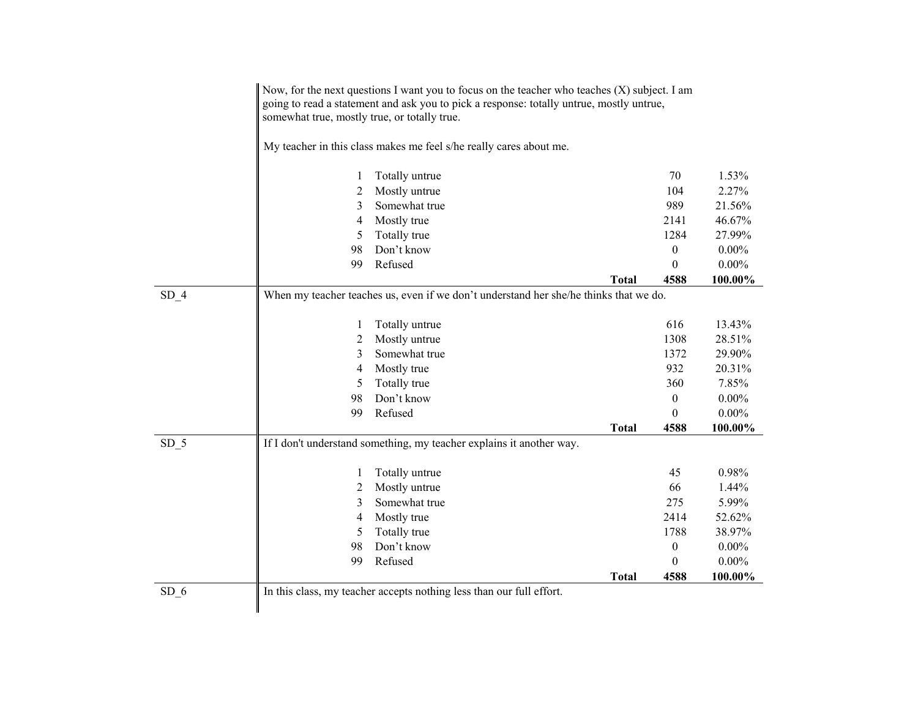|        | somewhat true, mostly true, or totally true. | Now, for the next questions I want you to focus on the teacher who teaches $(X)$ subject. I am<br>going to read a statement and ask you to pick a response: totally untrue, mostly untrue, |              |                  |                  |
|--------|----------------------------------------------|--------------------------------------------------------------------------------------------------------------------------------------------------------------------------------------------|--------------|------------------|------------------|
|        |                                              | My teacher in this class makes me feel s/he really cares about me.                                                                                                                         |              |                  |                  |
|        | 1                                            | Totally untrue                                                                                                                                                                             |              | 70               | 1.53%            |
|        | 2                                            | Mostly untrue                                                                                                                                                                              |              | 104              | 2.27%            |
|        | 3                                            | Somewhat true                                                                                                                                                                              |              | 989              | 21.56%           |
|        | 4                                            | Mostly true                                                                                                                                                                                |              | 2141             | 46.67%           |
|        | 5                                            | Totally true                                                                                                                                                                               |              | 1284             | 27.99%           |
|        | 98                                           | Don't know                                                                                                                                                                                 |              | $\boldsymbol{0}$ | $0.00\%$         |
|        | 99                                           | Refused                                                                                                                                                                                    |              | $\theta$         | $0.00\%$         |
|        |                                              |                                                                                                                                                                                            | <b>Total</b> | 4588             | 100.00%          |
| $SD_4$ |                                              | When my teacher teaches us, even if we don't understand her she/he thinks that we do.                                                                                                      |              |                  |                  |
|        |                                              |                                                                                                                                                                                            |              | 616              |                  |
|        | 1                                            | Totally untrue<br>Mostly untrue                                                                                                                                                            |              | 1308             | 13.43%<br>28.51% |
|        | 2<br>3                                       | Somewhat true                                                                                                                                                                              |              | 1372             | 29.90%           |
|        |                                              | Mostly true                                                                                                                                                                                |              | 932              | 20.31%           |
|        | 4<br>5                                       | Totally true                                                                                                                                                                               |              | 360              | 7.85%            |
|        | 98                                           | Don't know                                                                                                                                                                                 |              | $\boldsymbol{0}$ | $0.00\%$         |
|        | 99                                           | Refused                                                                                                                                                                                    |              | $\theta$         | $0.00\%$         |
|        |                                              |                                                                                                                                                                                            |              | 4588             |                  |
|        |                                              |                                                                                                                                                                                            | <b>Total</b> |                  | 100.00%          |
| $SD_5$ |                                              | If I don't understand something, my teacher explains it another way.                                                                                                                       |              |                  |                  |
|        | 1                                            | Totally untrue                                                                                                                                                                             |              | 45               | 0.98%            |
|        | 2                                            | Mostly untrue                                                                                                                                                                              |              | 66               | 1.44%            |
|        | 3                                            | Somewhat true                                                                                                                                                                              |              | 275              | 5.99%            |
|        | 4                                            | Mostly true                                                                                                                                                                                |              | 2414             | 52.62%           |
|        | 5                                            | Totally true                                                                                                                                                                               |              | 1788             | 38.97%           |
|        | 98                                           | Don't know                                                                                                                                                                                 |              | $\boldsymbol{0}$ | $0.00\%$         |
|        | 99                                           | Refused                                                                                                                                                                                    |              | $\boldsymbol{0}$ | $0.00\%$         |
|        |                                              |                                                                                                                                                                                            | <b>Total</b> | 4588             | 100.00%          |
| SD 6   |                                              | In this class, my teacher accepts nothing less than our full effort.                                                                                                                       |              |                  |                  |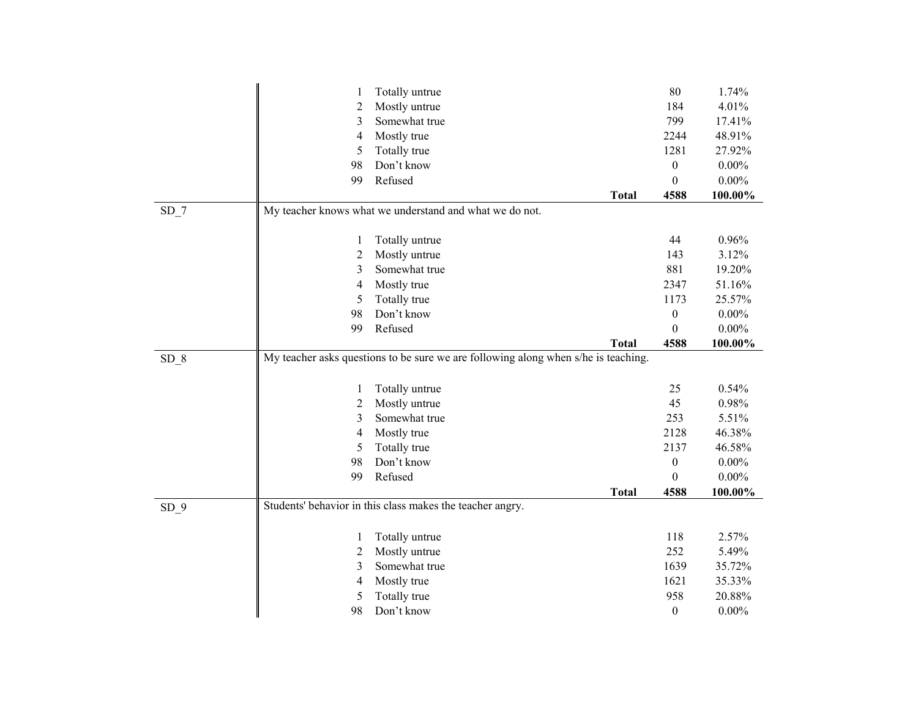|        | 1  | Totally untrue                                                                     |              | $80\,$           | 1.74%    |
|--------|----|------------------------------------------------------------------------------------|--------------|------------------|----------|
|        | 2  | Mostly untrue                                                                      |              | 184              | 4.01%    |
|        | 3  | Somewhat true                                                                      |              | 799              | 17.41%   |
|        | 4  | Mostly true                                                                        |              | 2244             | 48.91%   |
|        | 5  | Totally true                                                                       |              | 1281             | 27.92%   |
|        | 98 | Don't know                                                                         |              | $\boldsymbol{0}$ | $0.00\%$ |
|        | 99 | Refused                                                                            |              | $\theta$         | $0.00\%$ |
|        |    |                                                                                    | <b>Total</b> | 4588             | 100.00%  |
| $SD_7$ |    | My teacher knows what we understand and what we do not.                            |              |                  |          |
|        |    |                                                                                    |              |                  |          |
|        | 1  | Totally untrue                                                                     |              | 44               | 0.96%    |
|        | 2  | Mostly untrue                                                                      |              | 143              | 3.12%    |
|        | 3  | Somewhat true                                                                      |              | 881              | 19.20%   |
|        | 4  | Mostly true                                                                        |              | 2347             | 51.16%   |
|        | 5  | Totally true                                                                       |              | 1173             | 25.57%   |
|        | 98 | Don't know                                                                         |              | $\boldsymbol{0}$ | $0.00\%$ |
|        | 99 | Refused                                                                            |              | $\boldsymbol{0}$ | $0.00\%$ |
|        |    |                                                                                    | <b>Total</b> | 4588             | 100.00%  |
| SD 8   |    | My teacher asks questions to be sure we are following along when s/he is teaching. |              |                  |          |
|        |    |                                                                                    |              |                  |          |
|        | 1  | Totally untrue                                                                     |              | 25               | 0.54%    |
|        | 2  | Mostly untrue                                                                      |              | 45               | 0.98%    |
|        | 3  | Somewhat true                                                                      |              | 253              | 5.51%    |
|        | 4  | Mostly true                                                                        |              | 2128             | 46.38%   |
|        | 5  | Totally true                                                                       |              | 2137             | 46.58%   |
|        | 98 | Don't know                                                                         |              | $\boldsymbol{0}$ | $0.00\%$ |
|        | 99 | Refused                                                                            |              | $\boldsymbol{0}$ | $0.00\%$ |
|        |    |                                                                                    | <b>Total</b> | 4588             | 100.00%  |
| $SD_9$ |    | Students' behavior in this class makes the teacher angry.                          |              |                  |          |
|        |    |                                                                                    |              |                  |          |
|        | 1  | Totally untrue                                                                     |              | 118              | 2.57%    |
|        | 2  | Mostly untrue                                                                      |              | 252              | 5.49%    |
|        | 3  | Somewhat true                                                                      |              | 1639             | 35.72%   |
|        | 4  | Mostly true                                                                        |              | 1621             | 35.33%   |
|        | 5  | Totally true                                                                       |              | 958              | 20.88%   |
|        | 98 | Don't know                                                                         |              | $\boldsymbol{0}$ | $0.00\%$ |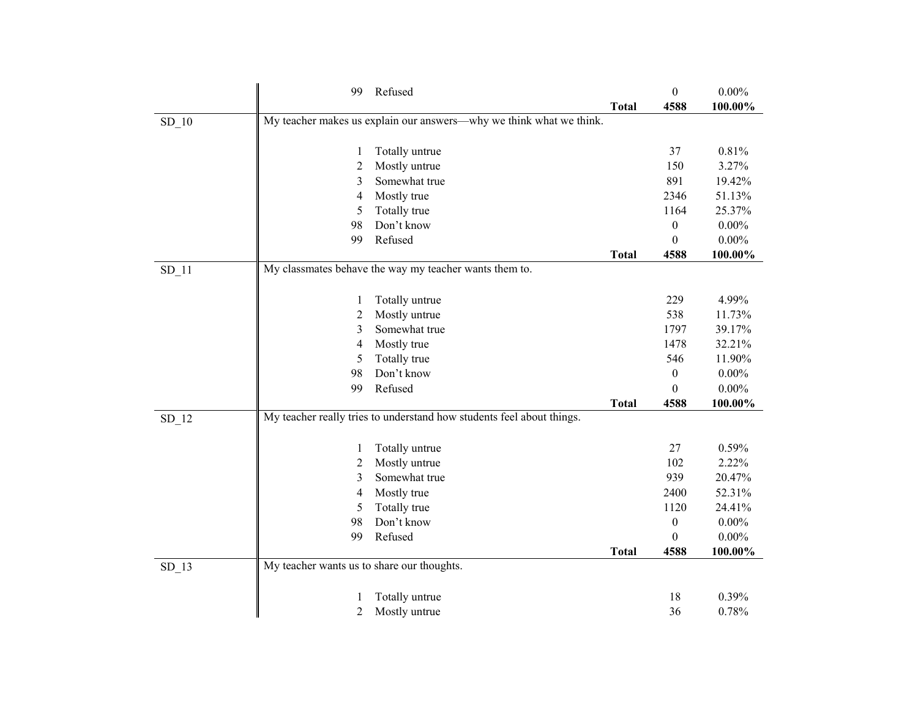|         | 99                                         | Refused                                                               |              | $\boldsymbol{0}$ | $0.00\%$ |
|---------|--------------------------------------------|-----------------------------------------------------------------------|--------------|------------------|----------|
|         |                                            |                                                                       | <b>Total</b> | 4588             | 100.00%  |
| $SD_10$ |                                            | My teacher makes us explain our answers-why we think what we think.   |              |                  |          |
|         |                                            |                                                                       |              |                  |          |
|         | 1                                          | Totally untrue                                                        |              | 37               | 0.81%    |
|         | 2                                          | Mostly untrue                                                         |              | 150              | 3.27%    |
|         | 3                                          | Somewhat true                                                         |              | 891              | 19.42%   |
|         | 4                                          | Mostly true                                                           |              | 2346             | 51.13%   |
|         | 5                                          | Totally true                                                          |              | 1164             | 25.37%   |
|         | 98                                         | Don't know                                                            |              | $\boldsymbol{0}$ | $0.00\%$ |
|         | 99                                         | Refused                                                               |              | $\theta$         | $0.00\%$ |
|         |                                            |                                                                       | <b>Total</b> | 4588             | 100.00%  |
| $SD_11$ |                                            | My classmates behave the way my teacher wants them to.                |              |                  |          |
|         |                                            |                                                                       |              |                  |          |
|         | 1                                          | Totally untrue                                                        |              | 229              | 4.99%    |
|         | $\overline{c}$                             | Mostly untrue                                                         |              | 538              | 11.73%   |
|         | 3                                          | Somewhat true                                                         |              | 1797             | 39.17%   |
|         | 4                                          | Mostly true                                                           |              | 1478             | 32.21%   |
|         | 5                                          | Totally true                                                          |              | 546              | 11.90%   |
|         | 98                                         | Don't know                                                            |              | $\boldsymbol{0}$ | $0.00\%$ |
|         | 99                                         | Refused                                                               |              | $\theta$         | $0.00\%$ |
|         |                                            |                                                                       | <b>Total</b> | 4588             | 100.00%  |
| $SD_12$ |                                            | My teacher really tries to understand how students feel about things. |              |                  |          |
|         |                                            |                                                                       |              |                  |          |
|         | 1                                          | Totally untrue                                                        |              | 27               | 0.59%    |
|         | 2                                          | Mostly untrue                                                         |              | 102              | 2.22%    |
|         | 3                                          | Somewhat true                                                         |              | 939              | 20.47%   |
|         | 4                                          | Mostly true                                                           |              | 2400             | 52.31%   |
|         | 5                                          | Totally true                                                          |              | 1120             | 24.41%   |
|         | 98                                         | Don't know                                                            |              | $\boldsymbol{0}$ | $0.00\%$ |
|         | 99                                         | Refused                                                               |              | $\boldsymbol{0}$ | $0.00\%$ |
|         |                                            |                                                                       | <b>Total</b> | 4588             | 100.00%  |
| $SD_13$ | My teacher wants us to share our thoughts. |                                                                       |              |                  |          |
|         |                                            |                                                                       |              |                  |          |
|         | 1                                          | Totally untrue                                                        |              | 18               | 0.39%    |
|         | $\overline{c}$                             | Mostly untrue                                                         |              | 36               | 0.78%    |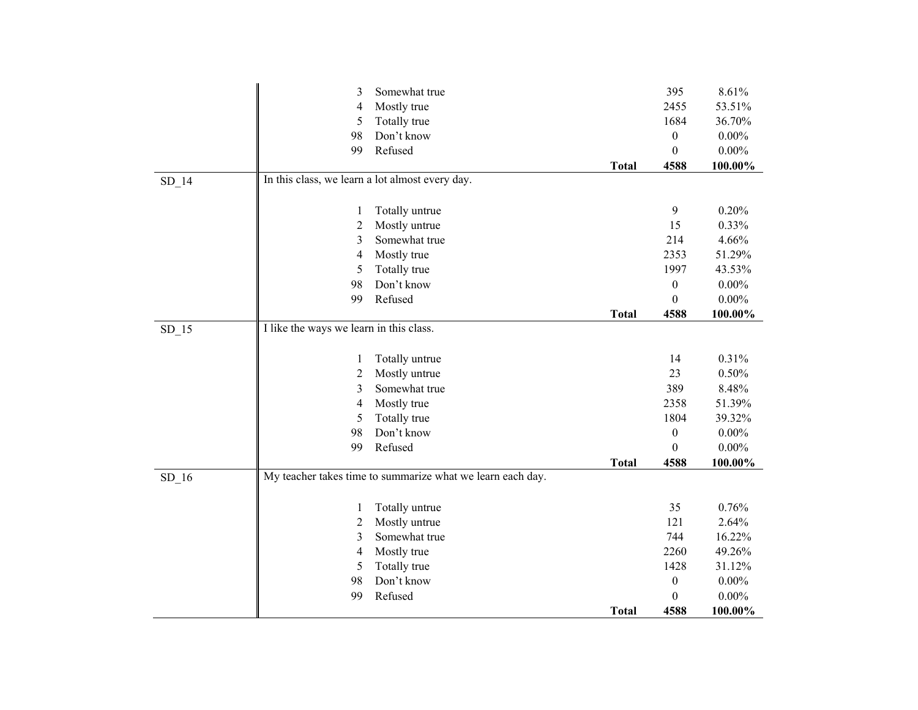|         | 3                                               | Somewhat true                                              |              | 395              | 8.61%    |
|---------|-------------------------------------------------|------------------------------------------------------------|--------------|------------------|----------|
|         | 4                                               | Mostly true                                                |              | 2455             | 53.51%   |
|         | 5                                               | Totally true                                               |              | 1684             | 36.70%   |
|         | 98                                              | Don't know                                                 |              | $\boldsymbol{0}$ | $0.00\%$ |
|         | 99                                              | Refused                                                    |              | $\boldsymbol{0}$ | $0.00\%$ |
|         |                                                 |                                                            | <b>Total</b> | 4588             | 100.00%  |
| $SD_14$ | In this class, we learn a lot almost every day. |                                                            |              |                  |          |
|         |                                                 |                                                            |              |                  |          |
|         | 1                                               | Totally untrue                                             |              | 9                | 0.20%    |
|         | $\overline{2}$                                  | Mostly untrue                                              |              | 15               | 0.33%    |
|         | 3                                               | Somewhat true                                              |              | 214              | 4.66%    |
|         | 4                                               | Mostly true                                                |              | 2353             | 51.29%   |
|         | 5                                               | Totally true                                               |              | 1997             | 43.53%   |
|         | 98                                              | Don't know                                                 |              | $\boldsymbol{0}$ | $0.00\%$ |
|         | 99                                              | Refused                                                    |              | $\boldsymbol{0}$ | $0.00\%$ |
|         |                                                 |                                                            | <b>Total</b> | 4588             | 100.00%  |
| $SD_15$ | I like the ways we learn in this class.         |                                                            |              |                  |          |
|         |                                                 |                                                            |              |                  |          |
|         | 1                                               | Totally untrue                                             |              | 14               | 0.31%    |
|         | $\overline{c}$                                  | Mostly untrue                                              |              | 23               | 0.50%    |
|         | 3                                               | Somewhat true                                              |              | 389              | 8.48%    |
|         | $\overline{4}$                                  | Mostly true                                                |              | 2358             | 51.39%   |
|         | 5                                               | Totally true                                               |              | 1804             | 39.32%   |
|         | 98                                              | Don't know                                                 |              | $\boldsymbol{0}$ | $0.00\%$ |
|         | 99                                              | Refused                                                    |              | $\theta$         | $0.00\%$ |
|         |                                                 |                                                            | <b>Total</b> | 4588             | 100.00%  |
| $SD_16$ |                                                 | My teacher takes time to summarize what we learn each day. |              |                  |          |
|         |                                                 |                                                            |              |                  |          |
|         | 1                                               | Totally untrue                                             |              | 35               | 0.76%    |
|         | $\overline{c}$                                  | Mostly untrue                                              |              | 121              | 2.64%    |
|         | 3                                               | Somewhat true                                              |              | 744              | 16.22%   |
|         | 4                                               | Mostly true                                                |              | 2260             | 49.26%   |
|         | 5                                               | Totally true                                               |              | 1428             | 31.12%   |
|         | 98                                              | Don't know                                                 |              | $\boldsymbol{0}$ | $0.00\%$ |
|         | 99                                              | Refused                                                    |              | $\boldsymbol{0}$ | $0.00\%$ |
|         |                                                 |                                                            | <b>Total</b> | 4588             | 100.00%  |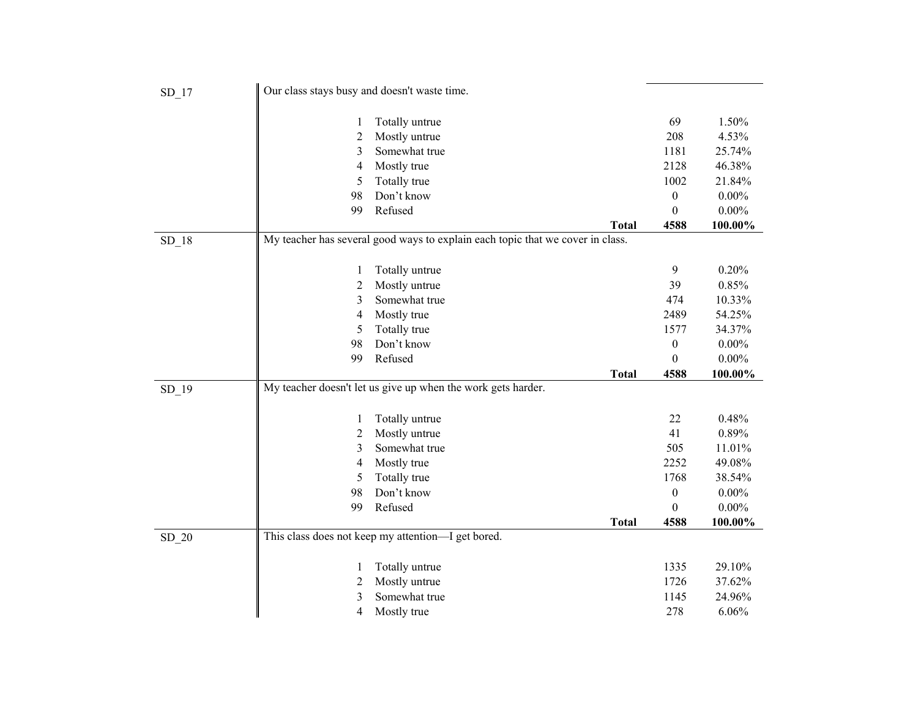| $SD_17$ | Our class stays busy and doesn't waste time. |                                                                                |              |                  |                     |
|---------|----------------------------------------------|--------------------------------------------------------------------------------|--------------|------------------|---------------------|
|         |                                              | Totally untrue                                                                 |              | 69               | 1.50%               |
|         | 1<br>2                                       | Mostly untrue                                                                  |              | 208              | 4.53%               |
|         | 3                                            | Somewhat true                                                                  |              | 1181             | 25.74%              |
|         | 4                                            | Mostly true                                                                    |              | 2128             | 46.38%              |
|         | 5                                            | Totally true                                                                   |              | 1002             | 21.84%              |
|         | 98                                           | Don't know                                                                     |              | $\boldsymbol{0}$ | $0.00\%$            |
|         | 99                                           | Refused                                                                        |              | $\overline{0}$   | $0.00\%$            |
|         |                                              |                                                                                | <b>Total</b> | 4588             | 100.00%             |
| $SD_18$ |                                              | My teacher has several good ways to explain each topic that we cover in class. |              |                  |                     |
|         |                                              |                                                                                |              |                  |                     |
|         | 1                                            | Totally untrue                                                                 |              | 9                | 0.20%               |
|         | 2                                            | Mostly untrue                                                                  |              | 39               | 0.85%               |
|         | 3                                            | Somewhat true                                                                  |              | 474              | 10.33%              |
|         | 4                                            | Mostly true                                                                    |              | 2489             | 54.25%              |
|         | 5                                            | Totally true                                                                   |              | 1577             | 34.37%              |
|         | 98                                           | Don't know                                                                     |              | $\boldsymbol{0}$ | $0.00\%$            |
|         | 99                                           | Refused                                                                        |              | $\boldsymbol{0}$ | $0.00\%$            |
|         |                                              |                                                                                | <b>Total</b> | 4588             | 100.00%             |
| $SD_19$ |                                              | My teacher doesn't let us give up when the work gets harder.                   |              |                  |                     |
|         |                                              |                                                                                |              |                  |                     |
|         | 1                                            | Totally untrue                                                                 |              | 22               | 0.48%               |
|         | 2                                            | Mostly untrue                                                                  |              | 41               | 0.89%               |
|         | 3                                            | Somewhat true                                                                  |              | 505              | 11.01%              |
|         | 4                                            | Mostly true                                                                    |              | 2252             | 49.08%              |
|         | 5                                            | Totally true                                                                   |              | 1768             | 38.54%              |
|         | 98<br>99                                     | Don't know<br>Refused                                                          |              | $\boldsymbol{0}$ | $0.00\%$            |
|         |                                              |                                                                                | <b>Total</b> | $\theta$<br>4588 | $0.00\%$<br>100.00% |
| $SD_2$  |                                              | This class does not keep my attention-I get bored.                             |              |                  |                     |
|         |                                              |                                                                                |              |                  |                     |
|         | 1                                            | Totally untrue                                                                 |              | 1335             | 29.10%              |
|         | 2                                            | Mostly untrue                                                                  |              | 1726             | 37.62%              |
|         | 3                                            | Somewhat true                                                                  |              | 1145             | 24.96%              |
|         | 4                                            | Mostly true                                                                    |              | 278              | 6.06%               |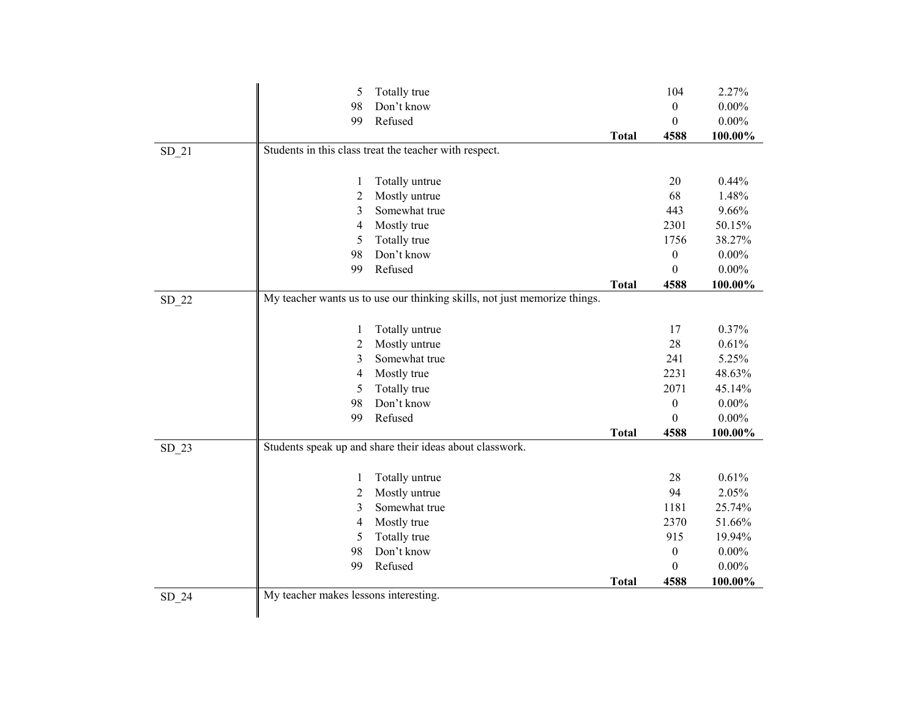|         | 5                                     | Totally true                                                              |              | 104              | 2.27%    |
|---------|---------------------------------------|---------------------------------------------------------------------------|--------------|------------------|----------|
|         | 98                                    | Don't know                                                                |              | $\boldsymbol{0}$ | $0.00\%$ |
|         | 99                                    | Refused                                                                   |              | $\boldsymbol{0}$ | $0.00\%$ |
|         |                                       |                                                                           | <b>Total</b> | 4588             | 100.00%  |
| $SD_21$ |                                       | Students in this class treat the teacher with respect.                    |              |                  |          |
|         |                                       |                                                                           |              |                  |          |
|         | 1                                     | Totally untrue                                                            |              | 20               | 0.44%    |
|         | $\overline{c}$                        | Mostly untrue                                                             |              | 68               | 1.48%    |
|         | 3                                     | Somewhat true                                                             |              | 443              | 9.66%    |
|         | 4                                     | Mostly true                                                               |              | 2301             | 50.15%   |
|         | 5                                     | Totally true                                                              |              | 1756             | 38.27%   |
|         | 98                                    | Don't know                                                                |              | $\boldsymbol{0}$ | $0.00\%$ |
|         | 99                                    | Refused                                                                   |              | $\boldsymbol{0}$ | $0.00\%$ |
|         |                                       |                                                                           | <b>Total</b> | 4588             | 100.00%  |
| $SD_22$ |                                       | My teacher wants us to use our thinking skills, not just memorize things. |              |                  |          |
|         |                                       |                                                                           |              |                  |          |
|         | 1                                     | Totally untrue                                                            |              | 17               | 0.37%    |
|         | 2                                     | Mostly untrue                                                             |              | 28               | 0.61%    |
|         | 3                                     | Somewhat true                                                             |              | 241              | 5.25%    |
|         | 4                                     | Mostly true                                                               |              | 2231             | 48.63%   |
|         | 5                                     | Totally true                                                              |              | 2071             | 45.14%   |
|         | 98                                    | Don't know                                                                |              | $\boldsymbol{0}$ | $0.00\%$ |
|         | 99                                    | Refused                                                                   |              | $\theta$         | $0.00\%$ |
|         |                                       |                                                                           | <b>Total</b> | 4588             | 100.00%  |
| $SD_23$ |                                       | Students speak up and share their ideas about classwork.                  |              |                  |          |
|         |                                       |                                                                           |              |                  |          |
|         | 1                                     | Totally untrue                                                            |              | 28               | 0.61%    |
|         | 2                                     | Mostly untrue                                                             |              | 94               | 2.05%    |
|         | 3                                     | Somewhat true                                                             |              | 1181             | 25.74%   |
|         | 4                                     | Mostly true                                                               |              | 2370             | 51.66%   |
|         | 5                                     | Totally true                                                              |              | 915              | 19.94%   |
|         | 98                                    | Don't know                                                                |              | $\boldsymbol{0}$ | $0.00\%$ |
|         | 99                                    | Refused                                                                   |              | $\theta$         | $0.00\%$ |
|         |                                       |                                                                           | <b>Total</b> | 4588             | 100.00%  |
| $SD_24$ | My teacher makes lessons interesting. |                                                                           |              |                  |          |
|         |                                       |                                                                           |              |                  |          |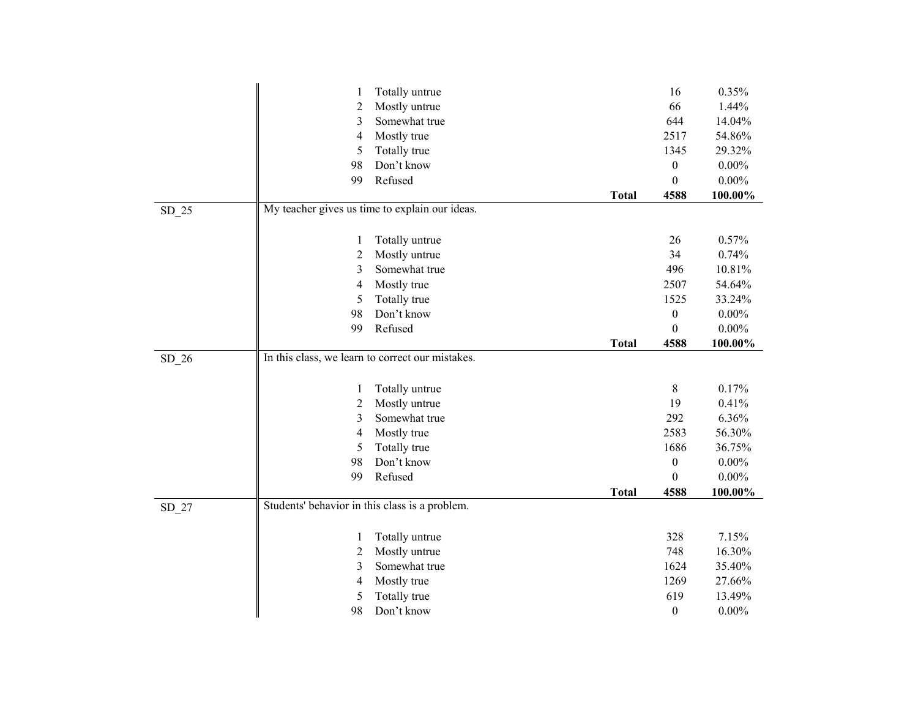|         | $\mathbf{1}$                                   | Totally untrue                                   |              | 16               | 0.35%    |
|---------|------------------------------------------------|--------------------------------------------------|--------------|------------------|----------|
|         | $\overline{2}$                                 | Mostly untrue                                    |              | 66               | 1.44%    |
|         | 3                                              | Somewhat true                                    |              | 644              | 14.04%   |
|         | 4                                              | Mostly true                                      |              | 2517             | 54.86%   |
|         | 5                                              | Totally true                                     |              | 1345             | 29.32%   |
|         | 98                                             | Don't know                                       |              | $\boldsymbol{0}$ | $0.00\%$ |
|         | 99                                             | Refused                                          |              | $\boldsymbol{0}$ | $0.00\%$ |
|         |                                                |                                                  | <b>Total</b> | 4588             | 100.00%  |
| $SD_25$ |                                                | My teacher gives us time to explain our ideas.   |              |                  |          |
|         |                                                |                                                  |              |                  |          |
|         | $\mathbf{1}$                                   | Totally untrue                                   |              | 26               | 0.57%    |
|         | $\overline{2}$                                 | Mostly untrue                                    |              | 34               | 0.74%    |
|         | $\mathfrak{Z}$                                 | Somewhat true                                    |              | 496              | 10.81%   |
|         | 4                                              | Mostly true                                      |              | 2507             | 54.64%   |
|         | 5                                              | Totally true                                     |              | 1525             | 33.24%   |
|         | 98                                             | Don't know                                       |              | $\boldsymbol{0}$ | $0.00\%$ |
|         | 99                                             | Refused                                          |              | $\boldsymbol{0}$ | $0.00\%$ |
|         |                                                |                                                  | <b>Total</b> | 4588             | 100.00%  |
| $SD_26$ |                                                | In this class, we learn to correct our mistakes. |              |                  |          |
|         |                                                |                                                  |              |                  |          |
|         | $\mathbf{1}$                                   | Totally untrue                                   |              | $8\,$            | 0.17%    |
|         | $\overline{c}$                                 | Mostly untrue                                    |              | 19               | 0.41%    |
|         | 3                                              | Somewhat true                                    |              | 292              | 6.36%    |
|         | 4                                              | Mostly true                                      |              | 2583             | 56.30%   |
|         | 5                                              | Totally true                                     |              | 1686             | 36.75%   |
|         | 98                                             | Don't know                                       |              | $\boldsymbol{0}$ | $0.00\%$ |
|         | 99                                             | Refused                                          |              | $\boldsymbol{0}$ | $0.00\%$ |
|         |                                                |                                                  | <b>Total</b> | 4588             | 100.00%  |
| $SD_27$ | Students' behavior in this class is a problem. |                                                  |              |                  |          |
|         |                                                |                                                  |              |                  |          |
|         | 1                                              | Totally untrue                                   |              | 328              | 7.15%    |
|         | $\overline{c}$                                 | Mostly untrue                                    |              | 748              | 16.30%   |
|         | 3                                              | Somewhat true                                    |              | 1624             | 35.40%   |
|         | 4                                              | Mostly true                                      |              | 1269             | 27.66%   |
|         | 5                                              | Totally true                                     |              | 619              | 13.49%   |
|         | 98                                             | Don't know                                       |              | $\boldsymbol{0}$ | $0.00\%$ |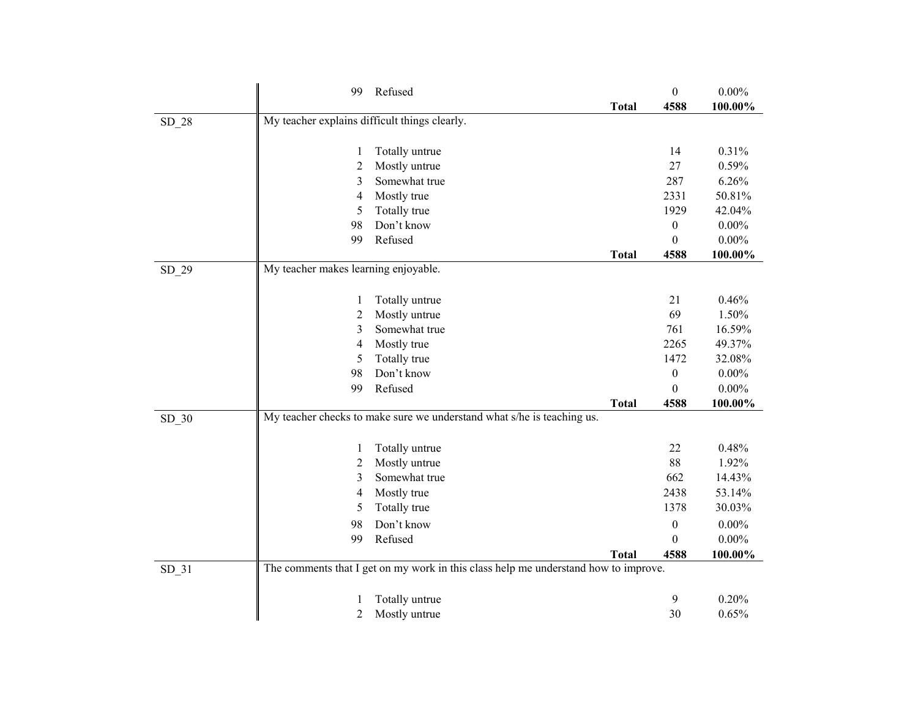|         | 99                                            | Refused                                                                             |              | $\boldsymbol{0}$ | $0.00\%$ |
|---------|-----------------------------------------------|-------------------------------------------------------------------------------------|--------------|------------------|----------|
|         |                                               |                                                                                     | <b>Total</b> | 4588             | 100.00%  |
| SD_28   | My teacher explains difficult things clearly. |                                                                                     |              |                  |          |
|         |                                               |                                                                                     |              |                  |          |
|         | 1                                             | Totally untrue                                                                      |              | 14               | 0.31%    |
|         | 2                                             | Mostly untrue                                                                       |              | 27               | 0.59%    |
|         | 3                                             | Somewhat true                                                                       |              | 287              | 6.26%    |
|         | 4                                             | Mostly true                                                                         |              | 2331             | 50.81%   |
|         | 5                                             | Totally true                                                                        |              | 1929             | 42.04%   |
|         | 98                                            | Don't know                                                                          |              | $\boldsymbol{0}$ | $0.00\%$ |
|         | 99                                            | Refused                                                                             |              | $\boldsymbol{0}$ | $0.00\%$ |
|         |                                               |                                                                                     | <b>Total</b> | 4588             | 100.00%  |
| SD_29   | My teacher makes learning enjoyable.          |                                                                                     |              |                  |          |
|         |                                               |                                                                                     |              |                  |          |
|         | 1                                             | Totally untrue                                                                      |              | 21               | 0.46%    |
|         | $\overline{c}$                                | Mostly untrue                                                                       |              | 69               | 1.50%    |
|         | 3                                             | Somewhat true                                                                       |              | 761              | 16.59%   |
|         | 4                                             | Mostly true                                                                         |              | 2265             | 49.37%   |
|         | 5                                             | Totally true                                                                        |              | 1472             | 32.08%   |
|         | 98                                            | Don't know                                                                          |              | $\boldsymbol{0}$ | $0.00\%$ |
|         | 99                                            | Refused                                                                             |              | $\boldsymbol{0}$ | $0.00\%$ |
|         |                                               |                                                                                     | <b>Total</b> | 4588             | 100.00%  |
| $SD_30$ |                                               | My teacher checks to make sure we understand what s/he is teaching us.              |              |                  |          |
|         |                                               |                                                                                     |              |                  |          |
|         | 1                                             | Totally untrue                                                                      |              | 22               | 0.48%    |
|         | 2                                             | Mostly untrue                                                                       |              | 88               | 1.92%    |
|         | 3                                             | Somewhat true                                                                       |              | 662              | 14.43%   |
|         | 4                                             | Mostly true                                                                         |              | 2438             | 53.14%   |
|         | 5                                             | Totally true                                                                        |              | 1378             | 30.03%   |
|         | 98                                            | Don't know                                                                          |              | $\boldsymbol{0}$ | $0.00\%$ |
|         | 99                                            | Refused                                                                             |              | $\boldsymbol{0}$ | $0.00\%$ |
|         |                                               |                                                                                     | <b>Total</b> | 4588             | 100.00%  |
| $SD_31$ |                                               | The comments that I get on my work in this class help me understand how to improve. |              |                  |          |
|         |                                               |                                                                                     |              |                  |          |
|         | 1                                             | Totally untrue                                                                      |              | 9                | 0.20%    |
|         | $\overline{c}$                                | Mostly untrue                                                                       |              | 30               | 0.65%    |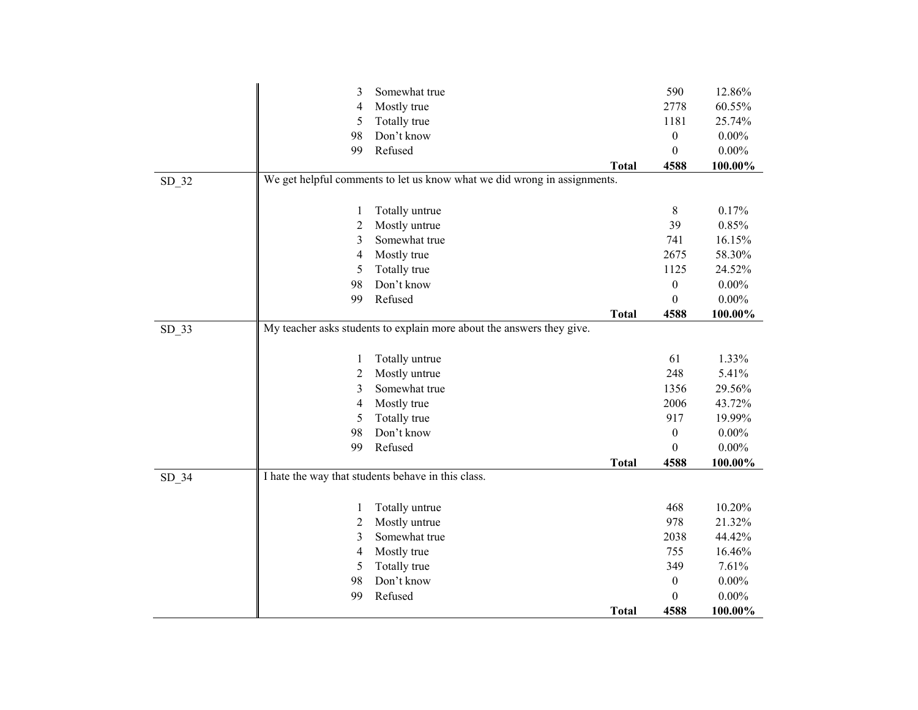|         | 3              | Somewhat true                                                            |              | 590              | 12.86%   |
|---------|----------------|--------------------------------------------------------------------------|--------------|------------------|----------|
|         | 4              | Mostly true                                                              |              | 2778             | 60.55%   |
|         | 5              | Totally true                                                             |              | 1181             | 25.74%   |
|         | 98             | Don't know                                                               |              | $\boldsymbol{0}$ | $0.00\%$ |
|         | 99             | Refused                                                                  |              | $\boldsymbol{0}$ | $0.00\%$ |
|         |                |                                                                          | <b>Total</b> | 4588             | 100.00%  |
| SD_32   |                | We get helpful comments to let us know what we did wrong in assignments. |              |                  |          |
|         | 1              | Totally untrue                                                           |              | $\,8\,$          | 0.17%    |
|         | $\overline{2}$ | Mostly untrue                                                            |              | 39               | 0.85%    |
|         | 3              | Somewhat true                                                            |              | 741              | 16.15%   |
|         | 4              | Mostly true                                                              |              | 2675             | 58.30%   |
|         | 5              | Totally true                                                             |              | 1125             | 24.52%   |
|         | 98             | Don't know                                                               |              | $\boldsymbol{0}$ | $0.00\%$ |
|         | 99             | Refused                                                                  |              | $\mathbf{0}$     | $0.00\%$ |
|         |                |                                                                          | <b>Total</b> | 4588             | 100.00%  |
| $SD_33$ |                | My teacher asks students to explain more about the answers they give.    |              |                  |          |
|         |                |                                                                          |              |                  |          |
|         | $\mathbf{1}$   | Totally untrue                                                           |              | 61               | 1.33%    |
|         | $\overline{c}$ | Mostly untrue                                                            |              | 248              | 5.41%    |
|         | 3              | Somewhat true                                                            |              | 1356             | 29.56%   |
|         | $\overline{4}$ | Mostly true                                                              |              | 2006             | 43.72%   |
|         | 5              | Totally true                                                             |              | 917              | 19.99%   |
|         | 98             | Don't know                                                               |              | $\mathbf{0}$     | $0.00\%$ |
|         | 99             | Refused                                                                  |              | $\Omega$         | $0.00\%$ |
|         |                |                                                                          | <b>Total</b> | 4588             | 100.00%  |
| $SD_34$ |                | I hate the way that students behave in this class.                       |              |                  |          |
|         | 1              | Totally untrue                                                           |              | 468              | 10.20%   |
|         | $\overline{c}$ | Mostly untrue                                                            |              | 978              | 21.32%   |
|         | 3              | Somewhat true                                                            |              | 2038             | 44.42%   |
|         | $\overline{4}$ | Mostly true                                                              |              | 755              | 16.46%   |
|         | 5              | Totally true                                                             |              | 349              | 7.61%    |
|         | 98             | Don't know                                                               |              | $\boldsymbol{0}$ | $0.00\%$ |
|         | 99             | Refused                                                                  |              | $\boldsymbol{0}$ | $0.00\%$ |
|         |                |                                                                          | <b>Total</b> | 4588             | 100.00%  |